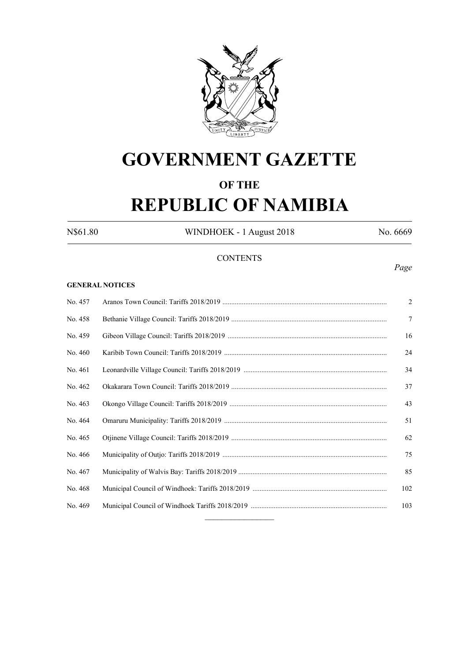

# **GOVERNMENT GAZETTE**

# **OF THE**

# **REPUBLIC OF NAMIBIA**

N\$61.80 WINDHOEK - 1 August 2018 No. 6669

## **CONTENTS**

#### **GENERAL NOTICES**

| No. 457 | $\overline{2}$ |
|---------|----------------|
| No. 458 | $\tau$         |
| No. 459 | 16             |
| No. 460 | 24             |
| No. 461 | 34             |
| No. 462 | 37             |
| No. 463 | 43             |
| No. 464 | 51             |
| No. 465 | 62             |
| No. 466 | 75             |
| No. 467 | 85             |
| No. 468 | 102            |
| No. 469 | 103            |
|         |                |

#### *Page*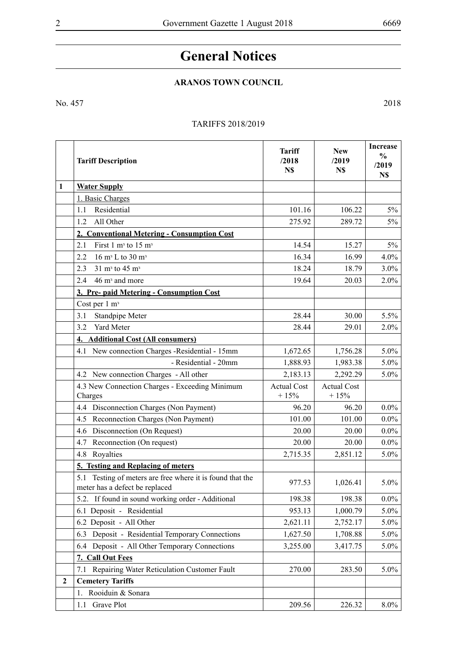## **General Notices**

## **Aranos Town Council**

No. 457 2018

## TARIFFS 2018/2019

|              | <b>Tariff Description</b>                                                                      | <b>Tariff</b><br>/2018<br>N\$ | <b>New</b><br>/2019<br>N\$   | <b>Increase</b><br>$\frac{0}{0}$<br>/2019<br>N\$ |
|--------------|------------------------------------------------------------------------------------------------|-------------------------------|------------------------------|--------------------------------------------------|
| 1            | <b>Water Supply</b>                                                                            |                               |                              |                                                  |
|              | 1. Basic Charges                                                                               |                               |                              |                                                  |
|              | 1.1<br>Residential                                                                             | 101.16                        | 106.22                       | $5\%$                                            |
|              | All Other<br>1.2                                                                               | 275.92                        | 289.72                       | $5\%$                                            |
|              | 2. Conventional Metering - Consumption Cost                                                    |                               |                              |                                                  |
|              | 2.1<br>First 1 $m3$ to 15 $m3$                                                                 | 14.54                         | 15.27                        | $5\%$                                            |
|              | 2.2<br>16 m <sup>3</sup> L to 30 m <sup>3</sup>                                                | 16.34                         | 16.99                        | $4.0\%$                                          |
|              | 2.3<br>$31 \text{ m}^3$ to $45 \text{ m}^3$                                                    | 18.24                         | 18.79                        | $3.0\%$                                          |
|              | 46 m <sup>3</sup> and more<br>2.4                                                              | 19.64                         | 20.03                        | 2.0%                                             |
|              | 3. Pre- paid Metering - Consumption Cost                                                       |                               |                              |                                                  |
|              | Cost per 1 m <sup>3</sup>                                                                      |                               |                              |                                                  |
|              | Standpipe Meter<br>3.1                                                                         | 28.44                         | 30.00                        | 5.5%                                             |
|              | 3.2<br>Yard Meter                                                                              | 28.44                         | 29.01                        | 2.0%                                             |
|              | <b>Additional Cost (All consumers)</b><br>4.                                                   |                               |                              |                                                  |
|              | 4.1 New connection Charges -Residential - 15mm                                                 | 1,672.65                      | 1,756.28                     | $5.0\%$                                          |
|              | - Residential - 20mm                                                                           | 1,888.93                      | 1,983.38                     | $5.0\%$                                          |
|              | 4.2 New connection Charges - All other                                                         | 2,183.13                      | 2,292.29                     | 5.0%                                             |
|              | 4.3 New Connection Charges - Exceeding Minimum<br>Charges                                      | <b>Actual Cost</b><br>$+15%$  | <b>Actual Cost</b><br>$+15%$ |                                                  |
|              | Disconnection Charges (Non Payment)<br>4.4                                                     | 96.20                         | 96.20                        | $0.0\%$                                          |
|              | Reconnection Charges (Non Payment)<br>4.5                                                      | 101.00                        | 101.00                       | $0.0\%$                                          |
|              | Disconnection (On Request)<br>4.6                                                              | 20.00                         | 20.00                        | $0.0\%$                                          |
|              | Reconnection (On request)<br>4.7                                                               | 20.00                         | 20.00                        | $0.0\%$                                          |
|              | 4.8 Royalties                                                                                  | 2,715.35                      | 2,851.12                     | $5.0\%$                                          |
|              | 5. Testing and Replacing of meters                                                             |                               |                              |                                                  |
|              | Testing of meters are free where it is found that the<br>5.1<br>meter has a defect be replaced | 977.53                        | 1,026.41                     | 5.0%                                             |
|              | 5.2. If found in sound working order - Additional                                              | 198.38                        | 198.38                       | $0.0\%$                                          |
|              | 6.1 Deposit - Residential                                                                      | 953.13                        | 1,000.79                     | 5.0%                                             |
|              | 6.2 Deposit - All Other                                                                        | 2,621.11                      | 2,752.17                     | $5.0\%$                                          |
|              | 6.3 Deposit - Residential Temporary Connections                                                | 1,627.50                      | 1,708.88                     | $5.0\%$                                          |
|              | 6.4 Deposit - All Other Temporary Connections                                                  | 3,255.00                      | 3,417.75                     | 5.0%                                             |
|              | 7. Call Out Fees                                                                               |                               |                              |                                                  |
|              | 7.1 Repairing Water Reticulation Customer Fault                                                | 270.00                        | 283.50                       | 5.0%                                             |
| $\mathbf{2}$ | <b>Cemetery Tariffs</b>                                                                        |                               |                              |                                                  |
|              | Rooiduin & Sonara<br>1.                                                                        |                               |                              |                                                  |
|              | 1.1 Grave Plot                                                                                 | 209.56                        | 226.32                       | $8.0\%$                                          |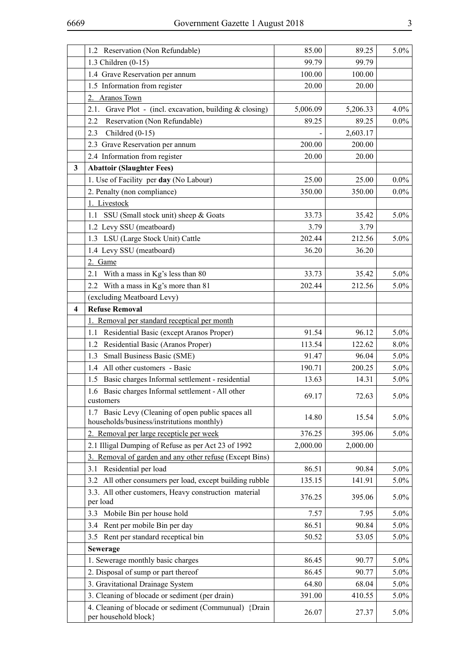|                         | 1.2 Reservation (Non Refundable)                                                                 | 85.00    | 89.25    | $5.0\%$ |
|-------------------------|--------------------------------------------------------------------------------------------------|----------|----------|---------|
|                         | 1.3 Children (0-15)                                                                              | 99.79    | 99.79    |         |
|                         | 1.4 Grave Reservation per annum                                                                  | 100.00   | 100.00   |         |
|                         | 1.5 Information from register                                                                    | 20.00    | 20.00    |         |
|                         | <b>Aranos Town</b><br>2.                                                                         |          |          |         |
|                         | Grave Plot - (incl. excavation, building & closing)<br>2.1.                                      | 5,006.09 | 5,206.33 | $4.0\%$ |
|                         | 2.2<br>Reservation (Non Refundable)                                                              | 89.25    | 89.25    | $0.0\%$ |
|                         | Childred $(0-15)$<br>2.3                                                                         |          | 2,603.17 |         |
|                         | 2.3 Grave Reservation per annum                                                                  | 200.00   | 200.00   |         |
|                         | 2.4 Information from register                                                                    | 20.00    | 20.00    |         |
| 3                       | <b>Abattoir (Slaughter Fees)</b>                                                                 |          |          |         |
|                         | 1. Use of Facility per day (No Labour)                                                           | 25.00    | 25.00    | $0.0\%$ |
|                         | 2. Penalty (non compliance)                                                                      | 350.00   | 350.00   | $0.0\%$ |
|                         | 1. Livestock                                                                                     |          |          |         |
|                         | 1.1 SSU (Small stock unit) sheep & Goats                                                         | 33.73    | 35.42    | 5.0%    |
|                         | 1.2 Levy SSU (meatboard)                                                                         | 3.79     | 3.79     |         |
|                         | 1.3 LSU (Large Stock Unit) Cattle                                                                | 202.44   | 212.56   | 5.0%    |
|                         | 1.4 Levy SSU (meatboard)                                                                         | 36.20    | 36.20    |         |
|                         | 2. Game                                                                                          |          |          |         |
|                         | With a mass in Kg's less than 80<br>2.1                                                          | 33.73    | 35.42    | $5.0\%$ |
|                         | 2.2 With a mass in Kg's more than 81                                                             | 202.44   | 212.56   | 5.0%    |
|                         | (excluding Meatboard Levy)                                                                       |          |          |         |
| $\overline{\mathbf{4}}$ | <b>Refuse Removal</b>                                                                            |          |          |         |
|                         | Removal per standard receptical per month<br>1.                                                  |          |          |         |
|                         | 1.1 Residential Basic (except Aranos Proper)                                                     | 91.54    | 96.12    | $5.0\%$ |
|                         | Residential Basic (Aranos Proper)<br>1.2                                                         | 113.54   | 122.62   | $8.0\%$ |
|                         | Small Business Basic (SME)<br>1.3                                                                | 91.47    | 96.04    | $5.0\%$ |
|                         | All other customers - Basic<br>1.4                                                               | 190.71   | 200.25   | $5.0\%$ |
|                         | Basic charges Informal settlement - residential<br>1.5                                           | 13.63    | 14.31    | $5.0\%$ |
|                         | 1.6 Basic charges Informal settlement - All other<br>customers                                   | 69.17    | 72.63    | $5.0\%$ |
|                         | 1.7 Basic Levy (Cleaning of open public spaces all<br>households/business/instritutions monthly) | 14.80    | 15.54    | 5.0%    |
|                         | 2. Removal per large recepticle per week                                                         | 376.25   | 395.06   | 5.0%    |
|                         | 2.1 Illigal Dumping of Refuse as per Act 23 of 1992                                              | 2,000.00 | 2,000.00 |         |
|                         | Removal of garden and any other refuse (Except Bins)<br>3.                                       |          |          |         |
|                         | 3.1 Residential per load                                                                         | 86.51    | 90.84    | 5.0%    |
|                         | All other consumers per load, except building rubble<br>3.2                                      | 135.15   | 141.91   | $5.0\%$ |
|                         | 3.3. All other customers, Heavy construction material<br>per load                                | 376.25   | 395.06   | 5.0%    |
|                         | Mobile Bin per house hold<br>3.3                                                                 | 7.57     | 7.95     | 5.0%    |
|                         | Rent per mobile Bin per day<br>3.4                                                               | 86.51    | 90.84    | 5.0%    |
|                         | Rent per standard receptical bin<br>3.5                                                          | 50.52    | 53.05    | $5.0\%$ |
|                         | <b>Sewerage</b>                                                                                  |          |          |         |
|                         | 1. Sewerage monthly basic charges                                                                | 86.45    | 90.77    | $5.0\%$ |
|                         | 2. Disposal of sump or part thereof                                                              | 86.45    | 90.77    | 5.0%    |
|                         | 3. Gravitational Drainage System                                                                 | 64.80    | 68.04    | $5.0\%$ |
|                         | 3. Cleaning of blocade or sediment (per drain)                                                   | 391.00   | 410.55   | 5.0%    |
|                         | 4. Cleaning of blocade or sediment (Communual) {Drain<br>per household block}                    | 26.07    | 27.37    | 5.0%    |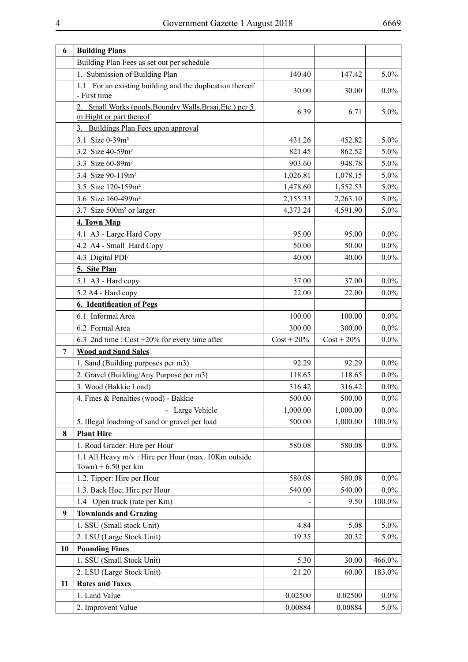| 6  | <b>Building Plans</b>                                                               |               |               |         |
|----|-------------------------------------------------------------------------------------|---------------|---------------|---------|
|    | Building Plan Fees as set out per schedule                                          |               |               |         |
|    | 1. Submission of Building Plan                                                      | 140.40        | 147.42        | 5.0%    |
|    | 1.1 For an existing building and the duplication thereof<br>- First time            | 30.00         | 30.00         | $0.0\%$ |
|    | 2. Small Works (pools, Boundry Walls, Braai, Etc.) per 5<br>m Hight or part thereof | 6.39          | 6.71          | 5.0%    |
|    | 3. Buildings Plan Fees upon approval                                                |               |               |         |
|    | 3.1 Size 0-39m <sup>2</sup>                                                         | 431.26        | 452.82        | 5.0%    |
|    | 3.2 Size 40-59m <sup>2</sup>                                                        | 821.45        | 862.52        | 5.0%    |
|    | 3.3 Size 60-89m <sup>2</sup>                                                        | 903.60        | 948.78        | 5.0%    |
|    | 3.4 Size 90-119m <sup>2</sup>                                                       | 1,026.81      | 1,078.15      | 5.0%    |
|    | 3.5 Size 120-159m <sup>2</sup>                                                      | 1,478.60      | 1,552.53      | 5.0%    |
|    | 3.6 Size 160-499m <sup>2</sup>                                                      | 2,155.33      | 2,263.10      | 5.0%    |
|    | 3.7 Size 500m <sup>2</sup> or larger                                                | 4,373.24      | 4,591.90      | 5.0%    |
|    | 4. Town Map                                                                         |               |               |         |
|    | 4.1 A3 - Large Hard Copy                                                            | 95.00         | 95.00         | $0.0\%$ |
|    | 4.2 A4 - Small Hard Copy                                                            | 50.00         | 50.00         | $0.0\%$ |
|    | 4.3 Digital PDF                                                                     | 40.00         | 40.00         | $0.0\%$ |
|    | 5. Site Plan                                                                        |               |               |         |
|    | 5.1 A3 - Hard copy                                                                  | 37.00         | 37.00         | $0.0\%$ |
|    | 5.2 A4 - Hard copy                                                                  | 22.00         | 22.00         | $0.0\%$ |
|    | <b>6. Identification of Pegs</b>                                                    |               |               |         |
|    | 6.1 Informal Area                                                                   | 100.00        | 100.00        | $0.0\%$ |
|    | 6.2 Formal Area                                                                     | 300.00        | 300.00        | $0.0\%$ |
|    | 6.3 2nd time : Cost +20% for every time after                                       | $Cost + 20\%$ | $Cost + 20\%$ | $0.0\%$ |
| 7  | <b>Wood and Sand Sales</b>                                                          |               |               |         |
|    | 1. Sand (Building purposes per m3)                                                  | 92.29         | 92.29         | $0.0\%$ |
|    | 2. Gravel (Building/Any Purpose per m3)                                             | 118.65        | 118.65        | $0.0\%$ |
|    | 3. Wood (Bakkie Load)                                                               | 316.42        | 316.42        | $0.0\%$ |
|    | 4. Fines & Penalties (wood) - Bakkie                                                | 500.00        | 500.00        | $0.0\%$ |
|    | - Large Vehicle                                                                     | 1,000.00      | 1,000.00      | $0.0\%$ |
|    | 5. Illegal loadning of sand or gravel per load                                      | 500.00        | 1,000.00      | 100.0%  |
| 8  | <b>Plant Hire</b>                                                                   |               |               |         |
|    | 1. Road Grader: Hire per Hour                                                       | 580.08        | 580.08        | $0.0\%$ |
|    | 1.1 All Heavy m/v : Hire per Hour (max. 10Km outside<br>Town) + $6.50$ per km       |               |               |         |
|    | 1.2. Tipper: Hire per Hour                                                          | 580.08        | 580.08        | $0.0\%$ |
|    | 1.3. Back Hoe: Hire per Hour                                                        | 540.00        | 540.00        | $0.0\%$ |
|    | 1.4 Open truck (rate per Km)                                                        |               | 9.50          | 100.0%  |
| 9  | <b>Townlands and Grazing</b>                                                        |               |               |         |
|    | 1. SSU (Small stock Unit)                                                           | 4.84          | 5.08          | $5.0\%$ |
|    | 2. LSU (Large Stock Unit)                                                           | 19.35         | 20.32         | 5.0%    |
| 10 | <b>Pounding Fines</b>                                                               |               |               |         |
|    | 1. SSU (Small Stock Unit)                                                           | 5.30          | 30.00         | 466.0%  |
|    | 2. LSU (Large Stock Unit)                                                           | 21.20         | 60.00         | 183.0%  |
| 11 | <b>Rates and Taxes</b>                                                              |               |               |         |
|    | 1. Land Value                                                                       | 0.02500       | 0.02500       | $0.0\%$ |
|    | 2. Improvent Value                                                                  | 0.00884       | 0.00884       | $5.0\%$ |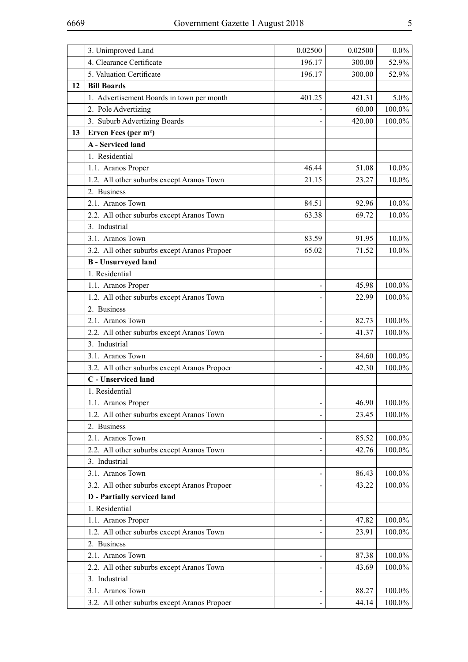|    | 3. Unimproved Land                           | 0.02500 | 0.02500 | $0.0\%$   |
|----|----------------------------------------------|---------|---------|-----------|
|    | 4. Clearance Certificate                     | 196.17  | 300.00  | 52.9%     |
|    | 5. Valuation Certificate                     | 196.17  | 300.00  | 52.9%     |
| 12 | <b>Bill Boards</b>                           |         |         |           |
|    | 1. Advertisement Boards in town per month    | 401.25  | 421.31  | $5.0\%$   |
|    | 2. Pole Advertizing                          |         | 60.00   | 100.0%    |
|    | 3. Suburb Advertizing Boards                 |         | 420.00  | 100.0%    |
| 13 | Erven Fees (per m <sup>2</sup> )             |         |         |           |
|    | <b>A</b> - Serviced land                     |         |         |           |
|    | 1. Residential                               |         |         |           |
|    | 1.1. Aranos Proper                           | 46.44   | 51.08   | $10.0\%$  |
|    | 1.2. All other suburbs except Aranos Town    | 21.15   | 23.27   | $10.0\%$  |
|    | 2. Business                                  |         |         |           |
|    | 2.1. Aranos Town                             | 84.51   | 92.96   | $10.0\%$  |
|    | 2.2. All other suburbs except Aranos Town    | 63.38   | 69.72   | 10.0%     |
|    | 3. Industrial                                |         |         |           |
|    | 3.1. Aranos Town                             | 83.59   | 91.95   | $10.0\%$  |
|    | 3.2. All other suburbs except Aranos Propoer | 65.02   | 71.52   | $10.0\%$  |
|    | <b>B</b> - Unsurveyed land                   |         |         |           |
|    | 1. Residential                               |         |         |           |
|    | 1.1. Aranos Proper                           |         | 45.98   | 100.0%    |
|    | 1.2. All other suburbs except Aranos Town    |         | 22.99   | 100.0%    |
|    | 2. Business                                  |         |         |           |
|    | 2.1. Aranos Town                             |         | 82.73   | 100.0%    |
|    | 2.2. All other suburbs except Aranos Town    |         | 41.37   | 100.0%    |
|    | 3. Industrial                                |         |         |           |
|    | 3.1. Aranos Town                             |         | 84.60   | 100.0%    |
|    | 3.2. All other suburbs except Aranos Propoer |         | 42.30   | 100.0%    |
|    | C - Unserviced land                          |         |         |           |
|    | 1. Residential                               |         |         |           |
|    | 1.1. Aranos Proper                           |         | 46.90   | 100.0%    |
|    | 1.2. All other suburbs except Aranos Town    |         | 23.45   | 100.0%    |
|    | 2. Business                                  |         |         |           |
|    | 2.1. Aranos Town                             |         | 85.52   | 100.0%    |
|    | 2.2. All other suburbs except Aranos Town    |         | 42.76   | 100.0%    |
|    | 3. Industrial                                |         |         |           |
|    | 3.1. Aranos Town                             |         | 86.43   | 100.0%    |
|    | 3.2. All other suburbs except Aranos Propoer |         | 43.22   | 100.0%    |
|    | <b>D</b> - Partially serviced land           |         |         |           |
|    | 1. Residential                               |         |         |           |
|    | 1.1. Aranos Proper                           |         | 47.82   | 100.0%    |
|    | 1.2. All other suburbs except Aranos Town    |         | 23.91   | 100.0%    |
|    | 2. Business                                  |         |         |           |
|    | 2.1. Aranos Town                             |         | 87.38   | 100.0%    |
|    | 2.2. All other suburbs except Aranos Town    |         | 43.69   | 100.0%    |
|    | 3. Industrial                                |         |         |           |
|    | 3.1. Aranos Town                             |         | 88.27   | 100.0%    |
|    | 3.2. All other suburbs except Aranos Propoer |         | 44.14   | $100.0\%$ |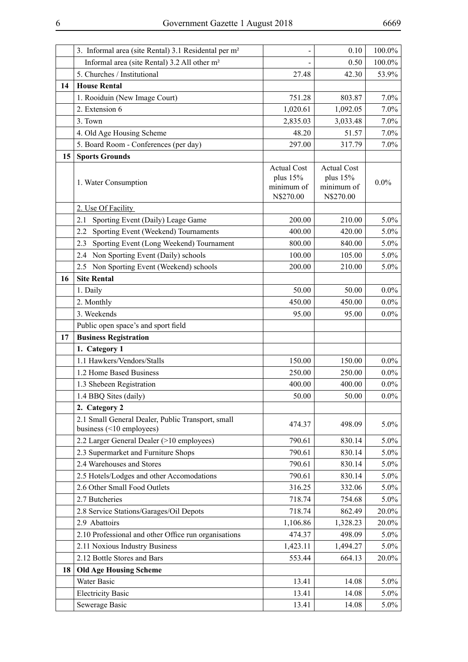|    | 3. Informal area (site Rental) 3.1 Residental per m <sup>2</sup>                  |                                                             | 0.10                                                        | 100.0%  |
|----|-----------------------------------------------------------------------------------|-------------------------------------------------------------|-------------------------------------------------------------|---------|
|    | Informal area (site Rental) 3.2 All other m <sup>2</sup>                          |                                                             | 0.50                                                        | 100.0%  |
|    | 5. Churches / Institutional                                                       | 27.48                                                       | 42.30                                                       | 53.9%   |
| 14 | <b>House Rental</b>                                                               |                                                             |                                                             |         |
|    | 1. Rooiduin (New Image Court)                                                     | 751.28                                                      | 803.87                                                      | 7.0%    |
|    | 2. Extension 6                                                                    | 1,020.61                                                    | 1,092.05                                                    | 7.0%    |
|    | 3. Town                                                                           | 2,835.03                                                    | 3,033.48                                                    | 7.0%    |
|    | 4. Old Age Housing Scheme                                                         | 48.20                                                       | 51.57                                                       | 7.0%    |
|    | 5. Board Room - Conferences (per day)                                             | 297.00                                                      | 317.79                                                      | $7.0\%$ |
| 15 | <b>Sports Grounds</b>                                                             |                                                             |                                                             |         |
|    | 1. Water Consumption                                                              | <b>Actual Cost</b><br>plus $15%$<br>minimum of<br>N\$270.00 | <b>Actual Cost</b><br>plus $15%$<br>minimum of<br>N\$270.00 | $0.0\%$ |
|    | 2. Use Of Facility                                                                |                                                             |                                                             |         |
|    | Sporting Event (Daily) Leage Game<br>2.1                                          | 200.00                                                      | 210.00                                                      | 5.0%    |
|    | Sporting Event (Weekend) Tournaments<br>2.2                                       | 400.00                                                      | 420.00                                                      | 5.0%    |
|    | Sporting Event (Long Weekend) Tournament<br>2.3                                   | 800.00                                                      | 840.00                                                      | 5.0%    |
|    | Non Sporting Event (Daily) schools<br>2.4                                         | 100.00                                                      | 105.00                                                      | 5.0%    |
|    | 2.5 Non Sporting Event (Weekend) schools                                          | 200.00                                                      | 210.00                                                      | 5.0%    |
| 16 | <b>Site Rental</b>                                                                |                                                             |                                                             |         |
|    | 1. Daily                                                                          | 50.00                                                       | 50.00                                                       | $0.0\%$ |
|    | 2. Monthly                                                                        | 450.00                                                      | 450.00                                                      | $0.0\%$ |
|    | 3. Weekends                                                                       | 95.00                                                       | 95.00                                                       | $0.0\%$ |
|    | Public open space's and sport field                                               |                                                             |                                                             |         |
| 17 | <b>Business Registration</b>                                                      |                                                             |                                                             |         |
|    | 1. Category 1                                                                     |                                                             |                                                             |         |
|    | 1.1 Hawkers/Vendors/Stalls                                                        | 150.00                                                      | 150.00                                                      | $0.0\%$ |
|    | 1.2 Home Based Business                                                           | 250.00                                                      | 250.00                                                      | $0.0\%$ |
|    | 1.3 Shebeen Registration                                                          | 400.00                                                      | 400.00                                                      | $0.0\%$ |
|    | 1.4 BBQ Sites (daily)                                                             | 50.00                                                       | 50.00                                                       | $0.0\%$ |
|    | 2. Category 2                                                                     |                                                             |                                                             |         |
|    | 2.1 Small General Dealer, Public Transport, small<br>business $($ < 10 employees) | 474.37                                                      | 498.09                                                      | $5.0\%$ |
|    | 2.2 Larger General Dealer (>10 employees)                                         | 790.61                                                      | 830.14                                                      | $5.0\%$ |
|    | 2.3 Supermarket and Furniture Shops                                               | 790.61                                                      | 830.14                                                      | $5.0\%$ |
|    | 2.4 Warehouses and Stores                                                         | 790.61                                                      | 830.14                                                      | $5.0\%$ |
|    | 2.5 Hotels/Lodges and other Accomodations                                         | 790.61                                                      | 830.14                                                      | $5.0\%$ |
|    | 2.6 Other Small Food Outlets                                                      | 316.25                                                      | 332.06                                                      | $5.0\%$ |
|    | 2.7 Butcheries                                                                    | 718.74                                                      | 754.68                                                      | $5.0\%$ |
|    | 2.8 Service Stations/Garages/Oil Depots                                           | 718.74                                                      | 862.49                                                      | 20.0%   |
|    | 2.9 Abattoirs                                                                     | 1,106.86                                                    | 1,328.23                                                    | 20.0%   |
|    | 2.10 Professional and other Office run organisations                              | 474.37                                                      | 498.09                                                      | $5.0\%$ |
|    | 2.11 Noxious Industry Business                                                    | 1,423.11                                                    | 1,494.27                                                    | $5.0\%$ |
|    | 2.12 Bottle Stores and Bars                                                       | 553.44                                                      | 664.13                                                      | 20.0%   |
| 18 | <b>Old Age Housing Scheme</b>                                                     |                                                             |                                                             |         |
|    | Water Basic                                                                       | 13.41                                                       | 14.08                                                       | $5.0\%$ |
|    | <b>Electricity Basic</b>                                                          | 13.41                                                       | 14.08                                                       | $5.0\%$ |
|    | Sewerage Basic                                                                    | 13.41                                                       | 14.08                                                       | $5.0\%$ |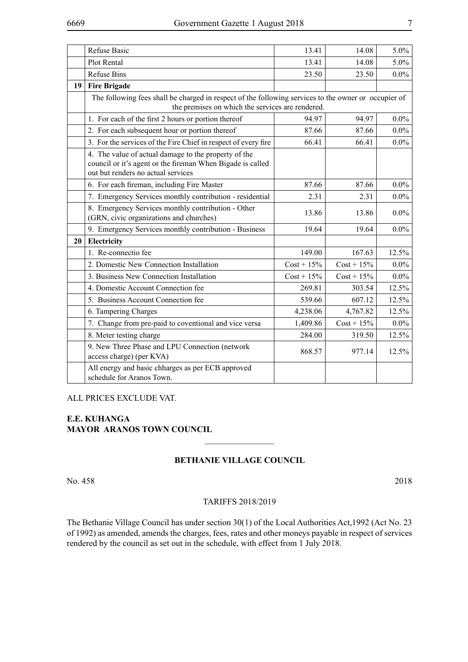|    | <b>Refuse Basic</b>                                                                                                                                      | 13.41         | 14.08         | 5.0%    |
|----|----------------------------------------------------------------------------------------------------------------------------------------------------------|---------------|---------------|---------|
|    | Plot Rental                                                                                                                                              | 13.41         | 14.08         | $5.0\%$ |
|    | <b>Refuse Bins</b>                                                                                                                                       | 23.50         | 23.50         | $0.0\%$ |
| 19 | <b>Fire Brigade</b>                                                                                                                                      |               |               |         |
|    | The following fees shall be charged in respect of the following services to the owner or occupier of<br>the premises on which the services are rendered. |               |               |         |
|    | 1. For each of the first 2 hours or portion thereof                                                                                                      | 94.97         | 94.97         | $0.0\%$ |
|    | 2. For each subsequent hour or portion thereof                                                                                                           | 87.66         | 87.66         | $0.0\%$ |
|    | 3. For the services of the Fire Chief in respect of every fire                                                                                           | 66.41         | 66.41         | $0.0\%$ |
|    | 4. The value of actual damage to the property of the<br>council or it's agent or the fireman When Bigade is called<br>out but renders no actual services |               |               |         |
|    | 6. For each fireman, including Fire Master                                                                                                               | 87.66         | 87.66         | $0.0\%$ |
|    | 7. Emergency Services monthly contribution - residential                                                                                                 | 2.31          | 2.31          | $0.0\%$ |
|    | 8. Emergency Services monthly contribution - Other<br>(GRN, civic organizations and churches)                                                            | 13.86         | 13.86         | $0.0\%$ |
|    | 9. Emergency Services monthly contribution - Business                                                                                                    | 19.64         | 19.64         | $0.0\%$ |
| 20 | Electricity                                                                                                                                              |               |               |         |
|    | 1. Re-connectio fee                                                                                                                                      | 149.00        | 167.63        | 12.5%   |
|    | 2. Domestic New Connection Installation                                                                                                                  | $Cost + 15\%$ | $Cost + 15\%$ | $0.0\%$ |
|    | 3. Business New Connection Installation                                                                                                                  | $Cost + 15\%$ | $Cost + 15\%$ | $0.0\%$ |
|    | 4. Domestic Account Connection fee                                                                                                                       | 269.81        | 303.54        | 12.5%   |
|    | 5. Business Account Connection fee                                                                                                                       | 539.66        | 607.12        | 12.5%   |
|    | 6. Tampering Charges                                                                                                                                     | 4,238.06      | 4,767.82      | 12.5%   |
|    | 7. Change from pre-paid to coventional and vice versa                                                                                                    | 1,409.86      | $Cost + 15\%$ | $0.0\%$ |
|    | 8. Meter testing charge                                                                                                                                  | 284.00        | 319.50        | 12.5%   |
|    | 9. New Three Phase and LPU Connection (network<br>access charge) (per KVA)                                                                               | 868.57        | 977.14        | 12.5%   |
|    | All energy and basic chharges as per ECB approved<br>schedule for Aranos Town.                                                                           |               |               |         |

#### ALL PRICES EXCLUDE VAT.

#### **E.E. KUHANGA MAYOR ARANOS TOWN COUNCIL**

#### **BETHANIE VILLAGE COUNCIL**

 $\overline{\phantom{a}}$  , where  $\overline{\phantom{a}}$ 

No. 458 2018

#### TARIFFS 2018/2019

The Bethanie Village Council has under section 30(1) of the Local Authorities Act,1992 (Act No. 23 of 1992) as amended, amends the charges, fees, rates and other moneys payable in respect of services rendered by the council as set out in the schedule, with effect from 1 July 2018.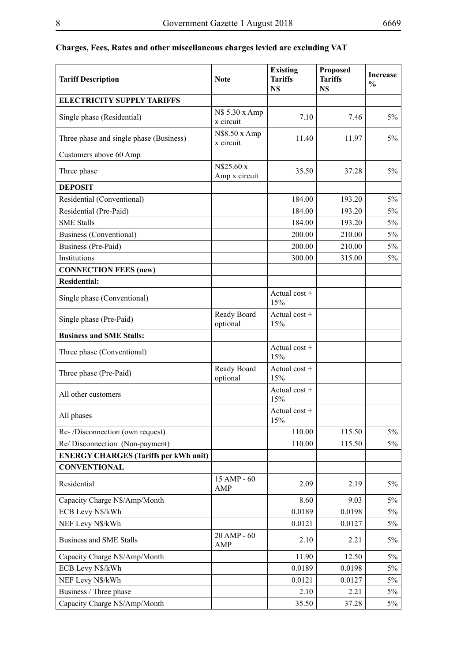| <b>Tariff Description</b>                    | <b>Note</b>                 | <b>Existing</b><br><b>Tariffs</b><br>N\$ | <b>Proposed</b><br><b>Tariffs</b><br>N\$ | <b>Increase</b><br>$\frac{0}{0}$ |
|----------------------------------------------|-----------------------------|------------------------------------------|------------------------------------------|----------------------------------|
| <b>ELECTRICITY SUPPLY TARIFFS</b>            |                             |                                          |                                          |                                  |
| Single phase (Residential)                   | N\$ 5.30 x Amp<br>x circuit | 7.10                                     | 7.46                                     | $5\%$                            |
| Three phase and single phase (Business)      | N\$8.50 x Amp<br>x circuit  | 11.40                                    | 11.97                                    | $5\%$                            |
| Customers above 60 Amp                       |                             |                                          |                                          |                                  |
| Three phase                                  | N\$25.60 x<br>Amp x circuit | 35.50                                    | 37.28                                    | $5\%$                            |
| <b>DEPOSIT</b>                               |                             |                                          |                                          |                                  |
| Residential (Conventional)                   |                             | 184.00                                   | 193.20                                   | $5\%$                            |
| Residential (Pre-Paid)                       |                             | 184.00                                   | 193.20                                   | $5\%$                            |
| <b>SME Stalls</b>                            |                             | 184.00                                   | 193.20                                   | $5\%$                            |
| <b>Business (Conventional)</b>               |                             | 200.00                                   | 210.00                                   | $5\%$                            |
| Business (Pre-Paid)                          |                             | 200.00                                   | 210.00                                   | 5%                               |
| Institutions                                 |                             | 300.00                                   | 315.00                                   | $5\%$                            |
| <b>CONNECTION FEES (new)</b>                 |                             |                                          |                                          |                                  |
| <b>Residential:</b>                          |                             |                                          |                                          |                                  |
| Single phase (Conventional)                  |                             | Actual cost $+$<br>15%                   |                                          |                                  |
| Single phase (Pre-Paid)                      | Ready Board<br>optional     | Actual cost $+$<br>15%                   |                                          |                                  |
| <b>Business and SME Stalls:</b>              |                             |                                          |                                          |                                  |
| Three phase (Conventional)                   |                             | Actual cost +<br>15%                     |                                          |                                  |
| Three phase (Pre-Paid)                       | Ready Board<br>optional     | Actual cost $+$<br>15%                   |                                          |                                  |
| All other customers                          |                             | Actual cost +<br>15%                     |                                          |                                  |
| All phases                                   |                             | Actual $cost +$<br>15%                   |                                          |                                  |
| Re-/Disconnection (own request)              |                             | 110.00                                   | 115.50                                   | $5\%$                            |
| Re/Disconnection (Non-payment)               |                             | 110.00                                   | 115.50                                   | $5\%$                            |
| <b>ENERGY CHARGES (Tariffs per kWh unit)</b> |                             |                                          |                                          |                                  |
| <b>CONVENTIONAL</b>                          |                             |                                          |                                          |                                  |
| Residential                                  | 15 AMP - 60<br>AMP          | 2.09                                     | 2.19                                     | $5\%$                            |
| Capacity Charge N\$/Amp/Month                |                             | 8.60                                     | 9.03                                     | $5\%$                            |
| ECB Levy N\$/kWh                             |                             | 0.0189                                   | 0.0198                                   | $5\%$                            |
| NEF Levy N\$/kWh                             |                             | 0.0121                                   | 0.0127                                   | 5%                               |
| <b>Business and SME Stalls</b>               | 20 AMP - 60<br>AMP          | 2.10                                     | 2.21                                     | 5%                               |
| Capacity Charge N\$/Amp/Month                |                             | 11.90                                    | 12.50                                    | $5\%$                            |
| ECB Levy N\$/kWh                             |                             | 0.0189                                   | 0.0198                                   | 5%                               |
| NEF Levy N\$/kWh                             |                             | 0.0121                                   | 0.0127                                   | $5\%$                            |
| Business / Three phase                       |                             | 2.10                                     | 2.21                                     | 5%                               |
| Capacity Charge N\$/Amp/Month                |                             | 35.50                                    | 37.28                                    | $5\%$                            |

## **Charges, Fees, Rates and other miscellaneous charges levied are excluding VAT**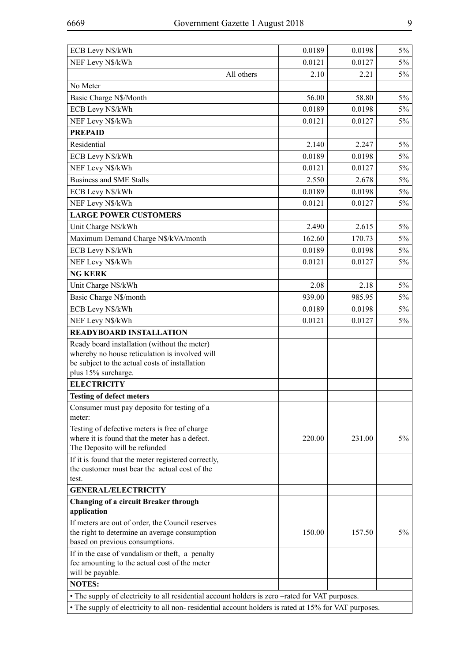| ECB Levy N\$/kWh                                                                                      |            | 0.0189 | 0.0198 | $5\%$ |
|-------------------------------------------------------------------------------------------------------|------------|--------|--------|-------|
| NEF Levy N\$/kWh                                                                                      |            | 0.0121 | 0.0127 | $5\%$ |
|                                                                                                       | All others | 2.10   | 2.21   | 5%    |
| No Meter                                                                                              |            |        |        |       |
| Basic Charge N\$/Month                                                                                |            | 56.00  | 58.80  | $5\%$ |
| ECB Levy N\$/kWh                                                                                      |            | 0.0189 | 0.0198 | $5\%$ |
| NEF Levy N\$/kWh                                                                                      |            | 0.0121 | 0.0127 | 5%    |
| <b>PREPAID</b>                                                                                        |            |        |        |       |
| Residential                                                                                           |            | 2.140  | 2.247  | $5\%$ |
| ECB Levy N\$/kWh                                                                                      |            | 0.0189 | 0.0198 | $5\%$ |
| NEF Levy N\$/kWh                                                                                      |            | 0.0121 | 0.0127 | $5\%$ |
| <b>Business and SME Stalls</b>                                                                        |            | 2.550  | 2.678  | $5\%$ |
| ECB Levy N\$/kWh                                                                                      |            | 0.0189 | 0.0198 | $5\%$ |
| NEF Levy N\$/kWh                                                                                      |            | 0.0121 | 0.0127 | $5\%$ |
| <b>LARGE POWER CUSTOMERS</b>                                                                          |            |        |        |       |
| Unit Charge N\$/kWh                                                                                   |            | 2.490  | 2.615  | $5\%$ |
| Maximum Demand Charge N\$/kVA/month                                                                   |            | 162.60 | 170.73 | $5\%$ |
| ECB Levy N\$/kWh                                                                                      |            | 0.0189 | 0.0198 | $5\%$ |
| NEF Levy N\$/kWh                                                                                      |            | 0.0121 | 0.0127 | $5\%$ |
| <b>NG KERK</b>                                                                                        |            |        |        |       |
| Unit Charge N\$/kWh                                                                                   |            | 2.08   | 2.18   | $5\%$ |
| Basic Charge N\$/month                                                                                |            | 939.00 | 985.95 | $5\%$ |
| ECB Levy N\$/kWh                                                                                      |            | 0.0189 | 0.0198 | $5\%$ |
| NEF Levy N\$/kWh                                                                                      |            | 0.0121 | 0.0127 | $5\%$ |
| <b>READYBOARD INSTALLATION</b>                                                                        |            |        |        |       |
| Ready board installation (without the meter)                                                          |            |        |        |       |
| whereby no house reticulation is involved will                                                        |            |        |        |       |
| be subject to the actual costs of installation                                                        |            |        |        |       |
| plus 15% surcharge.                                                                                   |            |        |        |       |
| <b>ELECTRICITY</b>                                                                                    |            |        |        |       |
| <b>Testing of defect meters</b>                                                                       |            |        |        |       |
| Consumer must pay deposito for testing of a<br>meter:                                                 |            |        |        |       |
| Testing of defective meters is free of charge                                                         |            |        |        |       |
| where it is found that the meter has a defect.<br>The Deposito will be refunded                       |            | 220.00 | 231.00 | $5\%$ |
| If it is found that the meter registered correctly,<br>the customer must bear the actual cost of the  |            |        |        |       |
| test.                                                                                                 |            |        |        |       |
| <b>GENERAL/ELECTRICITY</b>                                                                            |            |        |        |       |
| Changing of a circuit Breaker through                                                                 |            |        |        |       |
| application                                                                                           |            |        |        |       |
| If meters are out of order, the Council reserves                                                      |            |        |        |       |
| the right to determine an average consumption<br>based on previous consumptions.                      |            | 150.00 | 157.50 | $5\%$ |
| If in the case of vandalism or theft, a penalty                                                       |            |        |        |       |
| fee amounting to the actual cost of the meter                                                         |            |        |        |       |
| will be payable.                                                                                      |            |        |        |       |
| <b>NOTES:</b>                                                                                         |            |        |        |       |
| • The supply of electricity to all residential account holders is zero -rated for VAT purposes.       |            |        |        |       |
| • The supply of electricity to all non- residential account holders is rated at 15% for VAT purposes. |            |        |        |       |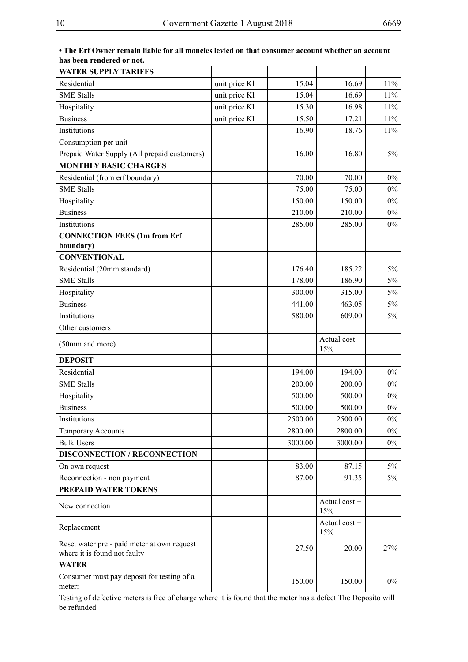| • The Erf Owner remain liable for all moneies levied on that consumer account whether an account<br>has been rendered or not. |               |         |                        |        |
|-------------------------------------------------------------------------------------------------------------------------------|---------------|---------|------------------------|--------|
| <b>WATER SUPPLY TARIFFS</b>                                                                                                   |               |         |                        |        |
| Residential                                                                                                                   | unit price Kl | 15.04   | 16.69                  | 11%    |
| <b>SME Stalls</b>                                                                                                             | unit price Kl | 15.04   | 16.69                  | 11%    |
| Hospitality                                                                                                                   | unit price Kl | 15.30   | 16.98                  | 11%    |
| <b>Business</b>                                                                                                               | unit price Kl | 15.50   | 17.21                  | 11%    |
| Institutions                                                                                                                  |               | 16.90   | 18.76                  | 11%    |
| Consumption per unit                                                                                                          |               |         |                        |        |
| Prepaid Water Supply (All prepaid customers)                                                                                  |               | 16.00   | 16.80                  | $5\%$  |
| <b>MONTHLY BASIC CHARGES</b>                                                                                                  |               |         |                        |        |
| Residential (from erf boundary)                                                                                               |               | 70.00   | 70.00                  | 0%     |
| <b>SME Stalls</b>                                                                                                             |               | 75.00   | 75.00                  | 0%     |
|                                                                                                                               |               | 150.00  | 150.00                 | $0\%$  |
| Hospitality<br><b>Business</b>                                                                                                |               | 210.00  | 210.00                 | $0\%$  |
| Institutions                                                                                                                  |               | 285.00  | 285.00                 | $0\%$  |
|                                                                                                                               |               |         |                        |        |
| <b>CONNECTION FEES (1m from Erf</b><br>boundary)                                                                              |               |         |                        |        |
| <b>CONVENTIONAL</b>                                                                                                           |               |         |                        |        |
| Residential (20mm standard)                                                                                                   |               | 176.40  | 185.22                 | $5\%$  |
| <b>SME Stalls</b>                                                                                                             |               | 178.00  | 186.90                 | $5\%$  |
| Hospitality                                                                                                                   |               | 300.00  | 315.00                 | $5\%$  |
| <b>Business</b>                                                                                                               |               | 441.00  | 463.05                 | $5\%$  |
| Institutions                                                                                                                  |               | 580.00  | 609.00                 | 5%     |
| Other customers                                                                                                               |               |         |                        |        |
| (50mm and more)                                                                                                               |               |         | Actual cost +<br>15%   |        |
| <b>DEPOSIT</b>                                                                                                                |               |         |                        |        |
| Residential                                                                                                                   |               | 194.00  | 194.00                 | $0\%$  |
| <b>SME Stalls</b>                                                                                                             |               | 200.00  | 200.00                 | $0\%$  |
| Hospitality                                                                                                                   |               | 500.00  | 500.00                 | $0\%$  |
| <b>Business</b>                                                                                                               |               | 500.00  | 500.00                 | $0\%$  |
| Institutions                                                                                                                  |               | 2500.00 | 2500.00                | $0\%$  |
| <b>Temporary Accounts</b>                                                                                                     |               | 2800.00 | 2800.00                | $0\%$  |
| <b>Bulk Users</b>                                                                                                             |               | 3000.00 | 3000.00                | $0\%$  |
| <b>DISCONNECTION / RECONNECTION</b>                                                                                           |               |         |                        |        |
| On own request                                                                                                                |               | 83.00   | 87.15                  | 5%     |
| Reconnection - non payment                                                                                                    |               | 87.00   | 91.35                  | 5%     |
| PREPAID WATER TOKENS                                                                                                          |               |         |                        |        |
| New connection                                                                                                                |               |         | Actual $cost +$<br>15% |        |
| Replacement                                                                                                                   |               |         | Actual cost +<br>15%   |        |
| Reset water pre - paid meter at own request<br>where it is found not faulty                                                   |               | 27.50   | 20.00                  | $-27%$ |
| <b>WATER</b>                                                                                                                  |               |         |                        |        |
| Consumer must pay deposit for testing of a<br>meter:                                                                          |               | 150.00  | 150.00                 | $0\%$  |
| Testing of defective meters is free of charge where it is found that the meter has a defect. The Deposito will<br>be refunded |               |         |                        |        |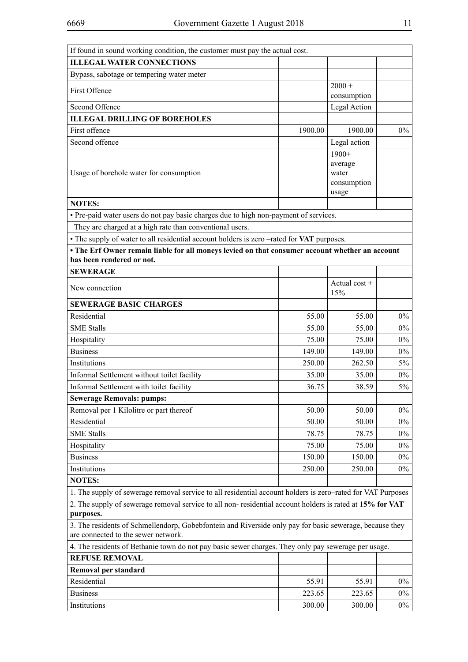| If found in sound working condition, the customer must pay the actual cost.                                           |         |                      |       |
|-----------------------------------------------------------------------------------------------------------------------|---------|----------------------|-------|
| <b>ILLEGAL WATER CONNECTIONS</b>                                                                                      |         |                      |       |
| Bypass, sabotage or tempering water meter                                                                             |         |                      |       |
| First Offence                                                                                                         |         | $2000 +$             |       |
|                                                                                                                       |         | consumption          |       |
| Second Offence                                                                                                        |         | Legal Action         |       |
| <b>ILLEGAL DRILLING OF BOREHOLES</b>                                                                                  |         |                      |       |
| First offence                                                                                                         | 1900.00 | 1900.00              | 0%    |
| Second offence                                                                                                        |         | Legal action         |       |
|                                                                                                                       |         | $1900+$              |       |
|                                                                                                                       |         | average              |       |
| Usage of borehole water for consumption                                                                               |         | water<br>consumption |       |
|                                                                                                                       |         | usage                |       |
| <b>NOTES:</b>                                                                                                         |         |                      |       |
| • Pre-paid water users do not pay basic charges due to high non-payment of services.                                  |         |                      |       |
| They are charged at a high rate than conventional users.                                                              |         |                      |       |
| • The supply of water to all residential account holders is zero -rated for VAT purposes.                             |         |                      |       |
| • The Erf Owner remain liable for all moneys levied on that consumer account whether an account                       |         |                      |       |
| has been rendered or not.                                                                                             |         |                      |       |
| <b>SEWERAGE</b>                                                                                                       |         |                      |       |
|                                                                                                                       |         | Actual cost $+$      |       |
| New connection                                                                                                        |         | 15%                  |       |
| <b>SEWERAGE BASIC CHARGES</b>                                                                                         |         |                      |       |
| Residential                                                                                                           | 55.00   | 55.00                | $0\%$ |
| <b>SME Stalls</b>                                                                                                     | 55.00   | 55.00                | $0\%$ |
| Hospitality                                                                                                           | 75.00   | 75.00                | $0\%$ |
| <b>Business</b>                                                                                                       | 149.00  | 149.00               | $0\%$ |
| Institutions                                                                                                          | 250.00  | 262.50               | 5%    |
| Informal Settlement without toilet facility                                                                           | 35.00   | 35.00                | $0\%$ |
| Informal Settlement with toilet facility                                                                              | 36.75   | 38.59                | 5%    |
| <b>Sewerage Removals: pumps:</b>                                                                                      |         |                      |       |
| Removal per 1 Kilolitre or part thereof                                                                               | 50.00   | 50.00                | $0\%$ |
| Residential                                                                                                           | 50.00   | 50.00                | $0\%$ |
| <b>SME Stalls</b>                                                                                                     | 78.75   | 78.75                | $0\%$ |
| Hospitality                                                                                                           | 75.00   | 75.00                | $0\%$ |
| <b>Business</b>                                                                                                       | 150.00  | 150.00               | $0\%$ |
| Institutions                                                                                                          | 250.00  | 250.00               | $0\%$ |
| <b>NOTES:</b>                                                                                                         |         |                      |       |
|                                                                                                                       |         |                      |       |
| 1. The supply of sewerage removal service to all residential account holders is zero-rated for VAT Purposes           |         |                      |       |
| 2. The supply of sewerage removal service to all non-residential account holders is rated at 15% for VAT<br>purposes. |         |                      |       |
| 3. The residents of Schmellendorp, Gobebfontein and Riverside only pay for basic sewerage, because they               |         |                      |       |
| are connected to the sewer network.                                                                                   |         |                      |       |
| 4. The residents of Bethanie town do not pay basic sewer charges. They only pay sewerage per usage.                   |         |                      |       |
| <b>REFUSE REMOVAL</b>                                                                                                 |         |                      |       |
| Removal per standard                                                                                                  |         |                      |       |
| Residential                                                                                                           | 55.91   | 55.91                | $0\%$ |
| <b>Business</b>                                                                                                       | 223.65  | 223.65               | $0\%$ |
| Institutions                                                                                                          | 300.00  | 300.00               | $0\%$ |
|                                                                                                                       |         |                      |       |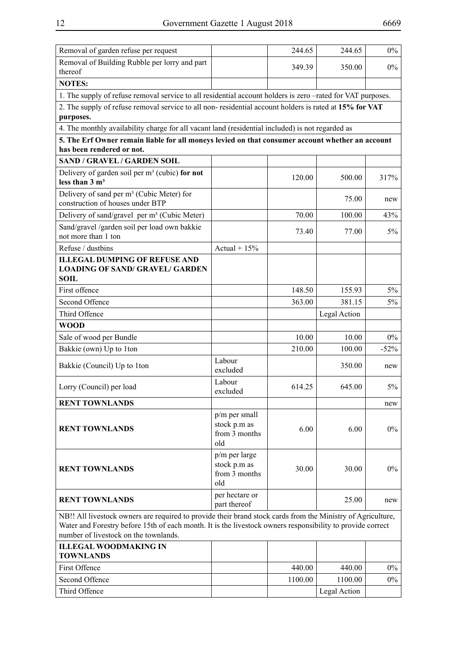| Removal of garden refuse per request                                                                                                                                                                                                                               |                                                       | 244.65  | 244.65       | $0\%$  |
|--------------------------------------------------------------------------------------------------------------------------------------------------------------------------------------------------------------------------------------------------------------------|-------------------------------------------------------|---------|--------------|--------|
| Removal of Building Rubble per lorry and part<br>thereof                                                                                                                                                                                                           |                                                       | 349.39  | 350.00       | $0\%$  |
| <b>NOTES:</b>                                                                                                                                                                                                                                                      |                                                       |         |              |        |
| 1. The supply of refuse removal service to all residential account holders is zero -rated for VAT purposes.                                                                                                                                                        |                                                       |         |              |        |
| 2. The supply of refuse removal service to all non-residential account holders is rated at 15% for VAT<br>purposes.                                                                                                                                                |                                                       |         |              |        |
| 4. The monthly availability charge for all vacant land (residential included) is not regarded as                                                                                                                                                                   |                                                       |         |              |        |
| 5. The Erf Owner remain liable for all moneys levied on that consumer account whether an account<br>has been rendered or not.                                                                                                                                      |                                                       |         |              |        |
| <b>SAND / GRAVEL / GARDEN SOIL</b>                                                                                                                                                                                                                                 |                                                       |         |              |        |
| Delivery of garden soil per $m3$ (cubic) for not<br>less than $3 \text{ m}^3$                                                                                                                                                                                      |                                                       | 120.00  | 500.00       | 317%   |
| Delivery of sand per m <sup>3</sup> (Cubic Meter) for<br>construction of houses under BTP                                                                                                                                                                          |                                                       |         | 75.00        | new    |
| Delivery of sand/gravel per m <sup>3</sup> (Cubic Meter)                                                                                                                                                                                                           |                                                       | 70.00   | 100.00       | 43%    |
| Sand/gravel /garden soil per load own bakkie<br>not more than 1 ton                                                                                                                                                                                                |                                                       | 73.40   | 77.00        | $5\%$  |
| Refuse / dustbins                                                                                                                                                                                                                                                  | Actual + $15%$                                        |         |              |        |
| <b>ILLEGAL DUMPING OF REFUSE AND</b><br><b>LOADING OF SAND/ GRAVEL/ GARDEN</b><br><b>SOIL</b>                                                                                                                                                                      |                                                       |         |              |        |
| First offence                                                                                                                                                                                                                                                      |                                                       | 148.50  | 155.93       | $5\%$  |
| Second Offence                                                                                                                                                                                                                                                     |                                                       | 363.00  | 381.15       | 5%     |
| Third Offence                                                                                                                                                                                                                                                      |                                                       |         | Legal Action |        |
| <b>WOOD</b>                                                                                                                                                                                                                                                        |                                                       |         |              |        |
| Sale of wood per Bundle                                                                                                                                                                                                                                            |                                                       | 10.00   | 10.00        | $0\%$  |
| Bakkie (own) Up to 1ton                                                                                                                                                                                                                                            |                                                       | 210.00  | 100.00       | $-52%$ |
| Bakkie (Council) Up to 1ton                                                                                                                                                                                                                                        | Labour<br>excluded                                    |         | 350.00       | new    |
| Lorry (Council) per load                                                                                                                                                                                                                                           | Labour<br>excluded                                    | 614.25  | 645.00       | $5\%$  |
| <b>RENT TOWNLANDS</b>                                                                                                                                                                                                                                              |                                                       |         |              | new    |
| <b>RENT TOWNLANDS</b>                                                                                                                                                                                                                                              | p/m per small<br>stock p.m as<br>from 3 months<br>old | 6.00    | 6.00         | $0\%$  |
| <b>RENT TOWNLANDS</b>                                                                                                                                                                                                                                              | p/m per large<br>stock p.m as<br>from 3 months<br>old | 30.00   | 30.00        | $0\%$  |
| <b>RENT TOWNLANDS</b>                                                                                                                                                                                                                                              | per hectare or<br>part thereof                        |         | 25.00        | new    |
| NB!! All livestock owners are required to provide their brand stock cards from the Ministry of Agriculture,<br>Water and Forestry before 15th of each month. It is the livestock owners responsibility to provide correct<br>number of livestock on the townlands. |                                                       |         |              |        |
| <b>ILLEGAL WOODMAKING IN</b><br><b>TOWNLANDS</b>                                                                                                                                                                                                                   |                                                       |         |              |        |
| First Offence                                                                                                                                                                                                                                                      |                                                       | 440.00  | 440.00       | $0\%$  |
| Second Offence                                                                                                                                                                                                                                                     |                                                       | 1100.00 | 1100.00      | $0\%$  |
| Third Offence                                                                                                                                                                                                                                                      |                                                       |         | Legal Action |        |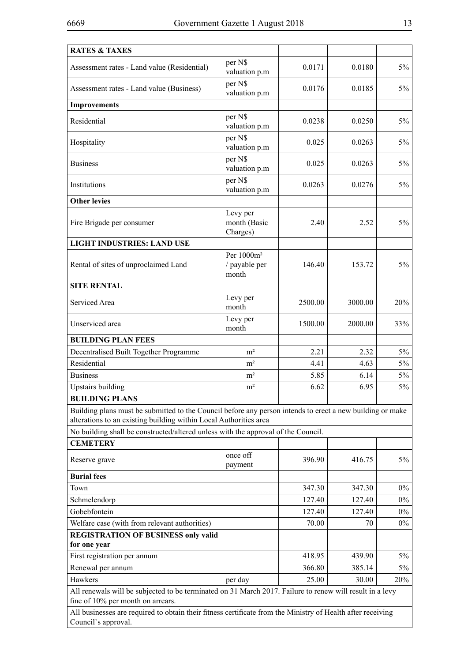| <b>RATES &amp; TAXES</b>                                                                                                                                                       |                                                  |         |         |       |
|--------------------------------------------------------------------------------------------------------------------------------------------------------------------------------|--------------------------------------------------|---------|---------|-------|
| Assessment rates - Land value (Residential)                                                                                                                                    | per N\$<br>valuation p.m                         | 0.0171  | 0.0180  | $5\%$ |
| Assessment rates - Land value (Business)                                                                                                                                       | per N\$<br>valuation p.m                         | 0.0176  | 0.0185  | $5\%$ |
| <b>Improvements</b>                                                                                                                                                            |                                                  |         |         |       |
| Residential                                                                                                                                                                    | per N\$<br>valuation p.m                         | 0.0238  | 0.0250  | $5\%$ |
| Hospitality                                                                                                                                                                    | per N\$<br>valuation p.m                         | 0.025   | 0.0263  | 5%    |
| <b>Business</b>                                                                                                                                                                | per N\$<br>valuation p.m                         | 0.025   | 0.0263  | 5%    |
| Institutions                                                                                                                                                                   | per N\$<br>valuation p.m                         | 0.0263  | 0.0276  | 5%    |
| <b>Other levies</b>                                                                                                                                                            |                                                  |         |         |       |
| Fire Brigade per consumer                                                                                                                                                      | Levy per<br>month (Basic<br>Charges)             | 2.40    | 2.52    | $5\%$ |
| <b>LIGHT INDUSTRIES: LAND USE</b>                                                                                                                                              |                                                  |         |         |       |
| Rental of sites of unproclaimed Land                                                                                                                                           | Per 1000m <sup>2</sup><br>/ payable per<br>month | 146.40  | 153.72  | $5\%$ |
| <b>SITE RENTAL</b>                                                                                                                                                             |                                                  |         |         |       |
| Serviced Area                                                                                                                                                                  | Levy per<br>month                                | 2500.00 | 3000.00 | 20%   |
| Unserviced area                                                                                                                                                                | Levy per<br>month                                | 1500.00 | 2000.00 | 33%   |
| <b>BUILDING PLAN FEES</b>                                                                                                                                                      |                                                  |         |         |       |
| Decentralised Built Together Programme                                                                                                                                         | m <sup>2</sup>                                   | 2.21    | 2.32    | $5\%$ |
| Residential                                                                                                                                                                    | m <sup>2</sup>                                   | 4.41    | 4.63    | $5\%$ |
| <b>Business</b>                                                                                                                                                                | m <sup>2</sup>                                   | 5.85    | 6.14    | $5\%$ |
| <b>Upstairs building</b>                                                                                                                                                       | $\rm m^2$                                        | 6.62    | 6.95    | $5\%$ |
| <b>BUILDING PLANS</b>                                                                                                                                                          |                                                  |         |         |       |
| Building plans must be submitted to the Council before any person intends to erect a new building or make<br>alterations to an existing building within Local Authorities area |                                                  |         |         |       |
| No building shall be constructed/altered unless with the approval of the Council.                                                                                              |                                                  |         |         |       |
| <b>CEMETERY</b>                                                                                                                                                                |                                                  |         |         |       |
| Reserve grave                                                                                                                                                                  | once off<br>payment                              | 396.90  | 416.75  | $5\%$ |
| <b>Burial fees</b>                                                                                                                                                             |                                                  |         |         |       |
| Town                                                                                                                                                                           |                                                  | 347.30  | 347.30  | $0\%$ |
| Schmelendorp                                                                                                                                                                   |                                                  | 127.40  | 127.40  | $0\%$ |
| Gobebfontein                                                                                                                                                                   |                                                  | 127.40  | 127.40  | $0\%$ |
| Welfare case (with from relevant authorities)                                                                                                                                  |                                                  | 70.00   | 70      | $0\%$ |
| <b>REGISTRATION OF BUSINESS only valid</b><br>for one year                                                                                                                     |                                                  |         |         |       |
| First registration per annum                                                                                                                                                   |                                                  | 418.95  | 439.90  | $5\%$ |
| Renewal per annum                                                                                                                                                              |                                                  | 366.80  | 385.14  | 5%    |
| Hawkers                                                                                                                                                                        | per day                                          | 25.00   | 30.00   | 20%   |
| All renewals will be subjected to be terminated on 31 March 2017. Failure to renew will result in a levy<br>fine of 10% per month on arrears.                                  |                                                  |         |         |       |
| All businesses are required to obtain their fitness certificate from the Ministry of Health after receiving<br>Council's approval.                                             |                                                  |         |         |       |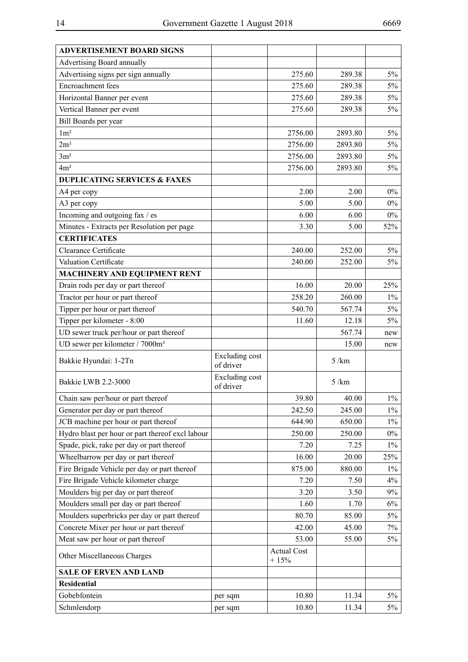| <b>ADVERTISEMENT BOARD SIGNS</b>                 |                                    |                              |         |       |
|--------------------------------------------------|------------------------------------|------------------------------|---------|-------|
| <b>Advertising Board annually</b>                |                                    |                              |         |       |
| Advertising signs per sign annually              |                                    | 275.60                       | 289.38  | $5\%$ |
| Encroachment fees                                |                                    | 275.60                       | 289.38  | $5\%$ |
| Horizontal Banner per event                      |                                    | 275.60                       | 289.38  | $5\%$ |
| Vertical Banner per event                        |                                    | 275.60                       | 289.38  | $5\%$ |
| Bill Boards per year                             |                                    |                              |         |       |
| 1m <sup>2</sup>                                  |                                    | 2756.00                      | 2893.80 | $5\%$ |
| 2m <sup>2</sup>                                  |                                    | 2756.00                      | 2893.80 | $5\%$ |
| 3m <sup>2</sup>                                  |                                    | 2756.00                      | 2893.80 | $5\%$ |
| 4m <sup>2</sup>                                  |                                    | 2756.00                      | 2893.80 | $5\%$ |
| <b>DUPLICATING SERVICES &amp; FAXES</b>          |                                    |                              |         |       |
| A4 per copy                                      |                                    | 2.00                         | 2.00    | $0\%$ |
| A3 per copy                                      |                                    | 5.00                         | 5.00    | $0\%$ |
| Incoming and outgoing fax / es                   |                                    | 6.00                         | 6.00    | $0\%$ |
| Minutes - Extracts per Resolution per page       |                                    | 3.30                         | 5.00    | 52%   |
| <b>CERTIFICATES</b>                              |                                    |                              |         |       |
| Clearance Certificate                            |                                    | 240.00                       | 252.00  | $5\%$ |
| Valuation Certificate                            |                                    | 240.00                       | 252.00  | 5%    |
| <b>MACHINERY AND EQUIPMENT RENT</b>              |                                    |                              |         |       |
| Drain rods per day or part thereof               |                                    | 16.00                        | 20.00   | 25%   |
| Tractor per hour or part thereof                 |                                    | 258.20                       | 260.00  | $1\%$ |
| Tipper per hour or part thereof                  |                                    | 540.70                       | 567.74  | $5\%$ |
| Tipper per kilometer - 8:00                      |                                    | 11.60                        | 12.18   | $5\%$ |
| UD sewer truck per/hour or part thereof          |                                    |                              | 567.74  | new   |
| UD sewer per kilometer / 7000m <sup>3</sup>      |                                    |                              | 15.00   | new   |
| Bakkie Hyundai: 1-2Tn                            | <b>Excluding cost</b><br>of driver |                              | 5/km    |       |
| Bakkie LWB 2.2-3000                              | <b>Excluding cost</b><br>of driver |                              | 5/km    |       |
| Chain saw per/hour or part thereof               |                                    | 39.80                        | 40.00   | $1\%$ |
| Generator per day or part thereof                |                                    | 242.50                       | 245.00  | $1\%$ |
| JCB machine per hour or part thereof             |                                    | 644.90                       | 650.00  | $1\%$ |
| Hydro blast per hour or part thereof excl labour |                                    | 250.00                       | 250.00  | $0\%$ |
| Spade, pick, rake per day or part thereof        |                                    | 7.20                         | 7.25    | $1\%$ |
| Wheelbarrow per day or part thereof              |                                    | 16.00                        | 20.00   | 25%   |
| Fire Brigade Vehicle per day or part thereof     |                                    | 875.00                       | 880.00  | $1\%$ |
| Fire Brigade Vehicle kilometer charge            |                                    | 7.20                         | 7.50    | 4%    |
| Moulders big per day or part thereof             |                                    | 3.20                         | 3.50    | 9%    |
| Moulders small per day or part thereof           |                                    | 1.60                         | 1.70    | 6%    |
| Moulders superbricks per day or part thereof     |                                    | 80.70                        | 85.00   | 5%    |
| Concrete Mixer per hour or part thereof          |                                    | 42.00                        | 45.00   | 7%    |
| Meat saw per hour or part thereof                |                                    | 53.00                        | 55.00   | 5%    |
| Other Miscellaneous Charges                      |                                    | <b>Actual Cost</b><br>$+15%$ |         |       |
| <b>SALE OF ERVEN AND LAND</b>                    |                                    |                              |         |       |
| <b>Residential</b>                               |                                    |                              |         |       |
| Gobebfontein                                     | per sqm                            | 10.80                        | 11.34   | $5\%$ |
| Schmlendorp                                      | per sqm                            | 10.80                        | 11.34   | $5\%$ |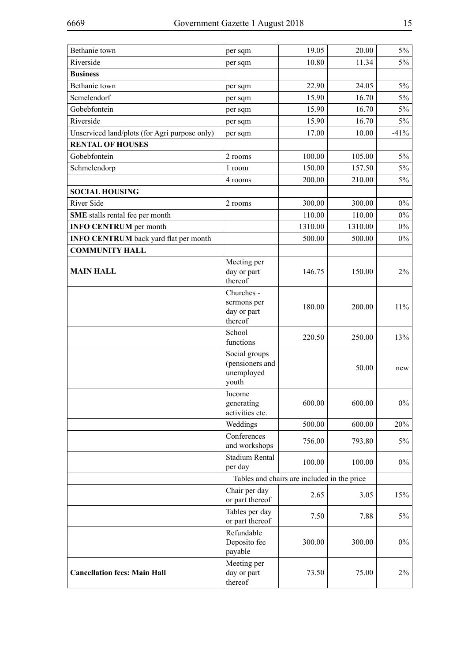| Bethanie town                                 | per sqm                                                 | 19.05                                       | 20.00   | $5\%$  |
|-----------------------------------------------|---------------------------------------------------------|---------------------------------------------|---------|--------|
| Riverside                                     | per sqm                                                 | 10.80                                       | 11.34   | $5\%$  |
| <b>Business</b>                               |                                                         |                                             |         |        |
| Bethanie town                                 | per sqm                                                 | 22.90                                       | 24.05   | $5\%$  |
| Scmelendorf                                   | per sqm                                                 | 15.90                                       | 16.70   | $5\%$  |
| Gobebfontein                                  | per sqm                                                 | 15.90                                       | 16.70   | $5\%$  |
| Riverside                                     | per sqm                                                 | 15.90                                       | 16.70   | $5\%$  |
| Unserviced land/plots (for Agri purpose only) | per sqm                                                 | 17.00                                       | 10.00   | $-41%$ |
| <b>RENTAL OF HOUSES</b>                       |                                                         |                                             |         |        |
| Gobebfontein                                  | 2 rooms                                                 | 100.00                                      | 105.00  | $5\%$  |
| Schmelendorp                                  | 1 room                                                  | 150.00                                      | 157.50  | $5\%$  |
|                                               | 4 rooms                                                 | 200.00                                      | 210.00  | $5\%$  |
| <b>SOCIAL HOUSING</b>                         |                                                         |                                             |         |        |
| River Side                                    | 2 rooms                                                 | 300.00                                      | 300.00  | $0\%$  |
| SME stalls rental fee per month               |                                                         | 110.00                                      | 110.00  | $0\%$  |
| <b>INFO CENTRUM</b> per month                 |                                                         | 1310.00                                     | 1310.00 | $0\%$  |
| <b>INFO CENTRUM</b> back yard flat per month  |                                                         | 500.00                                      | 500.00  | $0\%$  |
| <b>COMMUNITY HALL</b>                         |                                                         |                                             |         |        |
| <b>MAIN HALL</b>                              | Meeting per<br>day or part<br>thereof                   | 146.75                                      | 150.00  | $2\%$  |
|                                               | Churches -<br>sermons per<br>day or part<br>thereof     | 180.00                                      | 200.00  | 11%    |
|                                               | School<br>functions                                     | 220.50                                      | 250.00  | 13%    |
|                                               | Social groups<br>(pensioners and<br>unemployed<br>youth |                                             | 50.00   | new    |
|                                               | Income<br>generating<br>activities etc.                 | 600.00                                      | 600.00  | $0\%$  |
|                                               | Weddings                                                | 500.00                                      | 600.00  | 20%    |
|                                               | Conferences<br>and workshops                            | 756.00                                      | 793.80  | 5%     |
|                                               | <b>Stadium Rental</b><br>per day                        | 100.00                                      | 100.00  | $0\%$  |
|                                               |                                                         | Tables and chairs are included in the price |         |        |
|                                               | Chair per day<br>or part thereof                        | 2.65                                        | 3.05    | 15%    |
|                                               | Tables per day<br>or part thereof                       | 7.50                                        | 7.88    | 5%     |
|                                               | Refundable<br>Deposito fee<br>payable                   | 300.00                                      | 300.00  | $0\%$  |
| <b>Cancellation fees: Main Hall</b>           | Meeting per<br>day or part<br>thereof                   | 73.50                                       | 75.00   | $2\%$  |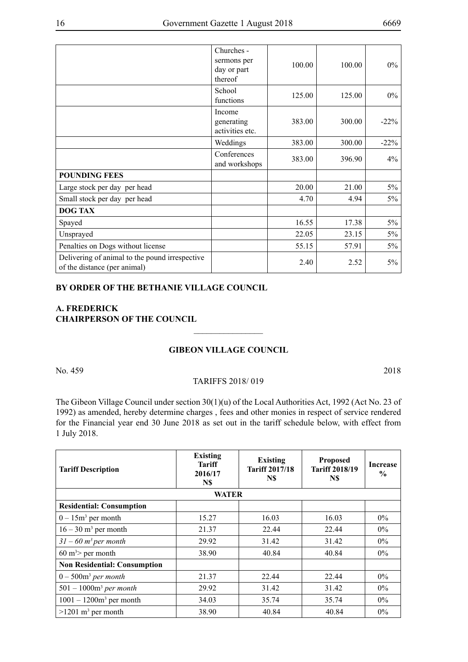|                                                                                | Churches -<br>sermons per<br>day or part<br>thereof | 100.00 | 100.00 | $0\%$   |
|--------------------------------------------------------------------------------|-----------------------------------------------------|--------|--------|---------|
|                                                                                | School<br>functions                                 | 125.00 | 125.00 | $0\%$   |
|                                                                                | Income<br>generating<br>activities etc.             | 383.00 | 300.00 | $-22\%$ |
|                                                                                | Weddings                                            | 383.00 | 300.00 | $-22%$  |
|                                                                                | Conferences<br>and workshops                        | 383.00 | 396.90 | $4\%$   |
| <b>POUNDING FEES</b>                                                           |                                                     |        |        |         |
| Large stock per day per head                                                   |                                                     | 20.00  | 21.00  | $5\%$   |
| Small stock per day per head                                                   |                                                     | 4.70   | 4.94   | $5\%$   |
| <b>DOG TAX</b>                                                                 |                                                     |        |        |         |
| Spayed                                                                         |                                                     | 16.55  | 17.38  | $5\%$   |
| Unsprayed                                                                      |                                                     | 22.05  | 23.15  | 5%      |
| Penalties on Dogs without license                                              |                                                     | 55.15  | 57.91  | $5\%$   |
| Delivering of animal to the pound irrespective<br>of the distance (per animal) |                                                     | 2.40   | 2.52   | $5\%$   |

#### **BY ORDER OF THE BETHANIE VILLAGE COUNCIL**

### **A. Frederick CHAIRPERSON OF THE COUNCIL**

## **GIBEON VILLAGE COUNCIL**

 $\overline{\phantom{a}}$  , where  $\overline{\phantom{a}}$ 

No. 459 2018

#### TARIFFS 2018/ 019

The Gibeon Village Council under section 30(1)(u) of the Local Authorities Act, 1992 (Act No. 23 of 1992) as amended, hereby determine charges , fees and other monies in respect of service rendered for the Financial year end 30 June 2018 as set out in the tariff schedule below, with effect from 1 July 2018.

| <b>Tariff Description</b>           | <b>Existing</b><br>Tariff<br>2016/17<br>N\$ | <b>Existing</b><br><b>Tariff 2017/18</b><br>N\$ | <b>Proposed</b><br><b>Tariff 2018/19</b><br>N\$ | Increase<br>$\frac{6}{9}$ |
|-------------------------------------|---------------------------------------------|-------------------------------------------------|-------------------------------------------------|---------------------------|
|                                     | <b>WATER</b>                                |                                                 |                                                 |                           |
| <b>Residential: Consumption</b>     |                                             |                                                 |                                                 |                           |
| $0-15m^3$ per month                 | 15.27                                       | 16.03                                           | 16.03                                           | $0\%$                     |
| $16 - 30$ m <sup>3</sup> per month  | 21.37                                       | 22.44                                           | 22.44                                           | $0\%$                     |
| $31 - 60$ m <sup>3</sup> per month  | 29.92                                       | 31.42                                           | 31.42                                           | $0\%$                     |
| $60 \text{ m}^3$ per month          | 38.90                                       | 40.84                                           | 40.84                                           | $0\%$                     |
| <b>Non Residential: Consumption</b> |                                             |                                                 |                                                 |                           |
| $0-500m^3$ per month                | 21.37                                       | 22.44                                           | 22.44                                           | $0\%$                     |
| $501 - 1000m3$ per month            | 29.92                                       | 31.42                                           | 31.42                                           | $0\%$                     |
| $1001 - 1200m^3$ per month          | 34.03                                       | 35.74                                           | 35.74                                           | $0\%$                     |
| $>1201$ m <sup>3</sup> per month    | 38.90                                       | 40.84                                           | 40.84                                           | 0%                        |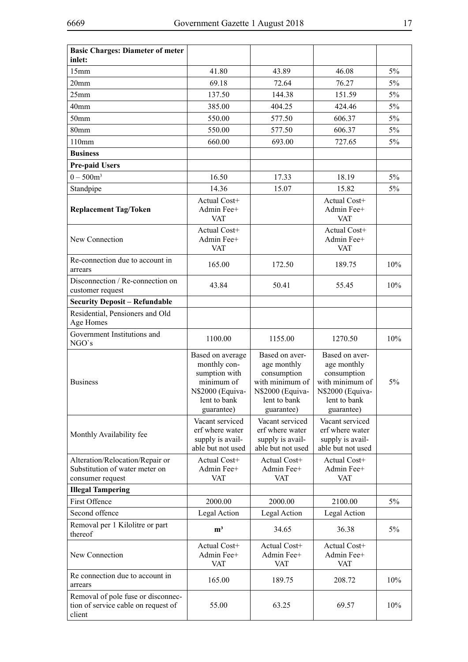| <b>Basic Charges: Diameter of meter</b><br>inlet:                                     |                                                                                                                   |                                                                                                                   |                                                                                                                   |     |
|---------------------------------------------------------------------------------------|-------------------------------------------------------------------------------------------------------------------|-------------------------------------------------------------------------------------------------------------------|-------------------------------------------------------------------------------------------------------------------|-----|
| 15mm                                                                                  | 41.80                                                                                                             | 43.89                                                                                                             | 46.08                                                                                                             | 5%  |
| 20 <sub>mm</sub>                                                                      | 69.18                                                                                                             | 72.64                                                                                                             | 76.27                                                                                                             | 5%  |
| 25mm                                                                                  | 137.50                                                                                                            | 144.38                                                                                                            | 151.59                                                                                                            | 5%  |
| 40 <sub>mm</sub>                                                                      | 385.00                                                                                                            | 404.25                                                                                                            | 424.46                                                                                                            | 5%  |
| 50 <sub>mm</sub>                                                                      | 550.00                                                                                                            | 577.50                                                                                                            | 606.37                                                                                                            | 5%  |
| 80mm                                                                                  | 550.00                                                                                                            | 577.50                                                                                                            | 606.37                                                                                                            | 5%  |
| 110mm                                                                                 | 660.00                                                                                                            | 693.00                                                                                                            | 727.65                                                                                                            | 5%  |
| <b>Business</b>                                                                       |                                                                                                                   |                                                                                                                   |                                                                                                                   |     |
| <b>Pre-paid Users</b>                                                                 |                                                                                                                   |                                                                                                                   |                                                                                                                   |     |
| $0 - 500m^3$                                                                          | 16.50                                                                                                             | 17.33                                                                                                             | 18.19                                                                                                             | 5%  |
|                                                                                       | 14.36                                                                                                             |                                                                                                                   |                                                                                                                   | 5%  |
| Standpipe                                                                             |                                                                                                                   | 15.07                                                                                                             | 15.82<br>Actual Cost+                                                                                             |     |
| <b>Replacement Tag/Token</b>                                                          | Actual Cost+<br>Admin Fee+<br><b>VAT</b>                                                                          |                                                                                                                   | Admin Fee+<br><b>VAT</b>                                                                                          |     |
| New Connection                                                                        | Actual Cost+<br>Admin Fee+<br><b>VAT</b>                                                                          |                                                                                                                   | Actual Cost+<br>Admin Fee+<br><b>VAT</b>                                                                          |     |
| Re-connection due to account in<br>arrears                                            | 165.00                                                                                                            | 172.50                                                                                                            | 189.75                                                                                                            | 10% |
| Disconnection / Re-connection on<br>customer request                                  | 43.84                                                                                                             | 50.41                                                                                                             | 55.45                                                                                                             | 10% |
| <b>Security Deposit - Refundable</b>                                                  |                                                                                                                   |                                                                                                                   |                                                                                                                   |     |
| Residential, Pensioners and Old<br>Age Homes                                          |                                                                                                                   |                                                                                                                   |                                                                                                                   |     |
| Government Institutions and<br>NGO's                                                  | 1100.00                                                                                                           | 1155.00                                                                                                           | 1270.50                                                                                                           | 10% |
| <b>Business</b>                                                                       | Based on average<br>monthly con-<br>sumption with<br>minimum of<br>N\$2000 (Equiva-<br>lent to bank<br>guarantee) | Based on aver-<br>age monthly<br>consumption<br>with minimum of<br>N\$2000 (Equiva-<br>lent to bank<br>guarantee) | Based on aver-<br>age monthly<br>consumption<br>with minimum of<br>N\$2000 (Equiva-<br>lent to bank<br>guarantee) | 5%  |
| Monthly Availability fee                                                              | Vacant serviced<br>erf where water<br>supply is avail-<br>able but not used                                       | Vacant serviced<br>erf where water<br>supply is avail-<br>able but not used                                       | Vacant serviced<br>erf where water<br>supply is avail-<br>able but not used                                       |     |
| Alteration/Relocation/Repair or<br>Substitution of water meter on<br>consumer request | Actual Cost+<br>Admin Fee+<br><b>VAT</b>                                                                          | Actual Cost+<br>Admin Fee+<br><b>VAT</b>                                                                          | Actual Cost+<br>Admin Fee+<br><b>VAT</b>                                                                          |     |
| <b>Illegal Tampering</b>                                                              |                                                                                                                   |                                                                                                                   |                                                                                                                   |     |
| <b>First Offence</b>                                                                  | 2000.00                                                                                                           | 2000.00                                                                                                           | 2100.00                                                                                                           | 5%  |
| Second offence                                                                        | Legal Action                                                                                                      | Legal Action                                                                                                      | Legal Action                                                                                                      |     |
| Removal per 1 Kilolitre or part<br>thereof                                            | m <sup>3</sup>                                                                                                    | 34.65                                                                                                             | 36.38                                                                                                             | 5%  |
| New Connection                                                                        | Actual Cost+<br>Admin Fee+<br><b>VAT</b>                                                                          | Actual Cost+<br>Admin Fee+<br><b>VAT</b>                                                                          | Actual Cost+<br>Admin Fee+<br><b>VAT</b>                                                                          |     |
| Re connection due to account in<br>arrears                                            | 165.00                                                                                                            | 189.75                                                                                                            | 208.72                                                                                                            | 10% |
| Removal of pole fuse or disconnec-<br>tion of service cable on request of<br>client   | 55.00                                                                                                             | 63.25                                                                                                             | 69.57                                                                                                             | 10% |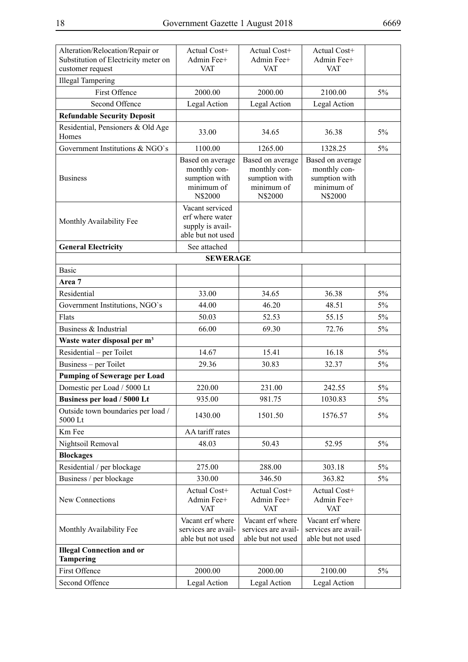| Alteration/Relocation/Repair or<br>Substitution of Electricity meter on<br>customer request | Actual Cost+<br>Admin Fee+<br><b>VAT</b>                                    | Actual Cost+<br>Admin Fee+<br><b>VAT</b>                                   | Actual Cost+<br>Admin Fee+<br><b>VAT</b>                                   |       |
|---------------------------------------------------------------------------------------------|-----------------------------------------------------------------------------|----------------------------------------------------------------------------|----------------------------------------------------------------------------|-------|
| <b>Illegal Tampering</b>                                                                    |                                                                             |                                                                            |                                                                            |       |
| First Offence                                                                               | 2000.00                                                                     | 2000.00                                                                    | 2100.00                                                                    | 5%    |
| Second Offence                                                                              | Legal Action                                                                | Legal Action                                                               | Legal Action                                                               |       |
| <b>Refundable Security Deposit</b>                                                          |                                                                             |                                                                            |                                                                            |       |
| Residential, Pensioners & Old Age<br>Homes                                                  | 33.00                                                                       | 34.65                                                                      | 36.38                                                                      | 5%    |
| Government Institutions & NGO's                                                             | 1100.00                                                                     | 1265.00                                                                    | 1328.25                                                                    | 5%    |
| <b>Business</b>                                                                             | Based on average<br>monthly con-<br>sumption with<br>minimum of<br>N\$2000  | Based on average<br>monthly con-<br>sumption with<br>minimum of<br>N\$2000 | Based on average<br>monthly con-<br>sumption with<br>minimum of<br>N\$2000 |       |
| Monthly Availability Fee                                                                    | Vacant serviced<br>erf where water<br>supply is avail-<br>able but not used |                                                                            |                                                                            |       |
| <b>General Electricity</b>                                                                  | See attached                                                                |                                                                            |                                                                            |       |
|                                                                                             | <b>SEWERAGE</b>                                                             |                                                                            |                                                                            |       |
| <b>Basic</b>                                                                                |                                                                             |                                                                            |                                                                            |       |
| Area 7                                                                                      |                                                                             |                                                                            |                                                                            |       |
| Residential                                                                                 | 33.00                                                                       | 34.65                                                                      | 36.38                                                                      | $5\%$ |
| Government Institutions, NGO's                                                              | 44.00                                                                       | 46.20                                                                      | 48.51                                                                      | $5\%$ |
| Flats                                                                                       | 50.03                                                                       | 52.53                                                                      | 55.15                                                                      | $5\%$ |
| Business & Industrial                                                                       | 66.00                                                                       | 69.30                                                                      | 72.76                                                                      | 5%    |
| Waste water disposal per m <sup>3</sup>                                                     |                                                                             |                                                                            |                                                                            |       |
| Residential – per Toilet                                                                    | 14.67                                                                       | 15.41                                                                      | 16.18                                                                      | $5\%$ |
| Business – per Toilet                                                                       | 29.36                                                                       | 30.83                                                                      | 32.37                                                                      | $5\%$ |
| <b>Pumping of Sewerage per Load</b><br>Domestic per Load / 5000 Lt                          | 220.00                                                                      | 231.00                                                                     | 242.55                                                                     | 5%    |
| Business per load / 5000 Lt                                                                 | 935.00                                                                      | 981.75                                                                     | 1030.83                                                                    | 5%    |
| Outside town boundaries per load /                                                          |                                                                             |                                                                            |                                                                            |       |
| 5000 Lt                                                                                     | 1430.00                                                                     | 1501.50                                                                    | 1576.57                                                                    | 5%    |
| Km Fee                                                                                      | AA tariff rates                                                             |                                                                            |                                                                            |       |
| Nightsoil Removal                                                                           | 48.03                                                                       | 50.43                                                                      | 52.95                                                                      | $5\%$ |
| <b>Blockages</b>                                                                            |                                                                             |                                                                            |                                                                            |       |
| Residential / per blockage                                                                  | 275.00                                                                      | 288.00                                                                     | 303.18                                                                     | $5\%$ |
| Business / per blockage                                                                     | 330.00                                                                      | 346.50                                                                     | 363.82                                                                     | 5%    |
| New Connections                                                                             | Actual Cost+<br>Admin Fee+<br><b>VAT</b>                                    | Actual Cost+<br>Admin Fee+<br><b>VAT</b>                                   | Actual Cost+<br>Admin Fee+<br><b>VAT</b>                                   |       |
| Monthly Availability Fee                                                                    | Vacant erf where<br>services are avail-<br>able but not used                | Vacant erf where<br>services are avail-<br>able but not used               | Vacant erf where<br>services are avail-<br>able but not used               |       |
| <b>Illegal Connection and or</b><br><b>Tampering</b>                                        |                                                                             |                                                                            |                                                                            |       |
| First Offence                                                                               | 2000.00                                                                     | 2000.00                                                                    | 2100.00                                                                    | $5\%$ |
| Second Offence                                                                              | Legal Action                                                                | Legal Action                                                               | Legal Action                                                               |       |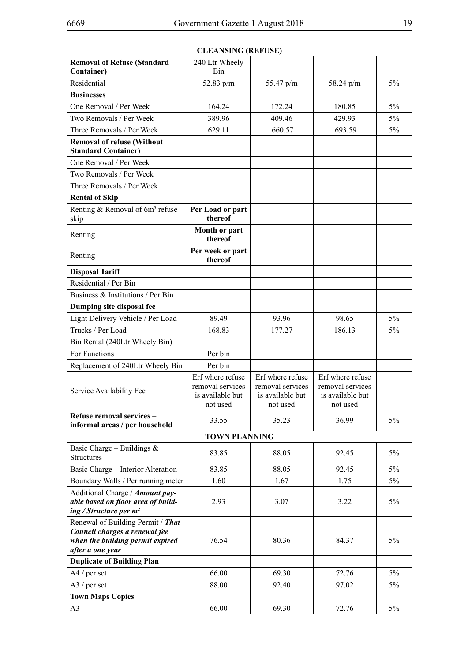| <b>CLEANSING (REFUSE)</b>                                                                                                  |                                                                      |                                                                      |                                                                      |             |
|----------------------------------------------------------------------------------------------------------------------------|----------------------------------------------------------------------|----------------------------------------------------------------------|----------------------------------------------------------------------|-------------|
| <b>Removal of Refuse (Standard</b><br><b>Container)</b>                                                                    | 240 Ltr Wheely<br>Bin                                                |                                                                      |                                                                      |             |
| Residential                                                                                                                | 52.83 $p/m$                                                          | 55.47 p/m                                                            | 58.24 p/m                                                            | 5%          |
| <b>Businesses</b>                                                                                                          |                                                                      |                                                                      |                                                                      |             |
| One Removal / Per Week                                                                                                     | 164.24                                                               | 172.24                                                               | 180.85                                                               | 5%          |
| Two Removals / Per Week                                                                                                    | 389.96                                                               | 409.46                                                               | 429.93                                                               | 5%          |
| Three Removals / Per Week                                                                                                  | 629.11                                                               | 660.57                                                               | 693.59                                                               | 5%          |
| <b>Removal of refuse (Without</b><br><b>Standard Container)</b>                                                            |                                                                      |                                                                      |                                                                      |             |
| One Removal / Per Week                                                                                                     |                                                                      |                                                                      |                                                                      |             |
| Two Removals / Per Week                                                                                                    |                                                                      |                                                                      |                                                                      |             |
| Three Removals / Per Week                                                                                                  |                                                                      |                                                                      |                                                                      |             |
| <b>Rental of Skip</b>                                                                                                      |                                                                      |                                                                      |                                                                      |             |
| Renting & Removal of 6m <sup>3</sup> refuse<br>skip                                                                        | Per Load or part<br>thereof                                          |                                                                      |                                                                      |             |
| Renting                                                                                                                    | Month or part<br>thereof                                             |                                                                      |                                                                      |             |
| Renting                                                                                                                    | Per week or part<br>thereof                                          |                                                                      |                                                                      |             |
| <b>Disposal Tariff</b>                                                                                                     |                                                                      |                                                                      |                                                                      |             |
| Residential / Per Bin                                                                                                      |                                                                      |                                                                      |                                                                      |             |
| Business & Institutions / Per Bin                                                                                          |                                                                      |                                                                      |                                                                      |             |
| Dumping site disposal fee                                                                                                  |                                                                      |                                                                      |                                                                      |             |
| Light Delivery Vehicle / Per Load                                                                                          | 89.49                                                                | 93.96                                                                | 98.65                                                                | 5%          |
| Trucks / Per Load                                                                                                          | 168.83                                                               | 177.27                                                               | 186.13                                                               | 5%          |
| Bin Rental (240Ltr Wheely Bin)                                                                                             |                                                                      |                                                                      |                                                                      |             |
| For Functions                                                                                                              | Per bin                                                              |                                                                      |                                                                      |             |
| Replacement of 240Ltr Wheely Bin                                                                                           | Per bin                                                              |                                                                      |                                                                      |             |
| Service Availability Fee                                                                                                   | Erf where refuse<br>removal services<br>is available but<br>not used | Erf where refuse<br>removal services<br>is available but<br>not used | Erf where refuse<br>removal services<br>is available but<br>not used |             |
| Refuse removal services -                                                                                                  | 33.55                                                                | 35.23                                                                | 36.99                                                                | $5\%$       |
| informal areas / per household                                                                                             |                                                                      |                                                                      |                                                                      |             |
| Basic Charge – Buildings $\&$                                                                                              | <b>TOWN PLANNING</b>                                                 |                                                                      |                                                                      |             |
| <b>Structures</b>                                                                                                          | 83.85                                                                | 88.05                                                                | 92.45                                                                | 5%          |
| Basic Charge - Interior Alteration                                                                                         | 83.85                                                                | 88.05                                                                | 92.45                                                                | 5%          |
| Boundary Walls / Per running meter                                                                                         | 1.60                                                                 | 1.67                                                                 | 1.75                                                                 | $5\%$       |
| Additional Charge / Amount pay-<br>able based on floor area of build-<br>ing / Structure per $m^2$                         | 2.93                                                                 | 3.07                                                                 | 3.22                                                                 | 5%          |
| Renewal of Building Permit / That<br>Council charges a renewal fee<br>when the building permit expired<br>after a one year | 76.54                                                                | 80.36                                                                | 84.37                                                                | 5%          |
| <b>Duplicate of Building Plan</b>                                                                                          |                                                                      |                                                                      |                                                                      |             |
| $A4/per$ set                                                                                                               | 66.00<br>88.00                                                       | 69.30<br>92.40                                                       | 72.76<br>97.02                                                       | $5\%$<br>5% |
| $A3$ / per set                                                                                                             |                                                                      |                                                                      |                                                                      |             |
| <b>Town Maps Copies</b><br>A <sub>3</sub>                                                                                  | 66.00                                                                | 69.30                                                                | 72.76                                                                | $5\%$       |
|                                                                                                                            |                                                                      |                                                                      |                                                                      |             |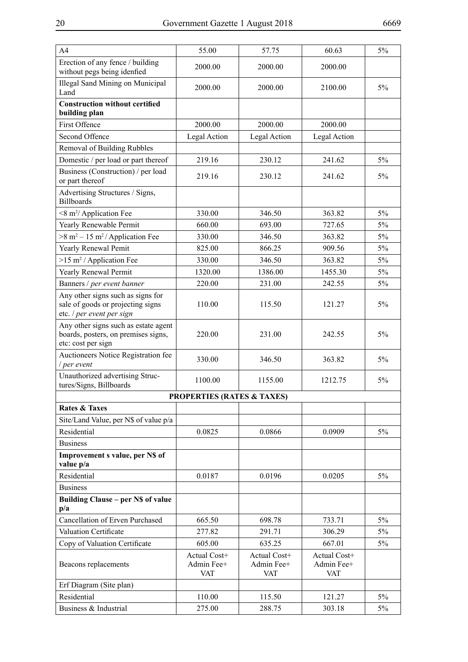| A4                                                                                                  | 55.00                                    | 57.75                                    | 60.63                                    | 5%    |
|-----------------------------------------------------------------------------------------------------|------------------------------------------|------------------------------------------|------------------------------------------|-------|
| Erection of any fence / building<br>without pegs being idenfied                                     | 2000.00                                  | 2000.00                                  | 2000.00                                  |       |
| <b>Illegal Sand Mining on Municipal</b><br>Land                                                     | 2000.00                                  | 2000.00                                  | 2100.00                                  | 5%    |
| <b>Construction without certified</b><br>building plan                                              |                                          |                                          |                                          |       |
| First Offence                                                                                       | 2000.00                                  | 2000.00                                  | 2000.00                                  |       |
| Second Offence                                                                                      | Legal Action                             | Legal Action                             | Legal Action                             |       |
| Removal of Building Rubbles                                                                         |                                          |                                          |                                          |       |
| Domestic / per load or part thereof                                                                 | 219.16                                   | 230.12                                   | 241.62                                   | $5\%$ |
| Business (Construction) / per load<br>or part thereof                                               | 219.16                                   | 230.12                                   | 241.62                                   | 5%    |
| Advertising Structures / Signs,<br><b>Billboards</b>                                                |                                          |                                          |                                          |       |
| <8 m <sup>2</sup> / Application Fee                                                                 | 330.00                                   | 346.50                                   | 363.82                                   | 5%    |
| Yearly Renewable Permit                                                                             | 660.00                                   | 693.00                                   | 727.65                                   | 5%    |
| $>8 m2 - 15 m2/Application Fee$                                                                     | 330.00                                   | 346.50                                   | 363.82                                   | 5%    |
| Yearly Renewal Pemit                                                                                | 825.00                                   | 866.25                                   | 909.56                                   | 5%    |
| $>15$ m <sup>2</sup> / Application Fee                                                              | 330.00                                   | 346.50                                   | 363.82                                   | 5%    |
| Yearly Renewal Permit                                                                               | 1320.00                                  | 1386.00                                  | 1455.30                                  | 5%    |
| Banners / per event banner                                                                          | 220.00                                   | 231.00                                   | 242.55                                   | 5%    |
| Any other signs such as signs for<br>sale of goods or projecting signs<br>etc. / per event per sign | 110.00                                   | 115.50                                   | 121.27                                   | 5%    |
| Any other signs such as estate agent<br>boards, posters, on premises signs,<br>etc: cost per sign   | 220.00                                   | 231.00                                   | 242.55                                   | 5%    |
| Auctioneers Notice Registration fee<br>per event                                                    | 330.00                                   | 346.50                                   | 363.82                                   | 5%    |
| Unauthorized advertising Struc-<br>tures/Signs, Billboards                                          | 1100.00                                  | 1155.00                                  | 1212.75                                  | 5%    |
|                                                                                                     | <b>PROPERTIES (RATES &amp; TAXES)</b>    |                                          |                                          |       |
| <b>Rates &amp; Taxes</b>                                                                            |                                          |                                          |                                          |       |
| Site/Land Value, per N\$ of value p/a                                                               |                                          |                                          |                                          |       |
| Residential                                                                                         | 0.0825                                   | 0.0866                                   | 0.0909                                   | $5\%$ |
| <b>Business</b>                                                                                     |                                          |                                          |                                          |       |
| Improvement s value, per N\$ of<br>value p/a                                                        |                                          |                                          |                                          |       |
| Residential                                                                                         | 0.0187                                   | 0.0196                                   | 0.0205                                   | $5\%$ |
| <b>Business</b>                                                                                     |                                          |                                          |                                          |       |
| <b>Building Clause - per N\$ of value</b><br>p/a                                                    |                                          |                                          |                                          |       |
| Cancellation of Erven Purchased                                                                     | 665.50                                   | 698.78                                   | 733.71                                   | 5%    |
| Valuation Certificate                                                                               | 277.82                                   | 291.71                                   | 306.29                                   | 5%    |
| Copy of Valuation Certificate                                                                       | 605.00                                   | 635.25                                   | 667.01                                   | 5%    |
| Beacons replacements                                                                                | Actual Cost+<br>Admin Fee+<br><b>VAT</b> | Actual Cost+<br>Admin Fee+<br><b>VAT</b> | Actual Cost+<br>Admin Fee+<br><b>VAT</b> |       |
| Erf Diagram (Site plan)                                                                             |                                          |                                          |                                          |       |
| Residential                                                                                         | 110.00                                   | 115.50                                   | 121.27                                   | 5%    |
| Business & Industrial                                                                               | 275.00                                   | 288.75                                   | 303.18                                   | 5%    |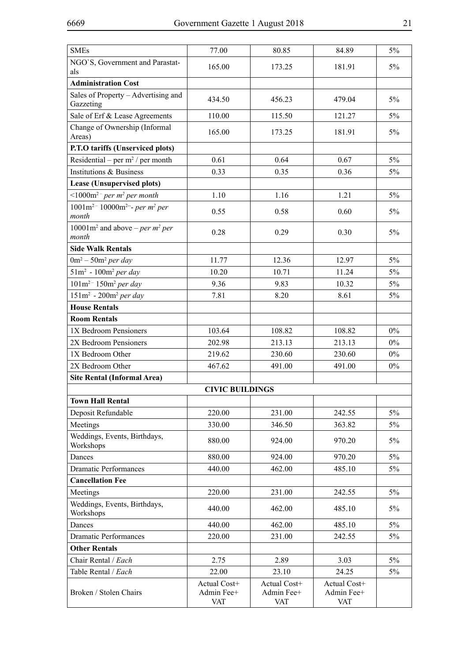| <b>SMEs</b>                                                                       | 77.00                             | 80.85                             | 84.89                                    | 5%    |
|-----------------------------------------------------------------------------------|-----------------------------------|-----------------------------------|------------------------------------------|-------|
| NGO'S, Government and Parastat-<br>als                                            | 165.00                            | 173.25                            | 181.91                                   | 5%    |
| <b>Administration Cost</b>                                                        |                                   |                                   |                                          |       |
| Sales of Property - Advertising and<br>Gazzeting                                  | 434.50                            | 456.23                            | 479.04                                   | $5\%$ |
| Sale of Erf & Lease Agreements                                                    | 110.00                            | 115.50                            | 121.27                                   | $5\%$ |
| Change of Ownership (Informal<br>Areas)                                           | 165.00                            | 173.25                            | 181.91                                   | $5\%$ |
| P.T.O tariffs (Unserviced plots)                                                  |                                   |                                   |                                          |       |
| Residential – per $m^2$ / per month                                               | 0.61                              | 0.64                              | 0.67                                     | $5\%$ |
| Institutions & Business                                                           | 0.33                              | 0.35                              | 0.36                                     | $5\%$ |
| Lease (Unsupervised plots)                                                        |                                   |                                   |                                          |       |
| $\leq 1000$ m <sup>2</sup> – per m <sup>2</sup> per month                         | 1.10                              | 1.16                              | 1.21                                     | $5\%$ |
| $1001m^2$ <sup>-</sup> $10000m^2$ <sup>--</sup> - per m <sup>2</sup> per<br>month | 0.55                              | 0.58                              | 0.60                                     | 5%    |
| 10001 $m^2$ and above – per $m^2$ per<br>month                                    | 0.28                              | 0.29                              | 0.30                                     | 5%    |
| <b>Side Walk Rentals</b>                                                          |                                   |                                   |                                          |       |
| $0m^2 - 50m^2$ per day                                                            | 11.77                             | 12.36                             | 12.97                                    | $5\%$ |
| $51m^2 - 100m^2$ per day                                                          | 10.20                             | 10.71                             | 11.24                                    | $5\%$ |
| $101m^2$ <sup>-</sup> $150m^2$ per day                                            | 9.36                              | 9.83                              | 10.32                                    | $5\%$ |
| $151m^2$ - $200m^2$ per day                                                       | 7.81                              | 8.20                              | 8.61                                     | $5\%$ |
| <b>House Rentals</b>                                                              |                                   |                                   |                                          |       |
| <b>Room Rentals</b>                                                               |                                   |                                   |                                          |       |
| 1X Bedroom Pensioners                                                             | 103.64                            | 108.82                            | 108.82                                   | $0\%$ |
| 2X Bedroom Pensioners                                                             | 202.98                            | 213.13                            | 213.13                                   | $0\%$ |
| 1X Bedroom Other                                                                  | 219.62                            | 230.60                            | 230.60                                   | $0\%$ |
| 2X Bedroom Other                                                                  | 467.62                            | 491.00                            | 491.00                                   | $0\%$ |
| <b>Site Rental (Informal Area)</b>                                                |                                   |                                   |                                          |       |
|                                                                                   | <b>CIVIC BUILDINGS</b>            |                                   |                                          |       |
| <b>Town Hall Rental</b>                                                           |                                   |                                   |                                          |       |
| Deposit Refundable                                                                | 220.00                            | 231.00                            | 242.55                                   | 5%    |
| Meetings                                                                          | 330.00                            | 346.50                            | 363.82                                   | 5%    |
| Weddings, Events, Birthdays,<br>Workshops                                         | 880.00                            | 924.00                            | 970.20                                   | 5%    |
| Dances                                                                            | 880.00                            | 924.00                            | 970.20                                   | $5\%$ |
| <b>Dramatic Performances</b>                                                      | 440.00                            | 462.00                            | 485.10                                   | 5%    |
| <b>Cancellation Fee</b>                                                           |                                   |                                   |                                          |       |
| Meetings                                                                          | 220.00                            | 231.00                            | 242.55                                   | $5\%$ |
| Weddings, Events, Birthdays,<br>Workshops                                         | 440.00                            | 462.00                            | 485.10                                   | 5%    |
| Dances                                                                            | 440.00                            | 462.00                            | 485.10                                   | 5%    |
| <b>Dramatic Performances</b>                                                      | 220.00                            | 231.00                            | 242.55                                   | 5%    |
| <b>Other Rentals</b>                                                              |                                   |                                   |                                          |       |
| Chair Rental / Each                                                               | 2.75                              | 2.89                              | 3.03                                     | 5%    |
| Table Rental / Each                                                               | 22.00                             | 23.10                             | 24.25                                    | 5%    |
| Broken / Stolen Chairs                                                            | Actual Cost+<br>Admin Fee+<br>VAT | Actual Cost+<br>Admin Fee+<br>VAT | Actual Cost+<br>Admin Fee+<br><b>VAT</b> |       |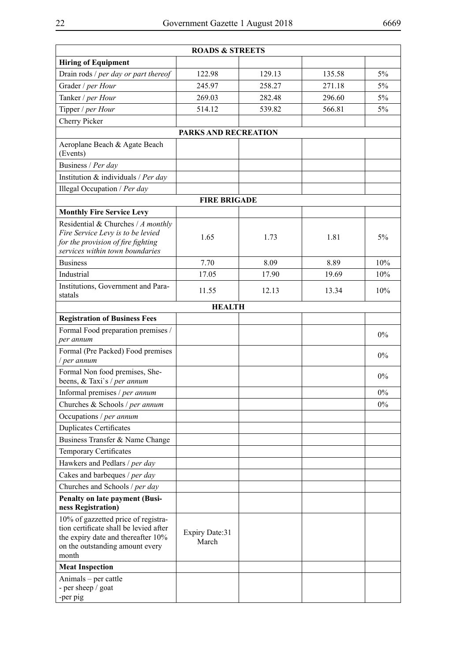|                                                                                                                                                                 | <b>ROADS &amp; STREETS</b> |        |        |       |  |
|-----------------------------------------------------------------------------------------------------------------------------------------------------------------|----------------------------|--------|--------|-------|--|
| <b>Hiring of Equipment</b>                                                                                                                                      |                            |        |        |       |  |
| Drain rods / per day or part thereof                                                                                                                            | 122.98                     | 129.13 | 135.58 | 5%    |  |
| Grader / per Hour                                                                                                                                               | 245.97                     | 258.27 | 271.18 | $5\%$ |  |
| Tanker / per Hour                                                                                                                                               | 269.03                     | 282.48 | 296.60 | 5%    |  |
| Tipper / per Hour                                                                                                                                               | 514.12                     | 539.82 | 566.81 | $5\%$ |  |
| Cherry Picker                                                                                                                                                   |                            |        |        |       |  |
|                                                                                                                                                                 | PARKS AND RECREATION       |        |        |       |  |
| Aeroplane Beach & Agate Beach<br>(Events)                                                                                                                       |                            |        |        |       |  |
| Business / Per day                                                                                                                                              |                            |        |        |       |  |
| Institution & individuals / Per day                                                                                                                             |                            |        |        |       |  |
| Illegal Occupation / Per day                                                                                                                                    |                            |        |        |       |  |
|                                                                                                                                                                 | <b>FIRE BRIGADE</b>        |        |        |       |  |
| <b>Monthly Fire Service Levy</b>                                                                                                                                |                            |        |        |       |  |
| Residential & Churches / A monthly<br>Fire Service Levy is to be levied<br>for the provision of fire fighting<br>services within town boundaries                | 1.65                       | 1.73   | 1.81   | 5%    |  |
| <b>Business</b>                                                                                                                                                 | 7.70                       | 8.09   | 8.89   | 10%   |  |
| Industrial                                                                                                                                                      | 17.05                      | 17.90  | 19.69  | 10%   |  |
| Institutions, Government and Para-<br>statals                                                                                                                   | 11.55                      | 12.13  | 13.34  | 10%   |  |
|                                                                                                                                                                 | <b>HEALTH</b>              |        |        |       |  |
| <b>Registration of Business Fees</b>                                                                                                                            |                            |        |        |       |  |
| Formal Food preparation premises /<br>per annum                                                                                                                 |                            |        |        | $0\%$ |  |
| Formal (Pre Packed) Food premises<br>per annum                                                                                                                  |                            |        |        | $0\%$ |  |
| Formal Non food premises, She-<br>beens, & Taxi's / per annum                                                                                                   |                            |        |        | $0\%$ |  |
| Informal premises / per annum                                                                                                                                   |                            |        |        | $0\%$ |  |
| Churches & Schools / per annum                                                                                                                                  |                            |        |        | $0\%$ |  |
| Occupations / per annum                                                                                                                                         |                            |        |        |       |  |
| <b>Duplicates Certificates</b>                                                                                                                                  |                            |        |        |       |  |
| Business Transfer & Name Change                                                                                                                                 |                            |        |        |       |  |
| Temporary Certificates                                                                                                                                          |                            |        |        |       |  |
| Hawkers and Pedlars / per day                                                                                                                                   |                            |        |        |       |  |
| Cakes and barbeques / per day                                                                                                                                   |                            |        |        |       |  |
| Churches and Schools / per day                                                                                                                                  |                            |        |        |       |  |
| <b>Penalty on late payment (Busi-</b>                                                                                                                           |                            |        |        |       |  |
| ness Registration)                                                                                                                                              |                            |        |        |       |  |
| 10% of gazzetted price of registra-<br>tion certificate shall be levied after<br>the expiry date and thereafter 10%<br>on the outstanding amount every<br>month | Expiry Date:31<br>March    |        |        |       |  |
| <b>Meat Inspection</b>                                                                                                                                          |                            |        |        |       |  |
| Animals – per cattle<br>- per sheep / goat                                                                                                                      |                            |        |        |       |  |

-per pig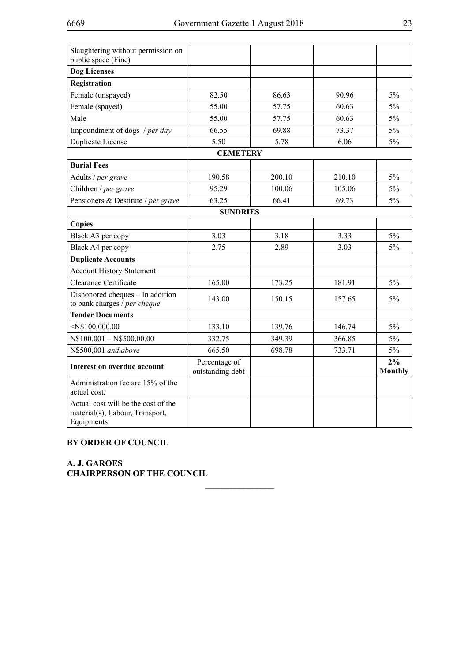| Slaughtering without permission on<br>public space (Fine)                            |                                   |        |        |                      |  |  |
|--------------------------------------------------------------------------------------|-----------------------------------|--------|--------|----------------------|--|--|
| <b>Dog Licenses</b>                                                                  |                                   |        |        |                      |  |  |
| Registration                                                                         |                                   |        |        |                      |  |  |
| Female (unspayed)                                                                    | 82.50                             | 86.63  | 90.96  | $5\%$                |  |  |
| Female (spayed)                                                                      | 55.00                             | 57.75  | 60.63  | 5%                   |  |  |
| Male                                                                                 | 55.00                             | 57.75  | 60.63  | 5%                   |  |  |
| Impoundment of dogs / per day                                                        | 66.55                             | 69.88  | 73.37  | $5\%$                |  |  |
| Duplicate License                                                                    | 5.50                              | 5.78   | 6.06   | 5%                   |  |  |
|                                                                                      | <b>CEMETERY</b>                   |        |        |                      |  |  |
| <b>Burial Fees</b>                                                                   |                                   |        |        |                      |  |  |
| Adults / per grave                                                                   | 190.58                            | 200.10 | 210.10 | 5%                   |  |  |
| Children / per grave                                                                 | 95.29                             | 100.06 | 105.06 | $5\%$                |  |  |
| Pensioners & Destitute / per grave                                                   | 63.25                             | 66.41  | 69.73  | $5\%$                |  |  |
|                                                                                      | <b>SUNDRIES</b>                   |        |        |                      |  |  |
| <b>Copies</b>                                                                        |                                   |        |        |                      |  |  |
| Black A3 per copy                                                                    | 3.03                              | 3.18   | 3.33   | 5%                   |  |  |
| Black A4 per copy                                                                    | 2.75                              | 2.89   | 3.03   | 5%                   |  |  |
| <b>Duplicate Accounts</b>                                                            |                                   |        |        |                      |  |  |
| <b>Account History Statement</b>                                                     |                                   |        |        |                      |  |  |
| Clearance Certificate                                                                | 165.00                            | 173.25 | 181.91 | $5\%$                |  |  |
| Dishonored cheques - In addition<br>to bank charges / per cheque                     | 143.00                            | 150.15 | 157.65 | 5%                   |  |  |
| <b>Tender Documents</b>                                                              |                                   |        |        |                      |  |  |
| $<$ N\$100,000.00                                                                    | 133.10                            | 139.76 | 146.74 | $5\%$                |  |  |
| $N$100,001 - N$500,00.00$                                                            | 332.75                            | 349.39 | 366.85 | $5\%$                |  |  |
| N\$500,001 and above                                                                 | 665.50                            | 698.78 | 733.71 | $5\%$                |  |  |
| <b>Interest on overdue account</b>                                                   | Percentage of<br>outstanding debt |        |        | 2%<br><b>Monthly</b> |  |  |
| Administration fee are 15% of the<br>actual cost.                                    |                                   |        |        |                      |  |  |
| Actual cost will be the cost of the<br>material(s), Labour, Transport,<br>Equipments |                                   |        |        |                      |  |  |

 $\frac{1}{2}$ 

## **BY ORDER OF COUNCIL**

**A. J. GAROES CHAIRPERSON OF THE COUNCIL**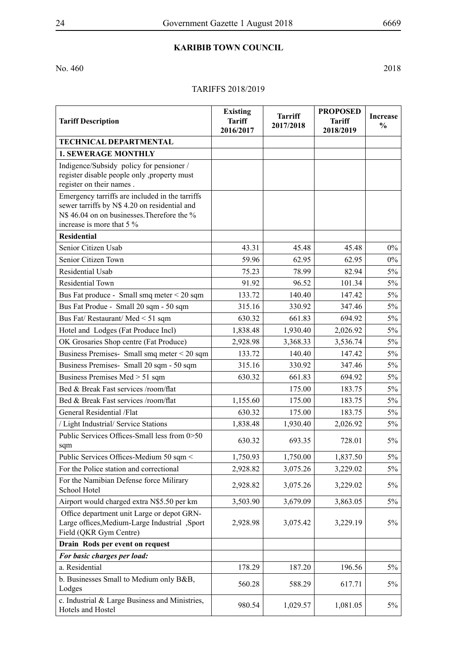## **Karibib Town Council**

No. 460 2018

## TARIFFS 2018/2019

| <b>Tariff Description</b>                                                                                                                                                    | <b>Existing</b><br><b>Tariff</b><br>2016/2017 | <b>Tarriff</b><br>2017/2018 | <b>PROPOSED</b><br><b>Tariff</b><br>2018/2019 | <b>Increase</b><br>$\frac{0}{0}$ |
|------------------------------------------------------------------------------------------------------------------------------------------------------------------------------|-----------------------------------------------|-----------------------------|-----------------------------------------------|----------------------------------|
| <b>TECHNICAL DEPARTMENTAL</b>                                                                                                                                                |                                               |                             |                                               |                                  |
| <b>1. SEWERAGE MONTHLY</b>                                                                                                                                                   |                                               |                             |                                               |                                  |
| Indigence/Subsidy policy for pensioner /<br>register disable people only , property must<br>register on their names.                                                         |                                               |                             |                                               |                                  |
| Emergency tarriffs are included in the tarriffs<br>sewer tarriffs by N\$ 4.20 on residential and<br>N\$ 46.04 on on businesses. Therefore the %<br>increase is more that 5 % |                                               |                             |                                               |                                  |
| <b>Residential</b>                                                                                                                                                           |                                               |                             |                                               |                                  |
| Senior Citizen Usab                                                                                                                                                          | 43.31                                         | 45.48                       | 45.48                                         | $0\%$                            |
| Senior Citizen Town                                                                                                                                                          | 59.96                                         | 62.95                       | 62.95                                         | $0\%$                            |
| <b>Residential Usab</b>                                                                                                                                                      | 75.23                                         | 78.99                       | 82.94                                         | $5\%$                            |
| Residential Town                                                                                                                                                             | 91.92                                         | 96.52                       | 101.34                                        | 5%                               |
| Bus Fat produce - Small smq meter $\leq$ 20 sqm                                                                                                                              | 133.72                                        | 140.40                      | 147.42                                        | $5\%$                            |
| Bus Fat Produe - Small 20 sqm - 50 sqm                                                                                                                                       | 315.16                                        | 330.92                      | 347.46                                        | $5\%$                            |
| Bus Fat/Restaurant/Med < 51 sqm                                                                                                                                              | 630.32                                        | 661.83                      | 694.92                                        | $5\%$                            |
| Hotel and Lodges (Fat Produce Incl)                                                                                                                                          | 1,838.48                                      | 1,930.40                    | 2,026.92                                      | $5\%$                            |
| OK Grosaries Shop centre (Fat Produce)                                                                                                                                       | 2,928.98                                      | 3,368.33                    | 3,536.74                                      | $5\%$                            |
| Business Premises-Small smq meter < 20 sqm                                                                                                                                   | 133.72                                        | 140.40                      | 147.42                                        | $5\%$                            |
| Business Premises- Small 20 sqm - 50 sqm                                                                                                                                     | 315.16                                        | 330.92                      | 347.46                                        | 5%                               |
| Business Premises Med > 51 sqm                                                                                                                                               | 630.32                                        | 661.83                      | 694.92                                        | $5\%$                            |
| Bed & Break Fast services /room/flat                                                                                                                                         |                                               | 175.00                      | 183.75                                        | $5\%$                            |
| Bed & Break Fast services /room/flat                                                                                                                                         | 1,155.60                                      | 175.00                      | 183.75                                        | $5\%$                            |
| General Residential /Flat                                                                                                                                                    | 630.32                                        | 175.00                      | 183.75                                        | $5\%$                            |
| / Light Industrial/ Service Stations                                                                                                                                         | 1,838.48                                      | 1,930.40                    | 2,026.92                                      | 5%                               |
| Public Services Offices-Small less from 0>50<br>sqm                                                                                                                          | 630.32                                        | 693.35                      | 728.01                                        | 5%                               |
| Public Services Offices-Medium 50 sqm <                                                                                                                                      | 1,750.93                                      | 1,750.00                    | 1,837.50                                      | $5\%$                            |
| For the Police station and correctional                                                                                                                                      | 2,928.82                                      | 3,075.26                    | 3,229.02                                      | 5%                               |
| For the Namibian Defense force Milirary<br>School Hotel                                                                                                                      | 2,928.82                                      | 3,075.26                    | 3,229.02                                      | $5\%$                            |
| Airport would charged extra N\$5.50 per km                                                                                                                                   | 3,503.90                                      | 3,679.09                    | 3,863.05                                      | 5%                               |
| Office department unit Large or depot GRN-<br>Large offices, Medium-Large Industrial , Sport<br>Field (QKR Gym Centre)                                                       | 2,928.98                                      | 3,075.42                    | 3,229.19                                      | $5\%$                            |
| Drain Rods per event on request                                                                                                                                              |                                               |                             |                                               |                                  |
| For basic charges per load:                                                                                                                                                  |                                               |                             |                                               |                                  |
| a. Residential                                                                                                                                                               | 178.29                                        | 187.20                      | 196.56                                        | 5%                               |
| b. Businesses Small to Medium only B&B,<br>Lodges                                                                                                                            | 560.28                                        | 588.29                      | 617.71                                        | 5%                               |
| c. Industrial & Large Business and Ministries,<br>Hotels and Hostel                                                                                                          | 980.54                                        | 1,029.57                    | 1,081.05                                      | 5%                               |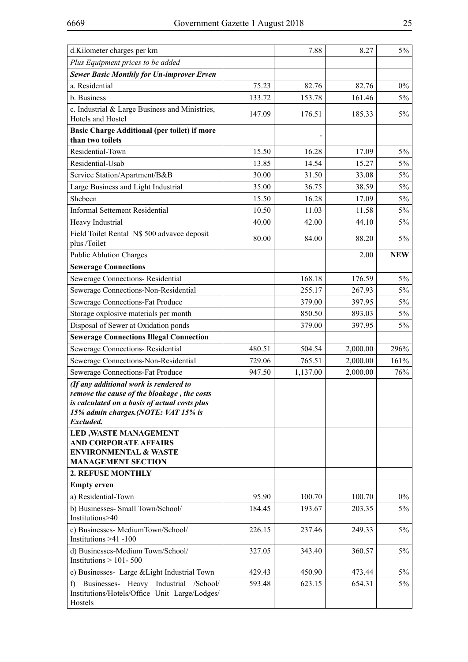| d.Kilometer charges per km                                                                                                                                                                 |        | 7.88     | 8.27     | $5\%$      |
|--------------------------------------------------------------------------------------------------------------------------------------------------------------------------------------------|--------|----------|----------|------------|
| Plus Equipment prices to be added                                                                                                                                                          |        |          |          |            |
| <b>Sewer Basic Monthly for Un-improver Erven</b>                                                                                                                                           |        |          |          |            |
| a. Residential                                                                                                                                                                             | 75.23  | 82.76    | 82.76    | $0\%$      |
| b. Business                                                                                                                                                                                | 133.72 | 153.78   | 161.46   | $5\%$      |
| c. Industrial & Large Business and Ministries,<br>Hotels and Hostel                                                                                                                        | 147.09 | 176.51   | 185.33   | $5\%$      |
| <b>Basic Charge Additional (per toilet) if more</b><br>than two toilets                                                                                                                    |        |          |          |            |
| Residential-Town                                                                                                                                                                           | 15.50  | 16.28    | 17.09    | $5\%$      |
| Residential-Usab                                                                                                                                                                           | 13.85  | 14.54    | 15.27    | $5\%$      |
| Service Station/Apartment/B&B                                                                                                                                                              | 30.00  | 31.50    | 33.08    | $5\%$      |
| Large Business and Light Industrial                                                                                                                                                        | 35.00  | 36.75    | 38.59    | 5%         |
| Shebeen                                                                                                                                                                                    | 15.50  | 16.28    | 17.09    | $5\%$      |
| <b>Informal Settement Residential</b>                                                                                                                                                      | 10.50  | 11.03    | 11.58    | $5\%$      |
| Heavy Industrial                                                                                                                                                                           | 40.00  | 42.00    | 44.10    | $5\%$      |
| Field Toilet Rental N\$ 500 advavce deposit<br>plus /Toilet                                                                                                                                | 80.00  | 84.00    | 88.20    | 5%         |
| <b>Public Ablution Charges</b>                                                                                                                                                             |        |          | 2.00     | <b>NEW</b> |
| <b>Sewerage Connections</b>                                                                                                                                                                |        |          |          |            |
| Sewerage Connections-Residential                                                                                                                                                           |        | 168.18   | 176.59   | $5\%$      |
| Sewerage Connections-Non-Residential                                                                                                                                                       |        | 255.17   | 267.93   | $5\%$      |
| Sewerage Connections-Fat Produce                                                                                                                                                           |        | 379.00   | 397.95   | 5%         |
| Storage oxplosive materials per month                                                                                                                                                      |        | 850.50   | 893.03   | $5\%$      |
| Disposal of Sewer at Oxidation ponds                                                                                                                                                       |        | 379.00   | 397.95   | 5%         |
| <b>Sewerage Connections Illegal Connection</b>                                                                                                                                             |        |          |          |            |
| Sewerage Connections-Residential                                                                                                                                                           | 480.51 | 504.54   | 2,000.00 | 296%       |
| Sewerage Connections-Non-Residential                                                                                                                                                       | 729.06 | 765.51   | 2,000.00 | 161%       |
| Sewerage Connections-Fat Produce                                                                                                                                                           | 947.50 | 1,137.00 | 2,000.00 | 76%        |
| (If any additional work is rendered to<br>remove the cause of the bloakage, the costs<br>is calculated on a basis of actual costs plus<br>15% admin charges.(NOTE: VAT 15% is<br>Excluded. |        |          |          |            |
| <b>LED, WASTE MANAGEMENT</b><br><b>AND CORPORATE AFFAIRS</b><br><b>ENVIRONMENTAL &amp; WASTE</b><br><b>MANAGEMENT SECTION</b>                                                              |        |          |          |            |
| 2. REFUSE MONTHLY                                                                                                                                                                          |        |          |          |            |
| <b>Empty</b> erven                                                                                                                                                                         |        |          |          |            |
| a) Residential-Town                                                                                                                                                                        | 95.90  | 100.70   | 100.70   | $0\%$      |
| b) Businesses- Small Town/School/<br>Institutions>40                                                                                                                                       | 184.45 | 193.67   | 203.35   | $5\%$      |
| c) Businesses- MediumTown/School/<br>Institutions $>41 - 100$                                                                                                                              | 226.15 | 237.46   | 249.33   | $5\%$      |
| d) Businesses-Medium Town/School/<br>Institutions $>$ 101-500                                                                                                                              | 327.05 | 343.40   | 360.57   | 5%         |
| e) Businesses- Large & Light Industrial Town                                                                                                                                               | 429.43 | 450.90   | 473.44   | 5%         |
| f) Businesses- Heavy Industrial /School/<br>Institutions/Hotels/Office Unit Large/Lodges/<br>Hostels                                                                                       | 593.48 | 623.15   | 654.31   | $5\%$      |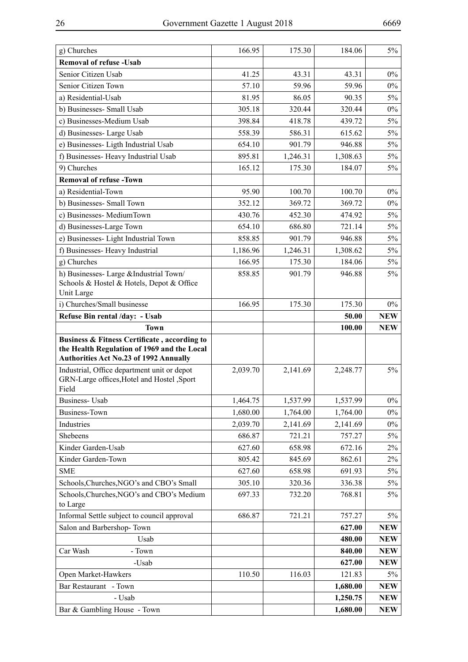| g) Churches                                                                                                                                  | 166.95   | 175.30   | 184.06               | 5%                       |
|----------------------------------------------------------------------------------------------------------------------------------------------|----------|----------|----------------------|--------------------------|
| <b>Removal of refuse - Usab</b>                                                                                                              |          |          |                      |                          |
| Senior Citizen Usab                                                                                                                          | 41.25    | 43.31    | 43.31                | $0\%$                    |
| Senior Citizen Town                                                                                                                          | 57.10    | 59.96    | 59.96                | $0\%$                    |
| a) Residential-Usab                                                                                                                          | 81.95    | 86.05    | 90.35                | 5%                       |
| b) Businesses- Small Usab                                                                                                                    | 305.18   | 320.44   | 320.44               | $0\%$                    |
| c) Businesses-Medium Usab                                                                                                                    | 398.84   | 418.78   | 439.72               | 5%                       |
| d) Businesses-Large Usab                                                                                                                     | 558.39   | 586.31   | 615.62               | $5\%$                    |
| e) Businesses- Ligth Industrial Usab                                                                                                         | 654.10   | 901.79   | 946.88               | 5%                       |
| f) Businesses- Heavy Industrial Usab                                                                                                         | 895.81   | 1,246.31 | 1,308.63             | $5\%$                    |
| 9) Churches                                                                                                                                  | 165.12   | 175.30   | 184.07               | 5%                       |
| <b>Removal of refuse -Town</b>                                                                                                               |          |          |                      |                          |
| a) Residential-Town                                                                                                                          | 95.90    | 100.70   | 100.70               | $0\%$                    |
| b) Businesses- Small Town                                                                                                                    | 352.12   | 369.72   | 369.72               | $0\%$                    |
| c) Businesses-MediumTown                                                                                                                     | 430.76   | 452.30   | 474.92               | 5%                       |
| d) Businesses-Large Town                                                                                                                     | 654.10   | 686.80   | 721.14               | 5%                       |
| e) Businesses- Light Industrial Town                                                                                                         | 858.85   | 901.79   | 946.88               | 5%                       |
| f) Businesses- Heavy Industrial                                                                                                              | 1,186.96 | 1,246.31 | 1,308.62             | 5%                       |
| g) Churches                                                                                                                                  | 166.95   | 175.30   | 184.06               | 5%                       |
| h) Businesses- Large & Industrial Town/<br>Schools & Hostel & Hotels, Depot & Office<br>Unit Large                                           | 858.85   | 901.79   | 946.88               | $5\%$                    |
| i) Churches/Small businesse                                                                                                                  | 166.95   | 175.30   | 175.30               | $0\%$                    |
| Refuse Bin rental /day: - Usab                                                                                                               |          |          | 50.00                | <b>NEW</b>               |
| <b>Town</b>                                                                                                                                  |          |          | 100.00               | <b>NEW</b>               |
| Business & Fitness Certificate, according to<br>the Health Regulation of 1969 and the Local<br><b>Authorities Act No.23 of 1992 Annually</b> |          |          |                      |                          |
| Industrial, Office department unit or depot<br>GRN-Large offices, Hotel and Hostel , Sport<br>Field                                          | 2,039.70 | 2,141.69 | 2,248.77             | 5%                       |
|                                                                                                                                              |          |          |                      |                          |
| <b>Business-Usab</b>                                                                                                                         | 1,464.75 | 1,537.99 | 1,537.99             | $0\%$                    |
| <b>Business-Town</b>                                                                                                                         | 1,680.00 | 1,764.00 | 1,764.00             | $0\%$                    |
| Industries                                                                                                                                   | 2,039.70 | 2,141.69 | 2,141.69             | $0\%$                    |
| Shebeens                                                                                                                                     | 686.87   | 721.21   | 757.27               | 5%                       |
| Kinder Garden-Usab                                                                                                                           | 627.60   | 658.98   | 672.16               | 2%                       |
| Kinder Garden-Town                                                                                                                           | 805.42   | 845.69   | 862.61               | 2%                       |
| <b>SME</b>                                                                                                                                   | 627.60   | 658.98   | 691.93               | $5\%$                    |
| Schools, Churches, NGO's and CBO's Small                                                                                                     | 305.10   | 320.36   | 336.38               | 5%                       |
| Schools, Churches, NGO's and CBO's Medium<br>to Large                                                                                        | 697.33   | 732.20   | 768.81               | $5\%$                    |
| Informal Settle subject to council approval                                                                                                  | 686.87   | 721.21   | 757.27               | 5%                       |
| Salon and Barbershop-Town                                                                                                                    |          |          | 627.00               | <b>NEW</b>               |
| Usab                                                                                                                                         |          |          | 480.00               | <b>NEW</b>               |
| Car Wash<br>- Town                                                                                                                           |          |          | 840.00               | <b>NEW</b>               |
| -Usab                                                                                                                                        |          |          | 627.00               | <b>NEW</b>               |
| Open Market-Hawkers                                                                                                                          | 110.50   | 116.03   | 121.83               | 5%                       |
| Bar Restaurant - Town                                                                                                                        |          |          | 1,680.00             | <b>NEW</b>               |
| - Usab<br>Bar & Gambling House - Town                                                                                                        |          |          | 1,250.75<br>1,680.00 | <b>NEW</b><br><b>NEW</b> |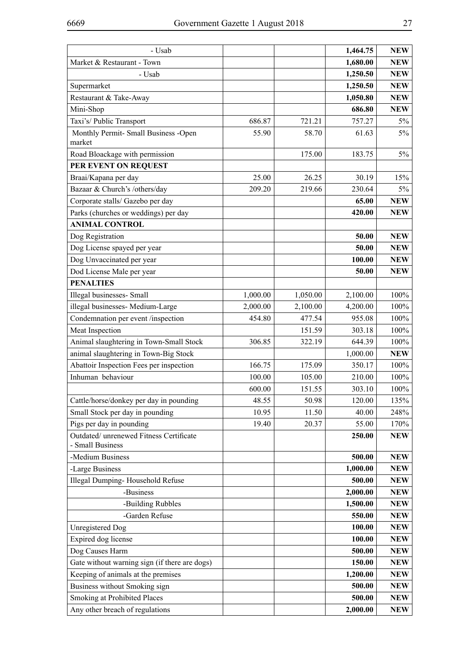| - Usab                                                      |          |          | 1,464.75 | <b>NEW</b> |
|-------------------------------------------------------------|----------|----------|----------|------------|
| Market & Restaurant - Town                                  |          |          | 1,680.00 | <b>NEW</b> |
| - Usab                                                      |          |          | 1,250.50 | <b>NEW</b> |
| Supermarket                                                 |          |          | 1,250.50 | <b>NEW</b> |
| Restaurant & Take-Away                                      |          |          | 1,050.80 | <b>NEW</b> |
| Mini-Shop                                                   |          |          | 686.80   | <b>NEW</b> |
| Taxi's/ Public Transport                                    | 686.87   | 721.21   | 757.27   | $5\%$      |
| Monthly Permit- Small Business -Open                        | 55.90    | 58.70    | 61.63    | $5\%$      |
| market                                                      |          |          |          |            |
| Road Bloackage with permission                              |          | 175.00   | 183.75   | 5%         |
| PER EVENT ON REQUEST                                        |          |          |          |            |
| Braai/Kapana per day                                        | 25.00    | 26.25    | 30.19    | 15%        |
| Bazaar & Church's /others/day                               | 209.20   | 219.66   | 230.64   | $5\%$      |
| Corporate stalls/ Gazebo per day                            |          |          | 65.00    | <b>NEW</b> |
| Parks (churches or weddings) per day                        |          |          | 420.00   | <b>NEW</b> |
| <b>ANIMAL CONTROL</b>                                       |          |          |          |            |
| Dog Registration                                            |          |          | 50.00    | <b>NEW</b> |
| Dog License spayed per year                                 |          |          | 50.00    | <b>NEW</b> |
| Dog Unvaccinated per year                                   |          |          | 100.00   | <b>NEW</b> |
| Dod License Male per year                                   |          |          | 50.00    | <b>NEW</b> |
| <b>PENALTIES</b>                                            |          |          |          |            |
| Illegal businesses- Small                                   | 1,000.00 | 1,050.00 | 2,100.00 | 100%       |
| illegal businesses- Medium-Large                            | 2,000.00 | 2,100.00 | 4,200.00 | 100%       |
| Condemnation per event /inspection                          | 454.80   | 477.54   | 955.08   | 100%       |
| Meat Inspection                                             |          | 151.59   | 303.18   | 100%       |
| Animal slaughtering in Town-Small Stock                     | 306.85   | 322.19   | 644.39   | 100%       |
| animal slaughtering in Town-Big Stock                       |          |          | 1,000.00 | <b>NEW</b> |
| Abattoir Inspection Fees per inspection                     | 166.75   | 175.09   | 350.17   | 100%       |
| Inhuman behaviour                                           | 100.00   | 105.00   | 210.00   | 100%       |
|                                                             | 600.00   | 151.55   | 303.10   | 100%       |
| Cattle/horse/donkey per day in pounding                     | 48.55    | 50.98    | 120.00   | 135%       |
| Small Stock per day in pounding                             | 10.95    | 11.50    | 40.00    | 248%       |
| Pigs per day in pounding                                    | 19.40    | 20.37    | 55.00    | 170%       |
| Outdated/ unrenewed Fitness Certificate<br>- Small Business |          |          | 250.00   | <b>NEW</b> |
| -Medium Business                                            |          |          | 500.00   | <b>NEW</b> |
| -Large Business                                             |          |          | 1,000.00 | <b>NEW</b> |
| Illegal Dumping-Household Refuse                            |          |          | 500.00   | <b>NEW</b> |
| -Business                                                   |          |          | 2,000.00 | <b>NEW</b> |
| -Building Rubbles                                           |          |          | 1,500.00 | <b>NEW</b> |
| -Garden Refuse                                              |          |          | 550.00   | <b>NEW</b> |
| <b>Unregistered Dog</b>                                     |          |          | 100.00   | <b>NEW</b> |
| Expired dog license                                         |          |          | 100.00   | <b>NEW</b> |
| Dog Causes Harm                                             |          |          | 500.00   | <b>NEW</b> |
| Gate without warning sign (if there are dogs)               |          |          | 150.00   | <b>NEW</b> |
| Keeping of animals at the premises                          |          |          | 1,200.00 | <b>NEW</b> |
| Business without Smoking sign                               |          |          | 500.00   | <b>NEW</b> |
| Smoking at Prohibited Places                                |          |          | 500.00   | <b>NEW</b> |
| Any other breach of regulations                             |          |          | 2,000.00 | <b>NEW</b> |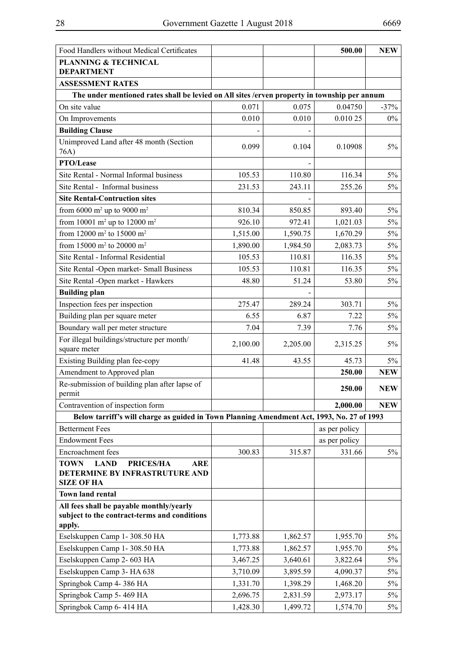| Food Handlers without Medical Certificates                                                   |          |          | 500.00        | <b>NEW</b> |
|----------------------------------------------------------------------------------------------|----------|----------|---------------|------------|
| <b>PLANNING &amp; TECHNICAL</b>                                                              |          |          |               |            |
| <b>DEPARTMENT</b><br><b>ASSESSMENT RATES</b>                                                 |          |          |               |            |
| The under mentioned rates shall be levied on All sites /erven property in township per annum |          |          |               |            |
| On site value                                                                                | 0.071    | 0.075    | 0.04750       | $-37%$     |
| On Improvements                                                                              | 0.010    | 0.010    | 0.010 25      | $0\%$      |
| <b>Building Clause</b>                                                                       |          |          |               |            |
| Unimproved Land after 48 month (Section                                                      |          |          |               |            |
| 76A)                                                                                         | 0.099    | 0.104    | 0.10908       | $5\%$      |
| PTO/Lease                                                                                    |          |          |               |            |
| Site Rental - Normal Informal business                                                       | 105.53   | 110.80   | 116.34        | $5\%$      |
| Site Rental - Informal business                                                              | 231.53   | 243.11   | 255.26        | 5%         |
| <b>Site Rental-Contruction sites</b>                                                         |          |          |               |            |
| from 6000 m <sup>2</sup> up to 9000 m <sup>2</sup>                                           | 810.34   | 850.85   | 893.40        | $5\%$      |
| from 10001 m <sup>2</sup> up to 12000 m <sup>2</sup>                                         | 926.10   | 972.41   | 1,021.03      | $5\%$      |
| from 12000 m <sup>2</sup> to 15000 m <sup>2</sup>                                            | 1,515.00 | 1,590.75 | 1,670.29      | $5\%$      |
| from 15000 m <sup>2</sup> to 20000 m <sup>2</sup>                                            | 1,890.00 | 1,984.50 | 2,083.73      | $5\%$      |
| Site Rental - Informal Residential                                                           | 105.53   | 110.81   | 116.35        | $5\%$      |
| Site Rental -Open market- Small Business                                                     | 105.53   | 110.81   | 116.35        | $5\%$      |
| Site Rental -Open market - Hawkers                                                           | 48.80    | 51.24    | 53.80         | $5\%$      |
| <b>Building plan</b>                                                                         |          |          |               |            |
| Inspection fees per inspection                                                               | 275.47   | 289.24   | 303.71        | $5\%$      |
| Building plan per square meter                                                               | 6.55     | 6.87     | 7.22          | $5\%$      |
| Boundary wall per meter structure                                                            | 7.04     | 7.39     | 7.76          | $5\%$      |
| For illegal buildings/structure per month/                                                   | 2,100.00 | 2,205.00 | 2,315.25      | $5\%$      |
| square meter                                                                                 |          |          |               |            |
| Existing Building plan fee-copy                                                              | 41.48    | 43.55    | 45.73         | $5\%$      |
| Amendment to Approved plan                                                                   |          |          | 250.00        | <b>NEW</b> |
| Re-submission of building plan after lapse of<br>permit                                      |          |          | 250.00        | <b>NEW</b> |
| Contravention of inspection form                                                             |          |          | 2,000.00      | <b>NEW</b> |
| Below tarriff's will charge as guided in Town Planning Amendment Act, 1993, No. 27 of 1993   |          |          |               |            |
| <b>Betterment Fees</b>                                                                       |          |          | as per policy |            |
| <b>Endowment Fees</b>                                                                        |          |          | as per policy |            |
| Encroachment fees                                                                            | 300.83   | 315.87   | 331.66        | $5\%$      |
| <b>TOWN</b><br><b>LAND</b><br><b>PRICES/HA</b><br>ARE<br>DETERMINE BY INFRASTRUTURE AND      |          |          |               |            |
| SIZE OF HA<br><b>Town land rental</b>                                                        |          |          |               |            |
| All fees shall be payable monthly/yearly                                                     |          |          |               |            |
| subject to the contract-terms and conditions                                                 |          |          |               |            |
| apply.                                                                                       |          |          |               |            |
| Eselskuppen Camp 1-308.50 HA                                                                 | 1,773.88 | 1,862.57 | 1,955.70      | $5\%$      |
| Eselskuppen Camp 1-308.50 HA                                                                 | 1,773.88 | 1,862.57 | 1,955.70      | 5%         |
| Eselskuppen Camp 2- 603 HA                                                                   | 3,467.25 | 3,640.61 | 3,822.64      | 5%         |
| Eselskuppen Camp 3- HA 638                                                                   | 3,710.09 | 3,895.59 | 4,090.37      | 5%         |
| Springbok Camp 4-386 HA                                                                      | 1,331.70 | 1,398.29 | 1,468.20      | $5\%$      |
| Springbok Camp 5-469 HA                                                                      | 2,696.75 | 2,831.59 | 2,973.17      | $5\%$      |
| Springbok Camp 6-414 HA                                                                      | 1,428.30 | 1,499.72 | 1,574.70      | 5%         |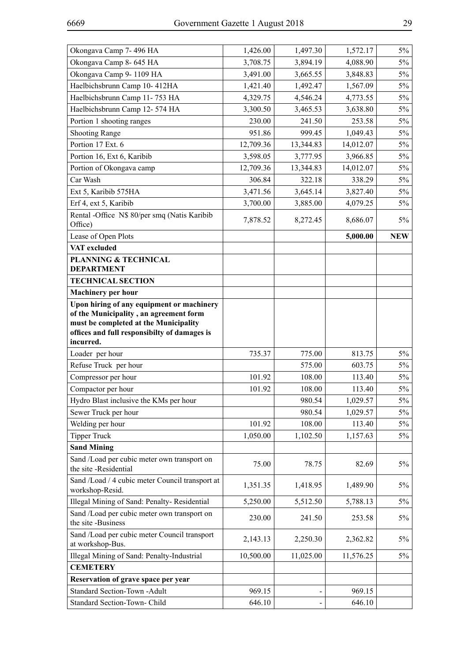| Okongava Camp 7-496 HA<br>Okongava Camp 8-645 HA<br>3,708.75<br>3,894.19<br>4,088.90<br>$5\%$<br>Okongava Camp 9-1109 HA<br>$5\%$<br>3,491.00<br>3,665.55<br>3,848.83<br>Haelbichsbrunn Camp 10-412HA<br>1,421.40<br>1,492.47<br>1,567.09<br>$5\%$<br>Haelbichsbrunn Camp 11-753 HA<br>4,329.75<br>4,546.24<br>$5\%$<br>4,773.55<br>Haelbichsbrunn Camp 12-574 HA<br>3,300.50<br>3,465.53<br>3,638.80<br>$5\%$<br>Portion 1 shooting ranges<br>230.00<br>241.50<br>253.58<br>$5\%$<br><b>Shooting Range</b><br>951.86<br>999.45<br>1,049.43<br>$5\%$<br>Portion 17 Ext. 6<br>12,709.36<br>13,344.83<br>14,012.07<br>$5\%$<br>Portion 16, Ext 6, Karibib<br>3,598.05<br>$5\%$<br>3,777.95<br>3,966.85<br>Portion of Okongava camp<br>14,012.07<br>$5\%$<br>12,709.36<br>13,344.83<br>Car Wash<br>306.84<br>322.18<br>338.29<br>$5\%$<br>Ext 5, Karibib 575HA<br>3,471.56<br>3,645.14<br>3,827.40<br>$5\%$<br>Erf 4, ext 5, Karibib<br>3,700.00<br>3,885.00<br>4,079.25<br>$5\%$<br>Rental -Office N\$ 80/per smq (Natis Karibib<br>7,878.52<br>8,272.45<br>8,686.07<br>$5\%$<br>Office)<br>Lease of Open Plots<br>5,000.00<br><b>NEW</b><br>VAT excluded<br><b>PLANNING &amp; TECHNICAL</b><br><b>DEPARTMENT</b><br><b>TECHNICAL SECTION</b><br><b>Machinery per hour</b><br>Upon hiring of any equipment or machinery<br>of the Municipality, an agreement form<br>must be completed at the Municipality<br>offices and full responsibilty of damages is<br>incurred.<br>Loader per hour<br>735.37<br>775.00<br>813.75<br>$5\%$<br>Refuse Truck per hour<br>$5\%$<br>575.00<br>603.75<br>Compressor per hour<br>101.92<br>108.00<br>113.40<br>$5\%$<br>Compactor per hour<br>108.00<br>113.40<br>101.92<br>$5\%$<br>980.54<br>Hydro Blast inclusive the KMs per hour<br>1,029.57<br>$5\%$<br>Sewer Truck per hour<br>980.54<br>$5\%$<br>1,029.57<br>Welding per hour<br>101.92<br>108.00<br>113.40<br>$5\%$<br><b>Tipper Truck</b><br>1,050.00<br>1,102.50<br>1,157.63<br>$5\%$<br><b>Sand Mining</b><br>Sand /Load per cubic meter own transport on<br>75.00<br>78.75<br>82.69<br>$5\%$<br>the site -Residential<br>Sand /Load / 4 cubic meter Council transport at<br>$5\%$<br>1,351.35<br>1,418.95<br>1,489.90<br>workshop-Resid.<br>Illegal Mining of Sand: Penalty-Residential<br>$5\%$<br>5,250.00<br>5,512.50<br>5,788.13<br>Sand /Load per cubic meter own transport on<br>230.00<br>241.50<br>$5\%$<br>253.58<br>the site-Business<br>Sand /Load per cubic meter Council transport<br>2,143.13<br>2,250.30<br>2,362.82<br>$5\%$<br>at workshop-Bus.<br>Illegal Mining of Sand: Penalty-Industrial<br>10,500.00<br>11,025.00<br>11,576.25<br>5%<br><b>CEMETERY</b><br>Reservation of grave space per year<br>Standard Section-Town -Adult<br>969.15<br>969.15 |          |          |          |       |
|-----------------------------------------------------------------------------------------------------------------------------------------------------------------------------------------------------------------------------------------------------------------------------------------------------------------------------------------------------------------------------------------------------------------------------------------------------------------------------------------------------------------------------------------------------------------------------------------------------------------------------------------------------------------------------------------------------------------------------------------------------------------------------------------------------------------------------------------------------------------------------------------------------------------------------------------------------------------------------------------------------------------------------------------------------------------------------------------------------------------------------------------------------------------------------------------------------------------------------------------------------------------------------------------------------------------------------------------------------------------------------------------------------------------------------------------------------------------------------------------------------------------------------------------------------------------------------------------------------------------------------------------------------------------------------------------------------------------------------------------------------------------------------------------------------------------------------------------------------------------------------------------------------------------------------------------------------------------------------------------------------------------------------------------------------------------------------------------------------------------------------------------------------------------------------------------------------------------------------------------------------------------------------------------------------------------------------------------------------------------------------------------------------------------------------------------------------------------------------------------------------------------------------------------------------------------------------------------------------------------------------------------------------------------------------------------------------------------------------------------------------------------------|----------|----------|----------|-------|
|                                                                                                                                                                                                                                                                                                                                                                                                                                                                                                                                                                                                                                                                                                                                                                                                                                                                                                                                                                                                                                                                                                                                                                                                                                                                                                                                                                                                                                                                                                                                                                                                                                                                                                                                                                                                                                                                                                                                                                                                                                                                                                                                                                                                                                                                                                                                                                                                                                                                                                                                                                                                                                                                                                                                                                       | 1,426.00 | 1,497.30 | 1,572.17 | $5\%$ |
|                                                                                                                                                                                                                                                                                                                                                                                                                                                                                                                                                                                                                                                                                                                                                                                                                                                                                                                                                                                                                                                                                                                                                                                                                                                                                                                                                                                                                                                                                                                                                                                                                                                                                                                                                                                                                                                                                                                                                                                                                                                                                                                                                                                                                                                                                                                                                                                                                                                                                                                                                                                                                                                                                                                                                                       |          |          |          |       |
|                                                                                                                                                                                                                                                                                                                                                                                                                                                                                                                                                                                                                                                                                                                                                                                                                                                                                                                                                                                                                                                                                                                                                                                                                                                                                                                                                                                                                                                                                                                                                                                                                                                                                                                                                                                                                                                                                                                                                                                                                                                                                                                                                                                                                                                                                                                                                                                                                                                                                                                                                                                                                                                                                                                                                                       |          |          |          |       |
|                                                                                                                                                                                                                                                                                                                                                                                                                                                                                                                                                                                                                                                                                                                                                                                                                                                                                                                                                                                                                                                                                                                                                                                                                                                                                                                                                                                                                                                                                                                                                                                                                                                                                                                                                                                                                                                                                                                                                                                                                                                                                                                                                                                                                                                                                                                                                                                                                                                                                                                                                                                                                                                                                                                                                                       |          |          |          |       |
|                                                                                                                                                                                                                                                                                                                                                                                                                                                                                                                                                                                                                                                                                                                                                                                                                                                                                                                                                                                                                                                                                                                                                                                                                                                                                                                                                                                                                                                                                                                                                                                                                                                                                                                                                                                                                                                                                                                                                                                                                                                                                                                                                                                                                                                                                                                                                                                                                                                                                                                                                                                                                                                                                                                                                                       |          |          |          |       |
|                                                                                                                                                                                                                                                                                                                                                                                                                                                                                                                                                                                                                                                                                                                                                                                                                                                                                                                                                                                                                                                                                                                                                                                                                                                                                                                                                                                                                                                                                                                                                                                                                                                                                                                                                                                                                                                                                                                                                                                                                                                                                                                                                                                                                                                                                                                                                                                                                                                                                                                                                                                                                                                                                                                                                                       |          |          |          |       |
|                                                                                                                                                                                                                                                                                                                                                                                                                                                                                                                                                                                                                                                                                                                                                                                                                                                                                                                                                                                                                                                                                                                                                                                                                                                                                                                                                                                                                                                                                                                                                                                                                                                                                                                                                                                                                                                                                                                                                                                                                                                                                                                                                                                                                                                                                                                                                                                                                                                                                                                                                                                                                                                                                                                                                                       |          |          |          |       |
|                                                                                                                                                                                                                                                                                                                                                                                                                                                                                                                                                                                                                                                                                                                                                                                                                                                                                                                                                                                                                                                                                                                                                                                                                                                                                                                                                                                                                                                                                                                                                                                                                                                                                                                                                                                                                                                                                                                                                                                                                                                                                                                                                                                                                                                                                                                                                                                                                                                                                                                                                                                                                                                                                                                                                                       |          |          |          |       |
|                                                                                                                                                                                                                                                                                                                                                                                                                                                                                                                                                                                                                                                                                                                                                                                                                                                                                                                                                                                                                                                                                                                                                                                                                                                                                                                                                                                                                                                                                                                                                                                                                                                                                                                                                                                                                                                                                                                                                                                                                                                                                                                                                                                                                                                                                                                                                                                                                                                                                                                                                                                                                                                                                                                                                                       |          |          |          |       |
|                                                                                                                                                                                                                                                                                                                                                                                                                                                                                                                                                                                                                                                                                                                                                                                                                                                                                                                                                                                                                                                                                                                                                                                                                                                                                                                                                                                                                                                                                                                                                                                                                                                                                                                                                                                                                                                                                                                                                                                                                                                                                                                                                                                                                                                                                                                                                                                                                                                                                                                                                                                                                                                                                                                                                                       |          |          |          |       |
|                                                                                                                                                                                                                                                                                                                                                                                                                                                                                                                                                                                                                                                                                                                                                                                                                                                                                                                                                                                                                                                                                                                                                                                                                                                                                                                                                                                                                                                                                                                                                                                                                                                                                                                                                                                                                                                                                                                                                                                                                                                                                                                                                                                                                                                                                                                                                                                                                                                                                                                                                                                                                                                                                                                                                                       |          |          |          |       |
|                                                                                                                                                                                                                                                                                                                                                                                                                                                                                                                                                                                                                                                                                                                                                                                                                                                                                                                                                                                                                                                                                                                                                                                                                                                                                                                                                                                                                                                                                                                                                                                                                                                                                                                                                                                                                                                                                                                                                                                                                                                                                                                                                                                                                                                                                                                                                                                                                                                                                                                                                                                                                                                                                                                                                                       |          |          |          |       |
|                                                                                                                                                                                                                                                                                                                                                                                                                                                                                                                                                                                                                                                                                                                                                                                                                                                                                                                                                                                                                                                                                                                                                                                                                                                                                                                                                                                                                                                                                                                                                                                                                                                                                                                                                                                                                                                                                                                                                                                                                                                                                                                                                                                                                                                                                                                                                                                                                                                                                                                                                                                                                                                                                                                                                                       |          |          |          |       |
|                                                                                                                                                                                                                                                                                                                                                                                                                                                                                                                                                                                                                                                                                                                                                                                                                                                                                                                                                                                                                                                                                                                                                                                                                                                                                                                                                                                                                                                                                                                                                                                                                                                                                                                                                                                                                                                                                                                                                                                                                                                                                                                                                                                                                                                                                                                                                                                                                                                                                                                                                                                                                                                                                                                                                                       |          |          |          |       |
|                                                                                                                                                                                                                                                                                                                                                                                                                                                                                                                                                                                                                                                                                                                                                                                                                                                                                                                                                                                                                                                                                                                                                                                                                                                                                                                                                                                                                                                                                                                                                                                                                                                                                                                                                                                                                                                                                                                                                                                                                                                                                                                                                                                                                                                                                                                                                                                                                                                                                                                                                                                                                                                                                                                                                                       |          |          |          |       |
|                                                                                                                                                                                                                                                                                                                                                                                                                                                                                                                                                                                                                                                                                                                                                                                                                                                                                                                                                                                                                                                                                                                                                                                                                                                                                                                                                                                                                                                                                                                                                                                                                                                                                                                                                                                                                                                                                                                                                                                                                                                                                                                                                                                                                                                                                                                                                                                                                                                                                                                                                                                                                                                                                                                                                                       |          |          |          |       |
|                                                                                                                                                                                                                                                                                                                                                                                                                                                                                                                                                                                                                                                                                                                                                                                                                                                                                                                                                                                                                                                                                                                                                                                                                                                                                                                                                                                                                                                                                                                                                                                                                                                                                                                                                                                                                                                                                                                                                                                                                                                                                                                                                                                                                                                                                                                                                                                                                                                                                                                                                                                                                                                                                                                                                                       |          |          |          |       |
|                                                                                                                                                                                                                                                                                                                                                                                                                                                                                                                                                                                                                                                                                                                                                                                                                                                                                                                                                                                                                                                                                                                                                                                                                                                                                                                                                                                                                                                                                                                                                                                                                                                                                                                                                                                                                                                                                                                                                                                                                                                                                                                                                                                                                                                                                                                                                                                                                                                                                                                                                                                                                                                                                                                                                                       |          |          |          |       |
|                                                                                                                                                                                                                                                                                                                                                                                                                                                                                                                                                                                                                                                                                                                                                                                                                                                                                                                                                                                                                                                                                                                                                                                                                                                                                                                                                                                                                                                                                                                                                                                                                                                                                                                                                                                                                                                                                                                                                                                                                                                                                                                                                                                                                                                                                                                                                                                                                                                                                                                                                                                                                                                                                                                                                                       |          |          |          |       |
|                                                                                                                                                                                                                                                                                                                                                                                                                                                                                                                                                                                                                                                                                                                                                                                                                                                                                                                                                                                                                                                                                                                                                                                                                                                                                                                                                                                                                                                                                                                                                                                                                                                                                                                                                                                                                                                                                                                                                                                                                                                                                                                                                                                                                                                                                                                                                                                                                                                                                                                                                                                                                                                                                                                                                                       |          |          |          |       |
|                                                                                                                                                                                                                                                                                                                                                                                                                                                                                                                                                                                                                                                                                                                                                                                                                                                                                                                                                                                                                                                                                                                                                                                                                                                                                                                                                                                                                                                                                                                                                                                                                                                                                                                                                                                                                                                                                                                                                                                                                                                                                                                                                                                                                                                                                                                                                                                                                                                                                                                                                                                                                                                                                                                                                                       |          |          |          |       |
|                                                                                                                                                                                                                                                                                                                                                                                                                                                                                                                                                                                                                                                                                                                                                                                                                                                                                                                                                                                                                                                                                                                                                                                                                                                                                                                                                                                                                                                                                                                                                                                                                                                                                                                                                                                                                                                                                                                                                                                                                                                                                                                                                                                                                                                                                                                                                                                                                                                                                                                                                                                                                                                                                                                                                                       |          |          |          |       |
|                                                                                                                                                                                                                                                                                                                                                                                                                                                                                                                                                                                                                                                                                                                                                                                                                                                                                                                                                                                                                                                                                                                                                                                                                                                                                                                                                                                                                                                                                                                                                                                                                                                                                                                                                                                                                                                                                                                                                                                                                                                                                                                                                                                                                                                                                                                                                                                                                                                                                                                                                                                                                                                                                                                                                                       |          |          |          |       |
|                                                                                                                                                                                                                                                                                                                                                                                                                                                                                                                                                                                                                                                                                                                                                                                                                                                                                                                                                                                                                                                                                                                                                                                                                                                                                                                                                                                                                                                                                                                                                                                                                                                                                                                                                                                                                                                                                                                                                                                                                                                                                                                                                                                                                                                                                                                                                                                                                                                                                                                                                                                                                                                                                                                                                                       |          |          |          |       |
|                                                                                                                                                                                                                                                                                                                                                                                                                                                                                                                                                                                                                                                                                                                                                                                                                                                                                                                                                                                                                                                                                                                                                                                                                                                                                                                                                                                                                                                                                                                                                                                                                                                                                                                                                                                                                                                                                                                                                                                                                                                                                                                                                                                                                                                                                                                                                                                                                                                                                                                                                                                                                                                                                                                                                                       |          |          |          |       |
|                                                                                                                                                                                                                                                                                                                                                                                                                                                                                                                                                                                                                                                                                                                                                                                                                                                                                                                                                                                                                                                                                                                                                                                                                                                                                                                                                                                                                                                                                                                                                                                                                                                                                                                                                                                                                                                                                                                                                                                                                                                                                                                                                                                                                                                                                                                                                                                                                                                                                                                                                                                                                                                                                                                                                                       |          |          |          |       |
|                                                                                                                                                                                                                                                                                                                                                                                                                                                                                                                                                                                                                                                                                                                                                                                                                                                                                                                                                                                                                                                                                                                                                                                                                                                                                                                                                                                                                                                                                                                                                                                                                                                                                                                                                                                                                                                                                                                                                                                                                                                                                                                                                                                                                                                                                                                                                                                                                                                                                                                                                                                                                                                                                                                                                                       |          |          |          |       |
|                                                                                                                                                                                                                                                                                                                                                                                                                                                                                                                                                                                                                                                                                                                                                                                                                                                                                                                                                                                                                                                                                                                                                                                                                                                                                                                                                                                                                                                                                                                                                                                                                                                                                                                                                                                                                                                                                                                                                                                                                                                                                                                                                                                                                                                                                                                                                                                                                                                                                                                                                                                                                                                                                                                                                                       |          |          |          |       |
|                                                                                                                                                                                                                                                                                                                                                                                                                                                                                                                                                                                                                                                                                                                                                                                                                                                                                                                                                                                                                                                                                                                                                                                                                                                                                                                                                                                                                                                                                                                                                                                                                                                                                                                                                                                                                                                                                                                                                                                                                                                                                                                                                                                                                                                                                                                                                                                                                                                                                                                                                                                                                                                                                                                                                                       |          |          |          |       |
|                                                                                                                                                                                                                                                                                                                                                                                                                                                                                                                                                                                                                                                                                                                                                                                                                                                                                                                                                                                                                                                                                                                                                                                                                                                                                                                                                                                                                                                                                                                                                                                                                                                                                                                                                                                                                                                                                                                                                                                                                                                                                                                                                                                                                                                                                                                                                                                                                                                                                                                                                                                                                                                                                                                                                                       |          |          |          |       |
|                                                                                                                                                                                                                                                                                                                                                                                                                                                                                                                                                                                                                                                                                                                                                                                                                                                                                                                                                                                                                                                                                                                                                                                                                                                                                                                                                                                                                                                                                                                                                                                                                                                                                                                                                                                                                                                                                                                                                                                                                                                                                                                                                                                                                                                                                                                                                                                                                                                                                                                                                                                                                                                                                                                                                                       |          |          |          |       |
|                                                                                                                                                                                                                                                                                                                                                                                                                                                                                                                                                                                                                                                                                                                                                                                                                                                                                                                                                                                                                                                                                                                                                                                                                                                                                                                                                                                                                                                                                                                                                                                                                                                                                                                                                                                                                                                                                                                                                                                                                                                                                                                                                                                                                                                                                                                                                                                                                                                                                                                                                                                                                                                                                                                                                                       |          |          |          |       |
|                                                                                                                                                                                                                                                                                                                                                                                                                                                                                                                                                                                                                                                                                                                                                                                                                                                                                                                                                                                                                                                                                                                                                                                                                                                                                                                                                                                                                                                                                                                                                                                                                                                                                                                                                                                                                                                                                                                                                                                                                                                                                                                                                                                                                                                                                                                                                                                                                                                                                                                                                                                                                                                                                                                                                                       |          |          |          |       |
|                                                                                                                                                                                                                                                                                                                                                                                                                                                                                                                                                                                                                                                                                                                                                                                                                                                                                                                                                                                                                                                                                                                                                                                                                                                                                                                                                                                                                                                                                                                                                                                                                                                                                                                                                                                                                                                                                                                                                                                                                                                                                                                                                                                                                                                                                                                                                                                                                                                                                                                                                                                                                                                                                                                                                                       |          |          |          |       |
|                                                                                                                                                                                                                                                                                                                                                                                                                                                                                                                                                                                                                                                                                                                                                                                                                                                                                                                                                                                                                                                                                                                                                                                                                                                                                                                                                                                                                                                                                                                                                                                                                                                                                                                                                                                                                                                                                                                                                                                                                                                                                                                                                                                                                                                                                                                                                                                                                                                                                                                                                                                                                                                                                                                                                                       |          |          |          |       |
|                                                                                                                                                                                                                                                                                                                                                                                                                                                                                                                                                                                                                                                                                                                                                                                                                                                                                                                                                                                                                                                                                                                                                                                                                                                                                                                                                                                                                                                                                                                                                                                                                                                                                                                                                                                                                                                                                                                                                                                                                                                                                                                                                                                                                                                                                                                                                                                                                                                                                                                                                                                                                                                                                                                                                                       |          |          |          |       |
|                                                                                                                                                                                                                                                                                                                                                                                                                                                                                                                                                                                                                                                                                                                                                                                                                                                                                                                                                                                                                                                                                                                                                                                                                                                                                                                                                                                                                                                                                                                                                                                                                                                                                                                                                                                                                                                                                                                                                                                                                                                                                                                                                                                                                                                                                                                                                                                                                                                                                                                                                                                                                                                                                                                                                                       |          |          |          |       |
|                                                                                                                                                                                                                                                                                                                                                                                                                                                                                                                                                                                                                                                                                                                                                                                                                                                                                                                                                                                                                                                                                                                                                                                                                                                                                                                                                                                                                                                                                                                                                                                                                                                                                                                                                                                                                                                                                                                                                                                                                                                                                                                                                                                                                                                                                                                                                                                                                                                                                                                                                                                                                                                                                                                                                                       |          |          |          |       |
|                                                                                                                                                                                                                                                                                                                                                                                                                                                                                                                                                                                                                                                                                                                                                                                                                                                                                                                                                                                                                                                                                                                                                                                                                                                                                                                                                                                                                                                                                                                                                                                                                                                                                                                                                                                                                                                                                                                                                                                                                                                                                                                                                                                                                                                                                                                                                                                                                                                                                                                                                                                                                                                                                                                                                                       |          |          |          |       |
|                                                                                                                                                                                                                                                                                                                                                                                                                                                                                                                                                                                                                                                                                                                                                                                                                                                                                                                                                                                                                                                                                                                                                                                                                                                                                                                                                                                                                                                                                                                                                                                                                                                                                                                                                                                                                                                                                                                                                                                                                                                                                                                                                                                                                                                                                                                                                                                                                                                                                                                                                                                                                                                                                                                                                                       |          |          |          |       |
| Standard Section-Town- Child<br>646.10<br>646.10                                                                                                                                                                                                                                                                                                                                                                                                                                                                                                                                                                                                                                                                                                                                                                                                                                                                                                                                                                                                                                                                                                                                                                                                                                                                                                                                                                                                                                                                                                                                                                                                                                                                                                                                                                                                                                                                                                                                                                                                                                                                                                                                                                                                                                                                                                                                                                                                                                                                                                                                                                                                                                                                                                                      |          |          |          |       |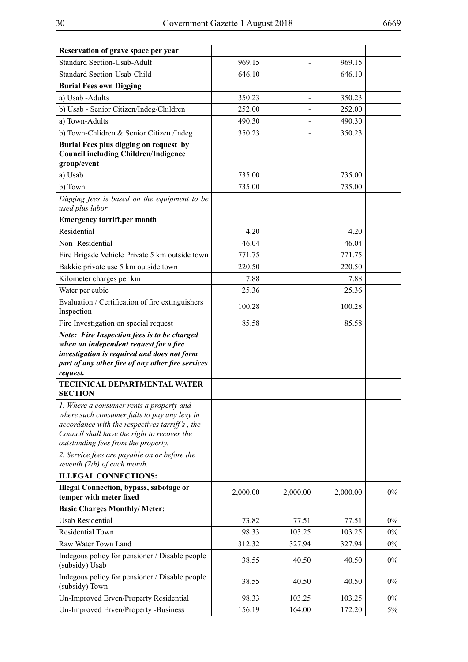| Reservation of grave space per year                                                                                                                                                                                              |          |          |          |       |
|----------------------------------------------------------------------------------------------------------------------------------------------------------------------------------------------------------------------------------|----------|----------|----------|-------|
| <b>Standard Section-Usab-Adult</b>                                                                                                                                                                                               | 969.15   |          | 969.15   |       |
| Standard Section-Usab-Child                                                                                                                                                                                                      | 646.10   |          | 646.10   |       |
| <b>Burial Fees own Digging</b>                                                                                                                                                                                                   |          |          |          |       |
| a) Usab -Adults                                                                                                                                                                                                                  | 350.23   |          | 350.23   |       |
| b) Usab - Senior Citizen/Indeg/Children                                                                                                                                                                                          | 252.00   |          | 252.00   |       |
| a) Town-Adults                                                                                                                                                                                                                   | 490.30   |          | 490.30   |       |
| b) Town-Chlidren & Senior Citizen /Indeg                                                                                                                                                                                         | 350.23   |          | 350.23   |       |
| Burial Fees plus digging on request by<br><b>Council including Children/Indigence</b><br>group/event                                                                                                                             |          |          |          |       |
| a) Usab                                                                                                                                                                                                                          | 735.00   |          | 735.00   |       |
| b) Town                                                                                                                                                                                                                          | 735.00   |          | 735.00   |       |
| Digging fees is based on the equipment to be<br>used plus labor                                                                                                                                                                  |          |          |          |       |
| <b>Emergency tarriff,per month</b>                                                                                                                                                                                               |          |          |          |       |
| Residential                                                                                                                                                                                                                      | 4.20     |          | 4.20     |       |
| Non-Residential                                                                                                                                                                                                                  | 46.04    |          | 46.04    |       |
| Fire Brigade Vehicle Private 5 km outside town                                                                                                                                                                                   | 771.75   |          | 771.75   |       |
| Bakkie private use 5 km outside town                                                                                                                                                                                             | 220.50   |          | 220.50   |       |
| Kilometer charges per km                                                                                                                                                                                                         | 7.88     |          | 7.88     |       |
| Water per cubic                                                                                                                                                                                                                  | 25.36    |          | 25.36    |       |
| Evaluation / Certification of fire extinguishers<br>Inspection                                                                                                                                                                   | 100.28   |          | 100.28   |       |
| Fire Investigation on special request                                                                                                                                                                                            | 85.58    |          | 85.58    |       |
| Note: Fire Inspection fees is to be charged<br>when an independent request for a fire<br>investigation is required and does not form<br>part of any other fire of any other fire services<br>request.                            |          |          |          |       |
| TECHNICAL DEPARTMENTAL WATER<br><b>SECTION</b>                                                                                                                                                                                   |          |          |          |       |
| 1. Where a consumer rents a property and<br>where such consumer fails to pay any levy in<br>accordance with the respectives tarriff's, the<br>Council shall have the right to recover the<br>outstanding fees from the property. |          |          |          |       |
| 2. Service fees are payable on or before the<br>seventh (7th) of each month.                                                                                                                                                     |          |          |          |       |
| <b>ILLEGAL CONNECTIONS:</b>                                                                                                                                                                                                      |          |          |          |       |
| <b>Illegal Connection, bypass, sabotage or</b><br>temper with meter fixed                                                                                                                                                        | 2,000.00 | 2,000.00 | 2,000.00 | $0\%$ |
| <b>Basic Charges Monthly/ Meter:</b>                                                                                                                                                                                             |          |          |          |       |
| <b>Usab Residential</b>                                                                                                                                                                                                          | 73.82    | 77.51    | 77.51    | $0\%$ |
| Residential Town                                                                                                                                                                                                                 | 98.33    | 103.25   | 103.25   | $0\%$ |
| Raw Water Town Land                                                                                                                                                                                                              | 312.32   | 327.94   | 327.94   | $0\%$ |
| Indegous policy for pensioner / Disable people<br>(subsidy) Usab                                                                                                                                                                 | 38.55    | 40.50    | 40.50    | $0\%$ |
| Indegous policy for pensioner / Disable people<br>(subsidy) Town                                                                                                                                                                 | 38.55    | 40.50    | 40.50    | $0\%$ |
| Un-Improved Erven/Property Residential                                                                                                                                                                                           | 98.33    | 103.25   | 103.25   | $0\%$ |
| Un-Improved Erven/Property -Business                                                                                                                                                                                             | 156.19   | 164.00   | 172.20   | 5%    |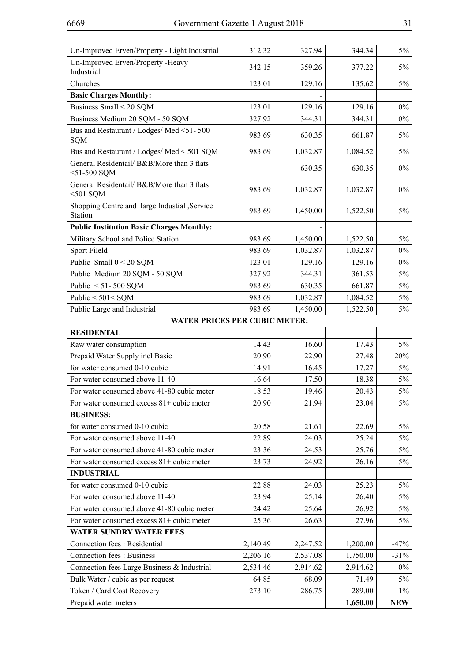| Un-Improved Erven/Property - Light Industrial                | 312.32   | 327.94   | 344.34   | $5\%$      |
|--------------------------------------------------------------|----------|----------|----------|------------|
| Un-Improved Erven/Property -Heavy<br>Industrial              | 342.15   | 359.26   | 377.22   | $5\%$      |
| Churches                                                     | 123.01   | 129.16   | 135.62   | $5\%$      |
| <b>Basic Charges Monthly:</b>                                |          |          |          |            |
| Business Small < 20 SQM                                      | 123.01   | 129.16   | 129.16   | $0\%$      |
| Business Medium 20 SQM - 50 SQM                              | 327.92   | 344.31   | 344.31   | $0\%$      |
| Bus and Restaurant / Lodges/ Med <51-500<br><b>SQM</b>       | 983.69   | 630.35   | 661.87   | $5\%$      |
| Bus and Restaurant / Lodges/ Med < 501 SQM                   | 983.69   | 1,032.87 | 1,084.52 | $5\%$      |
| General Residentail/ B&B/More than 3 flats<br>$<$ 51-500 SQM |          | 630.35   | 630.35   | $0\%$      |
| General Residentail/ B&B/More than 3 flats<br>$<$ 501 SQM    | 983.69   | 1,032.87 | 1,032.87 | $0\%$      |
| Shopping Centre and large Industial , Service<br>Station     | 983.69   | 1,450.00 | 1,522.50 | $5\%$      |
| <b>Public Institution Basic Charges Monthly:</b>             |          |          |          |            |
| Military School and Police Station                           | 983.69   | 1,450.00 | 1,522.50 | $5\%$      |
| Sport Fileld                                                 | 983.69   | 1,032.87 | 1,032.87 | $0\%$      |
| Public Small $0 < 20$ SQM                                    | 123.01   | 129.16   | 129.16   | $0\%$      |
| Public Medium 20 SQM - 50 SQM                                | 327.92   | 344.31   | 361.53   | $5\%$      |
| Public $< 51 - 500$ SQM                                      | 983.69   | 630.35   | 661.87   | $5\%$      |
| Public $< 501 <$ SQM                                         | 983.69   | 1,032.87 | 1,084.52 | $5\%$      |
| Public Large and Industrial                                  | 983.69   | 1,450.00 | 1,522.50 | $5\%$      |
| <b>WATER PRICES PER CUBIC METER:</b>                         |          |          |          |            |
| <b>RESIDENTAL</b>                                            |          |          |          |            |
| Raw water consumption                                        | 14.43    | 16.60    | 17.43    | $5\%$      |
| Prepaid Water Supply incl Basic                              | 20.90    | 22.90    | 27.48    | 20%        |
| for water consumed 0-10 cubic                                | 14.91    | 16.45    | 17.27    | $5\%$      |
| For water consumed above 11-40                               | 16.64    | 17.50    | 18.38    | $5\%$      |
| For water consumed above 41-80 cubic meter                   | 18.53    | 19.46    | 20.43    | $5\%$      |
| For water consumed excess 81+ cubic meter                    | 20.90    | 21.94    | 23.04    | $5\%$      |
| <b>BUSINESS:</b>                                             |          |          |          |            |
| for water consumed 0-10 cubic                                | 20.58    | 21.61    | 22.69    | $5\%$      |
| For water consumed above 11-40                               | 22.89    | 24.03    | 25.24    | $5\%$      |
| For water consumed above 41-80 cubic meter                   | 23.36    | 24.53    | 25.76    | 5%         |
| For water consumed excess $81+$ cubic meter                  | 23.73    | 24.92    | 26.16    | $5\%$      |
| <b>INDUSTRIAL</b>                                            |          |          |          |            |
| for water consumed 0-10 cubic                                | 22.88    | 24.03    | 25.23    | $5\%$      |
| For water consumed above 11-40                               | 23.94    | 25.14    | 26.40    | $5\%$      |
| For water consumed above 41-80 cubic meter                   | 24.42    | 25.64    | 26.92    | $5\%$      |
| For water consumed excess $81+$ cubic meter                  | 25.36    | 26.63    | 27.96    | $5\%$      |
| WATER SUNDRY WATER FEES                                      |          |          |          |            |
| Connection fees : Residential                                | 2,140.49 | 2,247.52 | 1,200.00 | $-47%$     |
| <b>Connection fees: Business</b>                             | 2,206.16 | 2,537.08 | 1,750.00 | $-31%$     |
| Connection fees Large Business & Industrial                  | 2,534.46 | 2,914.62 | 2,914.62 | $0\%$      |
| Bulk Water / cubic as per request                            | 64.85    | 68.09    | 71.49    | $5\%$      |
| Token / Card Cost Recovery                                   | 273.10   | 286.75   | 289.00   | $1\%$      |
| Prepaid water meters                                         |          |          | 1,650.00 | <b>NEW</b> |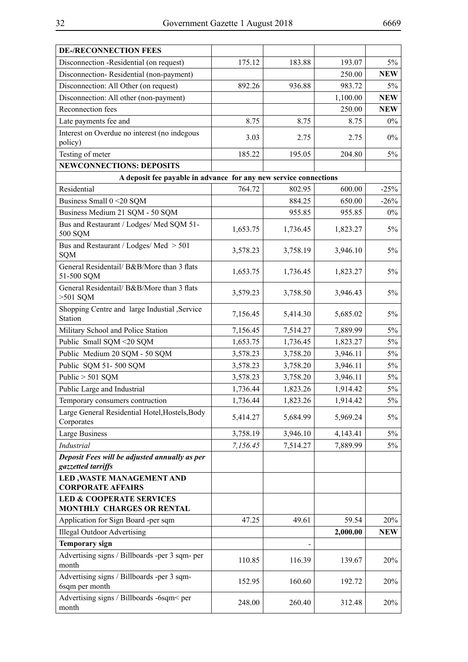| 175.12<br>193.07<br>Disconnection -Residential (on request)<br>183.88<br>Disconnection-Residential (non-payment)<br>250.00<br>Disconnection: All Other (on request)<br>892.26<br>983.72<br>936.88<br>Disconnection: All other (non-payment)<br>1,100.00<br>Reconnection fees<br>250.00<br>Late payments fee and<br>8.75<br>8.75<br>8.75<br>Interest on Overdue no interest (no indegous<br>3.03<br>$0\%$<br>2.75<br>2.75<br>policy)<br>Testing of meter<br>185.22<br>195.05<br>204.80<br><b>NEWCONNECTIONS: DEPOSITS</b><br>A deposit fee payable in advance for any new service connections<br>Residential<br>764.72<br>600.00<br>802.95<br>Business Small 0 < 20 SQM<br>884.25<br>650.00<br>Business Medium 21 SQM - 50 SQM<br>955.85<br>955.85<br>Bus and Restaurant / Lodges/ Med SQM 51-<br>1,653.75<br>1,736.45<br>1,823.27<br>500 SQM<br>Bus and Restaurant / Lodges/ Med > 501<br>3,578.23<br>3,758.19<br>3,946.10<br><b>SQM</b><br>General Residentail/ B&B/More than 3 flats<br>1,653.75<br>1,736.45<br>1,823.27<br>51-500 SQM<br>General Residentail/ B&B/More than 3 flats<br>3,579.23<br>3,758.50<br>3,946.43<br>$>501$ SQM<br>Shopping Centre and large Industial , Service<br>7,156.45<br>5,414.30<br>5,685.02<br>Station<br>Military School and Police Station<br>7,156.45<br>7,514.27<br>7,889.99<br>Public Small SQM <20 SQM<br>1,653.75<br>1,736.45<br>1,823.27<br>Public Medium 20 SQM - 50 SQM<br>3,578.23<br>3,758.20<br>3,946.11<br>Public SQM 51-500 SQM<br>3,578.23<br>3,758.20<br>3,946.11<br>Public > 501 SQM<br>3,578.23<br>3,758.20<br>3,946.11<br>Public Large and Industrial<br>1,736.44<br>1,823.26<br>1,914.42<br>1,736.44<br>1,823.26<br>1,914.42<br>Temporary consumers contruction<br>Large General Residential Hotel, Hostels, Body<br>5,414.27<br>5,684.99<br>5,969.24<br>Corporates<br>Large Business<br>3,758.19<br>3,946.10<br>4,143.41<br>Industrial<br>7,156.45<br>7,514.27<br>7,889.99<br>Deposit Fees will be adjusted annually as per<br>gazzetted tarriffs<br><b>LED, WASTE MANAGEMENT AND</b><br><b>CORPORATE AFFAIRS</b><br><b>LED &amp; COOPERATE SERVICES</b><br>MONTHLY CHARGES OR RENTAL<br>59.54<br>Application for Sign Board -per sqm<br>49.61<br>47.25<br><b>Illegal Outdoor Advertising</b><br>2,000.00<br><b>Temporary sign</b><br>Advertising signs / Billboards -per 3 sqm- per<br>110.85<br>116.39<br>139.67<br>month<br>Advertising signs / Billboards -per 3 sqm-<br>152.95<br>160.60<br>192.72<br>6sqm per month<br>Advertising signs / Billboards -6sqm< per<br>248.00<br>260.40<br>312.48<br>month | <b>DE-/RECONNECTION FEES</b> |  |            |
|-----------------------------------------------------------------------------------------------------------------------------------------------------------------------------------------------------------------------------------------------------------------------------------------------------------------------------------------------------------------------------------------------------------------------------------------------------------------------------------------------------------------------------------------------------------------------------------------------------------------------------------------------------------------------------------------------------------------------------------------------------------------------------------------------------------------------------------------------------------------------------------------------------------------------------------------------------------------------------------------------------------------------------------------------------------------------------------------------------------------------------------------------------------------------------------------------------------------------------------------------------------------------------------------------------------------------------------------------------------------------------------------------------------------------------------------------------------------------------------------------------------------------------------------------------------------------------------------------------------------------------------------------------------------------------------------------------------------------------------------------------------------------------------------------------------------------------------------------------------------------------------------------------------------------------------------------------------------------------------------------------------------------------------------------------------------------------------------------------------------------------------------------------------------------------------------------------------------------------------------------------------------------------------------------------------------------------------------------------------------------------------------------------------------------------------------------------------------------------------------------------------------------------------------------------------------------|------------------------------|--|------------|
|                                                                                                                                                                                                                                                                                                                                                                                                                                                                                                                                                                                                                                                                                                                                                                                                                                                                                                                                                                                                                                                                                                                                                                                                                                                                                                                                                                                                                                                                                                                                                                                                                                                                                                                                                                                                                                                                                                                                                                                                                                                                                                                                                                                                                                                                                                                                                                                                                                                                                                                                                                       |                              |  | $5\%$      |
|                                                                                                                                                                                                                                                                                                                                                                                                                                                                                                                                                                                                                                                                                                                                                                                                                                                                                                                                                                                                                                                                                                                                                                                                                                                                                                                                                                                                                                                                                                                                                                                                                                                                                                                                                                                                                                                                                                                                                                                                                                                                                                                                                                                                                                                                                                                                                                                                                                                                                                                                                                       |                              |  | <b>NEW</b> |
|                                                                                                                                                                                                                                                                                                                                                                                                                                                                                                                                                                                                                                                                                                                                                                                                                                                                                                                                                                                                                                                                                                                                                                                                                                                                                                                                                                                                                                                                                                                                                                                                                                                                                                                                                                                                                                                                                                                                                                                                                                                                                                                                                                                                                                                                                                                                                                                                                                                                                                                                                                       |                              |  | $5\%$      |
|                                                                                                                                                                                                                                                                                                                                                                                                                                                                                                                                                                                                                                                                                                                                                                                                                                                                                                                                                                                                                                                                                                                                                                                                                                                                                                                                                                                                                                                                                                                                                                                                                                                                                                                                                                                                                                                                                                                                                                                                                                                                                                                                                                                                                                                                                                                                                                                                                                                                                                                                                                       |                              |  | <b>NEW</b> |
|                                                                                                                                                                                                                                                                                                                                                                                                                                                                                                                                                                                                                                                                                                                                                                                                                                                                                                                                                                                                                                                                                                                                                                                                                                                                                                                                                                                                                                                                                                                                                                                                                                                                                                                                                                                                                                                                                                                                                                                                                                                                                                                                                                                                                                                                                                                                                                                                                                                                                                                                                                       |                              |  | <b>NEW</b> |
|                                                                                                                                                                                                                                                                                                                                                                                                                                                                                                                                                                                                                                                                                                                                                                                                                                                                                                                                                                                                                                                                                                                                                                                                                                                                                                                                                                                                                                                                                                                                                                                                                                                                                                                                                                                                                                                                                                                                                                                                                                                                                                                                                                                                                                                                                                                                                                                                                                                                                                                                                                       |                              |  | $0\%$      |
|                                                                                                                                                                                                                                                                                                                                                                                                                                                                                                                                                                                                                                                                                                                                                                                                                                                                                                                                                                                                                                                                                                                                                                                                                                                                                                                                                                                                                                                                                                                                                                                                                                                                                                                                                                                                                                                                                                                                                                                                                                                                                                                                                                                                                                                                                                                                                                                                                                                                                                                                                                       |                              |  |            |
|                                                                                                                                                                                                                                                                                                                                                                                                                                                                                                                                                                                                                                                                                                                                                                                                                                                                                                                                                                                                                                                                                                                                                                                                                                                                                                                                                                                                                                                                                                                                                                                                                                                                                                                                                                                                                                                                                                                                                                                                                                                                                                                                                                                                                                                                                                                                                                                                                                                                                                                                                                       |                              |  |            |
|                                                                                                                                                                                                                                                                                                                                                                                                                                                                                                                                                                                                                                                                                                                                                                                                                                                                                                                                                                                                                                                                                                                                                                                                                                                                                                                                                                                                                                                                                                                                                                                                                                                                                                                                                                                                                                                                                                                                                                                                                                                                                                                                                                                                                                                                                                                                                                                                                                                                                                                                                                       |                              |  | $5\%$      |
|                                                                                                                                                                                                                                                                                                                                                                                                                                                                                                                                                                                                                                                                                                                                                                                                                                                                                                                                                                                                                                                                                                                                                                                                                                                                                                                                                                                                                                                                                                                                                                                                                                                                                                                                                                                                                                                                                                                                                                                                                                                                                                                                                                                                                                                                                                                                                                                                                                                                                                                                                                       |                              |  |            |
|                                                                                                                                                                                                                                                                                                                                                                                                                                                                                                                                                                                                                                                                                                                                                                                                                                                                                                                                                                                                                                                                                                                                                                                                                                                                                                                                                                                                                                                                                                                                                                                                                                                                                                                                                                                                                                                                                                                                                                                                                                                                                                                                                                                                                                                                                                                                                                                                                                                                                                                                                                       |                              |  |            |
|                                                                                                                                                                                                                                                                                                                                                                                                                                                                                                                                                                                                                                                                                                                                                                                                                                                                                                                                                                                                                                                                                                                                                                                                                                                                                                                                                                                                                                                                                                                                                                                                                                                                                                                                                                                                                                                                                                                                                                                                                                                                                                                                                                                                                                                                                                                                                                                                                                                                                                                                                                       |                              |  | $-25%$     |
|                                                                                                                                                                                                                                                                                                                                                                                                                                                                                                                                                                                                                                                                                                                                                                                                                                                                                                                                                                                                                                                                                                                                                                                                                                                                                                                                                                                                                                                                                                                                                                                                                                                                                                                                                                                                                                                                                                                                                                                                                                                                                                                                                                                                                                                                                                                                                                                                                                                                                                                                                                       |                              |  | $-26%$     |
|                                                                                                                                                                                                                                                                                                                                                                                                                                                                                                                                                                                                                                                                                                                                                                                                                                                                                                                                                                                                                                                                                                                                                                                                                                                                                                                                                                                                                                                                                                                                                                                                                                                                                                                                                                                                                                                                                                                                                                                                                                                                                                                                                                                                                                                                                                                                                                                                                                                                                                                                                                       |                              |  | $0\%$      |
|                                                                                                                                                                                                                                                                                                                                                                                                                                                                                                                                                                                                                                                                                                                                                                                                                                                                                                                                                                                                                                                                                                                                                                                                                                                                                                                                                                                                                                                                                                                                                                                                                                                                                                                                                                                                                                                                                                                                                                                                                                                                                                                                                                                                                                                                                                                                                                                                                                                                                                                                                                       |                              |  | $5\%$      |
|                                                                                                                                                                                                                                                                                                                                                                                                                                                                                                                                                                                                                                                                                                                                                                                                                                                                                                                                                                                                                                                                                                                                                                                                                                                                                                                                                                                                                                                                                                                                                                                                                                                                                                                                                                                                                                                                                                                                                                                                                                                                                                                                                                                                                                                                                                                                                                                                                                                                                                                                                                       |                              |  | $5\%$      |
|                                                                                                                                                                                                                                                                                                                                                                                                                                                                                                                                                                                                                                                                                                                                                                                                                                                                                                                                                                                                                                                                                                                                                                                                                                                                                                                                                                                                                                                                                                                                                                                                                                                                                                                                                                                                                                                                                                                                                                                                                                                                                                                                                                                                                                                                                                                                                                                                                                                                                                                                                                       |                              |  | 5%         |
|                                                                                                                                                                                                                                                                                                                                                                                                                                                                                                                                                                                                                                                                                                                                                                                                                                                                                                                                                                                                                                                                                                                                                                                                                                                                                                                                                                                                                                                                                                                                                                                                                                                                                                                                                                                                                                                                                                                                                                                                                                                                                                                                                                                                                                                                                                                                                                                                                                                                                                                                                                       |                              |  | $5\%$      |
|                                                                                                                                                                                                                                                                                                                                                                                                                                                                                                                                                                                                                                                                                                                                                                                                                                                                                                                                                                                                                                                                                                                                                                                                                                                                                                                                                                                                                                                                                                                                                                                                                                                                                                                                                                                                                                                                                                                                                                                                                                                                                                                                                                                                                                                                                                                                                                                                                                                                                                                                                                       |                              |  | $5\%$      |
|                                                                                                                                                                                                                                                                                                                                                                                                                                                                                                                                                                                                                                                                                                                                                                                                                                                                                                                                                                                                                                                                                                                                                                                                                                                                                                                                                                                                                                                                                                                                                                                                                                                                                                                                                                                                                                                                                                                                                                                                                                                                                                                                                                                                                                                                                                                                                                                                                                                                                                                                                                       |                              |  | $5\%$      |
|                                                                                                                                                                                                                                                                                                                                                                                                                                                                                                                                                                                                                                                                                                                                                                                                                                                                                                                                                                                                                                                                                                                                                                                                                                                                                                                                                                                                                                                                                                                                                                                                                                                                                                                                                                                                                                                                                                                                                                                                                                                                                                                                                                                                                                                                                                                                                                                                                                                                                                                                                                       |                              |  | 5%         |
|                                                                                                                                                                                                                                                                                                                                                                                                                                                                                                                                                                                                                                                                                                                                                                                                                                                                                                                                                                                                                                                                                                                                                                                                                                                                                                                                                                                                                                                                                                                                                                                                                                                                                                                                                                                                                                                                                                                                                                                                                                                                                                                                                                                                                                                                                                                                                                                                                                                                                                                                                                       |                              |  | $5\%$      |
|                                                                                                                                                                                                                                                                                                                                                                                                                                                                                                                                                                                                                                                                                                                                                                                                                                                                                                                                                                                                                                                                                                                                                                                                                                                                                                                                                                                                                                                                                                                                                                                                                                                                                                                                                                                                                                                                                                                                                                                                                                                                                                                                                                                                                                                                                                                                                                                                                                                                                                                                                                       |                              |  | $5\%$      |
|                                                                                                                                                                                                                                                                                                                                                                                                                                                                                                                                                                                                                                                                                                                                                                                                                                                                                                                                                                                                                                                                                                                                                                                                                                                                                                                                                                                                                                                                                                                                                                                                                                                                                                                                                                                                                                                                                                                                                                                                                                                                                                                                                                                                                                                                                                                                                                                                                                                                                                                                                                       |                              |  | $5\%$      |
|                                                                                                                                                                                                                                                                                                                                                                                                                                                                                                                                                                                                                                                                                                                                                                                                                                                                                                                                                                                                                                                                                                                                                                                                                                                                                                                                                                                                                                                                                                                                                                                                                                                                                                                                                                                                                                                                                                                                                                                                                                                                                                                                                                                                                                                                                                                                                                                                                                                                                                                                                                       |                              |  | $5\%$      |
|                                                                                                                                                                                                                                                                                                                                                                                                                                                                                                                                                                                                                                                                                                                                                                                                                                                                                                                                                                                                                                                                                                                                                                                                                                                                                                                                                                                                                                                                                                                                                                                                                                                                                                                                                                                                                                                                                                                                                                                                                                                                                                                                                                                                                                                                                                                                                                                                                                                                                                                                                                       |                              |  | $5\%$      |
|                                                                                                                                                                                                                                                                                                                                                                                                                                                                                                                                                                                                                                                                                                                                                                                                                                                                                                                                                                                                                                                                                                                                                                                                                                                                                                                                                                                                                                                                                                                                                                                                                                                                                                                                                                                                                                                                                                                                                                                                                                                                                                                                                                                                                                                                                                                                                                                                                                                                                                                                                                       |                              |  | 5%         |
|                                                                                                                                                                                                                                                                                                                                                                                                                                                                                                                                                                                                                                                                                                                                                                                                                                                                                                                                                                                                                                                                                                                                                                                                                                                                                                                                                                                                                                                                                                                                                                                                                                                                                                                                                                                                                                                                                                                                                                                                                                                                                                                                                                                                                                                                                                                                                                                                                                                                                                                                                                       |                              |  | 5%         |
|                                                                                                                                                                                                                                                                                                                                                                                                                                                                                                                                                                                                                                                                                                                                                                                                                                                                                                                                                                                                                                                                                                                                                                                                                                                                                                                                                                                                                                                                                                                                                                                                                                                                                                                                                                                                                                                                                                                                                                                                                                                                                                                                                                                                                                                                                                                                                                                                                                                                                                                                                                       |                              |  | 5%         |
|                                                                                                                                                                                                                                                                                                                                                                                                                                                                                                                                                                                                                                                                                                                                                                                                                                                                                                                                                                                                                                                                                                                                                                                                                                                                                                                                                                                                                                                                                                                                                                                                                                                                                                                                                                                                                                                                                                                                                                                                                                                                                                                                                                                                                                                                                                                                                                                                                                                                                                                                                                       |                              |  |            |
|                                                                                                                                                                                                                                                                                                                                                                                                                                                                                                                                                                                                                                                                                                                                                                                                                                                                                                                                                                                                                                                                                                                                                                                                                                                                                                                                                                                                                                                                                                                                                                                                                                                                                                                                                                                                                                                                                                                                                                                                                                                                                                                                                                                                                                                                                                                                                                                                                                                                                                                                                                       |                              |  |            |
|                                                                                                                                                                                                                                                                                                                                                                                                                                                                                                                                                                                                                                                                                                                                                                                                                                                                                                                                                                                                                                                                                                                                                                                                                                                                                                                                                                                                                                                                                                                                                                                                                                                                                                                                                                                                                                                                                                                                                                                                                                                                                                                                                                                                                                                                                                                                                                                                                                                                                                                                                                       |                              |  |            |
|                                                                                                                                                                                                                                                                                                                                                                                                                                                                                                                                                                                                                                                                                                                                                                                                                                                                                                                                                                                                                                                                                                                                                                                                                                                                                                                                                                                                                                                                                                                                                                                                                                                                                                                                                                                                                                                                                                                                                                                                                                                                                                                                                                                                                                                                                                                                                                                                                                                                                                                                                                       |                              |  | 20%        |
|                                                                                                                                                                                                                                                                                                                                                                                                                                                                                                                                                                                                                                                                                                                                                                                                                                                                                                                                                                                                                                                                                                                                                                                                                                                                                                                                                                                                                                                                                                                                                                                                                                                                                                                                                                                                                                                                                                                                                                                                                                                                                                                                                                                                                                                                                                                                                                                                                                                                                                                                                                       |                              |  | <b>NEW</b> |
|                                                                                                                                                                                                                                                                                                                                                                                                                                                                                                                                                                                                                                                                                                                                                                                                                                                                                                                                                                                                                                                                                                                                                                                                                                                                                                                                                                                                                                                                                                                                                                                                                                                                                                                                                                                                                                                                                                                                                                                                                                                                                                                                                                                                                                                                                                                                                                                                                                                                                                                                                                       |                              |  |            |
|                                                                                                                                                                                                                                                                                                                                                                                                                                                                                                                                                                                                                                                                                                                                                                                                                                                                                                                                                                                                                                                                                                                                                                                                                                                                                                                                                                                                                                                                                                                                                                                                                                                                                                                                                                                                                                                                                                                                                                                                                                                                                                                                                                                                                                                                                                                                                                                                                                                                                                                                                                       |                              |  | 20%        |
|                                                                                                                                                                                                                                                                                                                                                                                                                                                                                                                                                                                                                                                                                                                                                                                                                                                                                                                                                                                                                                                                                                                                                                                                                                                                                                                                                                                                                                                                                                                                                                                                                                                                                                                                                                                                                                                                                                                                                                                                                                                                                                                                                                                                                                                                                                                                                                                                                                                                                                                                                                       |                              |  | 20%        |
|                                                                                                                                                                                                                                                                                                                                                                                                                                                                                                                                                                                                                                                                                                                                                                                                                                                                                                                                                                                                                                                                                                                                                                                                                                                                                                                                                                                                                                                                                                                                                                                                                                                                                                                                                                                                                                                                                                                                                                                                                                                                                                                                                                                                                                                                                                                                                                                                                                                                                                                                                                       |                              |  | 20%        |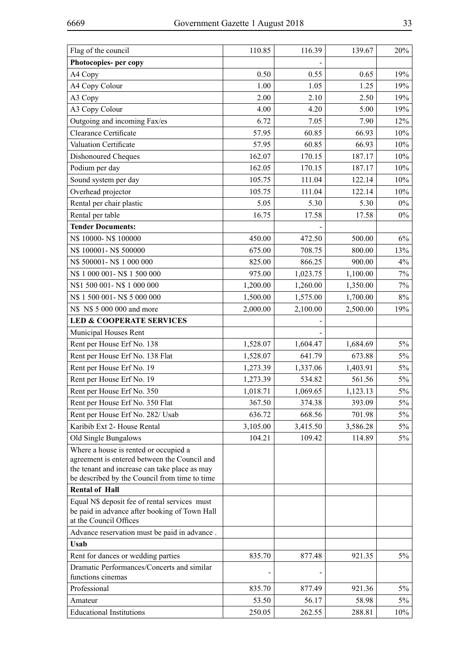| Flag of the council                                                                                                                                                                     | 110.85   | 116.39   | 139.67   | 20%   |
|-----------------------------------------------------------------------------------------------------------------------------------------------------------------------------------------|----------|----------|----------|-------|
| Photocopies- per copy                                                                                                                                                                   |          |          |          |       |
| A4 Copy                                                                                                                                                                                 | 0.50     | 0.55     | 0.65     | 19%   |
| A4 Copy Colour                                                                                                                                                                          | 1.00     | 1.05     | 1.25     | 19%   |
| A3 Copy                                                                                                                                                                                 | 2.00     | 2.10     | 2.50     | 19%   |
| A3 Copy Colour                                                                                                                                                                          | 4.00     | 4.20     | 5.00     | 19%   |
| Outgoing and incoming Fax/es                                                                                                                                                            | 6.72     | 7.05     | 7.90     | 12%   |
| Clearance Certificate                                                                                                                                                                   | 57.95    | 60.85    | 66.93    | 10%   |
| Valuation Certificate                                                                                                                                                                   | 57.95    | 60.85    | 66.93    | 10%   |
| Dishonoured Cheques                                                                                                                                                                     | 162.07   | 170.15   | 187.17   | 10%   |
| Podium per day                                                                                                                                                                          | 162.05   | 170.15   | 187.17   | 10%   |
| Sound system per day                                                                                                                                                                    | 105.75   | 111.04   | 122.14   | 10%   |
| Overhead projector                                                                                                                                                                      | 105.75   | 111.04   | 122.14   | 10%   |
| Rental per chair plastic                                                                                                                                                                | 5.05     | 5.30     | 5.30     | $0\%$ |
| Rental per table                                                                                                                                                                        | 16.75    | 17.58    | 17.58    | $0\%$ |
| <b>Tender Documents:</b>                                                                                                                                                                |          |          |          |       |
| N\$ 10000-N\$ 100000                                                                                                                                                                    | 450.00   | 472.50   | 500.00   | 6%    |
| N\$ 100001-N\$ 500000                                                                                                                                                                   | 675.00   | 708.75   | 800.00   | 13%   |
| N\$ 500001-N\$ 1 000 000                                                                                                                                                                | 825.00   | 866.25   | 900.00   | $4\%$ |
| N\$ 1 000 001-N\$ 1 500 000                                                                                                                                                             | 975.00   | 1,023.75 | 1,100.00 | $7\%$ |
| N\$1 500 001-N\$1 000 000                                                                                                                                                               | 1,200.00 | 1,260.00 | 1,350.00 | 7%    |
| N\$ 1 500 001-N\$ 5 000 000                                                                                                                                                             | 1,500.00 | 1,575.00 | 1,700.00 | $8\%$ |
| N\$ N\$ 5 000 000 and more                                                                                                                                                              | 2,000.00 | 2,100.00 | 2,500.00 | 19%   |
| <b>LED &amp; COOPERATE SERVICES</b>                                                                                                                                                     |          |          |          |       |
| Municipal Houses Rent                                                                                                                                                                   |          |          |          |       |
| Rent per House Erf No. 138                                                                                                                                                              | 1,528.07 | 1,604.47 | 1,684.69 | $5\%$ |
| Rent per House Erf No. 138 Flat                                                                                                                                                         | 1,528.07 | 641.79   | 673.88   | $5\%$ |
| Rent per House Erf No. 19                                                                                                                                                               | 1,273.39 | 1,337.06 | 1,403.91 | $5\%$ |
| Rent per House Erf No. 19                                                                                                                                                               | 1,273.39 | 534.82   | 561.56   | 5%    |
| Rent per House Erf No. 350                                                                                                                                                              | 1,018.71 | 1,069.65 | 1,123.13 | $5\%$ |
| Rent per House Erf No. 350 Flat                                                                                                                                                         | 367.50   | 374.38   | 393.09   | $5\%$ |
| Rent per House Erf No. 282/ Usab                                                                                                                                                        | 636.72   | 668.56   | 701.98   | $5\%$ |
| Karibib Ext 2- House Rental                                                                                                                                                             | 3,105.00 | 3,415.50 | 3,586.28 | 5%    |
| Old Single Bungalows                                                                                                                                                                    | 104.21   | 109.42   | 114.89   | $5\%$ |
| Where a house is rented or occupied a<br>agreement is entered between the Council and<br>the tenant and increase can take place as may<br>be described by the Council from time to time |          |          |          |       |
| <b>Rental of Hall</b>                                                                                                                                                                   |          |          |          |       |
| Equal N\$ deposit fee of rental services must<br>be paid in advance after booking of Town Hall<br>at the Council Offices                                                                |          |          |          |       |
| Advance reservation must be paid in advance.                                                                                                                                            |          |          |          |       |
| <b>Usab</b>                                                                                                                                                                             |          |          |          |       |
| Rent for dances or wedding parties                                                                                                                                                      | 835.70   | 877.48   | 921.35   | $5\%$ |
| Dramatic Performances/Concerts and similar<br>functions cinemas                                                                                                                         |          |          |          |       |
| Professional                                                                                                                                                                            | 835.70   | 877.49   | 921.36   | $5\%$ |
| Amateur                                                                                                                                                                                 | 53.50    | 56.17    | 58.98    | 5%    |
| <b>Educational Institutions</b>                                                                                                                                                         | 250.05   | 262.55   | 288.81   | 10%   |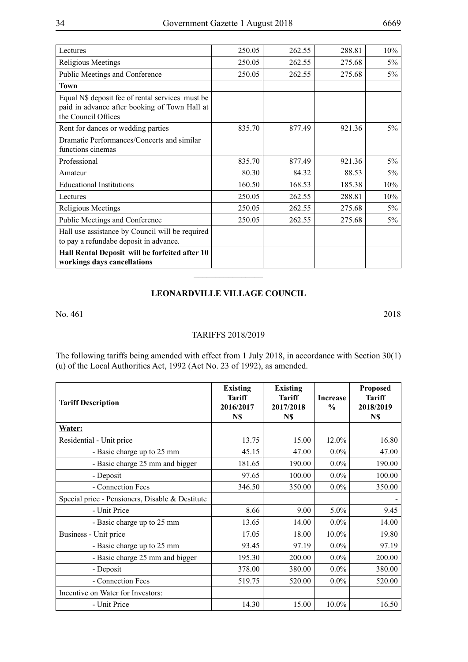| Lectures                                                                                                                 | 250.05 | 262.55 | 288.81 | 10%   |
|--------------------------------------------------------------------------------------------------------------------------|--------|--------|--------|-------|
| <b>Religious Meetings</b>                                                                                                | 250.05 | 262.55 | 275.68 | $5\%$ |
| Public Meetings and Conference                                                                                           | 250.05 | 262.55 | 275.68 | $5\%$ |
| <b>Town</b>                                                                                                              |        |        |        |       |
| Equal N\$ deposit fee of rental services must be<br>paid in advance after booking of Town Hall at<br>the Council Offices |        |        |        |       |
| Rent for dances or wedding parties                                                                                       | 835.70 | 877.49 | 921.36 | $5\%$ |
| Dramatic Performances/Concerts and similar<br>functions cinemas                                                          |        |        |        |       |
| Professional                                                                                                             | 835.70 | 877.49 | 921.36 | $5\%$ |
| Amateur                                                                                                                  | 80.30  | 84.32  | 88.53  | $5\%$ |
| <b>Educational Institutions</b>                                                                                          | 160.50 | 168.53 | 185.38 | 10%   |
| Lectures                                                                                                                 | 250.05 | 262.55 | 288.81 | 10%   |
| Religious Meetings                                                                                                       | 250.05 | 262.55 | 275.68 | 5%    |
| Public Meetings and Conference                                                                                           | 250.05 | 262.55 | 275.68 | $5\%$ |
| Hall use assistance by Council will be required<br>to pay a refundabe deposit in advance.                                |        |        |        |       |
| Hall Rental Deposit will be forfeited after 10<br>workings days cancellations                                            |        |        |        |       |
|                                                                                                                          |        |        |        |       |

## **Leonardville Village Council**

No. 461 2018

## TARIFFS 2018/2019

The following tariffs being amended with effect from 1 July 2018, in accordance with Section 30(1) (u) of the Local Authorities Act, 1992 (Act No. 23 of 1992), as amended.

| <b>Tariff Description</b>                       | <b>Existing</b><br><b>Tariff</b><br>2016/2017<br>N\$ | <b>Existing</b><br><b>Tariff</b><br>2017/2018<br>N\$ | <b>Increase</b><br>$\frac{0}{0}$ | <b>Proposed</b><br><b>Tariff</b><br>2018/2019<br>N\$ |
|-------------------------------------------------|------------------------------------------------------|------------------------------------------------------|----------------------------------|------------------------------------------------------|
| Water:                                          |                                                      |                                                      |                                  |                                                      |
| Residential - Unit price                        | 13.75                                                | 15.00                                                | 12.0%                            | 16.80                                                |
| - Basic charge up to 25 mm                      | 45.15                                                | 47.00                                                | $0.0\%$                          | 47.00                                                |
| - Basic charge 25 mm and bigger                 | 181.65                                               | 190.00                                               | $0.0\%$                          | 190.00                                               |
| - Deposit                                       | 97.65                                                | 100.00                                               | $0.0\%$                          | 100.00                                               |
| - Connection Fees                               | 346.50                                               | 350.00                                               | $0.0\%$                          | 350.00                                               |
| Special price - Pensioners, Disable & Destitute |                                                      |                                                      |                                  |                                                      |
| - Unit Price                                    | 8.66                                                 | 9.00                                                 | 5.0%                             | 9.45                                                 |
| - Basic charge up to 25 mm                      | 13.65                                                | 14.00                                                | $0.0\%$                          | 14.00                                                |
| Business - Unit price                           | 17.05                                                | 18.00                                                | 10.0%                            | 19.80                                                |
| - Basic charge up to 25 mm                      | 93.45                                                | 97.19                                                | $0.0\%$                          | 97.19                                                |
| - Basic charge 25 mm and bigger                 | 195.30                                               | 200.00                                               | $0.0\%$                          | 200.00                                               |
| - Deposit                                       | 378.00                                               | 380.00                                               | $0.0\%$                          | 380.00                                               |
| - Connection Fees                               | 519.75                                               | 520.00                                               | $0.0\%$                          | 520.00                                               |
| Incentive on Water for Investors:               |                                                      |                                                      |                                  |                                                      |
| - Unit Price                                    | 14.30                                                | 15.00                                                | 10.0%                            | 16.50                                                |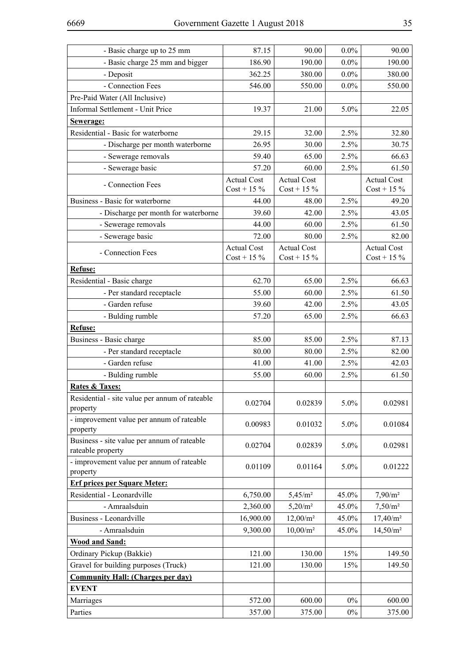| - Basic charge up to 25 mm                                       | 87.15                               | 90.00                               | $0.0\%$ | 90.00                               |
|------------------------------------------------------------------|-------------------------------------|-------------------------------------|---------|-------------------------------------|
| - Basic charge 25 mm and bigger                                  | 186.90                              | 190.00                              | $0.0\%$ | 190.00                              |
| - Deposit                                                        | 362.25                              | 380.00                              | $0.0\%$ | 380.00                              |
| - Connection Fees                                                | 546.00                              | 550.00                              | $0.0\%$ | 550.00                              |
| Pre-Paid Water (All Inclusive)                                   |                                     |                                     |         |                                     |
| Informal Settlement - Unit Price                                 | 19.37                               | 21.00                               | 5.0%    | 22.05                               |
| Sewerage:                                                        |                                     |                                     |         |                                     |
| Residential - Basic for waterborne                               | 29.15                               | 32.00                               | 2.5%    | 32.80                               |
| - Discharge per month waterborne                                 | 26.95                               | 30.00                               | 2.5%    | 30.75                               |
| - Sewerage removals                                              | 59.40                               | 65.00                               | 2.5%    | 66.63                               |
| - Sewerage basic                                                 | 57.20                               | 60.00                               | 2.5%    | 61.50                               |
| - Connection Fees                                                | <b>Actual Cost</b><br>$Cost + 15\%$ | <b>Actual Cost</b><br>$Cost + 15\%$ |         | <b>Actual Cost</b><br>$Cost + 15\%$ |
| Business - Basic for waterborne                                  | 44.00                               | 48.00                               | 2.5%    | 49.20                               |
| - Discharge per month for waterborne                             | 39.60                               | 42.00                               | 2.5%    | 43.05                               |
| - Sewerage removals                                              | 44.00                               | 60.00                               | 2.5%    | 61.50                               |
| - Sewerage basic                                                 | 72.00                               | 80.00                               | 2.5%    | 82.00                               |
| - Connection Fees                                                | <b>Actual Cost</b><br>$Cost + 15\%$ | <b>Actual Cost</b><br>$Cost + 15\%$ |         | <b>Actual Cost</b><br>$Cost + 15\%$ |
| Refuse:                                                          |                                     |                                     |         |                                     |
| Residential - Basic charge                                       | 62.70                               | 65.00                               | 2.5%    | 66.63                               |
| - Per standard receptacle                                        | 55.00                               | 60.00                               | 2.5%    | 61.50                               |
| - Garden refuse                                                  | 39.60                               | 42.00                               | 2.5%    | 43.05                               |
| - Bulding rumble                                                 | 57.20                               | 65.00                               | 2.5%    | 66.63                               |
| Refuse:                                                          |                                     |                                     |         |                                     |
| Business - Basic charge                                          | 85.00                               | 85.00                               | 2.5%    | 87.13                               |
| - Per standard receptacle                                        | 80.00                               | 80.00                               | 2.5%    | 82.00                               |
| - Garden refuse                                                  | 41.00                               | 41.00                               | 2.5%    | 42.03                               |
| - Bulding rumble                                                 | 55.00                               | 60.00                               | 2.5%    | 61.50                               |
| <b>Rates &amp; Taxes:</b>                                        |                                     |                                     |         |                                     |
| Residential - site value per annum of rateable<br>property       | 0.02704                             | 0.02839                             | 5.0%    | 0.02981                             |
| - improvement value per annum of rateable<br>property            | 0.00983                             | 0.01032                             | 5.0%    | 0.01084                             |
| Business - site value per annum of rateable<br>rateable property | 0.02704                             | 0.02839                             | 5.0%    | 0.02981                             |
| - improvement value per annum of rateable<br>property            | 0.01109                             | 0.01164                             | 5.0%    | 0.01222                             |
| <b>Erf prices per Square Meter:</b>                              |                                     |                                     |         |                                     |
| Residential - Leonardville                                       | 6,750.00                            | 5,45/m <sup>2</sup>                 | 45.0%   | $7,90/m^2$                          |
| - Amraalsduin                                                    | 2,360.00                            | $5,20/m^2$                          | 45.0%   | $7,50/m^2$                          |
| Business - Leonardville                                          | 16,900.00                           | $12,00/m^2$                         | 45.0%   | $17,40/m^2$                         |
| - Amraalsduin                                                    | 9,300.00                            | $10,00/m^2$                         | 45.0%   | $14,50/m^2$                         |
| <b>Wood and Sand:</b>                                            |                                     |                                     |         |                                     |
| Ordinary Pickup (Bakkie)                                         | 121.00                              | 130.00                              | 15%     | 149.50                              |
| Gravel for building purposes (Truck)                             | 121.00                              | 130.00                              | 15%     | 149.50                              |
| <b>Community Hall: (Charges per day)</b>                         |                                     |                                     |         |                                     |
| <b>EVENT</b>                                                     |                                     |                                     |         |                                     |
| Marriages                                                        | 572.00                              | 600.00                              | $0\%$   | 600.00                              |
| Parties                                                          | 357.00                              | 375.00                              | $0\%$   | 375.00                              |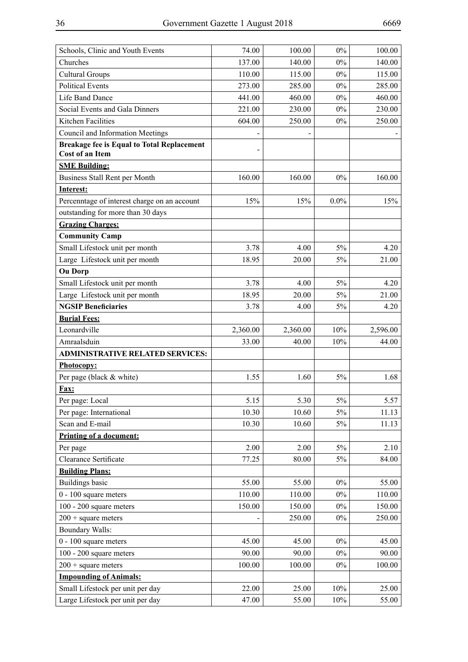| Schools, Clinic and Youth Events                                            | 74.00    | 100.00   | $0\%$   | 100.00   |
|-----------------------------------------------------------------------------|----------|----------|---------|----------|
| Churches                                                                    | 137.00   | 140.00   | $0\%$   | 140.00   |
| <b>Cultural Groups</b>                                                      | 110.00   | 115.00   | $0\%$   | 115.00   |
| <b>Political Events</b>                                                     | 273.00   | 285.00   | $0\%$   | 285.00   |
| <b>Life Band Dance</b>                                                      | 441.00   | 460.00   | $0\%$   | 460.00   |
| Social Events and Gala Dinners                                              | 221.00   | 230.00   | $0\%$   | 230.00   |
| Kitchen Facilities                                                          | 604.00   | 250.00   | $0\%$   | 250.00   |
| Council and Information Meetings                                            |          |          |         |          |
| <b>Breakage fee is Equal to Total Replacement</b><br><b>Cost of an Item</b> |          |          |         |          |
| <b>SME Building:</b>                                                        |          |          |         |          |
| Business Stall Rent per Month                                               | 160.00   | 160.00   | $0\%$   | 160.00   |
| <b>Interest:</b>                                                            |          |          |         |          |
| Percenntage of interest charge on an account                                | 15%      | 15%      | $0.0\%$ | 15%      |
| outstanding for more than 30 days                                           |          |          |         |          |
| <b>Grazing Charges:</b>                                                     |          |          |         |          |
| <b>Community Camp</b>                                                       |          |          |         |          |
| Small Lifestock unit per month                                              | 3.78     | 4.00     | 5%      | 4.20     |
| Large Lifestock unit per month                                              | 18.95    | 20.00    | 5%      | 21.00    |
| <b>Ou Dorp</b>                                                              |          |          |         |          |
| Small Lifestock unit per month                                              | 3.78     | 4.00     | $5\%$   | 4.20     |
| Large Lifestock unit per month                                              | 18.95    | 20.00    | 5%      | 21.00    |
| <b>NGSIP Beneficiaries</b>                                                  | 3.78     | 4.00     | 5%      | 4.20     |
| <b>Burial Fees:</b>                                                         |          |          |         |          |
| Leonardville                                                                | 2,360.00 | 2,360.00 | 10%     | 2,596.00 |
| Amraalsduin                                                                 | 33.00    | 40.00    | 10%     | 44.00    |
| <b>ADMINISTRATIVE RELATED SERVICES:</b>                                     |          |          |         |          |
| Photocopy:                                                                  |          |          |         |          |
| Per page (black & white)                                                    | 1.55     | 1.60     | 5%      | 1.68     |
| Fax:                                                                        |          |          |         |          |
| Per page: Local                                                             | 5.15     | 5.30     | $5\%$   | 5.57     |
| Per page: International                                                     | 10.30    | 10.60    | 5%      | 11.13    |
| Scan and E-mail                                                             | 10.30    | 10.60    | 5%      | 11.13    |
| Printing of a document:                                                     |          |          |         |          |
| Per page                                                                    | 2.00     | 2.00     | $5\%$   | 2.10     |
| Clearance Sertificate                                                       | 77.25    | 80.00    | 5%      | 84.00    |
| <b>Building Plans:</b>                                                      |          |          |         |          |
| <b>Buildings basic</b>                                                      | 55.00    | 55.00    | $0\%$   | 55.00    |
| $0 - 100$ square meters                                                     | 110.00   | 110.00   | $0\%$   | 110.00   |
| 100 - 200 square meters                                                     | 150.00   | 150.00   | $0\%$   | 150.00   |
| $200 + square$ meters                                                       |          | 250.00   | $0\%$   | 250.00   |
| <b>Boundary Walls:</b>                                                      |          |          |         |          |
| $0 - 100$ square meters                                                     | 45.00    | 45.00    | $0\%$   | 45.00    |
| 100 - 200 square meters                                                     | 90.00    | 90.00    | $0\%$   | 90.00    |
| $200 + square$ meters                                                       | 100.00   | 100.00   | $0\%$   | 100.00   |
| <b>Impounding of Animals:</b>                                               |          |          |         |          |
| Small Lifestock per unit per day                                            | 22.00    | 25.00    | 10%     | 25.00    |
| Large Lifestock per unit per day                                            | 47.00    | 55.00    | 10%     | 55.00    |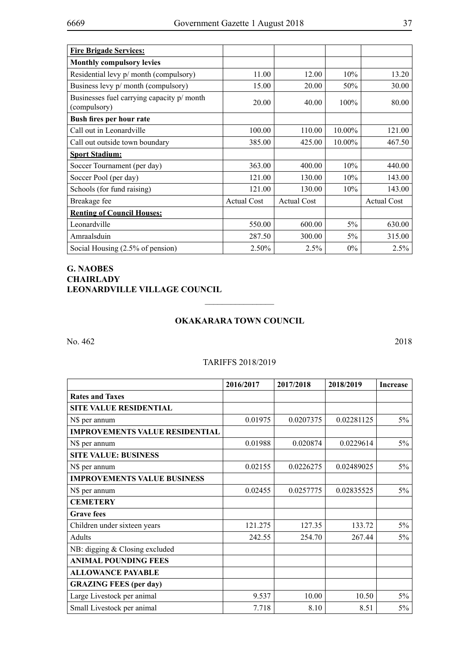| <b>Fire Brigade Services:</b>                              |                    |                    |         |                    |
|------------------------------------------------------------|--------------------|--------------------|---------|--------------------|
| <b>Monthly compulsory levies</b>                           |                    |                    |         |                    |
| Residential levy p/ month (compulsory)                     | 11.00              | 12.00              | 10%     | 13.20              |
| Business levy p/ month (compulsory)                        | 15.00              | 20.00              | 50%     | 30.00              |
| Businesses fuel carrying capacity p/ month<br>(compulsory) | 20.00              | 40.00              | $100\%$ | 80.00              |
| Bush fires per hour rate                                   |                    |                    |         |                    |
| Call out in Leonardville                                   | 100.00             | 110.00             | 10.00%  | 121.00             |
| Call out outside town boundary                             | 385.00             | 425.00             | 10.00%  | 467.50             |
| <b>Sport Stadium:</b>                                      |                    |                    |         |                    |
| Soccer Tournament (per day)                                | 363.00             | 400.00             | 10%     | 440.00             |
| Soccer Pool (per day)                                      | 121.00             | 130.00             | 10%     | 143.00             |
| Schools (for fund raising)                                 | 121.00             | 130.00             | 10%     | 143.00             |
| Breakage fee                                               | <b>Actual Cost</b> | <b>Actual Cost</b> |         | <b>Actual Cost</b> |
| <b>Renting of Council Houses:</b>                          |                    |                    |         |                    |
| Leonardville                                               | 550.00             | 600.00             | 5%      | 630.00             |
| Amraalsduin                                                | 287.50             | 300.00             | 5%      | 315.00             |
| Social Housing (2.5% of pension)                           | 2.50%              | 2.5%               | $0\%$   | 2.5%               |

# **G. NAOBES CHAIRLADY LEONARDVILLE VILLAGE COUNCIL**

## **Okakarara Town Council**

 $\overline{\phantom{a}}$  , where  $\overline{\phantom{a}}$ 

No. 462 2018

#### TARIFFS 2018/2019

|                                       | 2016/2017 | 2017/2018 | 2018/2019  | <b>Increase</b> |
|---------------------------------------|-----------|-----------|------------|-----------------|
| <b>Rates and Taxes</b>                |           |           |            |                 |
| <b>SITE VALUE RESIDENTIAL</b>         |           |           |            |                 |
| N\$ per annum                         | 0.01975   | 0.0207375 | 0.02281125 | $5\%$           |
| <b>IMPROVEMENTS VALUE RESIDENTIAL</b> |           |           |            |                 |
| N\$ per annum                         | 0.01988   | 0.020874  | 0.0229614  | 5%              |
| <b>SITE VALUE: BUSINESS</b>           |           |           |            |                 |
| N\$ per annum                         | 0.02155   | 0.0226275 | 0.02489025 | 5%              |
| <b>IMPROVEMENTS VALUE BUSINESS</b>    |           |           |            |                 |
| N\$ per annum                         | 0.02455   | 0.0257775 | 0.02835525 | $5\%$           |
| <b>CEMETERY</b>                       |           |           |            |                 |
| <b>Grave fees</b>                     |           |           |            |                 |
| Children under sixteen years          | 121.275   | 127.35    | 133.72     | $5\%$           |
| <b>Adults</b>                         | 242.55    | 254.70    | 267.44     | 5%              |
| NB: digging & Closing excluded        |           |           |            |                 |
| <b>ANIMAL POUNDING FEES</b>           |           |           |            |                 |
| <b>ALLOWANCE PAYABLE</b>              |           |           |            |                 |
| <b>GRAZING FEES (per day)</b>         |           |           |            |                 |
| Large Livestock per animal            | 9.537     | 10.00     | 10.50      | $5\%$           |
| Small Livestock per animal            | 7.718     | 8.10      | 8.51       | 5%              |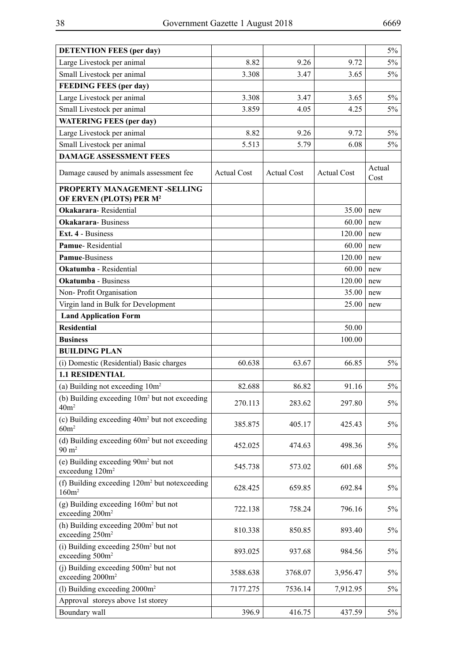| <b>DETENTION FEES (per day)</b>                                                  |                    |                    |                    | $5\%$          |
|----------------------------------------------------------------------------------|--------------------|--------------------|--------------------|----------------|
| Large Livestock per animal                                                       | 8.82               | 9.26               | 9.72               | $5\%$          |
| Small Livestock per animal                                                       | 3.308              | 3.47               | 3.65               | 5%             |
| <b>FEEDING FEES (per day)</b>                                                    |                    |                    |                    |                |
| Large Livestock per animal                                                       | 3.308              | 3.47               | 3.65               | $5\%$          |
| Small Livestock per animal                                                       | 3.859              | 4.05               | 4.25               | $5\%$          |
| <b>WATERING FEES (per day)</b>                                                   |                    |                    |                    |                |
| Large Livestock per animal                                                       | 8.82               | 9.26               | 9.72               | $5\%$          |
| Small Livestock per animal                                                       | 5.513              | 5.79               | 6.08               | $5\%$          |
| <b>DAMAGE ASSESSMENT FEES</b>                                                    |                    |                    |                    |                |
| Damage caused by animals assessment fee                                          | <b>Actual Cost</b> | <b>Actual Cost</b> | <b>Actual Cost</b> | Actual<br>Cost |
| PROPERTY MANAGEMENT -SELLING<br>OF ERVEN (PLOTS) PER M <sup>2</sup>              |                    |                    |                    |                |
| <b>Okakarara-Residential</b>                                                     |                    |                    | 35.00              | new            |
| <b>Okakarara-Business</b>                                                        |                    |                    | 60.00              | new            |
| Ext. 4 - Business                                                                |                    |                    | 120.00             | new            |
| Pamue-Residential                                                                |                    |                    | 60.00              | new            |
| <b>Pamue-Business</b>                                                            |                    |                    | 120.00             | new            |
| Okatumba - Residential                                                           |                    |                    | 60.00              | new            |
| <b>Okatumba</b> - Business                                                       |                    |                    | 120.00             | new            |
| Non-Profit Organisation                                                          |                    |                    | 35.00              | new            |
| Virgin land in Bulk for Development                                              |                    |                    | 25.00              | new            |
| <b>Land Application Form</b>                                                     |                    |                    |                    |                |
| <b>Residential</b>                                                               |                    |                    | 50.00              |                |
| <b>Business</b>                                                                  |                    |                    | 100.00             |                |
| <b>BUILDING PLAN</b>                                                             |                    |                    |                    |                |
| (i) Domestic (Residential) Basic charges                                         | 60.638             | 63.67              | 66.85              | $5\%$          |
| <b>1.1 RESIDENTIAL</b>                                                           |                    |                    |                    |                |
| (a) Building not exceeding $10m^2$                                               | 82.688             | 86.82              | 91.16              | $5\%$          |
| (b) Building exceeding 10m <sup>2</sup> but not exceeding<br>40m <sup>2</sup>    | 270.113            | 283.62             | 297.80             | $5\%$          |
| (c) Building exceeding 40m <sup>2</sup> but not exceeding<br>60m <sup>2</sup>    | 385.875            | 405.17             | 425.43             | $5\%$          |
| (d) Building exceeding 60m <sup>2</sup> but not exceeding<br>$90 \text{ m}^2$    | 452.025            | 474.63             | 498.36             | 5%             |
| (e) Building exceeding 90m <sup>2</sup> but not<br>exceedung 120m <sup>2</sup>   | 545.738            | 573.02             | 601.68             | 5%             |
| (f) Building exceeding 120m <sup>2</sup> but notexceeding<br>160m <sup>2</sup>   | 628.425            | 659.85             | 692.84             | $5\%$          |
| $(g)$ Building exceeding $160m2$ but not<br>exceeding 200m <sup>2</sup>          | 722.138            | 758.24             | 796.16             | $5\%$          |
| (h) Building exceeding 200m <sup>2</sup> but not<br>exceeding 250m <sup>2</sup>  | 810.338            | 850.85             | 893.40             | 5%             |
| (i) Building exceeding 250m <sup>2</sup> but not<br>exceeding 500m <sup>2</sup>  | 893.025            | 937.68             | 984.56             | 5%             |
| (i) Building exceeding 500m <sup>2</sup> but not<br>exceeding 2000m <sup>2</sup> | 3588.638           | 3768.07            | 3,956.47           | 5%             |
| (1) Building exceeding $2000m^2$                                                 | 7177.275           | 7536.14            | 7,912.95           | 5%             |
| Approval storeys above 1st storey                                                |                    |                    |                    |                |
| Boundary wall                                                                    | 396.9              | 416.75             | 437.59             | $5\%$          |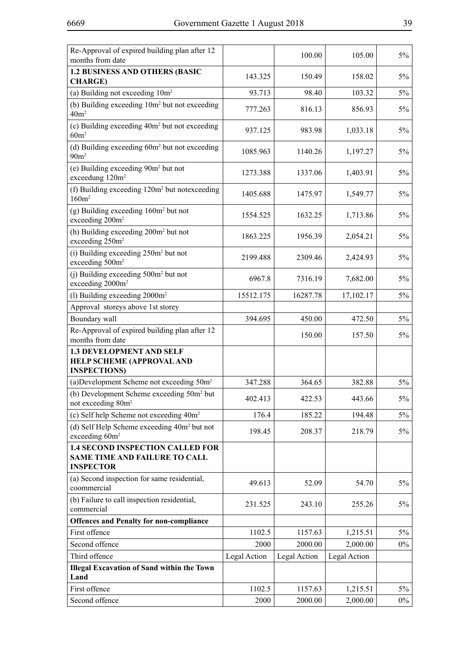| Re-Approval of expired building plan after 12<br>months from date                                   |              | 100.00       | 105.00       | $5\%$ |
|-----------------------------------------------------------------------------------------------------|--------------|--------------|--------------|-------|
| <b>1.2 BUSINESS AND OTHERS (BASIC</b><br><b>CHARGE)</b>                                             | 143.325      | 150.49       | 158.02       | $5\%$ |
| (a) Building not exceeding $10m^2$                                                                  | 93.713       | 98.40        | 103.32       | $5\%$ |
| (b) Building exceeding 10m <sup>2</sup> but not exceeding<br>40m <sup>2</sup>                       | 777.263      | 816.13       | 856.93       | 5%    |
| (c) Building exceeding 40m <sup>2</sup> but not exceeding<br>60m <sup>2</sup>                       | 937.125      | 983.98       | 1,033.18     | 5%    |
| (d) Building exceeding 60m <sup>2</sup> but not exceeding<br>90m <sup>2</sup>                       | 1085.963     | 1140.26      | 1,197.27     | $5\%$ |
| (e) Building exceeding 90m <sup>2</sup> but not<br>exceedung 120m <sup>2</sup>                      | 1273.388     | 1337.06      | 1,403.91     | 5%    |
| (f) Building exceeding 120m <sup>2</sup> but notexceeding<br>160m <sup>2</sup>                      | 1405.688     | 1475.97      | 1,549.77     | 5%    |
| $(g)$ Building exceeding 160 $m2$ but not<br>exceeding 200m <sup>2</sup>                            | 1554.525     | 1632.25      | 1,713.86     | 5%    |
| (h) Building exceeding 200m <sup>2</sup> but not<br>exceeding 250m <sup>2</sup>                     | 1863.225     | 1956.39      | 2,054.21     | $5\%$ |
| (i) Building exceeding 250m <sup>2</sup> but not<br>exceeding 500m <sup>2</sup>                     | 2199.488     | 2309.46      | 2,424.93     | 5%    |
| (j) Building exceeding 500m <sup>2</sup> but not<br>exceeding 2000m <sup>2</sup>                    | 6967.8       | 7316.19      | 7,682.00     | 5%    |
| (1) Building exceeding $2000m^2$                                                                    | 15512.175    | 16287.78     | 17,102.17    | 5%    |
| Approval storeys above 1st storey                                                                   |              |              |              |       |
| Boundary wall                                                                                       | 394.695      | 450.00       | 472.50       | $5\%$ |
| Re-Approval of expired building plan after 12<br>months from date                                   |              | 150.00       | 157.50       | $5\%$ |
| <b>1.3 DEVELOPMENT AND SELF</b><br><b>HELP SCHEME (APPROVAL AND</b><br><b>INSPECTIONS</b> )         |              |              |              |       |
| (a) Development Scheme not exceeding 50m <sup>2</sup>                                               | 347.288      | 364.65       | 382.88       | $5\%$ |
| (b) Development Scheme exceeding 50m <sup>2</sup> but<br>not exceeding 80m <sup>2</sup>             | 402.413      | 422.53       | 443.66       | $5\%$ |
| (c) Self help Scheme not exceeding 40m <sup>2</sup>                                                 | 176.4        | 185.22       | 194.48       | $5\%$ |
| (d) Self Help Scheme exceeding 40m <sup>2</sup> but not<br>exceeding 60m <sup>2</sup>               | 198.45       | 208.37       | 218.79       | 5%    |
| <b>1.4 SECOND INSPECTION CALLED FOR</b><br><b>SAME TIME AND FAILURE TO CALL</b><br><b>INSPECTOR</b> |              |              |              |       |
| (a) Second inspection for same residential,<br>coommercial                                          | 49.613       | 52.09        | 54.70        | $5\%$ |
| (b) Failure to call inspection residential,<br>commercial                                           | 231.525      | 243.10       | 255.26       | $5\%$ |
| <b>Offences and Penalty for non-compliance</b>                                                      |              |              |              |       |
| First offence                                                                                       | 1102.5       | 1157.63      | 1,215.51     | $5\%$ |
| Second offence                                                                                      | 2000         | 2000.00      | 2,000.00     | $0\%$ |
| Third offence                                                                                       | Legal Action | Legal Action | Legal Action |       |
| <b>Illegal Excavation of Sand within the Town</b><br>Land                                           |              |              |              |       |
| First offence                                                                                       | 1102.5       | 1157.63      | 1,215.51     | $5\%$ |
| Second offence                                                                                      | 2000         | 2000.00      | 2,000.00     | $0\%$ |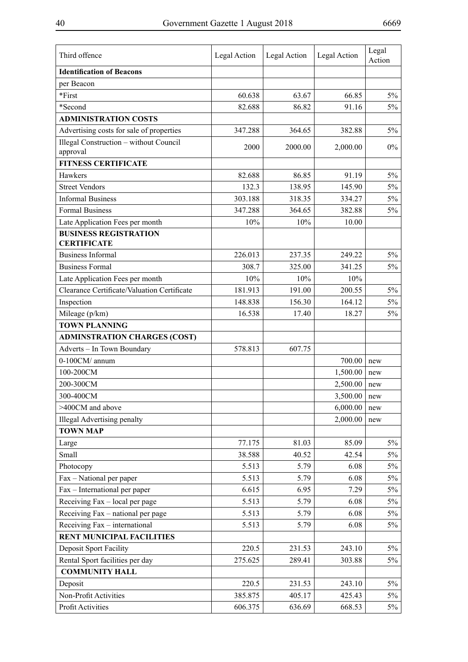| Third offence                                 | Legal Action | Legal Action | Legal Action | Legal<br>Action |
|-----------------------------------------------|--------------|--------------|--------------|-----------------|
| <b>Identification of Beacons</b>              |              |              |              |                 |
| per Beacon                                    |              |              |              |                 |
| *First                                        | 60.638       | 63.67        | 66.85        | $5\%$           |
| *Second                                       | 82.688       | 86.82        | 91.16        | $5\%$           |
| <b>ADMINISTRATION COSTS</b>                   |              |              |              |                 |
| Advertising costs for sale of properties      | 347.288      | 364.65       | 382.88       | $5\%$           |
| <b>Illegal Construction - without Council</b> | 2000         | 2000.00      | 2,000.00     | $0\%$           |
| approval                                      |              |              |              |                 |
| <b>FITNESS CERTIFICATE</b>                    |              |              |              |                 |
| Hawkers                                       | 82.688       | 86.85        | 91.19        | $5\%$           |
| <b>Street Vendors</b>                         | 132.3        | 138.95       | 145.90       | $5\%$           |
| <b>Informal Business</b>                      | 303.188      | 318.35       | 334.27       | $5\%$           |
| <b>Formal Business</b>                        | 347.288      | 364.65       | 382.88       | $5\%$           |
| Late Application Fees per month               | 10%          | 10%          | 10.00        |                 |
| <b>BUSINESS REGISTRATION</b>                  |              |              |              |                 |
| <b>CERTIFICATE</b>                            |              |              |              |                 |
| <b>Business Informal</b>                      | 226.013      | 237.35       | 249.22       | $5\%$           |
| <b>Business Formal</b>                        | 308.7        | 325.00       | 341.25       | 5%              |
| Late Application Fees per month               | 10%          | 10%          | 10%          |                 |
| Clearance Certificate/Valuation Certificate   | 181.913      | 191.00       | 200.55       | $5\%$           |
| Inspection                                    | 148.838      | 156.30       | 164.12       | $5\%$           |
| Mileage (p/km)                                | 16.538       | 17.40        | 18.27        | 5%              |
| <b>TOWN PLANNING</b>                          |              |              |              |                 |
| <b>ADMINSTRATION CHARGES (COST)</b>           |              |              |              |                 |
| Adverts - In Town Boundary                    | 578.813      | 607.75       |              |                 |
| 0-100CM/ annum                                |              |              | 700.00       | new             |
| 100-200CM                                     |              |              | 1,500.00     | new             |
| 200-300CM                                     |              |              | 2,500.00     | new             |
| 300-400CM                                     |              |              | 3,500.00     | new             |
| >400CM and above                              |              |              | 6,000.00     | new             |
| <b>Illegal Advertising penalty</b>            |              |              | 2,000.00     | new             |
| <b>TOWN MAP</b>                               |              |              |              |                 |
| Large                                         | 77.175       | 81.03        | 85.09        | $5\%$           |
| Small                                         | 38.588       | 40.52        | 42.54        | $5\%$           |
| Photocopy                                     | 5.513        | 5.79         | 6.08         | $5\%$           |
| Fax – National per paper                      | 5.513        | 5.79         | 6.08         | $5\%$           |
| Fax – International per paper                 | 6.615        | 6.95         | 7.29         | $5\%$           |
| Receiving Fax - local per page                | 5.513        | 5.79         | 6.08         | $5\%$           |
| Receiving Fax - national per page             | 5.513        | 5.79         | 6.08         | 5%              |
| Receiving Fax - international                 | 5.513        | 5.79         | 6.08         | 5%              |
| <b>RENT MUNICIPAL FACILITIES</b>              |              |              |              |                 |
| Deposit Sport Facility                        | 220.5        | 231.53       | 243.10       | $5\%$           |
| Rental Sport facilities per day               | 275.625      | 289.41       | 303.88       | 5%              |
| <b>COMMUNITY HALL</b>                         |              |              |              |                 |
| Deposit                                       | 220.5        | 231.53       | 243.10       | $5\%$           |
| Non-Profit Activities                         | 385.875      | 405.17       | 425.43       | 5%              |
| Profit Activities                             | 606.375      | 636.69       | 668.53       | 5%              |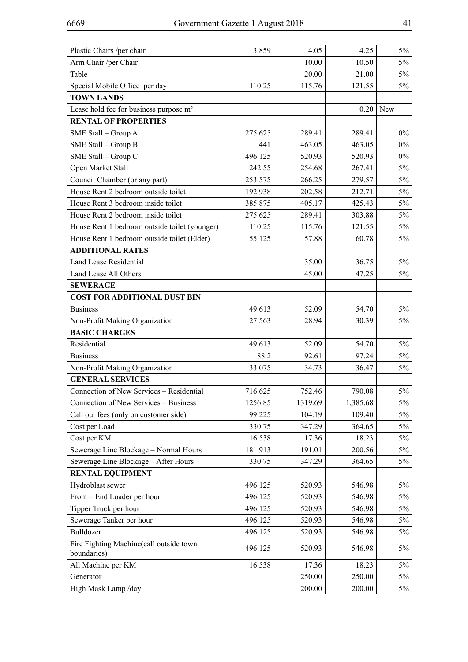| Plastic Chairs /per chair                            | 3.859              | 4.05             | 4.25             | $5\%$ |
|------------------------------------------------------|--------------------|------------------|------------------|-------|
| Arm Chair /per Chair                                 |                    | 10.00            | 10.50            | $5\%$ |
| Table                                                |                    | 20.00            | 21.00            | $5\%$ |
| Special Mobile Office per day                        | 110.25             | 115.76           | 121.55           | $5\%$ |
| <b>TOWN LANDS</b>                                    |                    |                  |                  |       |
| Lease hold fee for business purpose m <sup>2</sup>   |                    |                  | 0.20             | New   |
| <b>RENTAL OF PROPERTIES</b>                          |                    |                  |                  |       |
| SME Stall - Group A                                  | 275.625            | 289.41           | 289.41           | $0\%$ |
| SME Stall - Group B                                  | 441                | 463.05           | 463.05           | $0\%$ |
| SME Stall - Group C                                  | 496.125            | 520.93           | 520.93           | $0\%$ |
| Open Market Stall                                    | 242.55             | 254.68           | 267.41           | $5\%$ |
| Council Chamber (or any part)                        | 253.575            | 266.25           | 279.57           | $5\%$ |
| House Rent 2 bedroom outside toilet                  | 192.938            | 202.58           | 212.71           | $5\%$ |
| House Rent 3 bedroom inside toilet                   | 385.875            | 405.17           | 425.43           | $5\%$ |
| House Rent 2 bedroom inside toilet                   | 275.625            | 289.41           | 303.88           | $5\%$ |
| House Rent 1 bedroom outside toilet (younger)        | 110.25             | 115.76           | 121.55           | $5\%$ |
| House Rent 1 bedroom outside toilet (Elder)          | 55.125             | 57.88            | 60.78            | $5\%$ |
| <b>ADDITIONAL RATES</b>                              |                    |                  |                  |       |
| <b>Land Lease Residential</b>                        |                    | 35.00            | 36.75            | $5\%$ |
| Land Lease All Others                                |                    | 45.00            | 47.25            | $5\%$ |
| <b>SEWERAGE</b>                                      |                    |                  |                  |       |
| <b>COST FOR ADDITIONAL DUST BIN</b>                  |                    |                  |                  |       |
| <b>Business</b>                                      | 49.613             | 52.09            | 54.70            | $5\%$ |
| Non-Profit Making Organization                       | 27.563             | 28.94            | 30.39            | $5\%$ |
| <b>BASIC CHARGES</b>                                 |                    |                  |                  |       |
| Residential                                          | 49.613             | 52.09            | 54.70            | $5\%$ |
| <b>Business</b>                                      | 88.2               | 92.61            | 97.24            | $5\%$ |
| Non-Profit Making Organization                       | 33.075             | 34.73            | 36.47            | $5\%$ |
| <b>GENERAL SERVICES</b>                              |                    |                  |                  |       |
| Connection of New Services - Residential             | 716.625            | 752.46           | 790.08           | $5\%$ |
| Connection of New Services - Business                | 1256.85            | 1319.69          | 1,385.68         | $5\%$ |
| Call out fees (only on customer side)                | 99.225             | 104.19           | 109.40           | $5\%$ |
| Cost per Load                                        | 330.75             | 347.29           | 364.65           | $5\%$ |
| Cost per KM                                          | 16.538             | 17.36            | 18.23            | $5\%$ |
| Sewerage Line Blockage - Normal Hours                | 181.913            | 191.01           | 200.56           | $5\%$ |
| Sewerage Line Blockage - After Hours                 | 330.75             | 347.29           | 364.65           | 5%    |
| <b>RENTAL EQUIPMENT</b><br>Hydroblast sewer          |                    | 520.93           | 546.98           | $5\%$ |
|                                                      | 496.125            |                  |                  | $5\%$ |
| Front - End Loader per hour<br>Tipper Truck per hour | 496.125<br>496.125 | 520.93<br>520.93 | 546.98<br>546.98 | $5\%$ |
| Sewerage Tanker per hour                             | 496.125            | 520.93           | 546.98           | $5\%$ |
| Bulldozer                                            | 496.125            | 520.93           | 546.98           | 5%    |
| Fire Fighting Machine(call outside town              |                    |                  |                  |       |
| boundaries)                                          | 496.125            | 520.93           | 546.98           | 5%    |
| All Machine per KM                                   | 16.538             | 17.36            | 18.23            | $5\%$ |
| Generator                                            |                    | 250.00           | 250.00           | $5\%$ |
| High Mask Lamp /day                                  |                    | 200.00           | 200.00           | $5\%$ |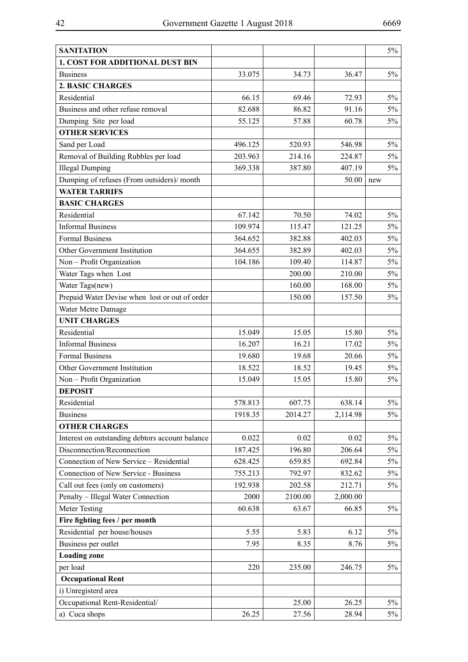| <b>SANITATION</b>                               |         |         |          | $5\%$ |
|-------------------------------------------------|---------|---------|----------|-------|
| 1. COST FOR ADDITIONAL DUST BIN                 |         |         |          |       |
| <b>Business</b>                                 | 33.075  | 34.73   | 36.47    | 5%    |
| <b>2. BASIC CHARGES</b>                         |         |         |          |       |
| Residential                                     | 66.15   | 69.46   | 72.93    | $5\%$ |
| Business and other refuse removal               | 82.688  | 86.82   | 91.16    | $5\%$ |
| Dumping Site per load                           | 55.125  | 57.88   | 60.78    | $5\%$ |
| <b>OTHER SERVICES</b>                           |         |         |          |       |
| Sand per Load                                   | 496.125 | 520.93  | 546.98   | $5\%$ |
| Removal of Building Rubbles per load            | 203.963 | 214.16  | 224.87   | $5\%$ |
| <b>Illegal Dumping</b>                          | 369.338 | 387.80  | 407.19   | $5\%$ |
| Dumping of refuses (From outsiders)/month       |         |         | 50.00    | new   |
| <b>WATER TARRIFS</b>                            |         |         |          |       |
| <b>BASIC CHARGES</b>                            |         |         |          |       |
| Residential                                     | 67.142  | 70.50   | 74.02    | $5\%$ |
| <b>Informal Business</b>                        | 109.974 | 115.47  | 121.25   | $5\%$ |
| <b>Formal Business</b>                          | 364.652 | 382.88  | 402.03   | $5\%$ |
| Other Government Institution                    | 364.655 | 382.89  | 402.03   | $5\%$ |
| Non - Profit Organization                       | 104.186 | 109.40  | 114.87   | $5\%$ |
| Water Tags when Lost                            |         | 200.00  | 210.00   | $5\%$ |
| Water Tags(new)                                 |         | 160.00  | 168.00   | $5\%$ |
| Prepaid Water Devise when lost or out of order  |         | 150.00  | 157.50   | $5\%$ |
| Water Metre Damage                              |         |         |          |       |
| <b>UNIT CHARGES</b>                             |         |         |          |       |
| Residential                                     | 15.049  | 15.05   | 15.80    | $5\%$ |
| <b>Informal Business</b>                        | 16.207  | 16.21   | 17.02    | $5\%$ |
| <b>Formal Business</b>                          | 19.680  | 19.68   | 20.66    | $5\%$ |
| Other Government Institution                    | 18.522  | 18.52   | 19.45    | $5\%$ |
| Non - Profit Organization                       | 15.049  | 15.05   | 15.80    | $5\%$ |
| <b>DEPOSIT</b>                                  |         |         |          |       |
| Residential                                     | 578.813 | 607.75  | 638.14   | $5\%$ |
| <b>Business</b>                                 | 1918.35 | 2014.27 | 2,114.98 | $5\%$ |
| <b>OTHER CHARGES</b>                            |         |         |          |       |
| Interest on outstanding debtors account balance | 0.022   | 0.02    | 0.02     | $5\%$ |
| Disconnection/Reconnection                      | 187.425 | 196.80  | 206.64   | 5%    |
| Connection of New Service - Residential         | 628.425 | 659.85  | 692.84   | $5\%$ |
| <b>Connection of New Service - Business</b>     | 755.213 | 792.97  | 832.62   | $5\%$ |
| Call out fees (only on customers)               | 192.938 | 202.58  | 212.71   | 5%    |
| Penalty - Illegal Water Connection              | 2000    | 2100.00 | 2,000.00 |       |
| <b>Meter Testing</b>                            | 60.638  | 63.67   | 66.85    | $5\%$ |
| Fire fighting fees / per month                  |         |         |          |       |
| Residential per house/houses                    | 5.55    | 5.83    | 6.12     | $5\%$ |
| Business per outlet                             | 7.95    | 8.35    | 8.76     | 5%    |
| <b>Loading zone</b>                             |         |         |          |       |
| per load                                        | 220     | 235.00  | 246.75   | 5%    |
| <b>Occupational Rent</b>                        |         |         |          |       |
| i) Unregisterd area                             |         |         |          |       |
| Occupational Rent-Residential/                  |         | 25.00   | 26.25    | $5\%$ |
| a) Cuca shops                                   | 26.25   | 27.56   | 28.94    | $5\%$ |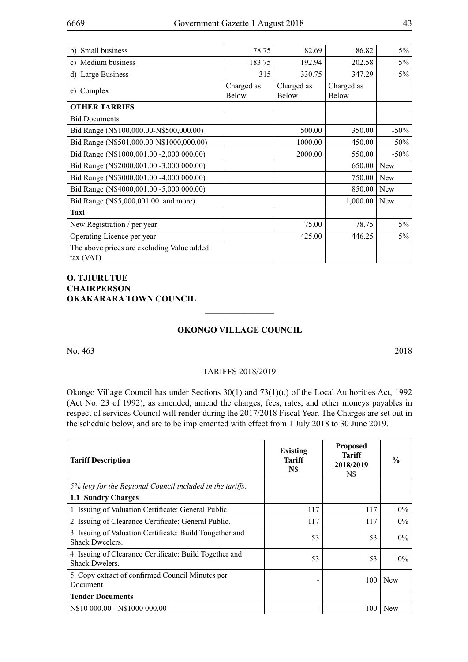| b) Small business                                       | 78.75               | 82.69                      | 86.82                      | $5\%$      |
|---------------------------------------------------------|---------------------|----------------------------|----------------------------|------------|
| c) Medium business                                      | 183.75              | 192.94                     | 202.58                     | $5\%$      |
| d) Large Business                                       | 315                 | 330.75                     | 347.29                     | $5\%$      |
| Complex<br>e)                                           | Charged as<br>Below | Charged as<br><b>Below</b> | Charged as<br><b>Below</b> |            |
| <b>OTHER TARRIFS</b>                                    |                     |                            |                            |            |
| <b>Bid Documents</b>                                    |                     |                            |                            |            |
| Bid Range (N\$100,000.00-N\$500,000.00)                 |                     | 500.00                     | 350.00                     | $-50\%$    |
| Bid Range (N\$501,000.00-N\$1000,000.00)                |                     | 1000.00                    | 450.00                     | $-50\%$    |
| Bid Range (N\$1000,001.00 -2,000 000.00)                |                     | 2000.00                    | 550.00                     | $-50%$     |
| Bid Range (N\$2000,001.00 -3,000 000.00)                |                     |                            | 650.00                     | <b>New</b> |
| Bid Range (N\$3000,001.00 -4,000 000.00)                |                     |                            | 750.00                     | <b>New</b> |
| Bid Range (N\$4000,001.00 -5,000 000.00)                |                     |                            | 850.00                     | <b>New</b> |
| Bid Range (N\$5,000,001.00 and more)                    |                     |                            | 1,000.00                   | <b>New</b> |
| Taxi                                                    |                     |                            |                            |            |
| New Registration / per year                             |                     | 75.00                      | 78.75                      | $5\%$      |
| Operating Licence per year                              |                     | 425.00                     | 446.25                     | $5\%$      |
| The above prices are excluding Value added<br>tax (VAT) |                     |                            |                            |            |

# **O. TJIURUTUE CHAIRPERSON OKAKARARA TOWN COUNCIL**

## **Okongo Village Council**

 $\overline{\phantom{a}}$  , where  $\overline{\phantom{a}}$ 

No. 463 2018

#### TARIFFS 2018/2019

Okongo Village Council has under Sections 30(1) and 73(1)(u) of the Local Authorities Act, 1992 (Act No. 23 of 1992), as amended, amend the charges, fees, rates, and other moneys payables in respect of services Council will render during the 2017/2018 Fiscal Year. The Charges are set out in the schedule below, and are to be implemented with effect from 1 July 2018 to 30 June 2019.

| <b>Tariff Description</b>                                                          | <b>Existing</b><br><b>Tariff</b><br>N\$ | <b>Proposed</b><br>Tariff<br>2018/2019<br>N\$ | $\frac{0}{0}$ |
|------------------------------------------------------------------------------------|-----------------------------------------|-----------------------------------------------|---------------|
| 5% levy for the Regional Council included in the tariffs.                          |                                         |                                               |               |
| 1.1 Sundry Charges                                                                 |                                         |                                               |               |
| 1. Issuing of Valuation Certificate: General Public.                               | 117                                     | 117                                           | $0\%$         |
| 2. Issuing of Clearance Certificate: General Public.                               | 117                                     | 117                                           | $0\%$         |
| 3. Issuing of Valuation Certificate: Build Tongether and<br><b>Shack Dweelers.</b> | 53                                      | 53                                            | $0\%$         |
| 4. Issuing of Clearance Certificate: Build Together and<br><b>Shack Dwelers.</b>   | 53                                      | 53                                            | $0\%$         |
| 5. Copy extract of confirmed Council Minutes per<br>Document                       |                                         | 100                                           | <b>New</b>    |
| <b>Tender Documents</b>                                                            |                                         |                                               |               |
| N\$10 000.00 - N\$1000 000.00                                                      |                                         | 100                                           | <b>New</b>    |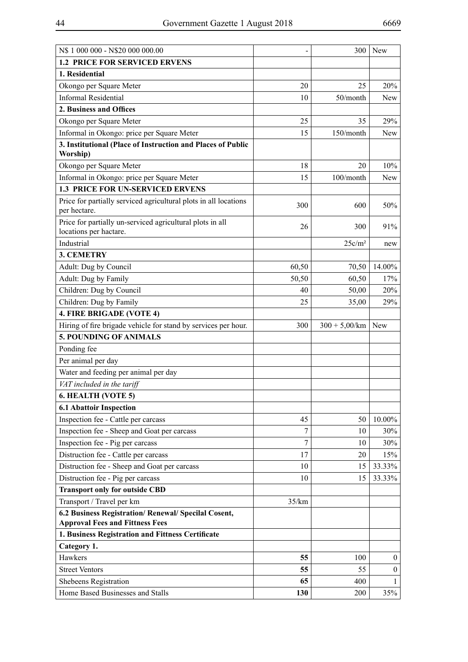| N\$ 1 000 000 - N\$20 000 000.00                                                               | -     | 300                | New              |
|------------------------------------------------------------------------------------------------|-------|--------------------|------------------|
| <b>1.2 PRICE FOR SERVICED ERVENS</b>                                                           |       |                    |                  |
| 1. Residential                                                                                 |       |                    |                  |
| Okongo per Square Meter                                                                        | 20    | 25                 | 20%              |
| <b>Informal Residential</b>                                                                    | 10    | 50/month           | <b>New</b>       |
| 2. Business and Offices                                                                        |       |                    |                  |
| Okongo per Square Meter                                                                        | 25    | 35                 | 29%              |
| Informal in Okongo: price per Square Meter                                                     | 15    | 150/month          | New              |
| 3. Institutional (Place of Instruction and Places of Public<br>Worship)                        |       |                    |                  |
| Okongo per Square Meter                                                                        | 18    | 20                 | 10%              |
| Informal in Okongo: price per Square Meter                                                     | 15    | 100/month          | <b>New</b>       |
| 1.3 PRICE FOR UN-SERVICED ERVENS                                                               |       |                    |                  |
| Price for partially serviced agricultural plots in all locations<br>per hectare.               | 300   | 600                | 50%              |
| Price for partially un-serviced agricultural plots in all<br>locations per hactare.            | 26    | 300                | 91%              |
| Industrial                                                                                     |       | 25c/m <sup>2</sup> | new              |
| <b>3. CEMETRY</b>                                                                              |       |                    |                  |
| Adult: Dug by Council                                                                          | 60,50 | 70,50              | 14.00%           |
| Adult: Dug by Family                                                                           | 50,50 | 60,50              | 17%              |
| Children: Dug by Council                                                                       | 40    | 50,00              | 20%              |
| Children: Dug by Family                                                                        | 25    | 35,00              | 29%              |
| 4. FIRE BRIGADE (VOTE 4)                                                                       |       |                    |                  |
| Hiring of fire brigade vehicle for stand by services per hour.                                 | 300   | $300 + 5,00/km$    | New              |
| <b>5. POUNDING OF ANIMALS</b>                                                                  |       |                    |                  |
| Ponding fee                                                                                    |       |                    |                  |
| Per animal per day                                                                             |       |                    |                  |
| Water and feeding per animal per day                                                           |       |                    |                  |
| VAT included in the tariff                                                                     |       |                    |                  |
| 6. HEALTH (VOTE 5)                                                                             |       |                    |                  |
| <b>6.1 Abattoir Inspection</b>                                                                 |       |                    |                  |
| Inspection fee - Cattle per carcass                                                            | 45    | 50                 | 10.00%           |
| Inspection fee - Sheep and Goat per carcass                                                    | 7     | 10                 | 30%              |
| Inspection fee - Pig per carcass                                                               | 7     | 10                 | 30%              |
| Distruction fee - Cattle per carcass                                                           | 17    | 20                 | 15%              |
| Distruction fee - Sheep and Goat per carcass                                                   | 10    | 15                 | 33.33%           |
| Distruction fee - Pig per carcass                                                              | 10    | 15                 | 33.33%           |
| <b>Transport only for outside CBD</b>                                                          |       |                    |                  |
| Transport / Travel per km                                                                      | 35/km |                    |                  |
| 6.2 Business Registration/ Renewal/ Specilal Cosent,<br><b>Approval Fees and Fittness Fees</b> |       |                    |                  |
| 1. Business Registration and Fittness Certificate                                              |       |                    |                  |
| Category 1.                                                                                    |       |                    |                  |
| Hawkers                                                                                        | 55    | 100                | $\boldsymbol{0}$ |
| <b>Street Ventors</b>                                                                          | 55    | 55                 | $\boldsymbol{0}$ |
| Shebeens Registration                                                                          | 65    | 400                | $\mathbf{1}$     |
| Home Based Businesses and Stalls                                                               | 130   | 200                | 35%              |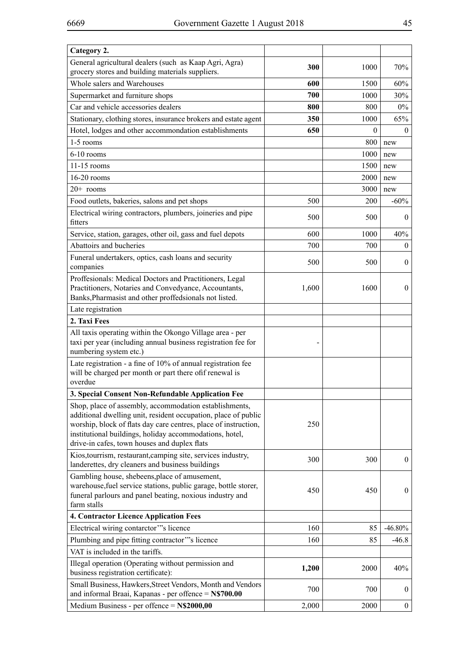| Category 2.                                                                                                                                                                                                                                                                                            |       |          |                  |
|--------------------------------------------------------------------------------------------------------------------------------------------------------------------------------------------------------------------------------------------------------------------------------------------------------|-------|----------|------------------|
| General agricultural dealers (such as Kaap Agri, Agra)<br>grocery stores and building materials suppliers.                                                                                                                                                                                             | 300   | 1000     | 70%              |
| Whole salers and Warehouses                                                                                                                                                                                                                                                                            | 600   | 1500     | 60%              |
| Supermarket and furniture shops                                                                                                                                                                                                                                                                        | 700   | 1000     | 30%              |
| Car and vehicle accessories dealers                                                                                                                                                                                                                                                                    | 800   | 800      | $0\%$            |
| Stationary, clothing stores, insurance brokers and estate agent                                                                                                                                                                                                                                        | 350   | 1000     | 65%              |
| Hotel, lodges and other accommondation establishments                                                                                                                                                                                                                                                  | 650   | $\theta$ | $\theta$         |
| 1-5 rooms                                                                                                                                                                                                                                                                                              |       | 800      | new              |
| $6-10$ rooms                                                                                                                                                                                                                                                                                           |       | 1000     | new              |
| 11-15 rooms                                                                                                                                                                                                                                                                                            |       | 1500     | new              |
| $16-20$ rooms                                                                                                                                                                                                                                                                                          |       | 2000     | new              |
| $20+$ rooms                                                                                                                                                                                                                                                                                            |       | 3000     | new              |
| Food outlets, bakeries, salons and pet shops                                                                                                                                                                                                                                                           | 500   | 200      | $-60%$           |
| Electrical wiring contractors, plumbers, joineries and pipe<br>fitters                                                                                                                                                                                                                                 | 500   | 500      | $\bf{0}$         |
| Service, station, garages, other oil, gass and fuel depots                                                                                                                                                                                                                                             | 600   | 1000     | 40%              |
| Abattoirs and bucheries                                                                                                                                                                                                                                                                                | 700   | 700      | $\theta$         |
| Funeral undertakers, optics, cash loans and security<br>companies                                                                                                                                                                                                                                      | 500   | 500      | $\mathbf{0}$     |
| Proffesionals: Medical Doctors and Practitioners, Legal<br>Practitioners, Notaries and Convedyance, Accountants,<br>Banks, Pharmasist and other proffedsionals not listed.                                                                                                                             | 1,600 | 1600     | $\mathbf{0}$     |
| Late registration                                                                                                                                                                                                                                                                                      |       |          |                  |
| 2. Taxi Fees                                                                                                                                                                                                                                                                                           |       |          |                  |
| All taxis operating within the Okongo Village area - per<br>taxi per year (including annual business registration fee for<br>numbering system etc.)                                                                                                                                                    |       |          |                  |
| Late registration - a fine of 10% of annual registration fee<br>will be charged per month or part there of f renewal is<br>overdue                                                                                                                                                                     |       |          |                  |
| 3. Special Consent Non-Refundable Application Fee                                                                                                                                                                                                                                                      |       |          |                  |
| Shop, place of assembly, accommodation establishments,<br>additional dwelling unit, resident occupation, place of public<br>worship, block of flats day care centres, place of instruction,<br>institutional buildings, holiday accommodations, hotel,<br>drive-in cafes, town houses and duplex flats | 250   |          |                  |
| Kios, tourrism, restaurant, camping site, services industry,<br>landerettes, dry cleaners and business buildings                                                                                                                                                                                       | 300   | 300      | $\boldsymbol{0}$ |
| Gambling house, shebeens, place of amusement,<br>warehouse, fuel service stations, public garage, bottle storer,<br>funeral parlours and panel beating, noxious industry and<br>farm stalls                                                                                                            | 450   | 450      | $\boldsymbol{0}$ |
| 4. Contractor Licence Application Fees                                                                                                                                                                                                                                                                 |       |          |                  |
| Electrical wiring contarctor"'s licence                                                                                                                                                                                                                                                                | 160   | 85       | $-46.80%$        |
| Plumbing and pipe fitting contractor"'s licence                                                                                                                                                                                                                                                        | 160   | 85       | $-46.8$          |
| VAT is included in the tariffs.                                                                                                                                                                                                                                                                        |       |          |                  |
| Illegal operation (Operating without permission and                                                                                                                                                                                                                                                    | 1,200 | 2000     | 40%              |
| business registration certificate):                                                                                                                                                                                                                                                                    |       |          |                  |
| Small Business, Hawkers, Street Vendors, Month and Vendors<br>and informal Braai, Kapanas - per offence = N\$700.00                                                                                                                                                                                    | 700   | 700      | $\bf{0}$         |
| Medium Business - per offence = N\$2000,00                                                                                                                                                                                                                                                             | 2,000 | 2000     | $\boldsymbol{0}$ |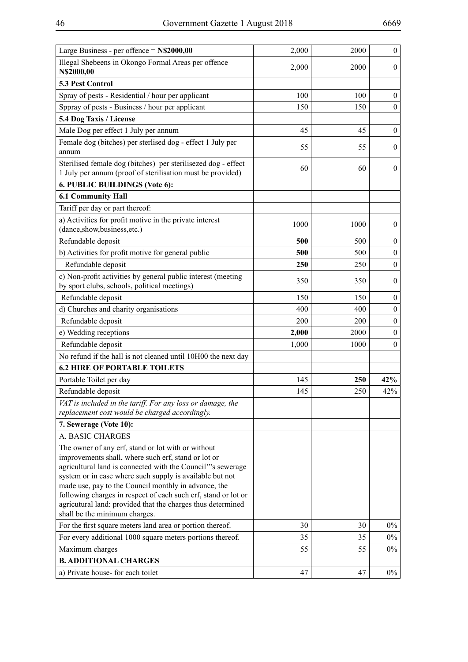| Large Business - per offence = $N$2000,00$                                                                                                                                                                                                                                                                                                                                                                                                                     | 2,000 | 2000       | $\boldsymbol{0}$ |
|----------------------------------------------------------------------------------------------------------------------------------------------------------------------------------------------------------------------------------------------------------------------------------------------------------------------------------------------------------------------------------------------------------------------------------------------------------------|-------|------------|------------------|
| Illegal Shebeens in Okongo Formal Areas per offence<br>N\$2000,00                                                                                                                                                                                                                                                                                                                                                                                              | 2,000 | 2000       | $\overline{0}$   |
| 5.3 Pest Control                                                                                                                                                                                                                                                                                                                                                                                                                                               |       |            |                  |
| Spray of pests - Residential / hour per applicant                                                                                                                                                                                                                                                                                                                                                                                                              | 100   | 100        | $\bf{0}$         |
| Sppray of pests - Business / hour per applicant                                                                                                                                                                                                                                                                                                                                                                                                                | 150   | 150        | $\boldsymbol{0}$ |
| 5.4 Dog Taxis / License                                                                                                                                                                                                                                                                                                                                                                                                                                        |       |            |                  |
| Male Dog per effect 1 July per annum                                                                                                                                                                                                                                                                                                                                                                                                                           | 45    | 45         | $\boldsymbol{0}$ |
| Female dog (bitches) per sterlised dog - effect 1 July per                                                                                                                                                                                                                                                                                                                                                                                                     |       |            |                  |
| annum                                                                                                                                                                                                                                                                                                                                                                                                                                                          | 55    | 55         | $\mathbf{0}$     |
| Sterilised female dog (bitches) per sterilisezed dog - effect<br>1 July per annum (proof of sterilisation must be provided)                                                                                                                                                                                                                                                                                                                                    | 60    | 60         | $\mathbf{0}$     |
| 6. PUBLIC BUILDINGS (Vote 6):                                                                                                                                                                                                                                                                                                                                                                                                                                  |       |            |                  |
| <b>6.1 Community Hall</b>                                                                                                                                                                                                                                                                                                                                                                                                                                      |       |            |                  |
| Tariff per day or part thereof:                                                                                                                                                                                                                                                                                                                                                                                                                                |       |            |                  |
| a) Activities for profit motive in the private interest<br>(dance,show,business,etc.)                                                                                                                                                                                                                                                                                                                                                                          | 1000  | 1000       | $\mathbf{0}$     |
| Refundable deposit                                                                                                                                                                                                                                                                                                                                                                                                                                             | 500   | 500        | $\boldsymbol{0}$ |
| b) Activities for profit motive for general public                                                                                                                                                                                                                                                                                                                                                                                                             | 500   | 500        | $\boldsymbol{0}$ |
| Refundable deposit                                                                                                                                                                                                                                                                                                                                                                                                                                             | 250   | 250        | $\mathbf{0}$     |
| c) Non-profit activities by general public interest (meeting<br>by sport clubs, schools, political meetings)                                                                                                                                                                                                                                                                                                                                                   | 350   | 350        | $\mathbf{0}$     |
| Refundable deposit                                                                                                                                                                                                                                                                                                                                                                                                                                             | 150   | 150        | $\boldsymbol{0}$ |
| d) Churches and charity organisations                                                                                                                                                                                                                                                                                                                                                                                                                          | 400   | 400        | $\mathbf{0}$     |
| Refundable deposit                                                                                                                                                                                                                                                                                                                                                                                                                                             | 200   | 200        | $\mathbf{0}$     |
| e) Wedding receptions                                                                                                                                                                                                                                                                                                                                                                                                                                          | 2,000 | 2000       | $\mathbf{0}$     |
| Refundable deposit                                                                                                                                                                                                                                                                                                                                                                                                                                             | 1,000 | 1000       | $\mathbf{0}$     |
| No refund if the hall is not cleaned until 10H00 the next day                                                                                                                                                                                                                                                                                                                                                                                                  |       |            |                  |
| <b>6.2 HIRE OF PORTABLE TOILETS</b>                                                                                                                                                                                                                                                                                                                                                                                                                            |       |            |                  |
| Portable Toilet per day                                                                                                                                                                                                                                                                                                                                                                                                                                        | 145   | <b>250</b> | 42%              |
| Refundable deposit                                                                                                                                                                                                                                                                                                                                                                                                                                             | 145   | 250        | 42%              |
| VAT is included in the tariff. For any loss or damage, the<br>replacement cost would be charged accordingly.                                                                                                                                                                                                                                                                                                                                                   |       |            |                  |
| 7. Sewerage (Vote 10):                                                                                                                                                                                                                                                                                                                                                                                                                                         |       |            |                  |
| A. BASIC CHARGES                                                                                                                                                                                                                                                                                                                                                                                                                                               |       |            |                  |
| The owner of any erf, stand or lot with or without<br>improvements shall, where such erf, stand or lot or<br>agricultural land is connected with the Council"'s sewerage<br>system or in case where such supply is available but not<br>made use, pay to the Council monthly in advance, the<br>following charges in respect of each such erf, stand or lot or<br>agricutural land: provided that the charges thus determined<br>shall be the minimum charges. |       |            |                  |
| For the first square meters land area or portion thereof.                                                                                                                                                                                                                                                                                                                                                                                                      | 30    | 30         | $0\%$            |
| For every additional 1000 square meters portions thereof.                                                                                                                                                                                                                                                                                                                                                                                                      | 35    | 35         | $0\%$            |
| Maximum charges                                                                                                                                                                                                                                                                                                                                                                                                                                                | 55    | 55         | $0\%$            |
| <b>B. ADDITIONAL CHARGES</b>                                                                                                                                                                                                                                                                                                                                                                                                                                   |       |            |                  |
| a) Private house-for each toilet                                                                                                                                                                                                                                                                                                                                                                                                                               | 47    | 47         | $0\%$            |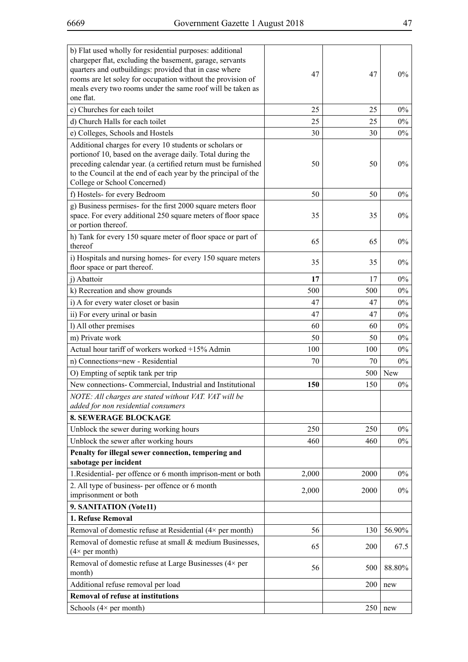| b) Flat used wholly for residential purposes: additional<br>chargeper flat, excluding the basement, garage, servants<br>quarters and outbuildings: provided that in case where<br>rooms are let soley for occupation without the provision of<br>meals every two rooms under the same roof will be taken as<br>one flat. | 47    | 47   | $0\%$  |
|--------------------------------------------------------------------------------------------------------------------------------------------------------------------------------------------------------------------------------------------------------------------------------------------------------------------------|-------|------|--------|
| c) Churches for each toilet                                                                                                                                                                                                                                                                                              | 25    | 25   | $0\%$  |
| d) Church Halls for each toilet                                                                                                                                                                                                                                                                                          | 25    | 25   | $0\%$  |
| e) Colleges, Schools and Hostels                                                                                                                                                                                                                                                                                         | 30    | 30   | $0\%$  |
| Additional charges for every 10 students or scholars or<br>portion of 10, based on the average daily. Total during the<br>preceding calendar year. (a certified return must be furnished<br>to the Council at the end of each year by the principal of the<br>College or School Concerned)                               | 50    | 50   | $0\%$  |
| f) Hostels- for every Bedroom                                                                                                                                                                                                                                                                                            | 50    | 50   | $0\%$  |
| g) Business permises- for the first 2000 square meters floor<br>space. For every additional 250 square meters of floor space<br>or portion thereof.                                                                                                                                                                      | 35    | 35   | $0\%$  |
| h) Tank for every 150 square meter of floor space or part of<br>thereof                                                                                                                                                                                                                                                  | 65    | 65   | $0\%$  |
| i) Hospitals and nursing homes- for every 150 square meters<br>floor space or part thereof.                                                                                                                                                                                                                              | 35    | 35   | $0\%$  |
| j) Abattoir                                                                                                                                                                                                                                                                                                              | 17    | 17   | $0\%$  |
| k) Recreation and show grounds                                                                                                                                                                                                                                                                                           | 500   | 500  | $0\%$  |
| i) A for every water closet or basin                                                                                                                                                                                                                                                                                     | 47    | 47   | $0\%$  |
| ii) For every urinal or basin                                                                                                                                                                                                                                                                                            | 47    | 47   | $0\%$  |
| l) All other premises                                                                                                                                                                                                                                                                                                    | 60    | 60   | $0\%$  |
| m) Private work                                                                                                                                                                                                                                                                                                          | 50    | 50   | $0\%$  |
| Actual hour tariff of workers worked +15% Admin                                                                                                                                                                                                                                                                          | 100   | 100  | $0\%$  |
| n) Connections=new - Residential                                                                                                                                                                                                                                                                                         | 70    | 70   | $0\%$  |
| O) Empting of septik tank per trip                                                                                                                                                                                                                                                                                       |       | 500  | New    |
| New connections- Commercial, Industrial and Institutional                                                                                                                                                                                                                                                                | 150   | 150  | $0\%$  |
| NOTE: All charges are stated without VAT. VAT will be<br>added for non residential consumers                                                                                                                                                                                                                             |       |      |        |
| <b>8. SEWERAGE BLOCKAGE</b>                                                                                                                                                                                                                                                                                              |       |      |        |
| Unblock the sewer during working hours                                                                                                                                                                                                                                                                                   | 250   | 250  | $0\%$  |
| Unblock the sewer after working hours                                                                                                                                                                                                                                                                                    | 460   | 460  | $0\%$  |
| Penalty for illegal sewer connection, tempering and<br>sabotage per incident                                                                                                                                                                                                                                             |       |      |        |
| 1. Residential- per offence or 6 month imprison-ment or both                                                                                                                                                                                                                                                             | 2,000 | 2000 | $0\%$  |
| 2. All type of business- per offence or 6 month<br>imprisonment or both                                                                                                                                                                                                                                                  | 2,000 | 2000 | $0\%$  |
| 9. SANITATION (Vote11)                                                                                                                                                                                                                                                                                                   |       |      |        |
| 1. Refuse Removal                                                                                                                                                                                                                                                                                                        |       |      |        |
| Removal of domestic refuse at Residential $(4 \times$ per month)                                                                                                                                                                                                                                                         | 56    | 130  | 56.90% |
| Removal of domestic refuse at small & medium Businesses,<br>$(4 \times per month)$                                                                                                                                                                                                                                       | 65    | 200  | 67.5   |
| Removal of domestic refuse at Large Businesses (4× per<br>month)                                                                                                                                                                                                                                                         | 56    | 500  | 88.80% |
| Additional refuse removal per load                                                                                                                                                                                                                                                                                       |       | 200  | new    |
| <b>Removal of refuse at institutions</b>                                                                                                                                                                                                                                                                                 |       |      |        |
| Schools $(4 \times per month)$                                                                                                                                                                                                                                                                                           |       | 250  | new    |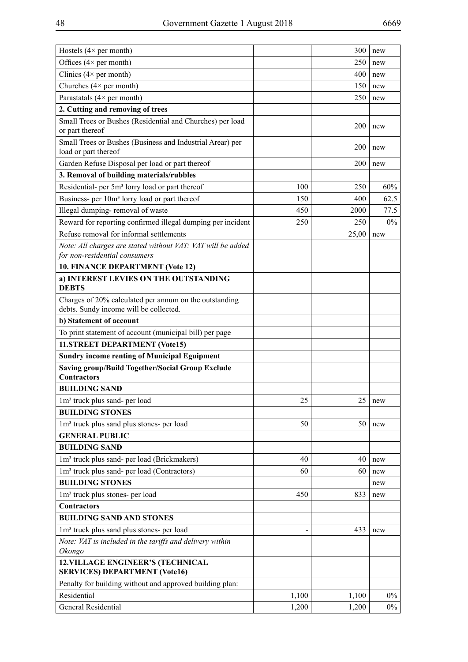| Offices $(4 \times per month)$<br>250<br>new<br>Clinics $(4 \times per month)$<br>400<br>new<br>Churches $(4 \times per month)$<br>150<br>new<br>Parastatals $(4 \times per month)$<br>250<br>new<br>2. Cutting and removing of trees<br>Small Trees or Bushes (Residential and Churches) per load<br>200<br>new<br>or part thereof<br>Small Trees or Bushes (Business and Industrial Arear) per<br>200<br>new<br>load or part thereof<br>Garden Refuse Disposal per load or part thereof<br>200<br>new<br>3. Removal of building materials/rubbles<br>Residential- per 5m <sup>3</sup> lorry load or part thereof<br>100<br>60%<br>250<br>Business- per 10m <sup>3</sup> lorry load or part thereof<br>62.5<br>150<br>400<br>Illegal dumping-removal of waste<br>450<br>77.5<br>2000<br>Reward for reporting confirmed illegal dumping per incident<br>$0\%$<br>250<br>250<br>Refuse removal for informal settlements<br>25,00<br>new<br>Note: All charges are stated without VAT: VAT will be added<br>for non-residential consumers<br>10. FINANCE DEPARTMENT (Vote 12)<br>a) INTEREST LEVIES ON THE OUTSTANDING<br><b>DEBTS</b><br>Charges of 20% calculated per annum on the outstanding<br>debts. Sundy income will be collected.<br>b) Statement of account<br>To print statement of account (municipal bill) per page<br>11.STREET DEPARTMENT (Vote15)<br><b>Sundry income renting of Municipal Eguipment</b><br><b>Saving group/Build Together/Social Group Exclude</b><br><b>Contractors</b><br><b>BUILDING SAND</b><br>25<br>25<br>1m <sup>3</sup> truck plus sand- per load<br>new<br><b>BUILDING STONES</b><br>1m <sup>3</sup> truck plus sand plus stones- per load<br>50<br>50<br>new<br><b>GENERAL PUBLIC</b><br><b>BUILDING SAND</b><br>1m <sup>3</sup> truck plus sand- per load (Brickmakers)<br>40<br>40<br>new<br>1m <sup>3</sup> truck plus sand- per load (Contractors)<br>60<br>60<br>new<br><b>BUILDING STONES</b><br>new<br>1m <sup>3</sup> truck plus stones- per load<br>450<br>833<br>new<br>Contractors<br><b>BUILDING SAND AND STONES</b><br>1m <sup>3</sup> truck plus sand plus stones- per load<br>433<br>new<br>Note: VAT is included in the tariffs and delivery within<br>Okongo<br><b>12. VILLAGE ENGINEER'S (TECHNICAL</b><br><b>SERVICES) DEPARTMENT (Vote16)</b><br>Penalty for building without and approved building plan:<br>Residential<br>$0\%$<br>1,100<br>1,100<br><b>General Residential</b><br>$0\%$<br>1,200<br>1,200 | Hostels $(4 \times per month)$ | 300 | new |
|--------------------------------------------------------------------------------------------------------------------------------------------------------------------------------------------------------------------------------------------------------------------------------------------------------------------------------------------------------------------------------------------------------------------------------------------------------------------------------------------------------------------------------------------------------------------------------------------------------------------------------------------------------------------------------------------------------------------------------------------------------------------------------------------------------------------------------------------------------------------------------------------------------------------------------------------------------------------------------------------------------------------------------------------------------------------------------------------------------------------------------------------------------------------------------------------------------------------------------------------------------------------------------------------------------------------------------------------------------------------------------------------------------------------------------------------------------------------------------------------------------------------------------------------------------------------------------------------------------------------------------------------------------------------------------------------------------------------------------------------------------------------------------------------------------------------------------------------------------------------------------------------------------------------------------------------------------------------------------------------------------------------------------------------------------------------------------------------------------------------------------------------------------------------------------------------------------------------------------------------------------------------------------------------------------------------------------------------------------------------------------------------------------------------------------------------------------------------------|--------------------------------|-----|-----|
|                                                                                                                                                                                                                                                                                                                                                                                                                                                                                                                                                                                                                                                                                                                                                                                                                                                                                                                                                                                                                                                                                                                                                                                                                                                                                                                                                                                                                                                                                                                                                                                                                                                                                                                                                                                                                                                                                                                                                                                                                                                                                                                                                                                                                                                                                                                                                                                                                                                                          |                                |     |     |
|                                                                                                                                                                                                                                                                                                                                                                                                                                                                                                                                                                                                                                                                                                                                                                                                                                                                                                                                                                                                                                                                                                                                                                                                                                                                                                                                                                                                                                                                                                                                                                                                                                                                                                                                                                                                                                                                                                                                                                                                                                                                                                                                                                                                                                                                                                                                                                                                                                                                          |                                |     |     |
|                                                                                                                                                                                                                                                                                                                                                                                                                                                                                                                                                                                                                                                                                                                                                                                                                                                                                                                                                                                                                                                                                                                                                                                                                                                                                                                                                                                                                                                                                                                                                                                                                                                                                                                                                                                                                                                                                                                                                                                                                                                                                                                                                                                                                                                                                                                                                                                                                                                                          |                                |     |     |
|                                                                                                                                                                                                                                                                                                                                                                                                                                                                                                                                                                                                                                                                                                                                                                                                                                                                                                                                                                                                                                                                                                                                                                                                                                                                                                                                                                                                                                                                                                                                                                                                                                                                                                                                                                                                                                                                                                                                                                                                                                                                                                                                                                                                                                                                                                                                                                                                                                                                          |                                |     |     |
|                                                                                                                                                                                                                                                                                                                                                                                                                                                                                                                                                                                                                                                                                                                                                                                                                                                                                                                                                                                                                                                                                                                                                                                                                                                                                                                                                                                                                                                                                                                                                                                                                                                                                                                                                                                                                                                                                                                                                                                                                                                                                                                                                                                                                                                                                                                                                                                                                                                                          |                                |     |     |
|                                                                                                                                                                                                                                                                                                                                                                                                                                                                                                                                                                                                                                                                                                                                                                                                                                                                                                                                                                                                                                                                                                                                                                                                                                                                                                                                                                                                                                                                                                                                                                                                                                                                                                                                                                                                                                                                                                                                                                                                                                                                                                                                                                                                                                                                                                                                                                                                                                                                          |                                |     |     |
|                                                                                                                                                                                                                                                                                                                                                                                                                                                                                                                                                                                                                                                                                                                                                                                                                                                                                                                                                                                                                                                                                                                                                                                                                                                                                                                                                                                                                                                                                                                                                                                                                                                                                                                                                                                                                                                                                                                                                                                                                                                                                                                                                                                                                                                                                                                                                                                                                                                                          |                                |     |     |
|                                                                                                                                                                                                                                                                                                                                                                                                                                                                                                                                                                                                                                                                                                                                                                                                                                                                                                                                                                                                                                                                                                                                                                                                                                                                                                                                                                                                                                                                                                                                                                                                                                                                                                                                                                                                                                                                                                                                                                                                                                                                                                                                                                                                                                                                                                                                                                                                                                                                          |                                |     |     |
|                                                                                                                                                                                                                                                                                                                                                                                                                                                                                                                                                                                                                                                                                                                                                                                                                                                                                                                                                                                                                                                                                                                                                                                                                                                                                                                                                                                                                                                                                                                                                                                                                                                                                                                                                                                                                                                                                                                                                                                                                                                                                                                                                                                                                                                                                                                                                                                                                                                                          |                                |     |     |
|                                                                                                                                                                                                                                                                                                                                                                                                                                                                                                                                                                                                                                                                                                                                                                                                                                                                                                                                                                                                                                                                                                                                                                                                                                                                                                                                                                                                                                                                                                                                                                                                                                                                                                                                                                                                                                                                                                                                                                                                                                                                                                                                                                                                                                                                                                                                                                                                                                                                          |                                |     |     |
|                                                                                                                                                                                                                                                                                                                                                                                                                                                                                                                                                                                                                                                                                                                                                                                                                                                                                                                                                                                                                                                                                                                                                                                                                                                                                                                                                                                                                                                                                                                                                                                                                                                                                                                                                                                                                                                                                                                                                                                                                                                                                                                                                                                                                                                                                                                                                                                                                                                                          |                                |     |     |
|                                                                                                                                                                                                                                                                                                                                                                                                                                                                                                                                                                                                                                                                                                                                                                                                                                                                                                                                                                                                                                                                                                                                                                                                                                                                                                                                                                                                                                                                                                                                                                                                                                                                                                                                                                                                                                                                                                                                                                                                                                                                                                                                                                                                                                                                                                                                                                                                                                                                          |                                |     |     |
|                                                                                                                                                                                                                                                                                                                                                                                                                                                                                                                                                                                                                                                                                                                                                                                                                                                                                                                                                                                                                                                                                                                                                                                                                                                                                                                                                                                                                                                                                                                                                                                                                                                                                                                                                                                                                                                                                                                                                                                                                                                                                                                                                                                                                                                                                                                                                                                                                                                                          |                                |     |     |
|                                                                                                                                                                                                                                                                                                                                                                                                                                                                                                                                                                                                                                                                                                                                                                                                                                                                                                                                                                                                                                                                                                                                                                                                                                                                                                                                                                                                                                                                                                                                                                                                                                                                                                                                                                                                                                                                                                                                                                                                                                                                                                                                                                                                                                                                                                                                                                                                                                                                          |                                |     |     |
|                                                                                                                                                                                                                                                                                                                                                                                                                                                                                                                                                                                                                                                                                                                                                                                                                                                                                                                                                                                                                                                                                                                                                                                                                                                                                                                                                                                                                                                                                                                                                                                                                                                                                                                                                                                                                                                                                                                                                                                                                                                                                                                                                                                                                                                                                                                                                                                                                                                                          |                                |     |     |
|                                                                                                                                                                                                                                                                                                                                                                                                                                                                                                                                                                                                                                                                                                                                                                                                                                                                                                                                                                                                                                                                                                                                                                                                                                                                                                                                                                                                                                                                                                                                                                                                                                                                                                                                                                                                                                                                                                                                                                                                                                                                                                                                                                                                                                                                                                                                                                                                                                                                          |                                |     |     |
|                                                                                                                                                                                                                                                                                                                                                                                                                                                                                                                                                                                                                                                                                                                                                                                                                                                                                                                                                                                                                                                                                                                                                                                                                                                                                                                                                                                                                                                                                                                                                                                                                                                                                                                                                                                                                                                                                                                                                                                                                                                                                                                                                                                                                                                                                                                                                                                                                                                                          |                                |     |     |
|                                                                                                                                                                                                                                                                                                                                                                                                                                                                                                                                                                                                                                                                                                                                                                                                                                                                                                                                                                                                                                                                                                                                                                                                                                                                                                                                                                                                                                                                                                                                                                                                                                                                                                                                                                                                                                                                                                                                                                                                                                                                                                                                                                                                                                                                                                                                                                                                                                                                          |                                |     |     |
|                                                                                                                                                                                                                                                                                                                                                                                                                                                                                                                                                                                                                                                                                                                                                                                                                                                                                                                                                                                                                                                                                                                                                                                                                                                                                                                                                                                                                                                                                                                                                                                                                                                                                                                                                                                                                                                                                                                                                                                                                                                                                                                                                                                                                                                                                                                                                                                                                                                                          |                                |     |     |
|                                                                                                                                                                                                                                                                                                                                                                                                                                                                                                                                                                                                                                                                                                                                                                                                                                                                                                                                                                                                                                                                                                                                                                                                                                                                                                                                                                                                                                                                                                                                                                                                                                                                                                                                                                                                                                                                                                                                                                                                                                                                                                                                                                                                                                                                                                                                                                                                                                                                          |                                |     |     |
|                                                                                                                                                                                                                                                                                                                                                                                                                                                                                                                                                                                                                                                                                                                                                                                                                                                                                                                                                                                                                                                                                                                                                                                                                                                                                                                                                                                                                                                                                                                                                                                                                                                                                                                                                                                                                                                                                                                                                                                                                                                                                                                                                                                                                                                                                                                                                                                                                                                                          |                                |     |     |
|                                                                                                                                                                                                                                                                                                                                                                                                                                                                                                                                                                                                                                                                                                                                                                                                                                                                                                                                                                                                                                                                                                                                                                                                                                                                                                                                                                                                                                                                                                                                                                                                                                                                                                                                                                                                                                                                                                                                                                                                                                                                                                                                                                                                                                                                                                                                                                                                                                                                          |                                |     |     |
|                                                                                                                                                                                                                                                                                                                                                                                                                                                                                                                                                                                                                                                                                                                                                                                                                                                                                                                                                                                                                                                                                                                                                                                                                                                                                                                                                                                                                                                                                                                                                                                                                                                                                                                                                                                                                                                                                                                                                                                                                                                                                                                                                                                                                                                                                                                                                                                                                                                                          |                                |     |     |
|                                                                                                                                                                                                                                                                                                                                                                                                                                                                                                                                                                                                                                                                                                                                                                                                                                                                                                                                                                                                                                                                                                                                                                                                                                                                                                                                                                                                                                                                                                                                                                                                                                                                                                                                                                                                                                                                                                                                                                                                                                                                                                                                                                                                                                                                                                                                                                                                                                                                          |                                |     |     |
|                                                                                                                                                                                                                                                                                                                                                                                                                                                                                                                                                                                                                                                                                                                                                                                                                                                                                                                                                                                                                                                                                                                                                                                                                                                                                                                                                                                                                                                                                                                                                                                                                                                                                                                                                                                                                                                                                                                                                                                                                                                                                                                                                                                                                                                                                                                                                                                                                                                                          |                                |     |     |
|                                                                                                                                                                                                                                                                                                                                                                                                                                                                                                                                                                                                                                                                                                                                                                                                                                                                                                                                                                                                                                                                                                                                                                                                                                                                                                                                                                                                                                                                                                                                                                                                                                                                                                                                                                                                                                                                                                                                                                                                                                                                                                                                                                                                                                                                                                                                                                                                                                                                          |                                |     |     |
|                                                                                                                                                                                                                                                                                                                                                                                                                                                                                                                                                                                                                                                                                                                                                                                                                                                                                                                                                                                                                                                                                                                                                                                                                                                                                                                                                                                                                                                                                                                                                                                                                                                                                                                                                                                                                                                                                                                                                                                                                                                                                                                                                                                                                                                                                                                                                                                                                                                                          |                                |     |     |
|                                                                                                                                                                                                                                                                                                                                                                                                                                                                                                                                                                                                                                                                                                                                                                                                                                                                                                                                                                                                                                                                                                                                                                                                                                                                                                                                                                                                                                                                                                                                                                                                                                                                                                                                                                                                                                                                                                                                                                                                                                                                                                                                                                                                                                                                                                                                                                                                                                                                          |                                |     |     |
|                                                                                                                                                                                                                                                                                                                                                                                                                                                                                                                                                                                                                                                                                                                                                                                                                                                                                                                                                                                                                                                                                                                                                                                                                                                                                                                                                                                                                                                                                                                                                                                                                                                                                                                                                                                                                                                                                                                                                                                                                                                                                                                                                                                                                                                                                                                                                                                                                                                                          |                                |     |     |
|                                                                                                                                                                                                                                                                                                                                                                                                                                                                                                                                                                                                                                                                                                                                                                                                                                                                                                                                                                                                                                                                                                                                                                                                                                                                                                                                                                                                                                                                                                                                                                                                                                                                                                                                                                                                                                                                                                                                                                                                                                                                                                                                                                                                                                                                                                                                                                                                                                                                          |                                |     |     |
|                                                                                                                                                                                                                                                                                                                                                                                                                                                                                                                                                                                                                                                                                                                                                                                                                                                                                                                                                                                                                                                                                                                                                                                                                                                                                                                                                                                                                                                                                                                                                                                                                                                                                                                                                                                                                                                                                                                                                                                                                                                                                                                                                                                                                                                                                                                                                                                                                                                                          |                                |     |     |
|                                                                                                                                                                                                                                                                                                                                                                                                                                                                                                                                                                                                                                                                                                                                                                                                                                                                                                                                                                                                                                                                                                                                                                                                                                                                                                                                                                                                                                                                                                                                                                                                                                                                                                                                                                                                                                                                                                                                                                                                                                                                                                                                                                                                                                                                                                                                                                                                                                                                          |                                |     |     |
|                                                                                                                                                                                                                                                                                                                                                                                                                                                                                                                                                                                                                                                                                                                                                                                                                                                                                                                                                                                                                                                                                                                                                                                                                                                                                                                                                                                                                                                                                                                                                                                                                                                                                                                                                                                                                                                                                                                                                                                                                                                                                                                                                                                                                                                                                                                                                                                                                                                                          |                                |     |     |
|                                                                                                                                                                                                                                                                                                                                                                                                                                                                                                                                                                                                                                                                                                                                                                                                                                                                                                                                                                                                                                                                                                                                                                                                                                                                                                                                                                                                                                                                                                                                                                                                                                                                                                                                                                                                                                                                                                                                                                                                                                                                                                                                                                                                                                                                                                                                                                                                                                                                          |                                |     |     |
|                                                                                                                                                                                                                                                                                                                                                                                                                                                                                                                                                                                                                                                                                                                                                                                                                                                                                                                                                                                                                                                                                                                                                                                                                                                                                                                                                                                                                                                                                                                                                                                                                                                                                                                                                                                                                                                                                                                                                                                                                                                                                                                                                                                                                                                                                                                                                                                                                                                                          |                                |     |     |
|                                                                                                                                                                                                                                                                                                                                                                                                                                                                                                                                                                                                                                                                                                                                                                                                                                                                                                                                                                                                                                                                                                                                                                                                                                                                                                                                                                                                                                                                                                                                                                                                                                                                                                                                                                                                                                                                                                                                                                                                                                                                                                                                                                                                                                                                                                                                                                                                                                                                          |                                |     |     |
|                                                                                                                                                                                                                                                                                                                                                                                                                                                                                                                                                                                                                                                                                                                                                                                                                                                                                                                                                                                                                                                                                                                                                                                                                                                                                                                                                                                                                                                                                                                                                                                                                                                                                                                                                                                                                                                                                                                                                                                                                                                                                                                                                                                                                                                                                                                                                                                                                                                                          |                                |     |     |
|                                                                                                                                                                                                                                                                                                                                                                                                                                                                                                                                                                                                                                                                                                                                                                                                                                                                                                                                                                                                                                                                                                                                                                                                                                                                                                                                                                                                                                                                                                                                                                                                                                                                                                                                                                                                                                                                                                                                                                                                                                                                                                                                                                                                                                                                                                                                                                                                                                                                          |                                |     |     |
|                                                                                                                                                                                                                                                                                                                                                                                                                                                                                                                                                                                                                                                                                                                                                                                                                                                                                                                                                                                                                                                                                                                                                                                                                                                                                                                                                                                                                                                                                                                                                                                                                                                                                                                                                                                                                                                                                                                                                                                                                                                                                                                                                                                                                                                                                                                                                                                                                                                                          |                                |     |     |
|                                                                                                                                                                                                                                                                                                                                                                                                                                                                                                                                                                                                                                                                                                                                                                                                                                                                                                                                                                                                                                                                                                                                                                                                                                                                                                                                                                                                                                                                                                                                                                                                                                                                                                                                                                                                                                                                                                                                                                                                                                                                                                                                                                                                                                                                                                                                                                                                                                                                          |                                |     |     |
|                                                                                                                                                                                                                                                                                                                                                                                                                                                                                                                                                                                                                                                                                                                                                                                                                                                                                                                                                                                                                                                                                                                                                                                                                                                                                                                                                                                                                                                                                                                                                                                                                                                                                                                                                                                                                                                                                                                                                                                                                                                                                                                                                                                                                                                                                                                                                                                                                                                                          |                                |     |     |
|                                                                                                                                                                                                                                                                                                                                                                                                                                                                                                                                                                                                                                                                                                                                                                                                                                                                                                                                                                                                                                                                                                                                                                                                                                                                                                                                                                                                                                                                                                                                                                                                                                                                                                                                                                                                                                                                                                                                                                                                                                                                                                                                                                                                                                                                                                                                                                                                                                                                          |                                |     |     |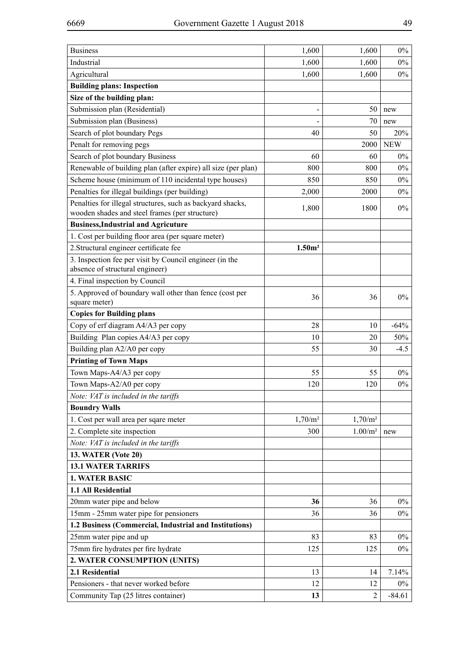| <b>Business</b>                                                          | 1,600              | 1,600               | $0\%$      |
|--------------------------------------------------------------------------|--------------------|---------------------|------------|
| Industrial                                                               | 1,600              | 1,600               | $0\%$      |
| Agricultural                                                             | 1,600              | 1,600               | $0\%$      |
| <b>Building plans: Inspection</b>                                        |                    |                     |            |
| Size of the building plan:                                               |                    |                     |            |
| Submission plan (Residential)                                            |                    | 50                  | new        |
| Submission plan (Business)                                               |                    | 70                  | new        |
| Search of plot boundary Pegs                                             | 40                 | 50                  | 20%        |
| Penalt for removing pegs                                                 |                    | 2000                | <b>NEW</b> |
| Search of plot boundary Business                                         | 60                 | 60                  | $0\%$      |
| Renewable of building plan (after expire) all size (per plan)            | 800                | 800                 | $0\%$      |
| Scheme house (minimum of 110 incidental type houses)                     | 850                | 850                 | $0\%$      |
| Penalties for illegal buildings (per building)                           | 2,000              | 2000                | $0\%$      |
| Penalties for illegal structures, such as backyard shacks,               | 1,800              | 1800                | $0\%$      |
| wooden shades and steel frames (per structure)                           |                    |                     |            |
| <b>Business, Industrial and Agricuture</b>                               |                    |                     |            |
| 1. Cost per building floor area (per square meter)                       |                    |                     |            |
| 2. Structural engineer certificate fee                                   | 1.50m <sup>2</sup> |                     |            |
| 3. Inspection fee per visit by Council engineer (in the                  |                    |                     |            |
| absence of structural engineer)                                          |                    |                     |            |
| 4. Final inspection by Council                                           |                    |                     |            |
| 5. Approved of boundary wall other than fence (cost per<br>square meter) | 36                 | 36                  | $0\%$      |
| <b>Copies for Building plans</b>                                         |                    |                     |            |
| Copy of erf diagram A4/A3 per copy                                       | 28                 | 10                  | $-64%$     |
| Building Plan copies A4/A3 per copy                                      | 10                 | 20                  | 50%        |
| Building plan A2/A0 per copy                                             | 55                 | 30                  | $-4.5$     |
| <b>Printing of Town Maps</b>                                             |                    |                     |            |
| Town Maps-A4/A3 per copy                                                 | 55                 | 55                  | $0\%$      |
| Town Maps-A2/A0 per copy                                                 | 120                | 120                 | $0\%$      |
| Note: VAT is included in the tariffs                                     |                    |                     |            |
| <b>Boundry Walls</b>                                                     |                    |                     |            |
| 1. Cost per wall area per sqare meter                                    | $1,70/m^2$         | 1,70/m <sup>2</sup> |            |
| 2. Complete site inspection                                              | 300                | $1.00/m^2$          | new        |
| Note: VAT is included in the tariffs                                     |                    |                     |            |
| <b>13. WATER (Vote 20)</b>                                               |                    |                     |            |
| <b>13.1 WATER TARRIFS</b>                                                |                    |                     |            |
| <b>1. WATER BASIC</b>                                                    |                    |                     |            |
| 1.1 All Residential                                                      |                    |                     |            |
| 20mm water pipe and below                                                | 36                 | 36                  | $0\%$      |
| 15mm - 25mm water pipe for pensioners                                    | 36                 | 36                  | $0\%$      |
| 1.2 Business (Commercial, Industrial and Institutions)                   |                    |                     |            |
| 25mm water pipe and up                                                   | 83                 | 83                  | $0\%$      |
| 75mm fire hydrates per fire hydrate                                      | 125                | 125                 | $0\%$      |
| 2. WATER CONSUMPTION (UNITS)                                             |                    |                     |            |
| 2.1 Residential                                                          | 13                 | 14                  | 7.14%      |
| Pensioners - that never worked before                                    | 12                 | 12                  | $0\%$      |
| Community Tap (25 litres container)                                      | 13                 | $\overline{2}$      | $-84.61$   |
|                                                                          |                    |                     |            |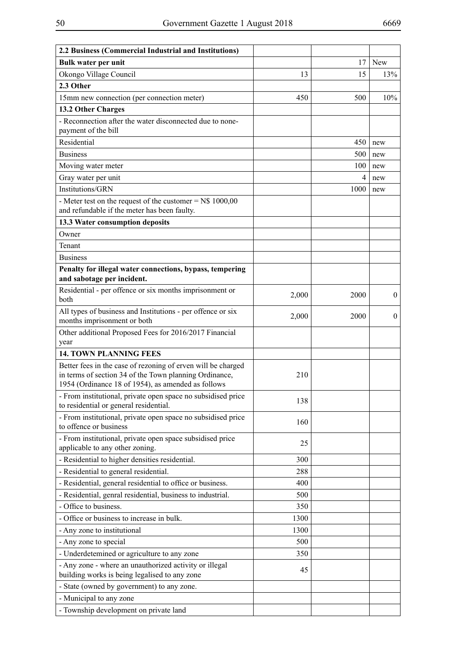| 2.2 Business (Commercial Industrial and Institutions)                                                        |       |      |              |
|--------------------------------------------------------------------------------------------------------------|-------|------|--------------|
| Bulk water per unit                                                                                          |       | 17   | New          |
| Okongo Village Council                                                                                       | 13    | 15   | 13%          |
| 2.3 Other                                                                                                    |       |      |              |
| 15mm new connection (per connection meter)                                                                   | 450   | 500  | 10%          |
| 13.2 Other Charges                                                                                           |       |      |              |
| - Reconnection after the water disconnected due to none-<br>payment of the bill                              |       |      |              |
| Residential                                                                                                  |       | 450  | new          |
| <b>Business</b>                                                                                              |       | 500  | new          |
| Moving water meter                                                                                           |       | 100  | new          |
| Gray water per unit                                                                                          |       | 4    | new          |
| Institutions/GRN                                                                                             |       | 1000 | new          |
| - Meter test on the request of the customer = $N$ 1000,00$<br>and refundable if the meter has been faulty.   |       |      |              |
| 13.3 Water consumption deposits                                                                              |       |      |              |
| Owner                                                                                                        |       |      |              |
| Tenant                                                                                                       |       |      |              |
| <b>Business</b>                                                                                              |       |      |              |
| Penalty for illegal water connections, bypass, tempering                                                     |       |      |              |
| and sabotage per incident.                                                                                   |       |      |              |
| Residential - per offence or six months imprisonment or<br>both                                              | 2,000 | 2000 | $\mathbf{0}$ |
| All types of business and Institutions - per offence or six<br>months imprisonment or both                   | 2,000 | 2000 | $\mathbf{0}$ |
| Other additional Proposed Fees for 2016/2017 Financial<br>year                                               |       |      |              |
| <b>14. TOWN PLANNING FEES</b>                                                                                |       |      |              |
| Better fees in the case of rezoning of erven will be charged                                                 |       |      |              |
| in terms of section 34 of the Town planning Ordinance,<br>1954 (Ordinance 18 of 1954), as amended as follows | 210   |      |              |
| - From institutional, private open space no subsidised price<br>to residential or general residential.       | 138   |      |              |
| - From institutional, private open space no subsidised price<br>to offence or business                       | 160   |      |              |
| - From institutional, private open space subsidised price<br>applicable to any other zoning.                 | 25    |      |              |
| - Residential to higher densities residential.                                                               | 300   |      |              |
| - Residential to general residential.                                                                        | 288   |      |              |
| - Residential, general residential to office or business.                                                    | 400   |      |              |
| - Residential, genral residential, business to industrial.                                                   | 500   |      |              |
| - Office to business.                                                                                        | 350   |      |              |
| - Office or business to increase in bulk.                                                                    | 1300  |      |              |
| - Any zone to institutional                                                                                  | 1300  |      |              |
| - Any zone to special                                                                                        | 500   |      |              |
| - Underdetemined or agriculture to any zone                                                                  | 350   |      |              |
| - Any zone - where an unauthorized activity or illegal                                                       | 45    |      |              |
| building works is being legalised to any zone                                                                |       |      |              |
| - State (owned by government) to any zone.                                                                   |       |      |              |
| - Municipal to any zone                                                                                      |       |      |              |
| - Township development on private land                                                                       |       |      |              |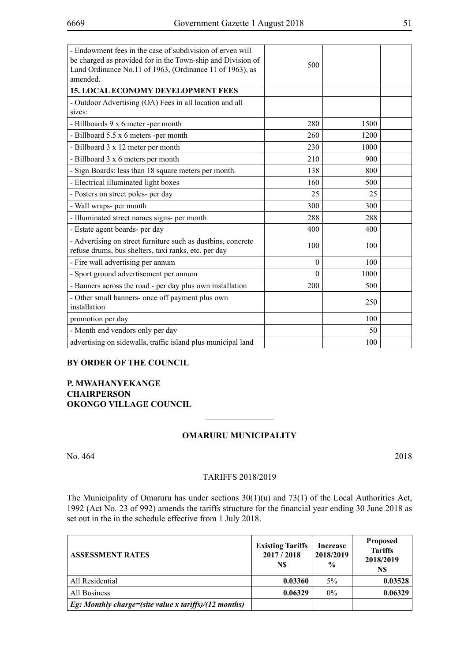| - Endowment fees in the case of subdivision of erven will<br>be charged as provided for in the Town-ship and Division of<br>Land Ordinance No.11 of 1963, (Ordinance 11 of 1963), as<br>amended. | 500      |      |  |
|--------------------------------------------------------------------------------------------------------------------------------------------------------------------------------------------------|----------|------|--|
| <b>15. LOCAL ECONOMY DEVELOPMENT FEES</b>                                                                                                                                                        |          |      |  |
| - Outdoor Advertising (OA) Fees in all location and all<br>sizes:                                                                                                                                |          |      |  |
| - Billboards 9 x 6 meter -per month                                                                                                                                                              | 280      | 1500 |  |
| - Billboard 5.5 x 6 meters -per month                                                                                                                                                            | 260      | 1200 |  |
| - Billboard 3 x 12 meter per month                                                                                                                                                               | 230      | 1000 |  |
| - Billboard 3 x 6 meters per month                                                                                                                                                               | 210      | 900  |  |
| - Sign Boards: less than 18 square meters per month.                                                                                                                                             | 138      | 800  |  |
| - Electrical illuminated light boxes                                                                                                                                                             | 160      | 500  |  |
| - Posters on street poles- per day                                                                                                                                                               | 25       | 25   |  |
| - Wall wraps- per month                                                                                                                                                                          | 300      | 300  |  |
| - Illuminated street names signs- per month                                                                                                                                                      | 288      | 288  |  |
| - Estate agent boards- per day                                                                                                                                                                   | 400      | 400  |  |
| - Advertising on street furniture such as dustbins, concrete<br>refuse drums, bus shelters, taxi ranks, etc. per day                                                                             | 100      | 100  |  |
| - Fire wall advertising per annum                                                                                                                                                                | $\theta$ | 100  |  |
| - Sport ground advertisement per annum                                                                                                                                                           | $\theta$ | 1000 |  |
| - Banners across the road - per day plus own installation                                                                                                                                        | 200      | 500  |  |
| - Other small banners- once off payment plus own<br>installation                                                                                                                                 |          | 250  |  |
| promotion per day                                                                                                                                                                                |          | 100  |  |
| - Month end vendors only per day                                                                                                                                                                 |          | 50   |  |
| advertising on sidewalls, traffic island plus municipal land                                                                                                                                     |          | 100  |  |

# **BY ORDER OF THE COUNCIL**

**P. Mwahanyekange CHAIRPERSON OKONGO VILLAGE COUNCIL**

## **Omaruru Municipality**

 $\overline{\phantom{a}}$  , where  $\overline{\phantom{a}}$ 

| No. 464 | 2018 |
|---------|------|
|         |      |

#### TARIFFS 2018/2019

The Municipality of Omaruru has under sections 30(1)(u) and 73(1) of the Local Authorities Act, 1992 (Act No. 23 of 992) amends the tariffs structure for the financial year ending 30 June 2018 as set out in the in the schedule effective from 1 July 2018.

| <b>ASSESSMENT RATES</b>                                      | <b>Existing Tariffs</b><br>2017/2018<br>N\$ | Increase<br>2018/2019<br>$\frac{6}{9}$ | <b>Proposed</b><br><b>Tariffs</b><br>2018/2019<br>N\$ |
|--------------------------------------------------------------|---------------------------------------------|----------------------------------------|-------------------------------------------------------|
| All Residential                                              | 0.03360                                     | $5\%$                                  | 0.03528                                               |
| All Business                                                 | 0.06329                                     | $0\%$                                  | 0.06329                                               |
| <i>Eg:</i> Monthly charge=(site value x tariffs)/(12 months) |                                             |                                        |                                                       |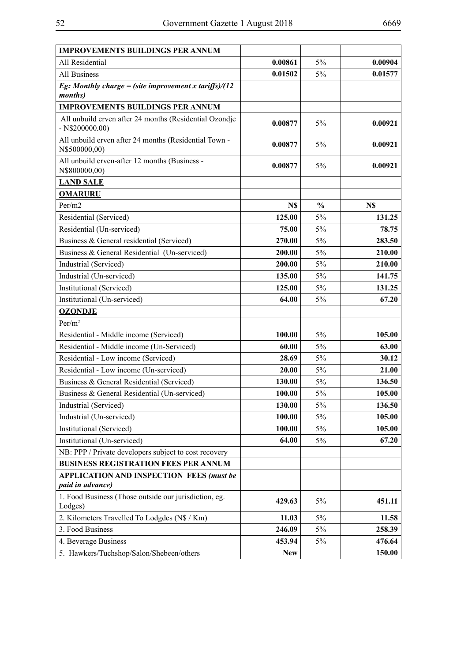| <b>IMPROVEMENTS BUILDINGS PER ANNUM</b>                                     |            |               |         |
|-----------------------------------------------------------------------------|------------|---------------|---------|
| All Residential                                                             | 0.00861    | 5%            | 0.00904 |
| All Business                                                                | 0.01502    | 5%            | 0.01577 |
| Eg: Monthly charge = (site improvement x tariffs)/(12<br><i>months</i> )    |            |               |         |
| <b>IMPROVEMENTS BUILDINGS PER ANNUM</b>                                     |            |               |         |
| All unbuild erven after 24 months (Residential Ozondje<br>$-$ N\$200000.00) | 0.00877    | 5%            | 0.00921 |
| All unbuild erven after 24 months (Residential Town -<br>N\$500000,00)      | 0.00877    | 5%            | 0.00921 |
| All unbuild erven-after 12 months (Business -<br>N\$800000,00)              | 0.00877    | 5%            | 0.00921 |
| <b>LAND SALE</b>                                                            |            |               |         |
| <b>OMARURU</b>                                                              |            |               |         |
| Per/m2                                                                      | N\$        | $\frac{0}{0}$ | N\$     |
| Residential (Serviced)                                                      | 125.00     | 5%            | 131.25  |
| Residential (Un-serviced)                                                   | 75.00      | 5%            | 78.75   |
| Business & General residential (Serviced)                                   | 270.00     | 5%            | 283.50  |
| Business & General Residential (Un-serviced)                                | 200.00     | 5%            | 210.00  |
| Industrial (Serviced)                                                       | 200.00     | 5%            | 210.00  |
| Industrial (Un-serviced)                                                    | 135.00     | 5%            | 141.75  |
| Institutional (Serviced)                                                    | 125.00     | 5%            | 131.25  |
| Institutional (Un-serviced)                                                 | 64.00      | 5%            | 67.20   |
| <b>OZONDJE</b>                                                              |            |               |         |
| $Per/m^2$                                                                   |            |               |         |
| Residential - Middle income (Serviced)                                      | 100.00     | 5%            | 105.00  |
| Residential - Middle income (Un-Serviced)                                   | 60.00      | 5%            | 63.00   |
| Residential - Low income (Serviced)                                         | 28.69      | 5%            | 30.12   |
| Residential - Low income (Un-serviced)                                      | 20.00      | 5%            | 21.00   |
| Business & General Residential (Serviced)                                   | 130.00     | 5%            | 136.50  |
| Business & General Residential (Un-serviced)                                | 100.00     | 5%            | 105.00  |
| Industrial (Serviced)                                                       | 130.00     | 5%            | 136.50  |
| Industrial (Un-serviced)                                                    | 100.00     | 5%            | 105.00  |
| Institutional (Serviced)                                                    | 100.00     | 5%            | 105.00  |
| Institutional (Un-serviced)                                                 | 64.00      | $5\%$         | 67.20   |
| NB: PPP / Private developers subject to cost recovery                       |            |               |         |
| <b>BUSINESS REGISTRATION FEES PER ANNUM</b>                                 |            |               |         |
| <b>APPLICATION AND INSPECTION FEES (must be</b>                             |            |               |         |
| paid in advance)                                                            |            |               |         |
| 1. Food Business (Those outside our jurisdiction, eg.<br>Lodges)            | 429.63     | 5%            | 451.11  |
| 2. Kilometers Travelled To Lodgdes (N\$ / Km)                               | 11.03      | 5%            | 11.58   |
| 3. Food Business                                                            | 246.09     | $5\%$         | 258.39  |
| 4. Beverage Business                                                        | 453.94     | 5%            | 476.64  |
| 5. Hawkers/Tuchshop/Salon/Shebeen/others                                    | <b>New</b> |               | 150.00  |
|                                                                             |            |               |         |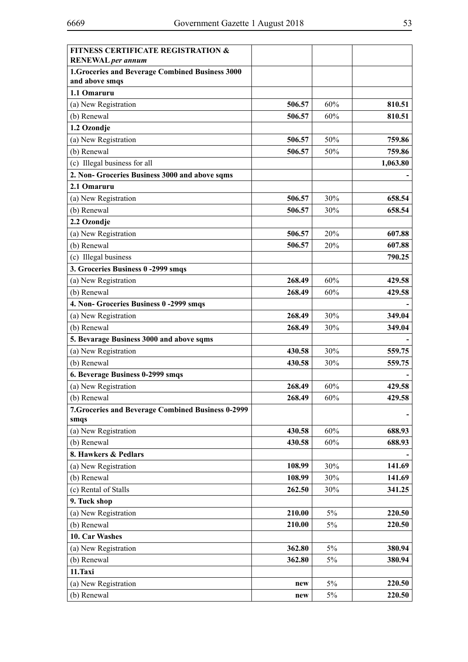| <b>FITNESS CERTIFICATE REGISTRATION &amp;</b><br>RENEWAL per annum |        |        |          |
|--------------------------------------------------------------------|--------|--------|----------|
| 1. Groceries and Beverage Combined Business 3000<br>and above smqs |        |        |          |
| 1.1 Omaruru                                                        |        |        |          |
| (a) New Registration                                               | 506.57 | 60%    | 810.51   |
| (b) Renewal                                                        | 506.57 | 60%    | 810.51   |
| 1.2 Ozondje                                                        |        |        |          |
| (a) New Registration                                               | 506.57 | 50%    | 759.86   |
| (b) Renewal                                                        | 506.57 | 50%    | 759.86   |
| (c) Illegal business for all                                       |        |        | 1,063.80 |
| 2. Non- Groceries Business 3000 and above sqms                     |        |        |          |
| 2.1 Omaruru                                                        |        |        |          |
| (a) New Registration                                               | 506.57 | 30%    | 658.54   |
| (b) Renewal                                                        | 506.57 | 30%    | 658.54   |
| 2.2 Ozondje                                                        |        |        |          |
| (a) New Registration                                               | 506.57 | 20%    | 607.88   |
| (b) Renewal                                                        | 506.57 | 20%    | 607.88   |
| (c) Illegal business                                               |        |        | 790.25   |
| 3. Groceries Business 0-2999 smqs                                  |        |        |          |
| (a) New Registration                                               | 268.49 | 60%    | 429.58   |
| (b) Renewal                                                        | 268.49 | 60%    | 429.58   |
| 4. Non- Groceries Business 0-2999 smqs                             |        |        |          |
| (a) New Registration                                               | 268.49 | 30%    | 349.04   |
| (b) Renewal                                                        | 268.49 | 30%    | 349.04   |
| 5. Bevarage Business 3000 and above sqms                           |        |        |          |
| (a) New Registration                                               | 430.58 | 30%    | 559.75   |
| (b) Renewal                                                        | 430.58 | 30%    | 559.75   |
| 6. Beverage Business 0-2999 smqs                                   |        |        |          |
| (a) New Registration                                               | 268.49 | 60%    | 429.58   |
| (b) Renewal                                                        | 268.49 | 60%    | 429.58   |
| 7. Groceries and Beverage Combined Business 0-2999<br>smqs         |        |        |          |
| (a) New Registration                                               | 430.58 | 60%    | 688.93   |
| (b) Renewal                                                        | 430.58 | $60\%$ | 688.93   |
| 8. Hawkers & Pedlars                                               |        |        |          |
| (a) New Registration                                               | 108.99 | 30%    | 141.69   |
| (b) Renewal                                                        | 108.99 | 30%    | 141.69   |
| (c) Rental of Stalls                                               | 262.50 | 30%    | 341.25   |
| 9. Tuck shop                                                       |        |        |          |
| (a) New Registration                                               | 210.00 | 5%     | 220.50   |
| (b) Renewal                                                        | 210.00 | 5%     | 220.50   |
| 10. Car Washes                                                     |        |        |          |
| (a) New Registration                                               | 362.80 | 5%     | 380.94   |
| (b) Renewal                                                        | 362.80 | 5%     | 380.94   |
| 11.Taxi                                                            |        |        |          |
| (a) New Registration                                               | new    | 5%     | 220.50   |
| (b) Renewal                                                        | new    | 5%     | 220.50   |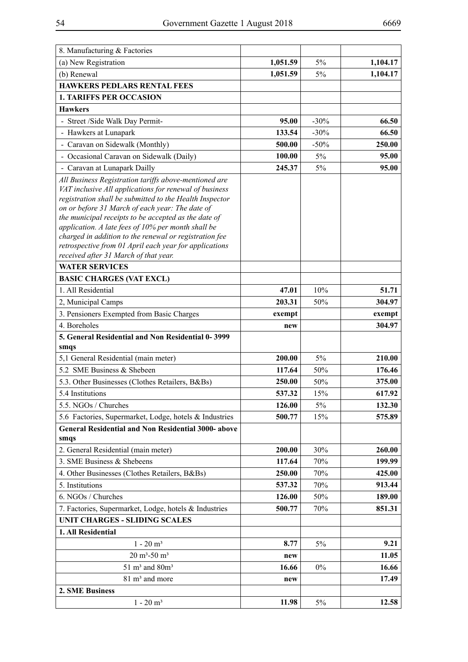| 8. Manufacturing & Factories                                                                                                                                                                                                                                                                                                                                                                                                                                                                             |          |         |          |
|----------------------------------------------------------------------------------------------------------------------------------------------------------------------------------------------------------------------------------------------------------------------------------------------------------------------------------------------------------------------------------------------------------------------------------------------------------------------------------------------------------|----------|---------|----------|
| (a) New Registration                                                                                                                                                                                                                                                                                                                                                                                                                                                                                     | 1,051.59 | 5%      | 1,104.17 |
| (b) Renewal                                                                                                                                                                                                                                                                                                                                                                                                                                                                                              | 1,051.59 | 5%      | 1,104.17 |
| <b>HAWKERS PEDLARS RENTAL FEES</b>                                                                                                                                                                                                                                                                                                                                                                                                                                                                       |          |         |          |
| <b>1. TARIFFS PER OCCASION</b>                                                                                                                                                                                                                                                                                                                                                                                                                                                                           |          |         |          |
| <b>Hawkers</b>                                                                                                                                                                                                                                                                                                                                                                                                                                                                                           |          |         |          |
| - Street /Side Walk Day Permit-                                                                                                                                                                                                                                                                                                                                                                                                                                                                          | 95.00    | $-30\%$ | 66.50    |
| - Hawkers at Lunapark                                                                                                                                                                                                                                                                                                                                                                                                                                                                                    | 133.54   | $-30%$  | 66.50    |
| - Caravan on Sidewalk (Monthly)                                                                                                                                                                                                                                                                                                                                                                                                                                                                          | 500.00   | $-50\%$ | 250.00   |
| - Occasional Caravan on Sidewalk (Daily)                                                                                                                                                                                                                                                                                                                                                                                                                                                                 | 100.00   | $5\%$   | 95.00    |
| - Caravan at Lunapark Dailly                                                                                                                                                                                                                                                                                                                                                                                                                                                                             | 245.37   | 5%      | 95.00    |
| All Business Registration tariffs above-mentioned are<br>VAT inclusive All applications for renewal of business<br>registration shall be submitted to the Health Inspector<br>on or before 31 March of each year: The date of<br>the municipal receipts to be accepted as the date of<br>application. A late fees of 10% per month shall be<br>charged in addition to the renewal or registration fee<br>retrospective from 01 April each year for applications<br>received after 31 March of that year. |          |         |          |
| <b>WATER SERVICES</b>                                                                                                                                                                                                                                                                                                                                                                                                                                                                                    |          |         |          |
| <b>BASIC CHARGES (VAT EXCL)</b>                                                                                                                                                                                                                                                                                                                                                                                                                                                                          |          |         |          |
| 1. All Residential                                                                                                                                                                                                                                                                                                                                                                                                                                                                                       | 47.01    | 10%     | 51.71    |
| 2, Municipal Camps                                                                                                                                                                                                                                                                                                                                                                                                                                                                                       | 203.31   | 50%     | 304.97   |
| 3. Pensioners Exempted from Basic Charges                                                                                                                                                                                                                                                                                                                                                                                                                                                                | exempt   |         | exempt   |
| 4. Boreholes                                                                                                                                                                                                                                                                                                                                                                                                                                                                                             | new      |         | 304.97   |
| 5. General Residential and Non Residential 0-3999<br>smqs                                                                                                                                                                                                                                                                                                                                                                                                                                                |          |         |          |
| 5,1 General Residential (main meter)                                                                                                                                                                                                                                                                                                                                                                                                                                                                     | 200.00   | 5%      | 210.00   |
| 5.2 SME Business & Shebeen                                                                                                                                                                                                                                                                                                                                                                                                                                                                               | 117.64   | 50%     | 176.46   |
| 5.3. Other Businesses (Clothes Retailers, B&Bs)                                                                                                                                                                                                                                                                                                                                                                                                                                                          | 250.00   | 50%     | 375.00   |
| 5.4 Institutions                                                                                                                                                                                                                                                                                                                                                                                                                                                                                         | 537.32   | 15%     | 617.92   |
| 5.5. NGOs / Churches                                                                                                                                                                                                                                                                                                                                                                                                                                                                                     | 126.00   | 5%      | 132.30   |
| 5.6 Factories, Supermarket, Lodge, hotels & Industries                                                                                                                                                                                                                                                                                                                                                                                                                                                   | 500.77   | 15%     | 575.89   |
| <b>General Residential and Non Residential 3000- above</b><br>smqs                                                                                                                                                                                                                                                                                                                                                                                                                                       |          |         |          |
| 2. General Residential (main meter)                                                                                                                                                                                                                                                                                                                                                                                                                                                                      | 200.00   | 30%     | 260.00   |
| 3. SME Business & Shebeens                                                                                                                                                                                                                                                                                                                                                                                                                                                                               | 117.64   | 70%     | 199.99   |
| 4. Other Businesses (Clothes Retailers, B&Bs)                                                                                                                                                                                                                                                                                                                                                                                                                                                            | 250.00   | $70\%$  | 425.00   |
| 5. Institutions                                                                                                                                                                                                                                                                                                                                                                                                                                                                                          | 537.32   | 70%     | 913.44   |
| 6. NGOs / Churches                                                                                                                                                                                                                                                                                                                                                                                                                                                                                       | 126.00   | 50%     | 189.00   |
| 7. Factories, Supermarket, Lodge, hotels & Industries                                                                                                                                                                                                                                                                                                                                                                                                                                                    | 500.77   | 70%     | 851.31   |
| <b>UNIT CHARGES - SLIDING SCALES</b>                                                                                                                                                                                                                                                                                                                                                                                                                                                                     |          |         |          |
| 1. All Residential                                                                                                                                                                                                                                                                                                                                                                                                                                                                                       |          |         |          |
| $1 - 20$ m <sup>3</sup>                                                                                                                                                                                                                                                                                                                                                                                                                                                                                  | 8.77     | 5%      | 9.21     |
| $20 \text{ m}^3$ -50 m <sup>3</sup>                                                                                                                                                                                                                                                                                                                                                                                                                                                                      | new      |         | 11.05    |
| $51~\mathrm{m}^3$ and $80\mathrm{m}^3$                                                                                                                                                                                                                                                                                                                                                                                                                                                                   | 16.66    | $0\%$   | 16.66    |
| 81 m <sup>3</sup> and more                                                                                                                                                                                                                                                                                                                                                                                                                                                                               | new      |         | 17.49    |
| 2. SME Business                                                                                                                                                                                                                                                                                                                                                                                                                                                                                          |          |         |          |
| $1$ - $20\;\mathrm{m}^3$                                                                                                                                                                                                                                                                                                                                                                                                                                                                                 | 11.98    | 5%      | 12.58    |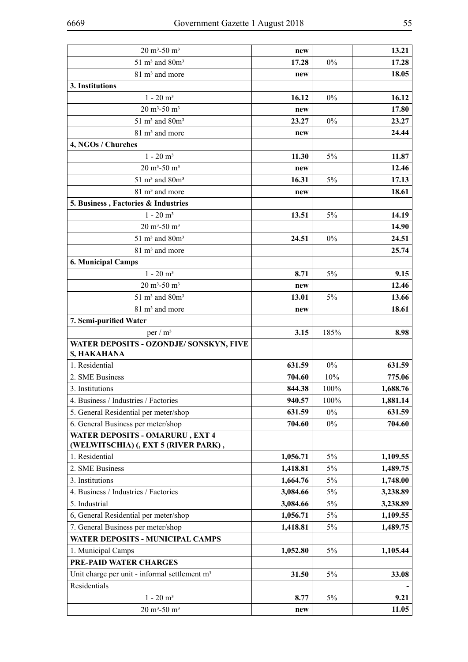| $20 \text{ m}^3$ -50 m <sup>3</sup>                                     | new      |       | 13.21    |
|-------------------------------------------------------------------------|----------|-------|----------|
| $51 \text{ m}^3$ and $80 \text{m}^3$                                    | 17.28    | $0\%$ | 17.28    |
| 81 m <sup>3</sup> and more                                              | new      |       | 18.05    |
| 3. Institutions                                                         |          |       |          |
| $1 - 20$ m <sup>3</sup>                                                 | 16.12    | $0\%$ | 16.12    |
| $20 \text{ m}^3$ -50 m <sup>3</sup>                                     | new      |       | 17.80    |
| $51 \text{ m}^3$ and $80 \text{m}^3$                                    | 23.27    | $0\%$ | 23.27    |
| 81 m <sup>3</sup> and more                                              | new      |       | 24.44    |
| 4, NGOs / Churches                                                      |          |       |          |
| $1 - 20$ m <sup>3</sup>                                                 | 11.30    | 5%    | 11.87    |
| $20 \text{ m}^3$ -50 m <sup>3</sup>                                     | new      |       | 12.46    |
| $51 \text{ m}^3$ and $80 \text{m}^3$                                    | 16.31    | $5\%$ | 17.13    |
| 81 m <sup>3</sup> and more                                              | new      |       | 18.61    |
| 5. Business, Factories & Industries                                     |          |       |          |
| $1 - 20$ m <sup>3</sup>                                                 | 13.51    | 5%    | 14.19    |
| $20 \text{ m}^3$ -50 m <sup>3</sup>                                     |          |       | 14.90    |
| $51 \text{ m}^3$ and $80 \text{m}^3$                                    | 24.51    | $0\%$ | 24.51    |
| 81 m <sup>3</sup> and more                                              |          |       | 25.74    |
| <b>6. Municipal Camps</b>                                               |          |       |          |
| $1 - 20$ m <sup>3</sup>                                                 | 8.71     | 5%    | 9.15     |
| $20 \text{ m}^3$ -50 m <sup>3</sup>                                     | new      |       | 12.46    |
| $51 \text{ m}^3$ and $80 \text{m}^3$                                    | 13.01    | $5\%$ | 13.66    |
| 81 m <sup>3</sup> and more                                              | new      |       | 18.61    |
| 7. Semi-purified Water                                                  |          |       |          |
| per / $m3$                                                              | 3.15     | 185%  | 8.98     |
| WATER DEPOSITS - OZONDJE/ SONSKYN, FIVE<br>\$, HAKAHANA                 |          |       |          |
| 1. Residential                                                          | 631.59   | $0\%$ | 631.59   |
| 2. SME Business                                                         | 704.60   | 10%   | 775.06   |
| 3. Institutions                                                         | 844.38   | 100%  | 1,688.76 |
| 4. Business / Industries / Factories                                    | 940.57   | 100%  | 1,881.14 |
| 5. General Residential per meter/shop                                   | 631.59   | $0\%$ | 631.59   |
| 6. General Business per meter/shop                                      | 704.60   | $0\%$ | 704.60   |
| WATER DEPOSITS - OMARURU, EXT 4<br>(WELWITSCHIA) (, EXT 5 (RIVER PARK), |          |       |          |
| 1. Residential                                                          | 1,056.71 | $5\%$ | 1,109.55 |
| 2. SME Business                                                         | 1,418.81 | 5%    | 1,489.75 |
| 3. Institutions                                                         | 1,664.76 | 5%    | 1,748.00 |
| 4. Business / Industries / Factories                                    | 3,084.66 | 5%    | 3,238.89 |
| 5. Industrial                                                           | 3,084.66 | 5%    | 3,238.89 |
| 6, General Residential per meter/shop                                   | 1,056.71 | 5%    | 1,109.55 |
| 7. General Business per meter/shop                                      | 1,418.81 | 5%    | 1,489.75 |
| WATER DEPOSITS - MUNICIPAL CAMPS                                        |          |       |          |
| 1. Municipal Camps                                                      | 1,052.80 | $5\%$ | 1,105.44 |
| PRE-PAID WATER CHARGES                                                  |          |       |          |
| Unit charge per unit - informal settlement $m3$                         | 31.50    | 5%    | 33.08    |
| Residentials                                                            |          |       |          |
| $1 - 20$ m <sup>3</sup>                                                 | 8.77     | $5\%$ | 9.21     |
| $20 \text{ m}^3$ -50 m <sup>3</sup>                                     | new      |       | 11.05    |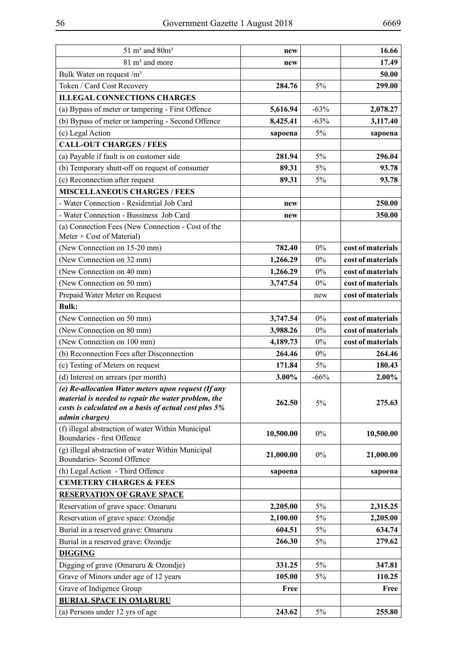| $51 \text{ m}^3$ and $80 \text{m}^3$                                                                                                                                                  | new       |        | 16.66             |
|---------------------------------------------------------------------------------------------------------------------------------------------------------------------------------------|-----------|--------|-------------------|
| 81 m <sup>3</sup> and more                                                                                                                                                            | new       |        | 17.49             |
| Bulk Water on request $/m3$                                                                                                                                                           |           |        | 50.00             |
| Token / Card Cost Recovery                                                                                                                                                            | 284.76    | 5%     | 299.00            |
| <b>ILLEGAL CONNECTIONS CHARGES</b>                                                                                                                                                    |           |        |                   |
| (a) Bypass of meter or tampering - First Offence                                                                                                                                      | 5,616.94  | $-63%$ | 2,078.27          |
| (b) Bypass of meter or tampering - Second Offence                                                                                                                                     | 8,425.41  | $-63%$ | 3,117.40          |
| (c) Legal Action                                                                                                                                                                      | sapoena   | $5\%$  | sapoena           |
| <b>CALL-OUT CHARGES / FEES</b>                                                                                                                                                        |           |        |                   |
| (a) Payable if fault is on customer side                                                                                                                                              | 281.94    | 5%     | 296.04            |
| (b) Temporary shutt-off on request of consumer                                                                                                                                        | 89.31     | 5%     | 93.78             |
| (c) Reconnection after request                                                                                                                                                        | 89.31     | $5\%$  | 93.78             |
| <b>MISCELLANEOUS CHARGES / FEES</b>                                                                                                                                                   |           |        |                   |
| - Water Connection - Residential Job Card                                                                                                                                             | new       |        | 250.00            |
| - Water Connection - Bussiness Job Card                                                                                                                                               | new       |        | 350.00            |
| (a) Connection Fees (New Connection - Cost of the<br>Meter + Cost of Material)                                                                                                        |           |        |                   |
| (New Connection on 15-20 mm)                                                                                                                                                          | 782.40    | 0%     | cost of materials |
| (New Connection on 32 mm)                                                                                                                                                             | 1,266.29  | $0\%$  | cost of materials |
| (New Connection on 40 mm)                                                                                                                                                             | 1,266.29  | $0\%$  | cost of materials |
| (New Connection on 50 mm)                                                                                                                                                             | 3,747.54  | $0\%$  | cost of materials |
| Prepaid Water Meter on Request                                                                                                                                                        |           | new    | cost of materials |
| <b>Bulk:</b>                                                                                                                                                                          |           |        |                   |
| (New Connection on 50 mm)                                                                                                                                                             | 3,747.54  | $0\%$  | cost of materials |
| (New Connection on 80 mm)                                                                                                                                                             | 3,988.26  | 0%     | cost of materials |
| (New Connection on 100 mm)                                                                                                                                                            | 4,189.73  | $0\%$  | cost of materials |
| (b) Reconnection Fees after Disconnection                                                                                                                                             | 264.46    | $0\%$  | 264.46            |
| (c) Testing of Meters on request                                                                                                                                                      | 171.84    | 5%     | 180.43            |
| (d) Interest on arrears (per month)                                                                                                                                                   | 3.00%     | $-66%$ | 2.00%             |
| (e) Re-allocation Water meters upon request (If any<br>material is needed to repair the water problem, the<br>costs is calculated on a basis of actual cost plus 5%<br>admin charges) | 262.50    | 5%     | 275.63            |
| (f) illegal abstraction of water Within Municipal<br>Boundaries - first Offence                                                                                                       | 10,500.00 | $0\%$  | 10,500.00         |
| (g) illegal abstraction of water Within Municipal<br><b>Boundaries-Second Offence</b>                                                                                                 | 21,000.00 | $0\%$  | 21,000.00         |
| (h) Legal Action - Third Offence                                                                                                                                                      | sapoena   |        | sapoena           |
| <b>CEMETERY CHARGES &amp; FEES</b>                                                                                                                                                    |           |        |                   |
| <b>RESERVATION OF GRAVE SPACE</b>                                                                                                                                                     |           |        |                   |
| Reservation of grave space: Omaruru                                                                                                                                                   | 2,205.00  | 5%     | 2,315.25          |
| Reservation of grave space: Ozondje                                                                                                                                                   | 2,100.00  | 5%     | 2,205.00          |
| Burial in a reserved grave: Omaruru                                                                                                                                                   | 604.51    | 5%     | 634.74            |
| Burial in a reserved grave: Ozondje                                                                                                                                                   | 266.30    | 5%     | 279.62            |
| <b>DIGGING</b>                                                                                                                                                                        |           |        |                   |
| Digging of grave (Omaruru & Ozondje)                                                                                                                                                  | 331.25    | 5%     | 347.81            |
| Grave of Minors under age of 12 years                                                                                                                                                 | 105.00    | 5%     | 110.25            |
| Grave of Indigence Group                                                                                                                                                              | Free      |        | Free              |
| <b>BURIAL SPACE IN OMARURU</b>                                                                                                                                                        |           |        |                   |
| (a) Persons under 12 yrs of age                                                                                                                                                       | 243.62    | 5%     | 255.80            |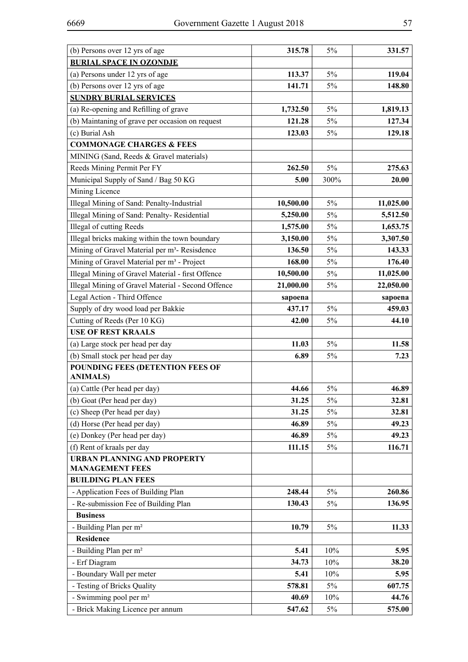| (b) Persons over 12 yrs of age                               | 315.78    | 5%    | 331.57    |
|--------------------------------------------------------------|-----------|-------|-----------|
| <b>BURIAL SPACE IN OZONDJE</b>                               |           |       |           |
| (a) Persons under 12 yrs of age                              | 113.37    | 5%    | 119.04    |
| (b) Persons over 12 yrs of age                               | 141.71    | 5%    | 148.80    |
| <b>SUNDRY BURIAL SERVICES</b>                                |           |       |           |
| (a) Re-opening and Refilling of grave                        | 1,732.50  | $5\%$ | 1,819.13  |
| (b) Maintaning of grave per occasion on request              | 121.28    | $5\%$ | 127.34    |
| (c) Burial Ash                                               | 123.03    | $5\%$ | 129.18    |
| <b>COMMONAGE CHARGES &amp; FEES</b>                          |           |       |           |
| MINING (Sand, Reeds & Gravel materials)                      |           |       |           |
| Reeds Mining Permit Per FY                                   | 262.50    | 5%    | 275.63    |
| Municipal Supply of Sand / Bag 50 KG                         | 5.00      | 300%  | 20.00     |
| Mining Licence                                               |           |       |           |
| Illegal Mining of Sand: Penalty-Industrial                   | 10,500.00 | 5%    | 11,025.00 |
| Illegal Mining of Sand: Penalty-Residential                  | 5,250.00  | 5%    | 5,512.50  |
| Illegal of cutting Reeds                                     | 1,575.00  | 5%    | 1,653.75  |
| Illegal bricks making within the town boundary               | 3,150.00  | 5%    | 3,307.50  |
| Mining of Gravel Material per m <sup>3</sup> - Resisdence    | 136.50    | 5%    | 143.33    |
| Mining of Gravel Material per m <sup>3</sup> - Project       | 168.00    | 5%    | 176.40    |
| Illegal Mining of Gravel Material - first Offence            | 10,500.00 | 5%    | 11,025.00 |
| Illegal Mining of Gravel Material - Second Offence           | 21,000.00 | 5%    | 22,050.00 |
| Legal Action - Third Offence                                 | sapoena   |       | sapoena   |
| Supply of dry wood load per Bakkie                           | 437.17    | 5%    | 459.03    |
| Cutting of Reeds (Per 10 KG)                                 | 42.00     | 5%    | 44.10     |
| <b>USE OF REST KRAALS</b>                                    |           |       |           |
| (a) Large stock per head per day                             | 11.03     | 5%    | 11.58     |
| (b) Small stock per head per day                             | 6.89      | 5%    | 7.23      |
| POUNDING FEES (DETENTION FEES OF                             |           |       |           |
| <b>ANIMALS)</b>                                              |           |       |           |
| (a) Cattle (Per head per day)                                | 44.66     | 5%    | 46.89     |
| (b) Goat (Per head per day)                                  | 31.25     | $5\%$ | 32.81     |
| (c) Sheep (Per head per day)                                 | 31.25     | 5%    | 32.81     |
| (d) Horse (Per head per day)                                 | 46.89     | 5%    | 49.23     |
| (e) Donkey (Per head per day)                                | 46.89     | 5%    | 49.23     |
| (f) Rent of kraals per day                                   | 111.15    | $5\%$ | 116.71    |
| <b>URBAN PLANNING AND PROPERTY</b><br><b>MANAGEMENT FEES</b> |           |       |           |
| <b>BUILDING PLAN FEES</b>                                    |           |       |           |
| - Application Fees of Building Plan                          | 248.44    | $5\%$ | 260.86    |
| - Re-submission Fee of Building Plan                         | 130.43    | 5%    | 136.95    |
| <b>Business</b>                                              |           |       |           |
| - Building Plan per m <sup>2</sup>                           | 10.79     | 5%    | 11.33     |
| <b>Residence</b>                                             |           |       |           |
| - Building Plan per m <sup>2</sup>                           | 5.41      | 10%   | 5.95      |
| - Erf Diagram                                                | 34.73     | 10%   | 38.20     |
| - Boundary Wall per meter                                    | 5.41      | 10%   | 5.95      |
| - Testing of Bricks Quality                                  | 578.81    | 5%    | 607.75    |
| - Swimming pool per m <sup>2</sup>                           | 40.69     | 10%   | 44.76     |
| - Brick Making Licence per annum                             | 547.62    | 5%    | 575.00    |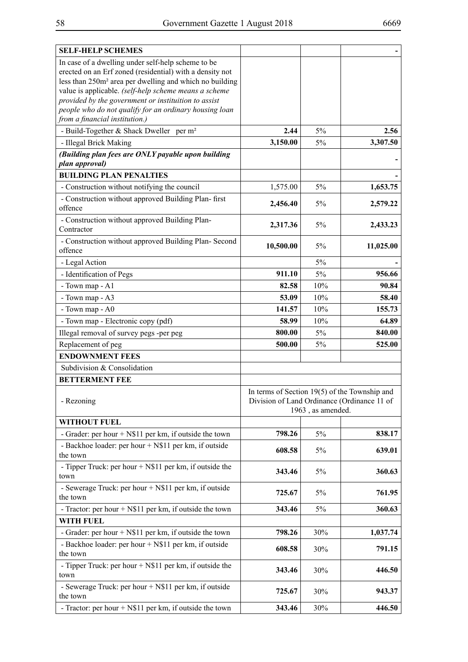| <b>SELF-HELP SCHEMES</b>                                                                                       |                                                                                                |                   |           |  |
|----------------------------------------------------------------------------------------------------------------|------------------------------------------------------------------------------------------------|-------------------|-----------|--|
| In case of a dwelling under self-help scheme to be                                                             |                                                                                                |                   |           |  |
| erected on an Erf zoned (residential) with a density not                                                       |                                                                                                |                   |           |  |
| less than 250m <sup>2</sup> area per dwelling and which no building                                            |                                                                                                |                   |           |  |
| value is applicable. (self-help scheme means a scheme                                                          |                                                                                                |                   |           |  |
| provided by the government or instituition to assist<br>people who do not qualify for an ordinary housing loan |                                                                                                |                   |           |  |
| from a financial institution.)                                                                                 |                                                                                                |                   |           |  |
| - Build-Together & Shack Dweller per m <sup>2</sup>                                                            | 2.44                                                                                           | 5%                | 2.56      |  |
| - Illegal Brick Making                                                                                         | 3,150.00                                                                                       | 5%                | 3,307.50  |  |
|                                                                                                                |                                                                                                |                   |           |  |
| (Building plan fees are ONLY payable upon building<br>plan approval)                                           |                                                                                                |                   |           |  |
| <b>BUILDING PLAN PENALTIES</b>                                                                                 |                                                                                                |                   |           |  |
| - Construction without notifying the council                                                                   | 1,575.00                                                                                       | 5%                | 1,653.75  |  |
| - Construction without approved Building Plan- first                                                           | 2,456.40                                                                                       | 5%                | 2,579.22  |  |
| offence                                                                                                        |                                                                                                |                   |           |  |
| - Construction without approved Building Plan-<br>Contractor                                                   | 2,317.36                                                                                       | 5%                | 2,433.23  |  |
| - Construction without approved Building Plan- Second                                                          | 10,500.00                                                                                      | 5%                | 11,025.00 |  |
| offence                                                                                                        |                                                                                                |                   |           |  |
| - Legal Action                                                                                                 |                                                                                                | 5%                |           |  |
| - Identification of Pegs                                                                                       | 911.10                                                                                         | 5%                | 956.66    |  |
| - Town map - A1                                                                                                | 82.58                                                                                          | 10%               | 90.84     |  |
| - Town map - A3                                                                                                | 53.09                                                                                          | 10%               | 58.40     |  |
| - Town map - A0                                                                                                | 141.57                                                                                         | 10%               | 155.73    |  |
| - Town map - Electronic copy (pdf)                                                                             | 58.99                                                                                          | 10%               | 64.89     |  |
| Illegal removal of survey pegs -per peg                                                                        | 800.00                                                                                         | 5%                | 840.00    |  |
| Replacement of peg                                                                                             | 500.00                                                                                         | 5%                | 525.00    |  |
| <b>ENDOWNMENT FEES</b>                                                                                         |                                                                                                |                   |           |  |
| Subdivision & Consolidation                                                                                    |                                                                                                |                   |           |  |
| <b>BETTERMENT FEE</b>                                                                                          |                                                                                                |                   |           |  |
|                                                                                                                |                                                                                                |                   |           |  |
| - Rezoning                                                                                                     | In terms of Section $19(5)$ of the Township and<br>Division of Land Ordinance (Ordinance 11 of |                   |           |  |
|                                                                                                                |                                                                                                | 1963, as amended. |           |  |
| <b>WITHOUT FUEL</b>                                                                                            |                                                                                                |                   |           |  |
| - Grader: per hour + N\$11 per km, if outside the town                                                         | 798.26                                                                                         | $5\%$             | 838.17    |  |
| - Backhoe loader: per hour + N\$11 per km, if outside                                                          | 608.58                                                                                         | 5%                | 639.01    |  |
| the town                                                                                                       |                                                                                                |                   |           |  |
| - Tipper Truck: per hour $+$ N\$11 per km, if outside the                                                      | 343.46                                                                                         | 5%                | 360.63    |  |
| town                                                                                                           |                                                                                                |                   |           |  |
| - Sewerage Truck: per hour + N\$11 per km, if outside<br>the town                                              | 725.67                                                                                         | 5%                | 761.95    |  |
| - Tractor: per hour $+$ N\$11 per km, if outside the town                                                      | 343.46                                                                                         | 5%                | 360.63    |  |
| <b>WITH FUEL</b>                                                                                               |                                                                                                |                   |           |  |
| - Grader: per hour $+$ N\$11 per km, if outside the town                                                       | 798.26                                                                                         | 30%               | 1,037.74  |  |
| - Backhoe loader: per hour + N\$11 per km, if outside                                                          | 608.58                                                                                         | 30%               | 791.15    |  |
| the town                                                                                                       |                                                                                                |                   |           |  |
| - Tipper Truck: per hour $+$ N\$11 per km, if outside the<br>town                                              | 343.46                                                                                         | 30%               | 446.50    |  |
| - Sewerage Truck: per hour + N\$11 per km, if outside<br>the town                                              | 725.67                                                                                         | 30%               | 943.37    |  |
| - Tractor: per hour $+$ N\$11 per km, if outside the town                                                      | 343.46                                                                                         | 30%               | 446.50    |  |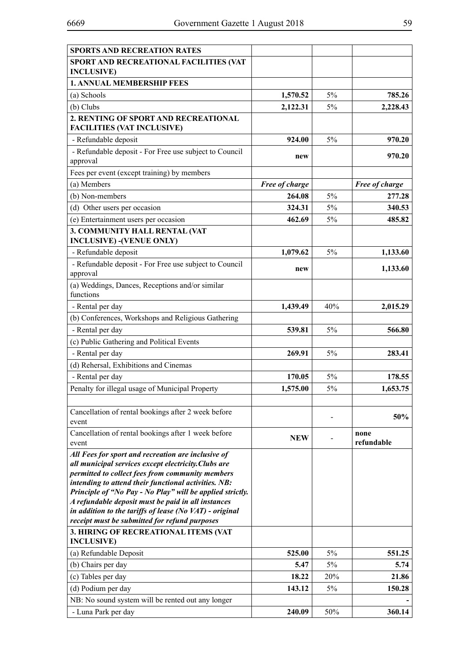| <b>SPORTS AND RECREATION RATES</b>                                                                       |                |       |                |
|----------------------------------------------------------------------------------------------------------|----------------|-------|----------------|
| SPORT AND RECREATIONAL FACILITIES (VAT                                                                   |                |       |                |
| <b>INCLUSIVE</b> )                                                                                       |                |       |                |
| <b>1. ANNUAL MEMBERSHIP FEES</b>                                                                         |                |       |                |
| (a) Schools                                                                                              | 1,570.52       | 5%    | 785.26         |
| $(b)$ Clubs                                                                                              | 2,122.31       | 5%    | 2,228.43       |
| 2. RENTING OF SPORT AND RECREATIONAL                                                                     |                |       |                |
| <b>FACILITIES (VAT INCLUSIVE)</b>                                                                        |                |       |                |
| - Refundable deposit                                                                                     | 924.00         | 5%    | 970.20         |
| - Refundable deposit - For Free use subject to Council                                                   | new            |       | 970.20         |
| approval                                                                                                 |                |       |                |
| Fees per event (except training) by members                                                              |                |       |                |
| (a) Members                                                                                              | Free of charge |       | Free of charge |
| (b) Non-members                                                                                          | 264.08         | 5%    | 277.28         |
| (d) Other users per occasion                                                                             | 324.31         | 5%    | 340.53         |
| (e) Entertainment users per occasion                                                                     | 462.69         | 5%    | 485.82         |
| 3. COMMUNITY HALL RENTAL (VAT                                                                            |                |       |                |
| <b>INCLUSIVE) -(VENUE ONLY)</b>                                                                          |                |       |                |
| - Refundable deposit                                                                                     | 1,079.62       | $5\%$ | 1,133.60       |
| - Refundable deposit - For Free use subject to Council<br>approval                                       | new            |       | 1,133.60       |
| (a) Weddings, Dances, Receptions and/or similar                                                          |                |       |                |
| functions                                                                                                |                |       |                |
| - Rental per day                                                                                         | 1,439.49       | 40%   | 2,015.29       |
| (b) Conferences, Workshops and Religious Gathering                                                       |                |       |                |
| - Rental per day                                                                                         | 539.81         | 5%    | 566.80         |
| (c) Public Gathering and Political Events                                                                |                |       |                |
| - Rental per day                                                                                         | 269.91         | 5%    | 283.41         |
| (d) Rehersal, Exhibitions and Cinemas                                                                    |                |       |                |
| - Rental per day                                                                                         | 170.05         | 5%    | 178.55         |
| Penalty for illegal usage of Municipal Property                                                          | 1,575.00       | 5%    | 1,653.75       |
|                                                                                                          |                |       |                |
| Cancellation of rental bookings after 2 week before<br>event                                             |                |       | 50%            |
| Cancellation of rental bookings after 1 week before                                                      |                |       | none           |
| event                                                                                                    | <b>NEW</b>     |       | refundable     |
| All Fees for sport and recreation are inclusive of                                                       |                |       |                |
| all municipal services except electricity. Clubs are<br>permitted to collect fees from community members |                |       |                |
| intending to attend their functional activities. NB:                                                     |                |       |                |
| Principle of "No Pay - No Play" will be applied strictly.                                                |                |       |                |
| A refundable deposit must be paid in all instances                                                       |                |       |                |
| in addition to the tariffs of lease (No VAT) - original                                                  |                |       |                |
| receipt must be submitted for refund purposes                                                            |                |       |                |
| 3. HIRING OF RECREATIONAL ITEMS (VAT<br><b>INCLUSIVE</b> )                                               |                |       |                |
| (a) Refundable Deposit                                                                                   | 525.00         | 5%    | 551.25         |
| (b) Chairs per day                                                                                       | 5.47           | 5%    | 5.74           |
| (c) Tables per day                                                                                       | 18.22          | 20%   | 21.86          |
| (d) Podium per day                                                                                       | 143.12         | 5%    | 150.28         |
| NB: No sound system will be rented out any longer                                                        |                |       |                |
| - Luna Park per day                                                                                      | 240.09         | 50%   | 360.14         |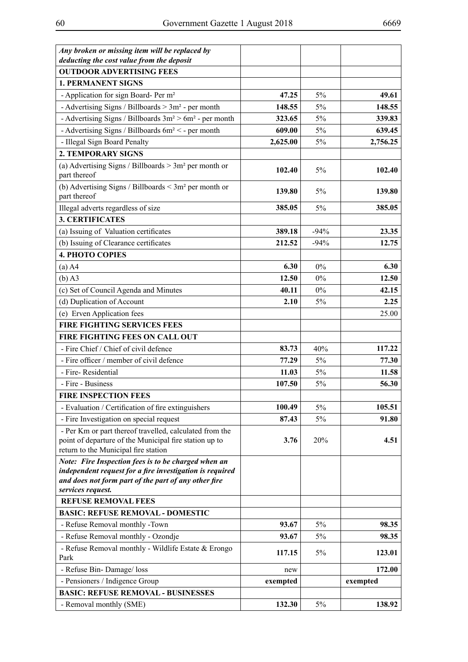| Any broken or missing item will be replaced by<br>deducting the cost value from the deposit                                                               |          |        |          |
|-----------------------------------------------------------------------------------------------------------------------------------------------------------|----------|--------|----------|
| <b>OUTDOOR ADVERTISING FEES</b>                                                                                                                           |          |        |          |
| <b>1. PERMANENT SIGNS</b>                                                                                                                                 |          |        |          |
| - Application for sign Board- Per m <sup>2</sup>                                                                                                          | 47.25    | 5%     | 49.61    |
| - Advertising Signs / Billboards $> 3m^2$ - per month                                                                                                     | 148.55   | 5%     | 148.55   |
| - Advertising Signs / Billboards $3m^2 > 6m^2$ - per month                                                                                                | 323.65   | 5%     | 339.83   |
| - Advertising Signs / Billboards 6m <sup>2</sup> < - per month                                                                                            | 609.00   | 5%     | 639.45   |
| - Illegal Sign Board Penalty                                                                                                                              | 2,625.00 | 5%     | 2,756.25 |
| <b>2. TEMPORARY SIGNS</b>                                                                                                                                 |          |        |          |
| (a) Advertising Signs / Billboards $> 3m2$ per month or<br>part thereof                                                                                   | 102.40   | 5%     | 102.40   |
| (b) Advertising Signs / Billboards $\leq 3m^2$ per month or<br>part thereof                                                                               | 139.80   | 5%     | 139.80   |
| Illegal adverts regardless of size                                                                                                                        | 385.05   | $5\%$  | 385.05   |
| <b>3. CERTIFICATES</b>                                                                                                                                    |          |        |          |
| (a) Issuing of Valuation certificates                                                                                                                     | 389.18   | $-94%$ | 23.35    |
| (b) Issuing of Clearance certificates                                                                                                                     | 212.52   | $-94%$ | 12.75    |
| <b>4. PHOTO COPIES</b>                                                                                                                                    |          |        |          |
| $(a)$ A4                                                                                                                                                  | 6.30     | $0\%$  | 6.30     |
| $(b)$ A3                                                                                                                                                  | 12.50    | $0\%$  | 12.50    |
| (c) Set of Council Agenda and Minutes                                                                                                                     | 40.11    | $0\%$  | 42.15    |
| (d) Duplication of Account                                                                                                                                | 2.10     | 5%     | 2.25     |
| (e) Erven Application fees                                                                                                                                |          |        | 25.00    |
| <b>FIRE FIGHTING SERVICES FEES</b>                                                                                                                        |          |        |          |
| FIRE FIGHTING FEES ON CALL OUT                                                                                                                            |          |        |          |
| - Fire Chief / Chief of civil defence                                                                                                                     | 83.73    | 40%    | 117.22   |
| - Fire officer / member of civil defence                                                                                                                  | 77.29    | 5%     | 77.30    |
| - Fire-Residential                                                                                                                                        | 11.03    | 5%     | 11.58    |
| - Fire - Business                                                                                                                                         | 107.50   | 5%     | 56.30    |
| <b>FIRE INSPECTION FEES</b>                                                                                                                               |          |        |          |
| - Evaluation / Certification of fire extinguishers                                                                                                        | 100.49   | 5%     | 105.51   |
| - Fire Investigation on special request                                                                                                                   | 87.43    | 5%     | 91.80    |
| - Per Km or part thereof travelled, calculated from the<br>point of departure of the Municipal fire station up to<br>return to the Municipal fire station | 3.76     | 20%    | 4.51     |
| Note: Fire Inspection fees is to be charged when an                                                                                                       |          |        |          |
| independent request for a fire investigation is required<br>and does not form part of the part of any other fire                                          |          |        |          |
| services request.                                                                                                                                         |          |        |          |
| <b>REFUSE REMOVAL FEES</b>                                                                                                                                |          |        |          |
| <b>BASIC: REFUSE REMOVAL - DOMESTIC</b>                                                                                                                   |          |        |          |
| - Refuse Removal monthly -Town                                                                                                                            | 93.67    | 5%     | 98.35    |
| - Refuse Removal monthly - Ozondje                                                                                                                        | 93.67    | 5%     | 98.35    |
| - Refuse Removal monthly - Wildlife Estate & Erongo<br>Park                                                                                               | 117.15   | 5%     | 123.01   |
| - Refuse Bin-Damage/loss                                                                                                                                  | new      |        | 172.00   |
| - Pensioners / Indigence Group                                                                                                                            | exempted |        | exempted |
| <b>BASIC: REFUSE REMOVAL - BUSINESSES</b>                                                                                                                 |          |        |          |
| - Removal monthly (SME)                                                                                                                                   | 132.30   | 5%     | 138.92   |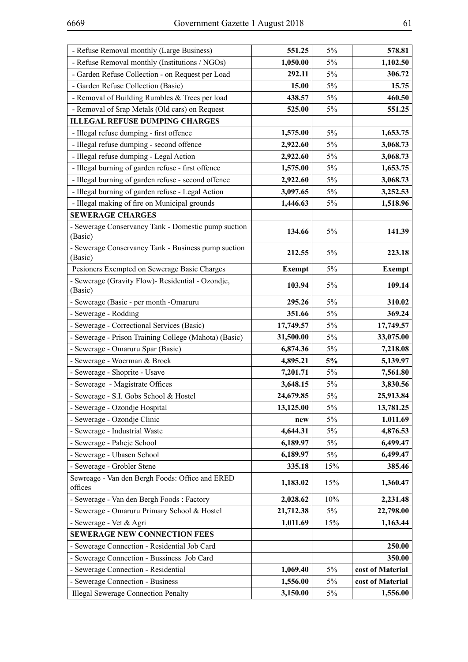| - Refuse Removal monthly (Large Business)                      | 551.25        | 5%    | 578.81           |
|----------------------------------------------------------------|---------------|-------|------------------|
| - Refuse Removal monthly (Institutions / NGOs)                 | 1,050.00      | 5%    | 1,102.50         |
| - Garden Refuse Collection - on Request per Load               | 292.11        | 5%    | 306.72           |
| - Garden Refuse Collection (Basic)                             | 15.00         | $5\%$ | 15.75            |
| - Removal of Building Rumbles & Trees per load                 | 438.57        | 5%    | 460.50           |
| - Removal of Srap Metals (Old cars) on Request                 | 525.00        | 5%    | 551.25           |
| <b>ILLEGAL REFUSE DUMPING CHARGES</b>                          |               |       |                  |
| - Illegal refuse dumping - first offence                       | 1,575.00      | $5\%$ | 1,653.75         |
| - Illegal refuse dumping - second offence                      | 2,922.60      | 5%    | 3,068.73         |
| - Illegal refuse dumping - Legal Action                        | 2,922.60      | $5\%$ | 3,068.73         |
| - Illegal burning of garden refuse - first offence             | 1,575.00      | 5%    | 1,653.75         |
| - Illegal burning of garden refuse - second offence            | 2,922.60      | $5\%$ | 3,068.73         |
| - Illegal burning of garden refuse - Legal Action              | 3,097.65      | $5\%$ | 3,252.53         |
| - Illegal making of fire on Municipal grounds                  | 1,446.63      | 5%    | 1,518.96         |
| <b>SEWERAGE CHARGES</b>                                        |               |       |                  |
| - Sewerage Conservancy Tank - Domestic pump suction            | 134.66        | 5%    | 141.39           |
| (Basic)                                                        |               |       |                  |
| - Sewerage Conservancy Tank - Business pump suction<br>(Basic) | 212.55        | 5%    | 223.18           |
| Pesioners Exempted on Sewerage Basic Charges                   | <b>Exempt</b> | 5%    | <b>Exempt</b>    |
| - Sewerage (Gravity Flow)- Residential - Ozondje,<br>(Basic)   | 103.94        | 5%    | 109.14           |
| - Sewerage (Basic - per month -Omaruru                         | 295.26        | 5%    | 310.02           |
| - Sewerage - Rodding                                           | 351.66        | 5%    | 369.24           |
| - Sewerage - Correctional Services (Basic)                     | 17,749.57     | 5%    | 17,749.57        |
| - Sewerage - Prison Training College (Mahota) (Basic)          | 31,500.00     | 5%    | 33,075.00        |
| - Sewerage - Omaruru Spar (Basic)                              | 6,874.36      | 5%    | 7,218.08         |
| - Sewerage - Woerman & Brock                                   | 4,895.21      | 5%    | 5,139.97         |
| - Sewerage - Shoprite - Usave                                  | 7,201.71      | 5%    | 7,561.80         |
| - Sewerage - Magistrate Offices                                | 3,648.15      | 5%    | 3,830.56         |
| - Sewerage - S.I. Gobs School & Hostel                         | 24,679.85     | 5%    | 25,913.84        |
| - Sewerage - Ozondje Hospital                                  | 13,125.00     | 5%    | 13,781.25        |
| - Sewerage - Ozondje Clinic                                    | new           | 5%    | 1,011.69         |
| - Sewerage - Industrial Waste                                  | 4,644.31      | 5%    | 4,876.53         |
| - Sewerage - Paheje School                                     | 6,189.97      | 5%    | 6,499.47         |
| - Sewerage - Ubasen School                                     | 6,189.97      | 5%    | 6,499.47         |
| - Sewerage - Grobler Stene                                     | 335.18        | 15%   | 385.46           |
| Sewreage - Van den Bergh Foods: Office and ERED<br>offices     | 1,183.02      | 15%   | 1,360.47         |
| - Sewerage - Van den Bergh Foods: Factory                      | 2,028.62      | 10%   | 2,231.48         |
| - Sewerage - Omaruru Primary School & Hostel                   | 21,712.38     | $5\%$ | 22,798.00        |
| - Sewerage - Vet & Agri                                        | 1,011.69      | 15%   | 1,163.44         |
| <b>SEWERAGE NEW CONNECTION FEES</b>                            |               |       |                  |
| - Sewerage Connection - Residential Job Card                   |               |       | 250.00           |
| - Sewerage Connection - Bussiness Job Card                     |               |       | 350.00           |
| - Sewerage Connection - Residential                            | 1,069.40      | 5%    | cost of Material |
| - Sewerage Connection - Business                               | 1,556.00      | $5\%$ | cost of Material |
| <b>Illegal Sewerage Connection Penalty</b>                     | 3,150.00      | 5%    | 1,556.00         |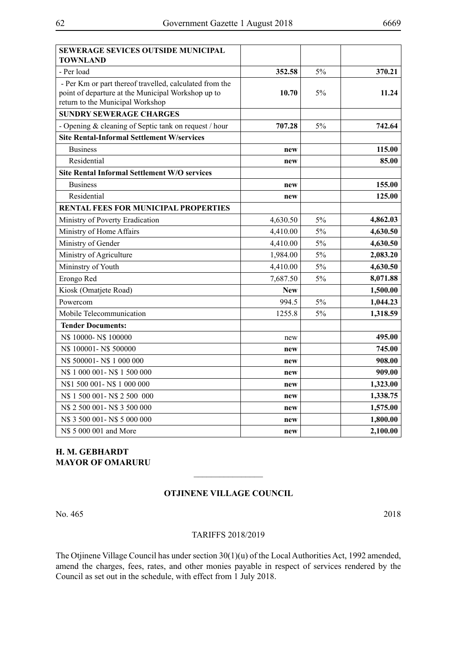| SEWERAGE SEVICES OUTSIDE MUNICIPAL<br>TOWNLAND                                                                                                    |            |       |          |
|---------------------------------------------------------------------------------------------------------------------------------------------------|------------|-------|----------|
| - Per load                                                                                                                                        | 352.58     | 5%    | 370.21   |
| - Per Km or part thereof travelled, calculated from the<br>point of departure at the Municipal Workshop up to<br>return to the Municipal Workshop | 10.70      | 5%    | 11.24    |
| <b>SUNDRY SEWERAGE CHARGES</b>                                                                                                                    |            |       |          |
| - Opening & cleaning of Septic tank on request / hour                                                                                             | 707.28     | 5%    | 742.64   |
| <b>Site Rental-Informal Settlement W/services</b>                                                                                                 |            |       |          |
| <b>Business</b>                                                                                                                                   | new        |       | 115.00   |
| Residential                                                                                                                                       | new        |       | 85.00    |
| <b>Site Rental Informal Settlement W/O services</b>                                                                                               |            |       |          |
| <b>Business</b>                                                                                                                                   | new        |       | 155.00   |
| Residential                                                                                                                                       | new        |       | 125.00   |
| RENTAL FEES FOR MUNICIPAL PROPERTIES                                                                                                              |            |       |          |
| Ministry of Poverty Eradication                                                                                                                   | 4,630.50   | 5%    | 4,862.03 |
| Ministry of Home Affairs                                                                                                                          | 4,410.00   | 5%    | 4,630.50 |
| Ministry of Gender                                                                                                                                | 4,410.00   | 5%    | 4,630.50 |
| Ministry of Agriculture                                                                                                                           | 1,984.00   | $5\%$ | 2,083.20 |
| Mininstry of Youth                                                                                                                                | 4,410.00   | 5%    | 4,630.50 |
| Erongo Red                                                                                                                                        | 7,687.50   | 5%    | 8,071.88 |
| Kiosk (Omatjete Road)                                                                                                                             | <b>New</b> |       | 1,500.00 |
| Powercom                                                                                                                                          | 994.5      | 5%    | 1,044.23 |
| Mobile Telecommunication                                                                                                                          | 1255.8     | 5%    | 1,318.59 |
| <b>Tender Documents:</b>                                                                                                                          |            |       |          |
| N\$ 10000-N\$ 100000                                                                                                                              | new        |       | 495.00   |
| N\$ 100001-N\$ 500000                                                                                                                             | new        |       | 745.00   |
| N\$ 500001-N\$ 1 000 000                                                                                                                          | new        |       | 908.00   |
| N\$ 1 000 001-N\$ 1 500 000                                                                                                                       | new        |       | 909.00   |
| N\$1 500 001-N\$1 000 000                                                                                                                         | new        |       | 1,323.00 |
| N\$ 1 500 001-N\$ 2 500 000                                                                                                                       | new        |       | 1,338.75 |
| N\$ 2 500 001 - N\$ 3 500 000                                                                                                                     | new        |       | 1,575.00 |
| N\$ 3 500 001-N\$ 5 000 000                                                                                                                       | new        |       | 1,800.00 |
| N\$ 5 000 001 and More                                                                                                                            | new        |       | 2,100.00 |

# **H. M. Gebhardt MAYOR OF OMARURU**

## **Otjinene Village Council**

 $\overline{\phantom{a}}$  , where  $\overline{\phantom{a}}$ 

No. 465 2018

#### TARIFFS 2018/2019

The Otjinene Village Council has under section 30(1)(u) of the Local Authorities Act, 1992 amended, amend the charges, fees, rates, and other monies payable in respect of services rendered by the Council as set out in the schedule, with effect from 1 July 2018.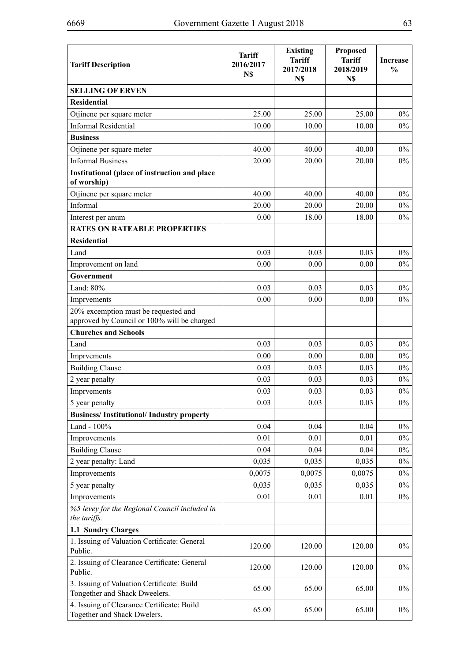| <b>Tariff Description</b>                                                           | <b>Tariff</b><br>2016/2017<br>N\$ | <b>Existing</b><br><b>Tariff</b><br>2017/2018<br>N\$ | <b>Proposed</b><br><b>Tariff</b><br>2018/2019<br>N\$ | <b>Increase</b><br>$\frac{0}{0}$ |
|-------------------------------------------------------------------------------------|-----------------------------------|------------------------------------------------------|------------------------------------------------------|----------------------------------|
| <b>SELLING OF ERVEN</b>                                                             |                                   |                                                      |                                                      |                                  |
| <b>Residential</b>                                                                  |                                   |                                                      |                                                      |                                  |
| Otjinene per square meter                                                           | 25.00                             | 25.00                                                | 25.00                                                | $0\%$                            |
| <b>Informal Residential</b>                                                         | 10.00                             | 10.00                                                | 10.00                                                | $0\%$                            |
| <b>Business</b>                                                                     |                                   |                                                      |                                                      |                                  |
| Otjinene per square meter                                                           | 40.00                             | 40.00                                                | 40.00                                                | $0\%$                            |
| <b>Informal Business</b>                                                            | 20.00                             | 20.00                                                | 20.00                                                | $0\%$                            |
| Institutional (place of instruction and place<br>of worship)                        |                                   |                                                      |                                                      |                                  |
| Otjinene per square meter                                                           | 40.00                             | 40.00                                                | 40.00                                                | $0\%$                            |
| Informal                                                                            | 20.00                             | 20.00                                                | 20.00                                                | $0\%$                            |
| Interest per anum                                                                   | 0.00                              | 18.00                                                | 18.00                                                | $0\%$                            |
| <b>RATES ON RATEABLE PROPERTIES</b>                                                 |                                   |                                                      |                                                      |                                  |
| <b>Residential</b>                                                                  |                                   |                                                      |                                                      |                                  |
| Land                                                                                | 0.03                              | 0.03                                                 | 0.03                                                 | $0\%$                            |
| Improvement on land                                                                 | 0.00                              | 0.00                                                 | 0.00                                                 | $0\%$                            |
| Government                                                                          |                                   |                                                      |                                                      |                                  |
| Land: 80%                                                                           | 0.03                              | 0.03                                                 | 0.03                                                 | $0\%$                            |
| Imprvements                                                                         | 0.00                              | 0.00                                                 | 0.00                                                 | $0\%$                            |
| 20% excemption must be requested and<br>approved by Council or 100% will be charged |                                   |                                                      |                                                      |                                  |
| <b>Churches and Schools</b>                                                         |                                   |                                                      |                                                      |                                  |
| Land                                                                                | 0.03                              | 0.03                                                 | 0.03                                                 | $0\%$                            |
| Imprvements                                                                         | 0.00                              | 0.00                                                 | 0.00                                                 | $0\%$                            |
| <b>Building Clause</b>                                                              | 0.03                              | 0.03                                                 | 0.03                                                 | $0\%$                            |
| 2 year penalty                                                                      | 0.03                              | 0.03                                                 | 0.03                                                 | $0\%$                            |
| Imprvements                                                                         | 0.03                              | 0.03                                                 | 0.03                                                 | $0\%$                            |
| 5 year penalty                                                                      | 0.03                              | 0.03                                                 | 0.03                                                 | $0\%$                            |
| <b>Business/Institutional/Industry property</b>                                     |                                   |                                                      |                                                      |                                  |
| Land - $100\%$                                                                      | 0.04                              | 0.04                                                 | 0.04                                                 | $0\%$                            |
| Improvements                                                                        | 0.01                              | 0.01                                                 | 0.01                                                 | $0\%$                            |
| <b>Building Clause</b>                                                              | 0.04                              | 0.04                                                 | 0.04                                                 | $0\%$                            |
| 2 year penalty: Land                                                                | 0,035                             | 0,035                                                | 0,035                                                | $0\%$                            |
| Improvements                                                                        | 0,0075                            | 0,0075                                               | 0,0075                                               | $0\%$                            |
| 5 year penalty                                                                      | 0,035                             | 0,035                                                | 0,035                                                | $0\%$                            |
| Improvements                                                                        | 0.01                              | 0.01                                                 | 0.01                                                 | $0\%$                            |
| %5 levey for the Regional Council included in<br>the tariffs.                       |                                   |                                                      |                                                      |                                  |
| 1.1 Sundry Charges                                                                  |                                   |                                                      |                                                      |                                  |
| 1. Issuing of Valuation Certificate: General<br>Public.                             | 120.00                            | 120.00                                               | 120.00                                               | $0\%$                            |
| 2. Issuing of Clearance Certificate: General<br>Public.                             | 120.00                            | 120.00                                               | 120.00                                               | $0\%$                            |
| 3. Issuing of Valuation Certificate: Build<br>Tongether and Shack Dweelers.         | 65.00                             | 65.00                                                | 65.00                                                | $0\%$                            |
| 4. Issuing of Clearance Certificate: Build<br>Together and Shack Dwelers.           | 65.00                             | 65.00                                                | 65.00                                                | $0\%$                            |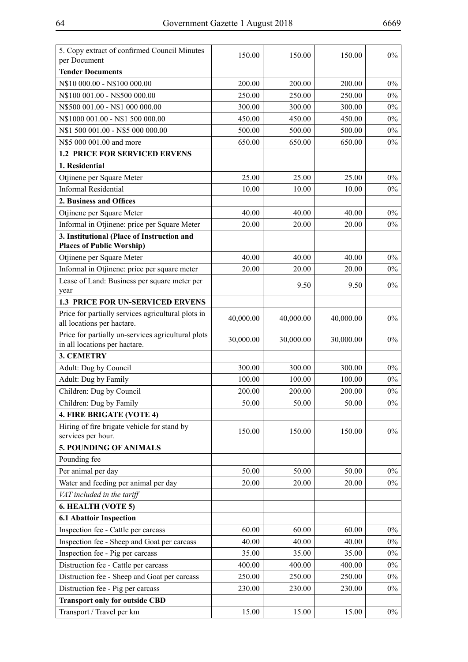| 5. Copy extract of confirmed Council Minutes                                   | 150.00           | 150.00    | 150.00    | $0\%$ |
|--------------------------------------------------------------------------------|------------------|-----------|-----------|-------|
| per Document                                                                   |                  |           |           |       |
| <b>Tender Documents</b>                                                        |                  |           |           |       |
| N\$10 000.00 - N\$100 000.00                                                   | 200.00           | 200.00    | 200.00    | $0\%$ |
| N\$100 001.00 - N\$500 000.00                                                  | 250.00           | 250.00    | 250.00    | $0\%$ |
| N\$500 001.00 - N\$1 000 000.00                                                | 300.00           | 300.00    | 300.00    | $0\%$ |
| N\$1000 001.00 - N\$1 500 000.00                                               | 450.00           | 450.00    | 450.00    | $0\%$ |
| N\$1 500 001.00 - N\$5 000 000.00                                              | 500.00           | 500.00    | 500.00    | $0\%$ |
| N\$5 000 001.00 and more                                                       | 650.00           | 650.00    | 650.00    | $0\%$ |
| <b>1.2 PRICE FOR SERVICED ERVENS</b><br>1. Residential                         |                  |           |           |       |
|                                                                                |                  |           |           |       |
| Otjinene per Square Meter                                                      | 25.00            | 25.00     | 25.00     | $0\%$ |
| <b>Informal Residential</b>                                                    | 10.00            | 10.00     | 10.00     | $0\%$ |
| 2. Business and Offices                                                        |                  |           |           |       |
| Otjinene per Square Meter                                                      | 40.00            | 40.00     | 40.00     | $0\%$ |
| Informal in Otjinene: price per Square Meter                                   | 20.00            | 20.00     | 20.00     | $0\%$ |
| 3. Institutional (Place of Instruction and<br><b>Places of Public Worship)</b> |                  |           |           |       |
|                                                                                | 40.00            | 40.00     | 40.00     | $0\%$ |
| Otjinene per Square Meter<br>Informal in Otjinene: price per square meter      | 20.00            | 20.00     | 20.00     | $0\%$ |
|                                                                                |                  |           |           |       |
| Lease of Land: Business per square meter per<br>year                           |                  | 9.50      | 9.50      | $0\%$ |
| <b>1.3 PRICE FOR UN-SERVICED ERVENS</b>                                        |                  |           |           |       |
| Price for partially services agricultural plots in                             |                  |           |           |       |
| all locations per hactare.                                                     | 40,000.00        | 40,000.00 | 40,000.00 | $0\%$ |
| Price for partially un-services agricultural plots                             | 30,000.00        | 30,000.00 | 30,000.00 | $0\%$ |
| in all locations per hactare.<br><b>3. CEMETRY</b>                             |                  |           |           |       |
|                                                                                |                  |           |           |       |
| Adult: Dug by Council                                                          | 300.00<br>100.00 | 300.00    | 300.00    | $0\%$ |
| Adult: Dug by Family                                                           |                  | 100.00    | 100.00    | $0\%$ |
| Children: Dug by Council                                                       | 200.00           | 200.00    | 200.00    | $0\%$ |
| Children: Dug by Family                                                        | 50.00            | 50.00     | 50.00     | $0\%$ |
| 4. FIRE BRIGATE (VOTE 4)                                                       |                  |           |           |       |
| Hiring of fire brigate vehicle for stand by<br>services per hour.              | 150.00           | 150.00    | 150.00    | $0\%$ |
| 5. POUNDING OF ANIMALS                                                         |                  |           |           |       |
| Pounding fee                                                                   |                  |           |           |       |
| Per animal per day                                                             | 50.00            | 50.00     | 50.00     | $0\%$ |
| Water and feeding per animal per day                                           | 20.00            | 20.00     | 20.00     | $0\%$ |
| VAT included in the tariff                                                     |                  |           |           |       |
| 6. HEALTH (VOTE 5)                                                             |                  |           |           |       |
| <b>6.1 Abattoir Inspection</b>                                                 |                  |           |           |       |
| Inspection fee - Cattle per carcass                                            | 60.00            | 60.00     | 60.00     | $0\%$ |
| Inspection fee - Sheep and Goat per carcass                                    | 40.00            | 40.00     | 40.00     | $0\%$ |
| Inspection fee - Pig per carcass                                               | 35.00            | 35.00     | 35.00     | $0\%$ |
| Distruction fee - Cattle per carcass                                           | 400.00           | 400.00    | 400.00    | $0\%$ |
|                                                                                |                  |           |           |       |
| Distruction fee - Sheep and Goat per carcass                                   | 250.00           | 250.00    | 250.00    | $0\%$ |
| Distruction fee - Pig per carcass                                              | 230.00           | 230.00    | 230.00    | $0\%$ |
| <b>Transport only for outside CBD</b>                                          |                  |           |           |       |
| Transport / Travel per km                                                      | 15.00            | 15.00     | 15.00     | $0\%$ |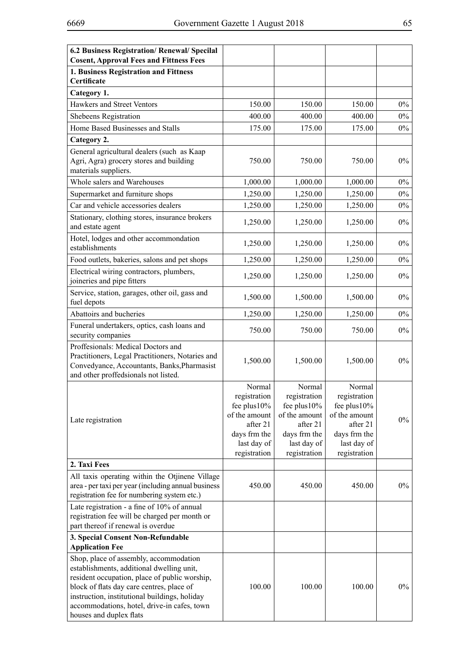| 6.2 Business Registration/ Renewal/ Specilal                                                                                                                                                                                                                                                                 |                                                                                                                       |                                                                                                                       |                                                                                                                       |       |
|--------------------------------------------------------------------------------------------------------------------------------------------------------------------------------------------------------------------------------------------------------------------------------------------------------------|-----------------------------------------------------------------------------------------------------------------------|-----------------------------------------------------------------------------------------------------------------------|-----------------------------------------------------------------------------------------------------------------------|-------|
| <b>Cosent, Approval Fees and Fittness Fees</b>                                                                                                                                                                                                                                                               |                                                                                                                       |                                                                                                                       |                                                                                                                       |       |
| 1. Business Registration and Fittness<br>Certificate                                                                                                                                                                                                                                                         |                                                                                                                       |                                                                                                                       |                                                                                                                       |       |
| Category 1.                                                                                                                                                                                                                                                                                                  |                                                                                                                       |                                                                                                                       |                                                                                                                       |       |
| Hawkers and Street Ventors                                                                                                                                                                                                                                                                                   | 150.00                                                                                                                | 150.00                                                                                                                | 150.00                                                                                                                | $0\%$ |
| Shebeens Registration                                                                                                                                                                                                                                                                                        | 400.00                                                                                                                | 400.00                                                                                                                | 400.00                                                                                                                | $0\%$ |
| Home Based Businesses and Stalls                                                                                                                                                                                                                                                                             | 175.00                                                                                                                | 175.00                                                                                                                | 175.00                                                                                                                | $0\%$ |
| Category 2.                                                                                                                                                                                                                                                                                                  |                                                                                                                       |                                                                                                                       |                                                                                                                       |       |
| General agricultural dealers (such as Kaap<br>Agri, Agra) grocery stores and building<br>materials suppliers.                                                                                                                                                                                                | 750.00                                                                                                                | 750.00                                                                                                                | 750.00                                                                                                                | $0\%$ |
| Whole salers and Warehouses                                                                                                                                                                                                                                                                                  | 1,000.00                                                                                                              | 1,000.00                                                                                                              | 1,000.00                                                                                                              | $0\%$ |
| Supermarket and furniture shops                                                                                                                                                                                                                                                                              | 1,250.00                                                                                                              | 1,250.00                                                                                                              | 1,250.00                                                                                                              | $0\%$ |
| Car and vehicle accessories dealers                                                                                                                                                                                                                                                                          | 1,250.00                                                                                                              | 1,250.00                                                                                                              | 1,250.00                                                                                                              | $0\%$ |
| Stationary, clothing stores, insurance brokers<br>and estate agent                                                                                                                                                                                                                                           | 1,250.00                                                                                                              | 1,250.00                                                                                                              | 1,250.00                                                                                                              | $0\%$ |
| Hotel, lodges and other accommondation<br>establishments                                                                                                                                                                                                                                                     | 1,250.00                                                                                                              | 1,250.00                                                                                                              | 1,250.00                                                                                                              | $0\%$ |
| Food outlets, bakeries, salons and pet shops                                                                                                                                                                                                                                                                 | 1,250.00                                                                                                              | 1,250.00                                                                                                              | 1,250.00                                                                                                              | $0\%$ |
| Electrical wiring contractors, plumbers,<br>joineries and pipe fitters                                                                                                                                                                                                                                       | 1,250.00                                                                                                              | 1,250.00                                                                                                              | 1,250.00                                                                                                              | $0\%$ |
| Service, station, garages, other oil, gass and<br>fuel depots                                                                                                                                                                                                                                                | 1,500.00                                                                                                              | 1,500.00                                                                                                              | 1,500.00                                                                                                              | $0\%$ |
| Abattoirs and bucheries                                                                                                                                                                                                                                                                                      | 1,250.00                                                                                                              | 1,250.00                                                                                                              | 1,250.00                                                                                                              | $0\%$ |
| Funeral undertakers, optics, cash loans and<br>security companies                                                                                                                                                                                                                                            | 750.00                                                                                                                | 750.00                                                                                                                | 750.00                                                                                                                | $0\%$ |
| Proffesionals: Medical Doctors and<br>Practitioners, Legal Practitioners, Notaries and<br>Convedyance, Accountants, Banks, Pharmasist<br>and other proffedsionals not listed.                                                                                                                                | 1,500.00                                                                                                              | 1,500.00                                                                                                              | 1,500.00                                                                                                              | $0\%$ |
| Late registration                                                                                                                                                                                                                                                                                            | Normal<br>registration<br>fee plus $10\%$<br>of the amount<br>after 21<br>days frm the<br>last day of<br>registration | Normal<br>registration<br>fee plus $10\%$<br>of the amount<br>after 21<br>days frm the<br>last day of<br>registration | Normal<br>registration<br>fee plus $10\%$<br>of the amount<br>after 21<br>days frm the<br>last day of<br>registration | $0\%$ |
| 2. Taxi Fees                                                                                                                                                                                                                                                                                                 |                                                                                                                       |                                                                                                                       |                                                                                                                       |       |
| All taxis operating within the Otjinene Village<br>area - per taxi per year (including annual business<br>registration fee for numbering system etc.)                                                                                                                                                        | 450.00                                                                                                                | 450.00                                                                                                                | 450.00                                                                                                                | $0\%$ |
| Late registration - a fine of 10% of annual<br>registration fee will be charged per month or<br>part thereof if renewal is overdue                                                                                                                                                                           |                                                                                                                       |                                                                                                                       |                                                                                                                       |       |
| 3. Special Consent Non-Refundable<br><b>Application Fee</b>                                                                                                                                                                                                                                                  |                                                                                                                       |                                                                                                                       |                                                                                                                       |       |
| Shop, place of assembly, accommodation<br>establishments, additional dwelling unit,<br>resident occupation, place of public worship,<br>block of flats day care centres, place of<br>instruction, institutional buildings, holiday<br>accommodations, hotel, drive-in cafes, town<br>houses and duplex flats | 100.00                                                                                                                | 100.00                                                                                                                | 100.00                                                                                                                | $0\%$ |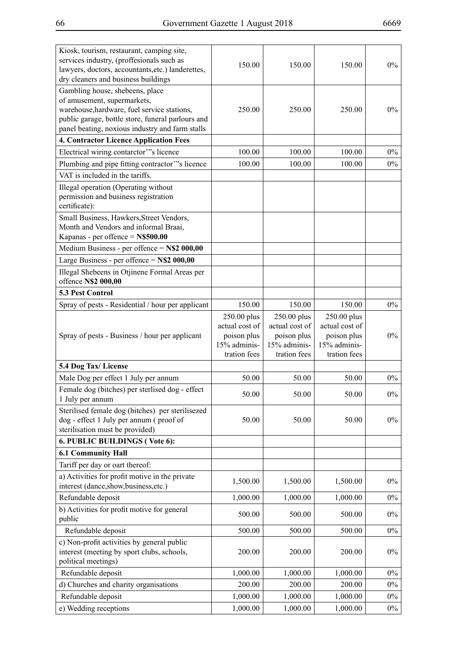| Kiosk, tourism, restaurant, camping site,<br>services industry, (proffesionals such as<br>lawyers, doctors, accountants, etc.) landerettes,<br>dry cleaners and business buildings                                    | 150.00                                                                       | 150.00                                                                       | 150.00                                                                       | $0\%$ |
|-----------------------------------------------------------------------------------------------------------------------------------------------------------------------------------------------------------------------|------------------------------------------------------------------------------|------------------------------------------------------------------------------|------------------------------------------------------------------------------|-------|
| Gambling house, shebeens, place<br>of amusement, supermarkets,<br>warehouse, hardware, fuel service stations,<br>public garage, bottle store, funeral parlours and<br>panel beating, noxious industry and farm stalls | 250.00                                                                       | 250.00                                                                       | 250.00                                                                       | $0\%$ |
| 4. Contractor Licence Application Fees                                                                                                                                                                                |                                                                              |                                                                              |                                                                              |       |
| Electrical wiring contarctor"'s licence                                                                                                                                                                               | 100.00                                                                       | 100.00                                                                       | 100.00                                                                       | $0\%$ |
| Plumbing and pipe fitting contractor"'s licence                                                                                                                                                                       | 100.00                                                                       | 100.00                                                                       | 100.00                                                                       | $0\%$ |
| VAT is included in the tariffs.<br>Illegal operation (Operating without<br>permission and business registration<br>certificate):                                                                                      |                                                                              |                                                                              |                                                                              |       |
| Small Business, Hawkers, Street Vendors,<br>Month and Vendors and informal Braai,<br>Kapanas - per offence = N\$500.00                                                                                                |                                                                              |                                                                              |                                                                              |       |
| Medium Business - per offence $= N$2 000,00$                                                                                                                                                                          |                                                                              |                                                                              |                                                                              |       |
| Large Business - per offence = $N$2 000,00$                                                                                                                                                                           |                                                                              |                                                                              |                                                                              |       |
| Illegal Shebeens in Otjinene Formal Areas per<br>offence N\$2 000,00                                                                                                                                                  |                                                                              |                                                                              |                                                                              |       |
| <b>5.3 Pest Control</b>                                                                                                                                                                                               |                                                                              |                                                                              |                                                                              |       |
| Spray of pests - Residential / hour per applicant                                                                                                                                                                     | 150.00                                                                       | 150.00                                                                       | 150.00                                                                       | $0\%$ |
| Spray of pests - Business / hour per applicant                                                                                                                                                                        | 250.00 plus<br>actual cost of<br>poison plus<br>15% adminis-<br>tration fees | 250.00 plus<br>actual cost of<br>poison plus<br>15% adminis-<br>tration fees | 250.00 plus<br>actual cost of<br>poison plus<br>15% adminis-<br>tration fees | $0\%$ |
| 5.4 Dog Tax/License                                                                                                                                                                                                   |                                                                              |                                                                              |                                                                              |       |
| Male Dog per effect 1 July per annum                                                                                                                                                                                  | 50.00                                                                        | 50.00                                                                        | 50.00                                                                        | $0\%$ |
| Female dog (bitches) per sterlised dog - effect<br>1 July per annum                                                                                                                                                   | 50.00                                                                        | 50.00                                                                        | 50.00                                                                        | $0\%$ |
| Sterilised female dog (bitches) per sterilisezed<br>dog - effect 1 July per annum (proof of<br>sterilisation must be provided)                                                                                        | 50.00                                                                        | 50.00                                                                        | 50.00                                                                        | $0\%$ |
| 6. PUBLIC BUILDINGS (Vote 6):                                                                                                                                                                                         |                                                                              |                                                                              |                                                                              |       |
| <b>6.1 Community Hall</b>                                                                                                                                                                                             |                                                                              |                                                                              |                                                                              |       |
| Tariff per day or oart thereof:                                                                                                                                                                                       |                                                                              |                                                                              |                                                                              |       |
| a) Activities for profit motive in the private<br>interest (dance, show, business, etc.)                                                                                                                              | 1,500.00                                                                     | 1,500.00                                                                     | 1,500.00                                                                     | $0\%$ |
| Refundable deposit                                                                                                                                                                                                    | 1,000.00                                                                     | 1,000.00                                                                     | 1,000.00                                                                     | $0\%$ |
| b) Activities for profit motive for general<br>public                                                                                                                                                                 | 500.00                                                                       | 500.00                                                                       | 500.00                                                                       | $0\%$ |
| Refundable deposit                                                                                                                                                                                                    | 500.00                                                                       | 500.00                                                                       | 500.00                                                                       | $0\%$ |
| c) Non-profit activities by general public<br>interest (meeting by sport clubs, schools,<br>political meetings)                                                                                                       | 200.00                                                                       | 200.00                                                                       | 200.00                                                                       | $0\%$ |
| Refundable deposit                                                                                                                                                                                                    | 1,000.00                                                                     | 1,000.00                                                                     | 1,000.00                                                                     | $0\%$ |
| d) Churches and charity organisations                                                                                                                                                                                 | 200.00                                                                       | 200.00                                                                       | 200.00                                                                       | $0\%$ |
| Refundable deposit                                                                                                                                                                                                    | 1,000.00                                                                     | 1,000.00                                                                     | 1,000.00                                                                     | $0\%$ |
| e) Wedding receptions                                                                                                                                                                                                 | 1,000.00                                                                     | 1,000.00                                                                     | 1,000.00                                                                     | $0\%$ |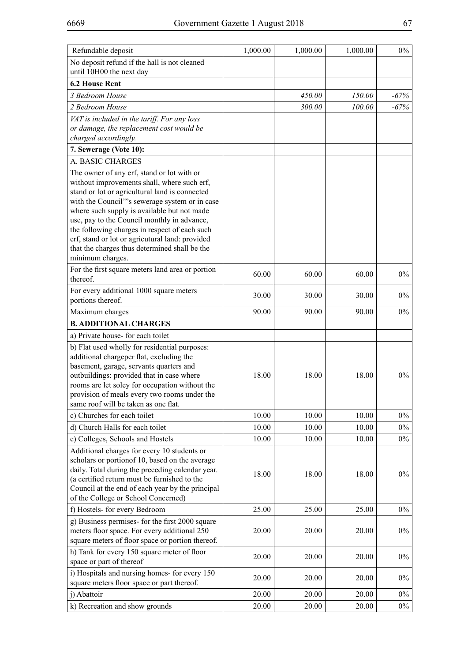| Refundable deposit                                                                                                                                                                                                                                                                                                                                                                                                                                                   | 1,000.00 | 1,000.00 | 1,000.00 | $0\%$  |
|----------------------------------------------------------------------------------------------------------------------------------------------------------------------------------------------------------------------------------------------------------------------------------------------------------------------------------------------------------------------------------------------------------------------------------------------------------------------|----------|----------|----------|--------|
| No deposit refund if the hall is not cleaned<br>until 10H00 the next day                                                                                                                                                                                                                                                                                                                                                                                             |          |          |          |        |
| <b>6.2 House Rent</b>                                                                                                                                                                                                                                                                                                                                                                                                                                                |          |          |          |        |
| 3 Bedroom House                                                                                                                                                                                                                                                                                                                                                                                                                                                      |          | 450.00   | 150.00   | $-67%$ |
| 2 Bedroom House                                                                                                                                                                                                                                                                                                                                                                                                                                                      |          | 300.00   | 100.00   | $-67%$ |
| VAT is included in the tariff. For any loss<br>or damage, the replacement cost would be<br>charged accordingly.                                                                                                                                                                                                                                                                                                                                                      |          |          |          |        |
| 7. Sewerage (Vote 10):                                                                                                                                                                                                                                                                                                                                                                                                                                               |          |          |          |        |
| A. BASIC CHARGES                                                                                                                                                                                                                                                                                                                                                                                                                                                     |          |          |          |        |
| The owner of any erf, stand or lot with or<br>without improvements shall, where such erf,<br>stand or lot or agricultural land is connected<br>with the Council"'s sewerage system or in case<br>where such supply is available but not made<br>use, pay to the Council monthly in advance,<br>the following charges in respect of each such<br>erf, stand or lot or agricutural land: provided<br>that the charges thus determined shall be the<br>minimum charges. |          |          |          |        |
| For the first square meters land area or portion<br>thereof.                                                                                                                                                                                                                                                                                                                                                                                                         | 60.00    | 60.00    | 60.00    | $0\%$  |
| For every additional 1000 square meters<br>portions thereof.                                                                                                                                                                                                                                                                                                                                                                                                         | 30.00    | 30.00    | 30.00    | $0\%$  |
| Maximum charges                                                                                                                                                                                                                                                                                                                                                                                                                                                      | 90.00    | 90.00    | 90.00    | $0\%$  |
| <b>B. ADDITIONAL CHARGES</b>                                                                                                                                                                                                                                                                                                                                                                                                                                         |          |          |          |        |
| a) Private house-for each toilet                                                                                                                                                                                                                                                                                                                                                                                                                                     |          |          |          |        |
| b) Flat used wholly for residential purposes:<br>additional chargeper flat, excluding the<br>basement, garage, servants quarters and<br>outbuildings: provided that in case where<br>rooms are let soley for occupation without the<br>provision of meals every two rooms under the<br>same roof will be taken as one flat.                                                                                                                                          | 18.00    | 18.00    | 18.00    | $0\%$  |
| c) Churches for each toilet                                                                                                                                                                                                                                                                                                                                                                                                                                          | 10.00    | 10.00    | 10.00    | $0\%$  |
| d) Church Halls for each toilet                                                                                                                                                                                                                                                                                                                                                                                                                                      | 10.00    | 10.00    | 10.00    | $0\%$  |
| e) Colleges, Schools and Hostels                                                                                                                                                                                                                                                                                                                                                                                                                                     | 10.00    | 10.00    | 10.00    | $0\%$  |
| Additional charges for every 10 students or<br>scholars or portion of 10, based on the average<br>daily. Total during the preceding calendar year.<br>(a certified return must be furnished to the<br>Council at the end of each year by the principal<br>of the College or School Concerned)                                                                                                                                                                        | 18.00    | 18.00    | 18.00    | $0\%$  |
| f) Hostels- for every Bedroom                                                                                                                                                                                                                                                                                                                                                                                                                                        | 25.00    | 25.00    | 25.00    | $0\%$  |
| g) Business permises- for the first 2000 square<br>meters floor space. For every additional 250<br>square meters of floor space or portion thereof.                                                                                                                                                                                                                                                                                                                  | 20.00    | 20.00    | 20.00    | $0\%$  |
| h) Tank for every 150 square meter of floor<br>space or part of thereof                                                                                                                                                                                                                                                                                                                                                                                              | 20.00    | 20.00    | 20.00    | $0\%$  |
| i) Hospitals and nursing homes- for every 150<br>square meters floor space or part thereof.                                                                                                                                                                                                                                                                                                                                                                          | 20.00    | 20.00    | 20.00    | $0\%$  |
| j) Abattoir                                                                                                                                                                                                                                                                                                                                                                                                                                                          | 20.00    | 20.00    | 20.00    | $0\%$  |
| k) Recreation and show grounds                                                                                                                                                                                                                                                                                                                                                                                                                                       | 20.00    | 20.00    | 20.00    | $0\%$  |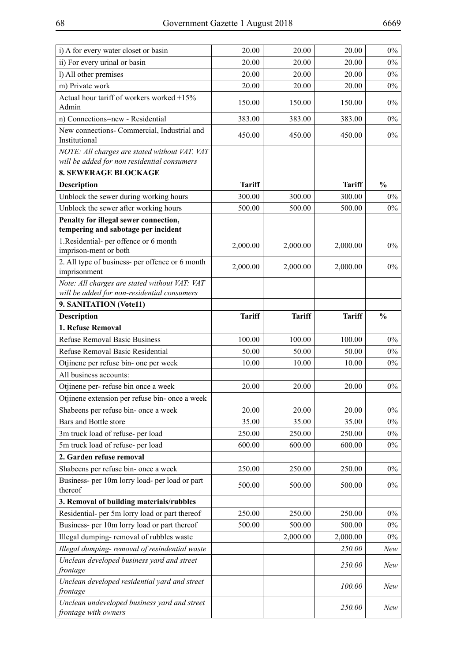| i) A for every water closet or basin                                         | 20.00         | 20.00         | 20.00         | $0\%$         |
|------------------------------------------------------------------------------|---------------|---------------|---------------|---------------|
| ii) For every urinal or basin                                                | 20.00         | 20.00         | 20.00         | $0\%$         |
| l) All other premises                                                        | 20.00         | 20.00         | 20.00         | $0\%$         |
| m) Private work                                                              | 20.00         | 20.00         | 20.00         | $0\%$         |
| Actual hour tariff of workers worked +15%<br>Admin                           | 150.00        | 150.00        | 150.00        | $0\%$         |
| n) Connections=new - Residential                                             | 383.00        | 383.00        | 383.00        | $0\%$         |
| New connections- Commercial, Industrial and<br>Institutional                 | 450.00        | 450.00        | 450.00        | $0\%$         |
| NOTE: All charges are stated without VAT. VAT                                |               |               |               |               |
| will be added for non residential consumers                                  |               |               |               |               |
| <b>8. SEWERAGE BLOCKAGE</b>                                                  |               |               |               |               |
| Description                                                                  | <b>Tariff</b> |               | <b>Tariff</b> | $\frac{0}{0}$ |
| Unblock the sewer during working hours                                       | 300.00        | 300.00        | 300.00        | $0\%$         |
| Unblock the sewer after working hours                                        | 500.00        | 500.00        | 500.00        | $0\%$         |
| Penalty for illegal sewer connection,<br>tempering and sabotage per incident |               |               |               |               |
| 1. Residential- per offence or 6 month<br>imprison-ment or both              | 2,000.00      | 2,000.00      | 2,000.00      | $0\%$         |
| 2. All type of business- per offence or 6 month<br>imprisonment              | 2,000.00      | 2,000.00      | 2,000.00      | $0\%$         |
| Note: All charges are stated without VAT: VAT                                |               |               |               |               |
| will be added for non-residential consumers                                  |               |               |               |               |
| 9. SANITATION (Vote11)                                                       |               |               |               |               |
| <b>Description</b>                                                           | <b>Tariff</b> | <b>Tariff</b> | <b>Tariff</b> | $\frac{0}{0}$ |
| 1. Refuse Removal                                                            |               |               |               |               |
| <b>Refuse Removal Basic Business</b>                                         | 100.00        | 100.00        | 100.00        | $0\%$         |
| Refuse Removal Basic Residential                                             | 50.00         | 50.00         | 50.00         | $0\%$         |
| Otjinene per refuse bin- one per week                                        | 10.00         | 10.00         | 10.00         | $0\%$         |
| All business accounts:                                                       |               |               |               |               |
| Otjinene per- refuse bin once a week                                         | 20.00         | 20.00         | 20.00         | $0\%$         |
| Otjinene extension per refuse bin- once a week                               |               |               |               |               |
| Shabeens per refuse bin- once a week                                         | 20.00         | 20.00         | 20.00         | $0\%$         |
| Bars and Bottle store                                                        | 35.00         | 35.00         | 35.00         | $0\%$         |
| 3m truck load of refuse- per load                                            | 250.00        | 250.00        | 250.00        | $0\%$         |
| 5m truck load of refuse- per load                                            | 600.00        | 600.00        | 600.00        | $0\%$         |
| 2. Garden refuse removal                                                     |               |               |               |               |
| Shabeens per refuse bin- once a week                                         | 250.00        | 250.00        | 250.00        | $0\%$         |
| Business- per 10m lorry load- per load or part<br>thereof                    | 500.00        | 500.00        | 500.00        | $0\%$         |
| 3. Removal of building materials/rubbles                                     |               |               |               |               |
| Residential- per 5m lorry load or part thereof                               | 250.00        | 250.00        | 250.00        | $0\%$         |
| Business- per 10m lorry load or part thereof                                 | 500.00        | 500.00        | 500.00        | $0\%$         |
| Illegal dumping-removal of rubbles waste                                     |               | 2,000.00      | 2,000.00      | $0\%$         |
| Illegal dumping- removal of resindential waste                               |               |               | 250.00        | New           |
| Unclean developed business yard and street<br>frontage                       |               |               | 250.00        | New           |
| Unclean developed residential yard and street<br>frontage                    |               |               | 100.00        | New           |
|                                                                              |               |               |               |               |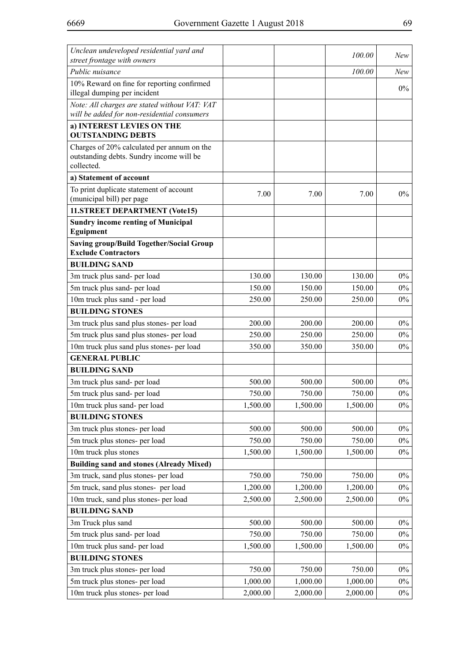| Unclean undeveloped residential yard and<br>street frontage with owners                      |          |                    | 100.00   | New   |
|----------------------------------------------------------------------------------------------|----------|--------------------|----------|-------|
| Public nuisance                                                                              |          |                    | 100.00   | New   |
| 10% Reward on fine for reporting confirmed                                                   |          |                    |          |       |
| illegal dumping per incident                                                                 |          |                    |          | $0\%$ |
| Note: All charges are stated without VAT: VAT<br>will be added for non-residential consumers |          |                    |          |       |
| a) INTEREST LEVIES ON THE                                                                    |          |                    |          |       |
| <b>OUTSTANDING DEBTS</b>                                                                     |          |                    |          |       |
| Charges of 20% calculated per annum on the                                                   |          |                    |          |       |
| outstanding debts. Sundry income will be<br>collected.                                       |          |                    |          |       |
| a) Statement of account                                                                      |          |                    |          |       |
| To print duplicate statement of account                                                      |          |                    |          |       |
| (municipal bill) per page                                                                    | 7.00     | 7.00               | 7.00     | $0\%$ |
| 11.STREET DEPARTMENT (Vote15)                                                                |          |                    |          |       |
| <b>Sundry income renting of Municipal</b>                                                    |          |                    |          |       |
| Eguipment                                                                                    |          |                    |          |       |
| <b>Saving group/Build Together/Social Group</b><br><b>Exclude Contractors</b>                |          |                    |          |       |
| <b>BUILDING SAND</b>                                                                         |          |                    |          |       |
| 3m truck plus sand- per load                                                                 | 130.00   | 130.00             | 130.00   | $0\%$ |
| 5m truck plus sand- per load                                                                 | 150.00   | 150.00             | 150.00   | $0\%$ |
| 10m truck plus sand - per load                                                               | 250.00   | 250.00             | 250.00   | $0\%$ |
| <b>BUILDING STONES</b>                                                                       |          |                    |          |       |
| 3m truck plus sand plus stones- per load                                                     | 200.00   | 200.00             | 200.00   | $0\%$ |
| 5m truck plus sand plus stones- per load                                                     | 250.00   | 250.00             | 250.00   | $0\%$ |
| 10m truck plus sand plus stones- per load                                                    | 350.00   | 350.00             | 350.00   | $0\%$ |
| <b>GENERAL PUBLIC</b>                                                                        |          |                    |          |       |
| <b>BUILDING SAND</b>                                                                         |          |                    |          |       |
| 3m truck plus sand- per load                                                                 | 500.00   | 500.00             | 500.00   | $0\%$ |
| 5m truck plus sand- per load                                                                 | 750.00   | 750.00             | 750.00   | $0\%$ |
| 10m truck plus sand- per load                                                                | 1,500.00 | 1,500.00           | 1,500.00 | $0\%$ |
| <b>BUILDING STONES</b>                                                                       |          |                    |          |       |
| 3m truck plus stones- per load                                                               | 500.00   | 500.00             | 500.00   | $0\%$ |
| 5m truck plus stones- per load                                                               | 750.00   | 750.00             | 750.00   | $0\%$ |
| 10m truck plus stones                                                                        | 1,500.00 | 1,500.00           | 1,500.00 | $0\%$ |
| <b>Building sand and stones (Already Mixed)</b>                                              |          |                    |          |       |
| 3m truck, sand plus stones- per load                                                         | 750.00   | 750.00             | 750.00   | $0\%$ |
| 5m truck, sand plus stones- per load                                                         | 1,200.00 | 1,200.00           | 1,200.00 | $0\%$ |
| 10m truck, sand plus stones- per load                                                        | 2,500.00 | 2,500.00           | 2,500.00 | $0\%$ |
| <b>BUILDING SAND</b>                                                                         |          |                    |          |       |
| 3m Truck plus sand                                                                           | 500.00   | 500.00             | 500.00   | $0\%$ |
| 5m truck plus sand- per load                                                                 | 750.00   | 750.00             | 750.00   | $0\%$ |
| 10m truck plus sand- per load                                                                | 1,500.00 | 1,500.00           | 1,500.00 | $0\%$ |
| <b>BUILDING STONES</b>                                                                       | 750.00   |                    | 750.00   | $0\%$ |
| 3m truck plus stones- per load<br>5m truck plus stones- per load                             | 1,000.00 | 750.00<br>1,000.00 | 1,000.00 | $0\%$ |
| 10m truck plus stones- per load                                                              | 2,000.00 | 2,000.00           | 2,000.00 | $0\%$ |
|                                                                                              |          |                    |          |       |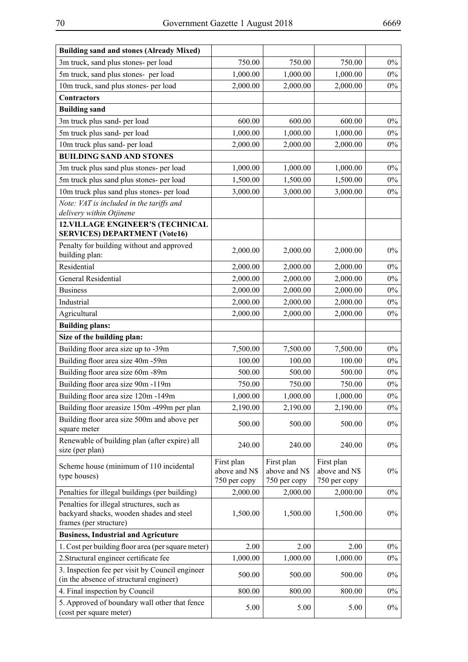| <b>Building sand and stones (Already Mixed)</b>                                                                 |                                             |                                             |                                             |       |
|-----------------------------------------------------------------------------------------------------------------|---------------------------------------------|---------------------------------------------|---------------------------------------------|-------|
| 3m truck, sand plus stones- per load                                                                            | 750.00                                      | 750.00                                      | 750.00                                      | $0\%$ |
| 5m truck, sand plus stones- per load                                                                            | 1,000.00                                    | 1,000.00                                    | 1,000.00                                    | $0\%$ |
| 10m truck, sand plus stones- per load                                                                           | 2,000.00                                    | 2,000.00                                    | 2,000.00                                    | $0\%$ |
| <b>Contractors</b>                                                                                              |                                             |                                             |                                             |       |
| <b>Building sand</b>                                                                                            |                                             |                                             |                                             |       |
| 3m truck plus sand- per load                                                                                    | 600.00                                      | 600.00                                      | 600.00                                      | $0\%$ |
| 5m truck plus sand- per load                                                                                    | 1,000.00                                    | 1,000.00                                    | 1,000.00                                    | $0\%$ |
| 10m truck plus sand- per load                                                                                   | 2,000.00                                    | 2,000.00                                    | 2,000.00                                    | $0\%$ |
| <b>BUILDING SAND AND STONES</b>                                                                                 |                                             |                                             |                                             |       |
| 3m truck plus sand plus stones- per load                                                                        | 1,000.00                                    | 1,000.00                                    | 1,000.00                                    | $0\%$ |
| 5m truck plus sand plus stones- per load                                                                        | 1,500.00                                    | 1,500.00                                    | 1,500.00                                    | $0\%$ |
| 10m truck plus sand plus stones- per load                                                                       | 3,000.00                                    | 3,000.00                                    | 3,000.00                                    | $0\%$ |
| Note: VAT is included in the tariffs and<br>delivery within Otjinene                                            |                                             |                                             |                                             |       |
| <b>12.VILLAGE ENGINEER'S (TECHNICAL</b><br><b>SERVICES) DEPARTMENT (Vote16)</b>                                 |                                             |                                             |                                             |       |
| Penalty for building without and approved<br>building plan:                                                     | 2,000.00                                    | 2,000.00                                    | 2,000.00                                    | $0\%$ |
| Residential                                                                                                     | 2,000.00                                    | 2,000.00                                    | 2,000.00                                    | $0\%$ |
| General Residential                                                                                             | 2,000.00                                    | 2,000.00                                    | 2,000.00                                    | $0\%$ |
| <b>Business</b>                                                                                                 | 2,000.00                                    | 2,000.00                                    | 2,000.00                                    | $0\%$ |
| Industrial                                                                                                      | 2,000.00                                    | 2,000.00                                    | 2,000.00                                    | $0\%$ |
| Agricultural                                                                                                    | 2,000.00                                    | 2,000.00                                    | 2,000.00                                    | $0\%$ |
| <b>Building plans:</b>                                                                                          |                                             |                                             |                                             |       |
| Size of the building plan:                                                                                      |                                             |                                             |                                             |       |
| Building floor area size up to -39m                                                                             | 7,500.00                                    | 7,500.00                                    | 7,500.00                                    | $0\%$ |
| Building floor area size 40m -59m                                                                               | 100.00                                      | 100.00                                      | 100.00                                      | $0\%$ |
| Building floor area size 60m -89m                                                                               | 500.00                                      | 500.00                                      | 500.00                                      | $0\%$ |
| Building floor area size 90m -119m                                                                              | 750.00                                      | 750.00                                      | 750.00                                      | $0\%$ |
| Building floor area size 120m -149m                                                                             | 1,000.00                                    | 1,000.00                                    | 1,000.00                                    | $0\%$ |
| Building floor areasize 150m -499m per plan                                                                     | 2,190.00                                    | 2,190.00                                    | 2,190.00                                    | $0\%$ |
| Building floor area size 500m and above per<br>square meter                                                     | 500.00                                      | 500.00                                      | 500.00                                      | $0\%$ |
| Renewable of building plan (after expire) all<br>size (per plan)                                                | 240.00                                      | 240.00                                      | 240.00                                      | $0\%$ |
| Scheme house (minimum of 110 incidental<br>type houses)                                                         | First plan<br>above and N\$<br>750 per copy | First plan<br>above and N\$<br>750 per copy | First plan<br>above and N\$<br>750 per copy | $0\%$ |
| Penalties for illegal buildings (per building)                                                                  | 2,000.00                                    | 2,000.00                                    | 2,000.00                                    | $0\%$ |
| Penalties for illegal structures, such as<br>backyard shacks, wooden shades and steel<br>frames (per structure) | 1,500.00                                    | 1,500.00                                    | 1,500.00                                    | $0\%$ |
| <b>Business, Industrial and Agricuture</b>                                                                      |                                             |                                             |                                             |       |
| 1. Cost per building floor area (per square meter)                                                              | 2.00                                        | 2.00                                        | 2.00                                        | $0\%$ |
| 2. Structural engineer certificate fee                                                                          | 1,000.00                                    | 1,000.00                                    | 1,000.00                                    | $0\%$ |
| 3. Inspection fee per visit by Council engineer                                                                 |                                             |                                             |                                             |       |
| (in the absence of structural engineer)                                                                         | 500.00                                      | 500.00                                      | 500.00                                      | $0\%$ |
| 4. Final inspection by Council                                                                                  | 800.00                                      | 800.00                                      | 800.00                                      | $0\%$ |
| 5. Approved of boundary wall other that fence<br>(cost per square meter)                                        | 5.00                                        | 5.00                                        | 5.00                                        | $0\%$ |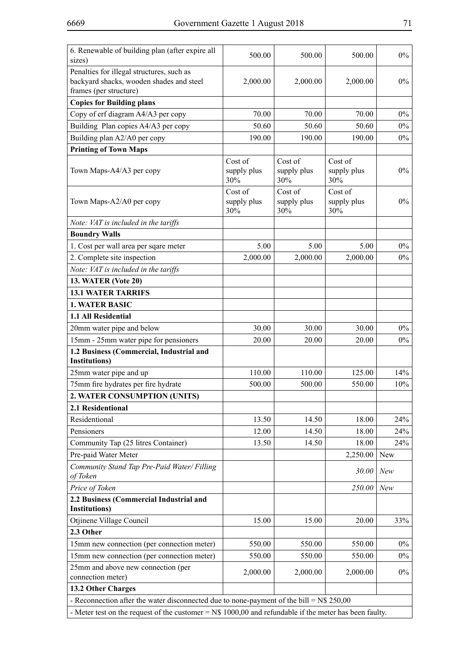| 6. Renewable of building plan (after expire all                                                        | 500.00                        | 500.00                        | 500.00                        | $0\%$      |
|--------------------------------------------------------------------------------------------------------|-------------------------------|-------------------------------|-------------------------------|------------|
| sizes)                                                                                                 |                               |                               |                               |            |
| Penalties for illegal structures, such as<br>backyard shacks, wooden shades and steel                  | 2,000.00                      | 2,000.00                      | 2,000.00                      | $0\%$      |
| frames (per structure)                                                                                 |                               |                               |                               |            |
| <b>Copies for Building plans</b>                                                                       |                               |                               |                               |            |
| Copy of erf diagram A4/A3 per copy                                                                     | 70.00                         | 70.00                         | 70.00                         | $0\%$      |
| Building Plan copies A4/A3 per copy                                                                    | 50.60                         | 50.60                         | 50.60                         | $0\%$      |
| Building plan A2/A0 per copy                                                                           | 190.00                        | 190.00                        | 190.00                        | $0\%$      |
| <b>Printing of Town Maps</b>                                                                           |                               |                               |                               |            |
| Town Maps-A4/A3 per copy                                                                               | Cost of<br>supply plus<br>30% | Cost of<br>supply plus<br>30% | Cost of<br>supply plus<br>30% | $0\%$      |
| Town Maps-A2/A0 per copy                                                                               | Cost of<br>supply plus<br>30% | Cost of<br>supply plus<br>30% | Cost of<br>supply plus<br>30% | $0\%$      |
| Note: VAT is included in the tariffs                                                                   |                               |                               |                               |            |
| <b>Boundry Walls</b>                                                                                   |                               |                               |                               |            |
| 1. Cost per wall area per sqare meter                                                                  | 5.00                          | 5.00                          | 5.00                          | $0\%$      |
| 2. Complete site inspection                                                                            | 2,000.00                      | 2,000.00                      | 2,000.00                      | $0\%$      |
| Note: VAT is included in the tariffs                                                                   |                               |                               |                               |            |
| <b>13. WATER (Vote 20)</b>                                                                             |                               |                               |                               |            |
| <b>13.1 WATER TARRIFS</b>                                                                              |                               |                               |                               |            |
| <b>1. WATER BASIC</b>                                                                                  |                               |                               |                               |            |
| 1.1 All Residential                                                                                    |                               |                               |                               |            |
| 20mm water pipe and below                                                                              | 30.00                         | 30.00                         | 30.00                         | $0\%$      |
| 15mm - 25mm water pipe for pensioners                                                                  | 20.00                         | 20.00                         | 20.00                         | $0\%$      |
| 1.2 Business (Commercial, Industrial and                                                               |                               |                               |                               |            |
| <b>Institutions</b> )                                                                                  |                               |                               |                               |            |
| 25mm water pipe and up                                                                                 | 110.00                        | 110.00                        | 125.00                        | 14%        |
| 75mm fire hydrates per fire hydrate                                                                    | 500.00                        | 500.00                        | 550.00                        | 10%        |
| 2. WATER CONSUMPTION (UNITS)                                                                           |                               |                               |                               |            |
| 2.1 Residentional                                                                                      |                               |                               |                               |            |
| Residentional                                                                                          | 13.50                         | 14.50                         | 18.00                         | 24%        |
| Pensioners                                                                                             | 12.00                         | 14.50                         | 18.00                         | 24%        |
| Community Tap (25 litres Container)                                                                    | 13.50                         | 14.50                         | 18.00                         | 24%        |
| Pre-paid Water Meter                                                                                   |                               |                               | 2,250.00                      | <b>New</b> |
| Community Stand Tap Pre-Paid Water/ Filling<br>of Token                                                |                               |                               | 30.00                         | New        |
| Price of Token                                                                                         |                               |                               | 250.00                        | New        |
| 2.2 Business (Commercial Industrial and<br><b>Institutions</b> )                                       |                               |                               |                               |            |
| Otjinene Village Council                                                                               | 15.00                         | 15.00                         | 20.00                         | 33%        |
| 2.3 Other                                                                                              |                               |                               |                               |            |
| 15mm new connection (per connection meter)                                                             | 550.00                        | 550.00                        | 550.00                        | $0\%$      |
| 15mm new connection (per connection meter)                                                             | 550.00                        | 550.00                        | 550.00                        | $0\%$      |
| 25mm and above new connection (per                                                                     | 2,000.00                      | 2,000.00                      | 2,000.00                      | $0\%$      |
| connection meter)                                                                                      |                               |                               |                               |            |
| 13.2 Other Charges                                                                                     |                               |                               |                               |            |
| - Reconnection after the water disconnected due to none-payment of the bill = $N$ 250,00$              |                               |                               |                               |            |
| - Meter test on the request of the customer = $N$1000,00$ and refundable if the meter has been faulty. |                               |                               |                               |            |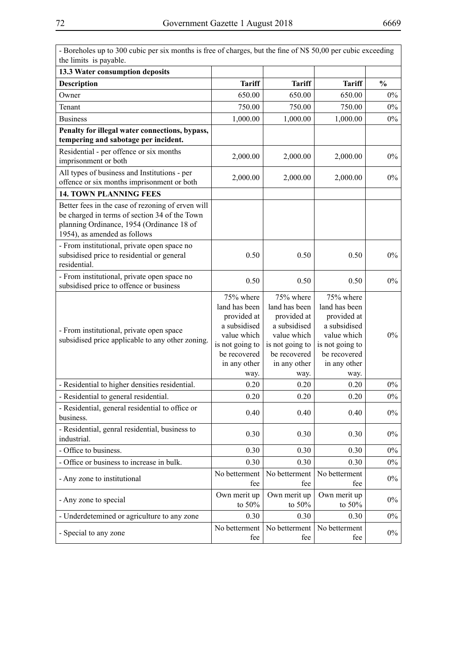| - Boreholes up to 300 cubic per six months is free of charges, but the fine of N\$ 50,00 per cubic exceeding<br>the limits is payable.                                          |                                                                                                                                     |                                                                                                                                     |                                                                                                                                     |               |
|---------------------------------------------------------------------------------------------------------------------------------------------------------------------------------|-------------------------------------------------------------------------------------------------------------------------------------|-------------------------------------------------------------------------------------------------------------------------------------|-------------------------------------------------------------------------------------------------------------------------------------|---------------|
| 13.3 Water consumption deposits                                                                                                                                                 |                                                                                                                                     |                                                                                                                                     |                                                                                                                                     |               |
| <b>Description</b>                                                                                                                                                              | <b>Tariff</b>                                                                                                                       | <b>Tariff</b>                                                                                                                       | <b>Tariff</b>                                                                                                                       | $\frac{0}{0}$ |
| Owner                                                                                                                                                                           | 650.00                                                                                                                              | 650.00                                                                                                                              | 650.00                                                                                                                              | $0\%$         |
| Tenant                                                                                                                                                                          | 750.00                                                                                                                              | 750.00                                                                                                                              | 750.00                                                                                                                              | $0\%$         |
| <b>Business</b>                                                                                                                                                                 | 1,000.00                                                                                                                            | 1,000.00                                                                                                                            | 1,000.00                                                                                                                            | $0\%$         |
| Penalty for illegal water connections, bypass,<br>tempering and sabotage per incident.                                                                                          |                                                                                                                                     |                                                                                                                                     |                                                                                                                                     |               |
| Residential - per offence or six months<br>imprisonment or both                                                                                                                 | 2,000.00                                                                                                                            | 2,000.00                                                                                                                            | 2,000.00                                                                                                                            | $0\%$         |
| All types of business and Institutions - per<br>offence or six months imprisonment or both                                                                                      | 2,000.00                                                                                                                            | 2,000.00                                                                                                                            | 2,000.00                                                                                                                            | $0\%$         |
| <b>14. TOWN PLANNING FEES</b>                                                                                                                                                   |                                                                                                                                     |                                                                                                                                     |                                                                                                                                     |               |
| Better fees in the case of rezoning of erven will<br>be charged in terms of section 34 of the Town<br>planning Ordinance, 1954 (Ordinance 18 of<br>1954), as amended as follows |                                                                                                                                     |                                                                                                                                     |                                                                                                                                     |               |
| - From institutional, private open space no<br>subsidised price to residential or general<br>residential.                                                                       | 0.50                                                                                                                                | 0.50                                                                                                                                | 0.50                                                                                                                                | $0\%$         |
| - From institutional, private open space no<br>subsidised price to offence or business                                                                                          | 0.50                                                                                                                                | 0.50                                                                                                                                | 0.50                                                                                                                                | $0\%$         |
| - From institutional, private open space<br>subsidised price applicable to any other zoning.                                                                                    | 75% where<br>land has been<br>provided at<br>a subsidised<br>value which<br>is not going to<br>be recovered<br>in any other<br>way. | 75% where<br>land has been<br>provided at<br>a subsidised<br>value which<br>is not going to<br>be recovered<br>in any other<br>way. | 75% where<br>land has been<br>provided at<br>a subsidised<br>value which<br>is not going to<br>be recovered<br>in any other<br>way. | $0\%$         |
| - Residential to higher densities residential.                                                                                                                                  | 0.20                                                                                                                                | 0.20                                                                                                                                | 0.20                                                                                                                                | $0\%$         |
| - Residential to general residential.                                                                                                                                           | 0.20                                                                                                                                | 0.20                                                                                                                                | 0.20                                                                                                                                | $0\%$         |
| - Residential, general residential to office or<br>business.                                                                                                                    | 0.40                                                                                                                                | 0.40                                                                                                                                | 0.40                                                                                                                                | $0\%$         |
| - Residential, genral residential, business to<br>industrial.                                                                                                                   | 0.30                                                                                                                                | 0.30                                                                                                                                | 0.30                                                                                                                                | $0\%$         |
| - Office to business.                                                                                                                                                           | 0.30                                                                                                                                | 0.30                                                                                                                                | 0.30                                                                                                                                | $0\%$         |
| - Office or business to increase in bulk.                                                                                                                                       | 0.30                                                                                                                                | 0.30                                                                                                                                | 0.30                                                                                                                                | $0\%$         |
| - Any zone to institutional                                                                                                                                                     | No betterment<br>fee                                                                                                                | No betterment<br>fee                                                                                                                | No betterment<br>fee                                                                                                                | $0\%$         |
| - Any zone to special                                                                                                                                                           | Own merit up<br>to $50\%$                                                                                                           | Own merit up<br>to $50\%$                                                                                                           | Own merit up<br>to $50\%$                                                                                                           | $0\%$         |
| - Underdetemined or agriculture to any zone                                                                                                                                     | 0.30                                                                                                                                | 0.30                                                                                                                                | 0.30                                                                                                                                | $0\%$         |
| - Special to any zone                                                                                                                                                           | No betterment<br>fee                                                                                                                | No betterment<br>fee                                                                                                                | No betterment<br>fee                                                                                                                | $0\%$         |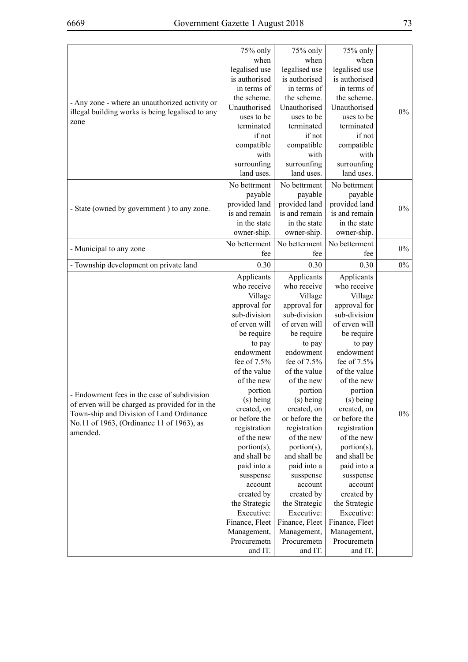|--|

|                                                  | 75% only       | 75% only       | 75% only       |       |
|--------------------------------------------------|----------------|----------------|----------------|-------|
|                                                  | when           | when           | when           |       |
|                                                  | legalised use  | legalised use  | legalised use  |       |
|                                                  | is authorised  | is authorised  | is authorised  |       |
|                                                  | in terms of    | in terms of    | in terms of    |       |
| - Any zone - where an unauthorized activity or   | the scheme.    | the scheme.    | the scheme.    |       |
| illegal building works is being legalised to any | Unauthorised   | Unauthorised   | Unauthorised   | $0\%$ |
| zone                                             | uses to be     | uses to be     | uses to be     |       |
|                                                  | terminated     | terminated     | terminated     |       |
|                                                  | if not         | if not         | if not         |       |
|                                                  | compatible     | compatible     | compatible     |       |
|                                                  | with           | with           | with           |       |
|                                                  | surrounfing    | surrounfing    | surrounfing    |       |
|                                                  | land uses.     | land uses.     | land uses.     |       |
|                                                  | No bettrment   | No bettrment   | No bettrment   |       |
|                                                  | payable        | payable        | payable        |       |
|                                                  | provided land  | provided land  | provided land  |       |
| - State (owned by government) to any zone.       | is and remain  | is and remain  | is and remain  | $0\%$ |
|                                                  | in the state   | in the state   | in the state   |       |
|                                                  | owner-ship.    | owner-ship.    | owner-ship.    |       |
|                                                  | No betterment  | No betterment  | No betterment  |       |
| - Municipal to any zone                          | fee            | fee            | fee            | $0\%$ |
| - Township development on private land           | 0.30           | 0.30           | 0.30           | $0\%$ |
|                                                  | Applicants     | Applicants     | Applicants     |       |
|                                                  | who receive    | who receive    | who receive    |       |
|                                                  | Village        | Village        | Village        |       |
|                                                  | approval for   | approval for   | approval for   |       |
|                                                  | sub-division   | sub-division   | sub-division   |       |
|                                                  | of erven will  | of erven will  | of erven will  |       |
|                                                  | be require     | be require     | be require     |       |
|                                                  | to pay         | to pay         | to pay         |       |
|                                                  | endowment      | endowment      | endowment      |       |
|                                                  | fee of 7.5%    | fee of $7.5%$  | fee of 7.5%    |       |
|                                                  | of the value   | of the value   | of the value   |       |
|                                                  | of the new     | of the new     | of the new     |       |
|                                                  | portion        | portion        | portion        |       |
| Endowment fees in the case of subdivision        | (s) being      | (s) being      | (s) being      |       |
| of erven will be charged as provided for in the  | created, on    | created, on    | created, on    |       |
| Town-ship and Division of Land Ordinance         | or before the  | or before the  | or before the  | $0\%$ |
| No.11 of 1963, (Ordinance 11 of 1963), as        |                |                |                |       |
| amended.                                         | registration   | registration   | registration   |       |
|                                                  | of the new     | of the new     | of the new     |       |
|                                                  | portion(s),    | portion(s),    | portion(s),    |       |
|                                                  | and shall be   | and shall be   | and shall be   |       |
|                                                  | paid into a    | paid into a    | paid into a    |       |
|                                                  | susspense      | susspense      | susspense      |       |
|                                                  | account        | account        | account        |       |
|                                                  | created by     | created by     | created by     |       |
|                                                  | the Strategic  | the Strategic  | the Strategic  |       |
|                                                  | Executive:     | Executive:     | Executive:     |       |
|                                                  | Finance, Fleet | Finance, Fleet | Finance, Fleet |       |
|                                                  | Management,    | Management,    | Management,    |       |
|                                                  | Procuremetn    | Procuremetn    | Procuremetn    |       |
|                                                  | and IT.        | and IT.        | and IT.        |       |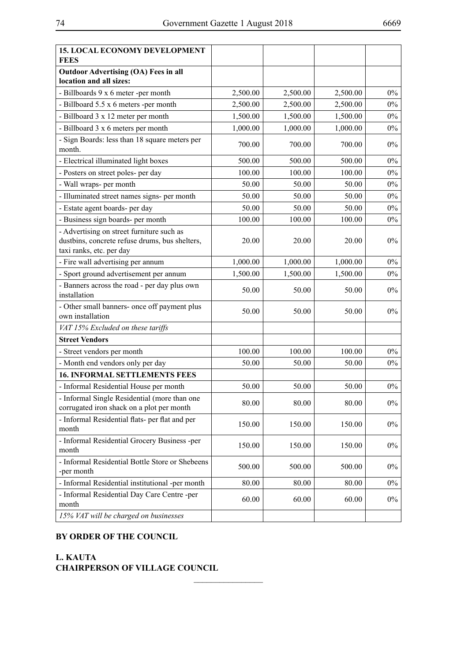| <b>15. LOCAL ECONOMY DEVELOPMENT</b><br><b>FEES</b>                                                                     |          |          |          |       |
|-------------------------------------------------------------------------------------------------------------------------|----------|----------|----------|-------|
| <b>Outdoor Advertising (OA) Fees in all</b><br>location and all sizes:                                                  |          |          |          |       |
| - Billboards 9 x 6 meter -per month                                                                                     | 2,500.00 | 2,500.00 | 2,500.00 | $0\%$ |
| - Billboard 5.5 x 6 meters -per month                                                                                   | 2,500.00 | 2,500.00 | 2,500.00 | $0\%$ |
| - Billboard 3 x 12 meter per month                                                                                      | 1,500.00 | 1,500.00 | 1,500.00 | $0\%$ |
| - Billboard 3 x 6 meters per month                                                                                      | 1,000.00 | 1,000.00 | 1,000.00 | $0\%$ |
| - Sign Boards: less than 18 square meters per<br>month.                                                                 | 700.00   | 700.00   | 700.00   | $0\%$ |
| - Electrical illuminated light boxes                                                                                    | 500.00   | 500.00   | 500.00   | $0\%$ |
| - Posters on street poles- per day                                                                                      | 100.00   | 100.00   | 100.00   | $0\%$ |
| - Wall wraps- per month                                                                                                 | 50.00    | 50.00    | 50.00    | $0\%$ |
| - Illuminated street names signs- per month                                                                             | 50.00    | 50.00    | 50.00    | $0\%$ |
| - Estate agent boards- per day                                                                                          | 50.00    | 50.00    | 50.00    | $0\%$ |
| - Business sign boards- per month                                                                                       | 100.00   | 100.00   | 100.00   | $0\%$ |
| - Advertising on street furniture such as<br>dustbins, concrete refuse drums, bus shelters,<br>taxi ranks, etc. per day | 20.00    | 20.00    | 20.00    | $0\%$ |
| - Fire wall advertising per annum                                                                                       | 1,000.00 | 1,000.00 | 1,000.00 | $0\%$ |
| - Sport ground advertisement per annum                                                                                  | 1,500.00 | 1,500.00 | 1,500.00 | $0\%$ |
| - Banners across the road - per day plus own<br>installation                                                            | 50.00    | 50.00    | 50.00    | $0\%$ |
| - Other small banners- once off payment plus<br>own installation                                                        | 50.00    | 50.00    | 50.00    | $0\%$ |
| VAT 15% Excluded on these tariffs                                                                                       |          |          |          |       |
| <b>Street Vendors</b>                                                                                                   |          |          |          |       |
| - Street vendors per month                                                                                              | 100.00   | 100.00   | 100.00   | $0\%$ |
| - Month end vendors only per day                                                                                        | 50.00    | 50.00    | 50.00    | $0\%$ |
| <b>16. INFORMAL SETTLEMENTS FEES</b>                                                                                    |          |          |          |       |
| - Informal Residential House per month                                                                                  | 50.00    | 50.00    | 50.00    | $0\%$ |
| - Informal Single Residential (more than one<br>corrugated iron shack on a plot per month                               | 80.00    | 80.00    | 80.00    | $0\%$ |
| - Informal Residential flats- per flat and per<br>month                                                                 | 150.00   | 150.00   | 150.00   | $0\%$ |
| - Informal Residential Grocery Business -per<br>month                                                                   | 150.00   | 150.00   | 150.00   | $0\%$ |
| - Informal Residential Bottle Store or Shebeens<br>-per month                                                           | 500.00   | 500.00   | 500.00   | $0\%$ |
| - Informal Residential institutional -per month                                                                         | 80.00    | 80.00    | 80.00    | $0\%$ |
| - Informal Residential Day Care Centre -per<br>month                                                                    | 60.00    | 60.00    | 60.00    | $0\%$ |
| 15% VAT will be charged on businesses                                                                                   |          |          |          |       |

 $\frac{1}{2}$ 

### **BY ORDER OF THE COUNCIL**

**L. KAUTA CHAIRPERSON OF VILLAGE COUNCIL**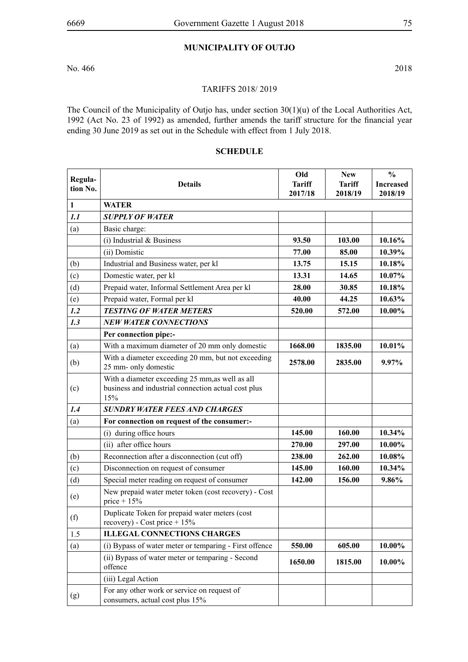# **MUNICIPALITY OF OUTJO**

No. 466 2018

#### TARIFFS 2018/ 2019

The Council of the Municipality of Outjo has, under section 30(1)(u) of the Local Authorities Act, 1992 (Act No. 23 of 1992) as amended, further amends the tariff structure for the financial year ending 30 June 2019 as set out in the Schedule with effect from 1 July 2018.

# **SCHEDULE**

|                     |                                                                                                               | Old           | <b>New</b>    | $\frac{0}{0}$    |
|---------------------|---------------------------------------------------------------------------------------------------------------|---------------|---------------|------------------|
| Regula-<br>tion No. | <b>Details</b>                                                                                                | <b>Tariff</b> | <b>Tariff</b> | <b>Increased</b> |
|                     |                                                                                                               | 2017/18       | 2018/19       | 2018/19          |
| $\mathbf{1}$        | <b>WATER</b>                                                                                                  |               |               |                  |
| 1.1                 | <b>SUPPLY OF WATER</b>                                                                                        |               |               |                  |
| (a)                 | Basic charge:                                                                                                 |               |               |                  |
|                     | $(i)$ Industrial & Business                                                                                   | 93.50         | 103.00        | 10.16%           |
|                     | (ii) Domistic                                                                                                 | 77.00         | 85.00         | 10.39%           |
| (b)                 | Industrial and Business water, per kl                                                                         | 13.75         | 15.15         | 10.18%           |
| (c)                 | Domestic water, per kl                                                                                        | 13.31         | 14.65         | 10.07%           |
| (d)                 | Prepaid water, Informal Settlement Area per kl                                                                | 28.00         | 30.85         | 10.18%           |
| (e)                 | Prepaid water, Formal per kl                                                                                  | 40.00         | 44.25         | 10.63%           |
| 1.2                 | <b>TESTING OF WATER METERS</b>                                                                                | 520.00        | 572.00        | 10.00%           |
| 1.3                 | <b>NEW WATER CONNECTIONS</b>                                                                                  |               |               |                  |
|                     | Per connection pipe:-                                                                                         |               |               |                  |
| (a)                 | With a maximum diameter of 20 mm only domestic                                                                | 1668.00       | 1835.00       | 10.01%           |
| (b)                 | With a diameter exceeding 20 mm, but not exceeding<br>25 mm- only domestic                                    | 2578.00       | 2835.00       | 9.97%            |
| (c)                 | With a diameter exceeding 25 mm, as well as all<br>business and industrial connection actual cost plus<br>15% |               |               |                  |
| 1.4                 | <b>SUNDRY WATER FEES AND CHARGES</b>                                                                          |               |               |                  |
| (a)                 | For connection on request of the consumer:-                                                                   |               |               |                  |
|                     | (i) during office hours                                                                                       | 145.00        | 160.00        | 10.34%           |
|                     | (ii) after office hours                                                                                       | 270.00        | 297.00        | 10.00%           |
| (b)                 | Reconnection after a disconnection (cut off)                                                                  | 238.00        | 262.00        | 10.08%           |
| (c)                 | Disconnection on request of consumer                                                                          | 145.00        | 160.00        | 10.34%           |
| (d)                 | Special meter reading on request of consumer                                                                  | 142.00        | 156.00        | 9.86%            |
| (e)                 | New prepaid water meter token (cost recovery) - Cost<br>price + $15%$                                         |               |               |                  |
| (f)                 | Duplicate Token for prepaid water meters (cost<br>$recovery)$ - Cost price + 15%                              |               |               |                  |
| 1.5                 | <b>ILLEGAL CONNECTIONS CHARGES</b>                                                                            |               |               |                  |
| (a)                 | (i) Bypass of water meter or temparing - First offence                                                        | 550.00        | 605.00        | 10.00%           |
|                     | (ii) Bypass of water meter or temparing - Second<br>offence                                                   | 1650.00       | 1815.00       | 10.00%           |
|                     | (iii) Legal Action                                                                                            |               |               |                  |
| (g)                 | For any other work or service on request of<br>consumers, actual cost plus 15%                                |               |               |                  |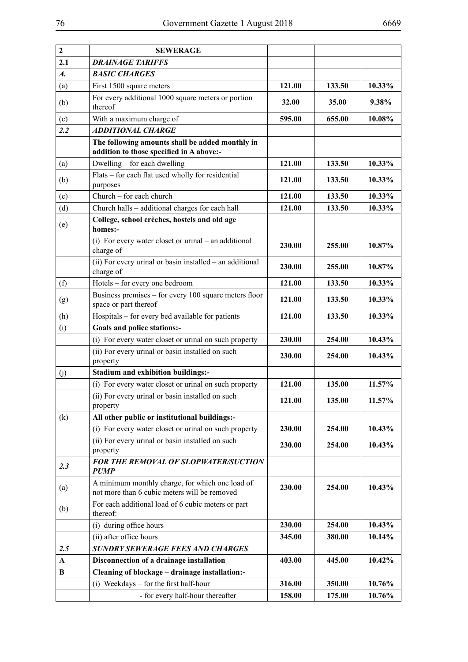| $\overline{2}$     | <b>SEWERAGE</b>                                                                                 |        |        |        |
|--------------------|-------------------------------------------------------------------------------------------------|--------|--------|--------|
| 2.1                | <b>DRAINAGE TARIFFS</b>                                                                         |        |        |        |
| $\boldsymbol{A}$ . | <b>BASIC CHARGES</b>                                                                            |        |        |        |
| (a)                | First 1500 square meters                                                                        | 121.00 | 133.50 | 10.33% |
| (b)                | For every additional 1000 square meters or portion<br>thereof                                   | 32.00  | 35.00  | 9.38%  |
| (c)                | With a maximum charge of                                                                        | 595.00 | 655.00 | 10.08% |
| 2.2                | <b>ADDITIONAL CHARGE</b>                                                                        |        |        |        |
|                    | The following amounts shall be added monthly in<br>addition to those specified in A above:-     |        |        |        |
| (a)                | Dwelling – for each dwelling                                                                    | 121.00 | 133.50 | 10.33% |
| (b)                | Flats – for each flat used wholly for residential<br>purposes                                   | 121.00 | 133.50 | 10.33% |
| (c)                | Church - for each church                                                                        | 121.00 | 133.50 | 10.33% |
| (d)                | Church halls - additional charges for each hall                                                 | 121.00 | 133.50 | 10.33% |
| (e)                | College, school crèches, hostels and old age<br>homes:-                                         |        |        |        |
|                    | (i) For every water closet or urinal – an additional<br>charge of                               | 230.00 | 255.00 | 10.87% |
|                    | $(ii)$ For every urinal or basin installed – an additional<br>charge of                         | 230.00 | 255.00 | 10.87% |
| (f)                | Hotels – for every one bedroom                                                                  | 121.00 | 133.50 | 10.33% |
| (g)                | Business premises – for every 100 square meters floor<br>space or part thereof                  | 121.00 | 133.50 | 10.33% |
| (h)                | Hospitals – for every bed available for patients                                                | 121.00 | 133.50 | 10.33% |
| (i)                | Goals and police stations:-                                                                     |        |        |        |
|                    | (i) For every water closet or urinal on such property                                           | 230.00 | 254.00 | 10.43% |
|                    | (ii) For every urinal or basin installed on such<br>property                                    | 230.00 | 254.00 | 10.43% |
| (j)                | <b>Stadium and exhibition buildings:-</b>                                                       |        |        |        |
|                    | (i) For every water closet or urinal on such property                                           | 121.00 | 135.00 | 11.57% |
|                    | (ii) For every urinal or basin installed on such<br>property                                    | 121.00 | 135.00 | 11.57% |
| (k)                | All other public or institutional buildings:-                                                   |        |        |        |
|                    | (i) For every water closet or urinal on such property                                           | 230.00 | 254.00 | 10.43% |
|                    | (ii) For every urinal or basin installed on such<br>property                                    | 230.00 | 254.00 | 10.43% |
| 2.3                | FOR THE REMOVAL OF SLOPWATER/SUCTION<br><b>PUMP</b>                                             |        |        |        |
| (a)                | A minimum monthly charge, for which one load of<br>not more than 6 cubic meters will be removed | 230.00 | 254.00 | 10.43% |
| (b)                | For each additional load of 6 cubic meters or part<br>thereof:                                  |        |        |        |
|                    | (i) during office hours                                                                         | 230.00 | 254.00 | 10.43% |
|                    | (ii) after office hours                                                                         | 345.00 | 380.00 | 10.14% |
| 2.5                | <b>SUNDRY SEWERAGE FEES AND CHARGES</b>                                                         |        |        |        |
| $\mathbf{A}$       | Disconnection of a drainage installation                                                        | 403.00 | 445.00 | 10.42% |
| B                  | Cleaning of blockage - drainage installation:-                                                  |        |        |        |
|                    | (i) Weekdays – for the first half-hour                                                          | 316.00 | 350.00 | 10.76% |
|                    | - for every half-hour thereafter                                                                | 158.00 | 175.00 | 10.76% |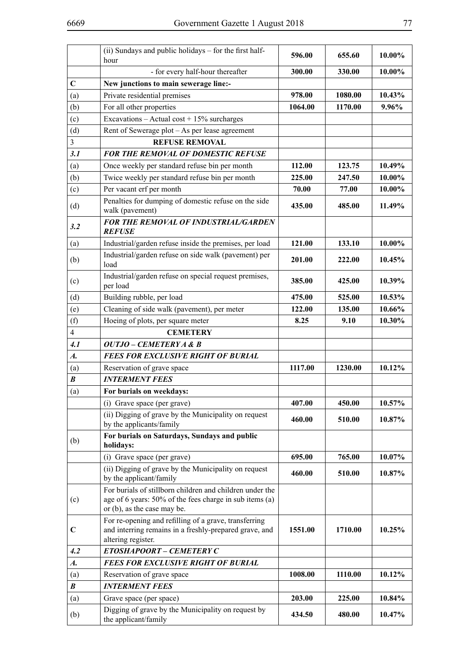|                    | (ii) Sundays and public holidays – for the first half-<br>hour                                                                                     | 596.00  | 655.60  | 10.00% |
|--------------------|----------------------------------------------------------------------------------------------------------------------------------------------------|---------|---------|--------|
|                    | - for every half-hour thereafter                                                                                                                   | 300.00  | 330.00  | 10.00% |
| $\mathbf C$        | New junctions to main sewerage line:-                                                                                                              |         |         |        |
|                    | Private residential premises                                                                                                                       | 978.00  | 1080.00 | 10.43% |
| (a)                |                                                                                                                                                    | 1064.00 | 1170.00 | 9.96%  |
| (b)                | For all other properties                                                                                                                           |         |         |        |
| (c)                | Excavations - Actual cost + $15\%$ surcharges                                                                                                      |         |         |        |
| (d)                | Rent of Sewerage plot - As per lease agreement                                                                                                     |         |         |        |
| $\overline{3}$     | <b>REFUSE REMOVAL</b>                                                                                                                              |         |         |        |
| 3.1                | <b>FOR THE REMOVAL OF DOMESTIC REFUSE</b>                                                                                                          |         |         |        |
| (a)                | Once weekly per standard refuse bin per month                                                                                                      | 112.00  | 123.75  | 10.49% |
| (b)                | Twice weekly per standard refuse bin per month                                                                                                     | 225.00  | 247.50  | 10.00% |
| (c)                | Per vacant erf per month                                                                                                                           | 70.00   | 77.00   | 10.00% |
| (d)                | Penalties for dumping of domestic refuse on the side<br>walk (pavement)                                                                            | 435.00  | 485.00  | 11.49% |
| 3.2                | <b>FOR THE REMOVAL OF INDUSTRIAL/GARDEN</b><br><b>REFUSE</b>                                                                                       |         |         |        |
| (a)                | Industrial/garden refuse inside the premises, per load                                                                                             | 121.00  | 133.10  | 10.00% |
| (b)                | Industrial/garden refuse on side walk (pavement) per<br>load                                                                                       | 201.00  | 222.00  | 10.45% |
| (c)                | Industrial/garden refuse on special request premises,<br>per load                                                                                  | 385.00  | 425.00  | 10.39% |
| (d)                | Building rubble, per load                                                                                                                          | 475.00  | 525.00  | 10.53% |
| (e)                | Cleaning of side walk (pavement), per meter                                                                                                        | 122.00  | 135.00  | 10.66% |
| (f)                | Hoeing of plots, per square meter                                                                                                                  | 8.25    | 9.10    | 10.30% |
| $\overline{4}$     | <b>CEMETERY</b>                                                                                                                                    |         |         |        |
| 4.1                | OUTJO – CEMETERY A & B                                                                                                                             |         |         |        |
| $\boldsymbol{A}$ . | <b>FEES FOR EXCLUSIVE RIGHT OF BURIAL</b>                                                                                                          |         |         |        |
| (a)                | Reservation of grave space                                                                                                                         | 1117.00 | 1230.00 | 10.12% |
| $\boldsymbol{B}$   | <b>INTERMENT FEES</b>                                                                                                                              |         |         |        |
| (a)                | For burials on weekdays:                                                                                                                           |         |         |        |
|                    | (i) Grave space (per grave)                                                                                                                        | 407.00  | 450.00  | 10.57% |
|                    | (ii) Digging of grave by the Municipality on request<br>by the applicants/family                                                                   | 460.00  | 510.00  | 10.87% |
| (b)                | For burials on Saturdays, Sundays and public<br>holidays:                                                                                          |         |         |        |
|                    | (i) Grave space (per grave)                                                                                                                        | 695.00  | 765.00  | 10.07% |
|                    | (ii) Digging of grave by the Municipality on request<br>by the applicant/family                                                                    | 460.00  | 510.00  | 10.87% |
| (c)                | For burials of stillborn children and children under the<br>age of 6 years: 50% of the fees charge in sub items (a)<br>or (b), as the case may be. |         |         |        |
| $\mathbf C$        | For re-opening and refilling of a grave, transferring<br>and interring remains in a freshly-prepared grave, and<br>altering register.              | 1551.00 | 1710.00 | 10.25% |
| 4.2                | ETOSHAPOORT - CEMETERY C                                                                                                                           |         |         |        |
| $\boldsymbol{A}$ . | <b>FEES FOR EXCLUSIVE RIGHT OF BURIAL</b>                                                                                                          |         |         |        |
| (a)                | Reservation of grave space                                                                                                                         | 1008.00 | 1110.00 | 10.12% |
| $\boldsymbol{B}$   | <b>INTERMENT FEES</b>                                                                                                                              |         |         |        |
| (a)                | Grave space (per space)                                                                                                                            | 203.00  | 225.00  | 10.84% |
| (b)                | Digging of grave by the Municipality on request by<br>the applicant/family                                                                         | 434.50  | 480.00  | 10.47% |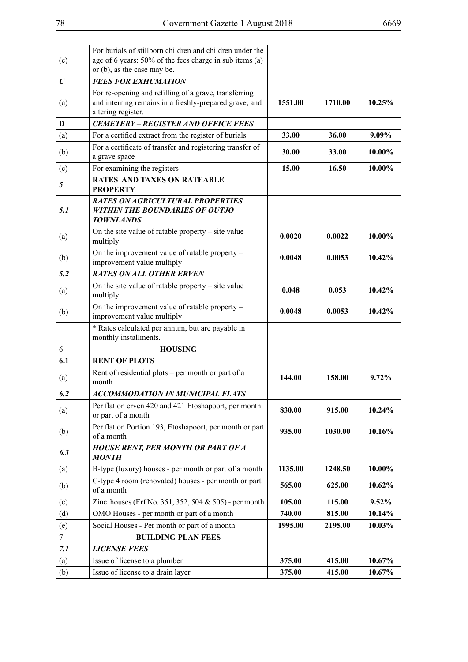| (c)              | For burials of stillborn children and children under the<br>age of 6 years: 50% of the fees charge in sub items (a)                   |         |         |           |
|------------------|---------------------------------------------------------------------------------------------------------------------------------------|---------|---------|-----------|
|                  | or (b), as the case may be.                                                                                                           |         |         |           |
| $\boldsymbol{C}$ | <b>FEES FOR EXHUMATION</b>                                                                                                            |         |         |           |
| (a)              | For re-opening and refilling of a grave, transferring<br>and interring remains in a freshly-prepared grave, and<br>altering register. | 1551.00 | 1710.00 | 10.25%    |
| D                | <b>CEMETERY - REGISTER AND OFFICE FEES</b>                                                                                            |         |         |           |
| (a)              | For a certified extract from the register of burials                                                                                  | 33.00   | 36.00   | 9.09%     |
| (b)              | For a certificate of transfer and registering transfer of<br>a grave space                                                            | 30.00   | 33.00   | 10.00%    |
| (c)              | For examining the registers                                                                                                           | 15.00   | 16.50   | 10.00%    |
| 5                | <b>RATES AND TAXES ON RATEABLE</b><br><b>PROPERTY</b>                                                                                 |         |         |           |
| 5.1              | <b>RATES ON AGRICULTURAL PROPERTIES</b><br><b>WITHIN THE BOUNDARIES OF OUTJO</b><br><b>TOWNLANDS</b>                                  |         |         |           |
| (a)              | On the site value of ratable property $-$ site value<br>multiply                                                                      | 0.0020  | 0.0022  | 10.00%    |
| (b)              | On the improvement value of ratable property -<br>improvement value multiply                                                          | 0.0048  | 0.0053  | $10.42\%$ |
| 5.2              | <b>RATES ON ALL OTHER ERVEN</b>                                                                                                       |         |         |           |
| (a)              | On the site value of ratable property $-$ site value<br>multiply                                                                      | 0.048   | 0.053   | 10.42%    |
| (b)              | On the improvement value of ratable property -<br>improvement value multiply                                                          | 0.0048  | 0.0053  | 10.42%    |
|                  | * Rates calculated per annum, but are payable in<br>monthly installments.                                                             |         |         |           |
| 6                | <b>HOUSING</b>                                                                                                                        |         |         |           |
| 6.1              | <b>RENT OF PLOTS</b>                                                                                                                  |         |         |           |
| (a)              | Rent of residential plots – per month or part of a<br>month                                                                           | 144.00  | 158.00  | 9.72%     |
| 6.2              | <b>ACCOMMODATION IN MUNICIPAL FLATS</b>                                                                                               |         |         |           |
| (a)              | Per flat on erven 420 and 421 Etoshapoort, per month<br>or part of a month                                                            | 830.00  | 915.00  | 10.24%    |
| (b)              | Per flat on Portion 193, Etoshapoort, per month or part<br>of a month                                                                 | 935.00  | 1030.00 | 10.16%    |
| 6.3              | <b>HOUSE RENT, PER MONTH OR PART OF A</b><br><b>MONTH</b>                                                                             |         |         |           |
| (a)              | B-type (luxury) houses - per month or part of a month                                                                                 | 1135.00 | 1248.50 | 10.00%    |
| (b)              | C-type 4 room (renovated) houses - per month or part<br>of a month                                                                    | 565.00  | 625.00  | 10.62%    |
| (c)              | Zinc houses (Erf No. 351, 352, 504 & 505) - per month                                                                                 | 105.00  | 115.00  | 9.52%     |
| (d)              | OMO Houses - per month or part of a month                                                                                             | 740.00  | 815.00  | 10.14%    |
| (e)              | Social Houses - Per month or part of a month                                                                                          | 1995.00 | 2195.00 | 10.03%    |
| $\tau$           | <b>BUILDING PLAN FEES</b>                                                                                                             |         |         |           |
| 7.1              | <b>LICENSE FEES</b>                                                                                                                   |         |         |           |
| (a)              | Issue of license to a plumber                                                                                                         | 375.00  | 415.00  | 10.67%    |
| (b)              | Issue of license to a drain layer                                                                                                     | 375.00  | 415.00  | 10.67%    |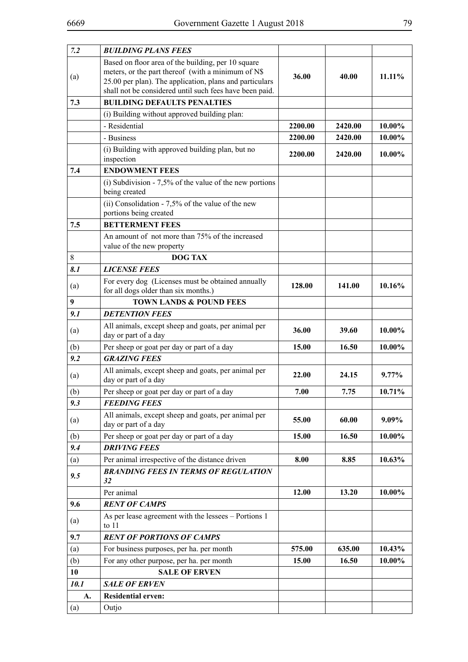| 7.2  | <b>BUILDING PLANS FEES</b>                                                                                         |         |         |           |
|------|--------------------------------------------------------------------------------------------------------------------|---------|---------|-----------|
|      | Based on floor area of the building, per 10 square                                                                 |         |         |           |
| (a)  | meters, or the part thereof (with a minimum of N\$                                                                 | 36.00   | 40.00   | $11.11\%$ |
|      | 25.00 per plan). The application, plans and particulars<br>shall not be considered until such fees have been paid. |         |         |           |
| 7.3  | <b>BUILDING DEFAULTS PENALTIES</b>                                                                                 |         |         |           |
|      | (i) Building without approved building plan:                                                                       |         |         |           |
|      | - Residential                                                                                                      | 2200.00 | 2420.00 | 10.00%    |
|      | - Business                                                                                                         | 2200.00 | 2420.00 | 10.00%    |
|      | (i) Building with approved building plan, but no                                                                   |         |         |           |
|      | inspection                                                                                                         | 2200.00 | 2420.00 | 10.00%    |
| 7.4  | <b>ENDOWMENT FEES</b>                                                                                              |         |         |           |
|      | (i) Subdivision - $7,5\%$ of the value of the new portions<br>being created                                        |         |         |           |
|      | (ii) Consolidation - $7,5%$ of the value of the new                                                                |         |         |           |
|      | portions being created                                                                                             |         |         |           |
| 7.5  | <b>BETTERMENT FEES</b>                                                                                             |         |         |           |
|      | An amount of not more than 75% of the increased<br>value of the new property                                       |         |         |           |
| 8    | <b>DOG TAX</b>                                                                                                     |         |         |           |
| 8.1  | <b>LICENSE FEES</b>                                                                                                |         |         |           |
|      | For every dog (Licenses must be obtained annually                                                                  |         |         |           |
| (a)  | for all dogs older than six months.)                                                                               | 128.00  | 141.00  | 10.16%    |
| 9    | TOWN LANDS & POUND FEES                                                                                            |         |         |           |
| 9.1  | <b>DETENTION FEES</b>                                                                                              |         |         |           |
| (a)  | All animals, except sheep and goats, per animal per<br>day or part of a day                                        | 36.00   | 39.60   | 10.00%    |
| (b)  | Per sheep or goat per day or part of a day                                                                         | 15.00   | 16.50   | 10.00%    |
| 9.2  | <b>GRAZING FEES</b>                                                                                                |         |         |           |
| (a)  | All animals, except sheep and goats, per animal per<br>day or part of a day                                        | 22.00   | 24.15   | $9.77\%$  |
| (b)  | Per sheep or goat per day or part of a day                                                                         | 7.00    | 7.75    | 10.71%    |
| 9.3  | <b>FEEDING FEES</b>                                                                                                |         |         |           |
| (a)  | All animals, except sheep and goats, per animal per<br>day or part of a day                                        | 55.00   | 60.00   | 9.09%     |
| (b)  | Per sheep or goat per day or part of a day                                                                         | 15.00   | 16.50   | 10.00%    |
| 9.4  | <b>DRIVING FEES</b>                                                                                                |         |         |           |
| (a)  | Per animal irrespective of the distance driven                                                                     | 8.00    | 8.85    | 10.63%    |
| 9.5  | <b>BRANDING FEES IN TERMS OF REGULATION</b><br>32                                                                  |         |         |           |
|      | Per animal                                                                                                         | 12.00   | 13.20   | 10.00%    |
| 9.6  | <b>RENT OF CAMPS</b>                                                                                               |         |         |           |
| (a)  | As per lease agreement with the lessees - Portions 1<br>to $11$                                                    |         |         |           |
| 9.7  | <b>RENT OF PORTIONS OF CAMPS</b>                                                                                   |         |         |           |
| (a)  | For business purposes, per ha. per month                                                                           | 575.00  | 635.00  | 10.43%    |
| (b)  | For any other purpose, per ha. per month                                                                           | 15.00   | 16.50   | 10.00%    |
| 10   | <b>SALE OF ERVEN</b>                                                                                               |         |         |           |
| 10.1 | <b>SALE OF ERVEN</b>                                                                                               |         |         |           |
| A.   | <b>Residential erven:</b>                                                                                          |         |         |           |
| (a)  | Outjo                                                                                                              |         |         |           |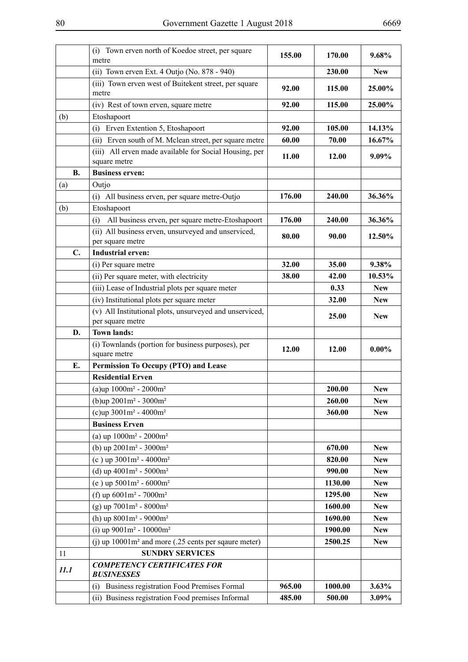|           | (i) Town erven north of Koedoe street, per square<br>metre                                             | 155.00           | 170.00            | 9.68%          |
|-----------|--------------------------------------------------------------------------------------------------------|------------------|-------------------|----------------|
|           | (ii) Town erven Ext. 4 Outjo (No. 878 - 940)                                                           |                  | 230.00            | <b>New</b>     |
|           | (iii) Town erven west of Buitekent street, per square                                                  |                  |                   |                |
|           | metre                                                                                                  | 92.00            | 115.00            | 25.00%         |
|           | (iv) Rest of town erven, square metre                                                                  | 92.00            | 115.00            | 25.00%         |
| (b)       | Etoshapoort                                                                                            |                  |                   |                |
|           | Erven Extention 5, Etoshapoort<br>(i)                                                                  | 92.00            | 105.00            | 14.13%         |
|           | (ii) Erven south of M. Mclean street, per square metre                                                 | 60.00            | 70.00             | 16.67%         |
|           | (iii) All erven made available for Social Housing, per<br>square metre                                 | 11.00            | 12.00             | 9.09%          |
| <b>B.</b> | <b>Business erven:</b>                                                                                 |                  |                   |                |
| (a)       | Outjo                                                                                                  |                  |                   |                |
|           | (i) All business erven, per square metre-Outjo                                                         | 176.00           | 240.00            | 36.36%         |
| (b)       | Etoshapoort                                                                                            |                  |                   |                |
|           | All business erven, per square metre-Etoshapoort<br>(i)                                                | 176.00           | 240.00            | 36.36%         |
|           | (ii) All business erven, unsurveyed and unserviced,<br>per square metre                                | 80.00            | 90.00             | 12.50%         |
| C.        | <b>Industrial erven:</b>                                                                               |                  |                   |                |
|           | (i) Per square metre                                                                                   | 32.00            | 35.00             | 9.38%          |
|           | (ii) Per square meter, with electricity                                                                | 38.00            | 42.00             | 10.53%         |
|           | (iii) Lease of Industrial plots per square meter                                                       |                  | 0.33              | <b>New</b>     |
|           | (iv) Institutional plots per square meter                                                              |                  | 32.00             | <b>New</b>     |
|           | (v) All Institutional plots, unsurveyed and unserviced,                                                |                  | 25.00             | <b>New</b>     |
|           | per square metre                                                                                       |                  |                   |                |
| D.        | <b>Town lands:</b>                                                                                     |                  |                   |                |
|           |                                                                                                        |                  |                   |                |
|           | (i) Townlands (portion for business purposes), per                                                     | 12.00            | 12.00             | $0.00\%$       |
| E.        | square metre<br>Permission To Occupy (PTO) and Lease                                                   |                  |                   |                |
|           | <b>Residential Erven</b>                                                                               |                  |                   |                |
|           | (a)up $1000m^2 - 2000m^2$                                                                              |                  | 200.00            | <b>New</b>     |
|           | (b)up $2001m^2 - 3000m^2$                                                                              |                  | 260.00            | <b>New</b>     |
|           | (c)up $3001m^2 - 4000m^2$                                                                              |                  | 360.00            | <b>New</b>     |
|           | <b>Business Erven</b>                                                                                  |                  |                   |                |
|           | (a) up $1000m^2 - 2000m^2$                                                                             |                  |                   |                |
|           | (b) up $2001m^2 - 3000m^2$                                                                             |                  | 670.00            | <b>New</b>     |
|           | (c) up $3001m^2 - 4000m^2$                                                                             |                  | 820.00            | <b>New</b>     |
|           | (d) up $4001m^2 - 5000m^2$                                                                             |                  | 990.00            | <b>New</b>     |
|           | (e) up $5001m^2 - 6000m^2$                                                                             |                  | 1130.00           | <b>New</b>     |
|           | (f) up $6001m^2 - 7000m^2$                                                                             |                  | 1295.00           | <b>New</b>     |
|           | $(g)$ up $7001m^2 - 8000m^2$                                                                           |                  | 1600.00           | <b>New</b>     |
|           | (h) up $8001m^2 - 9000m^2$                                                                             |                  | 1690.00           | <b>New</b>     |
|           | (i) up $9001m^2 - 10000m^2$                                                                            |                  | 1900.00           | <b>New</b>     |
|           | (j) up $10001m^2$ and more (.25 cents per sqaure meter)                                                |                  | 2500.25           | <b>New</b>     |
| 11        | <b>SUNDRY SERVICES</b>                                                                                 |                  |                   |                |
| 11.1      | <b>COMPETENCY CERTIFICATES FOR</b><br><b>BUSINESSES</b>                                                |                  |                   |                |
|           | Business registration Food Premises Formal<br>(i)<br>(ii) Business registration Food premises Informal | 965.00<br>485.00 | 1000.00<br>500.00 | 3.63%<br>3.09% |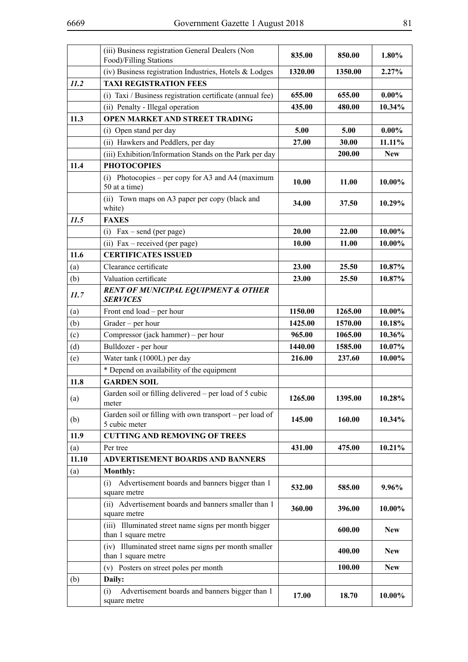|       | (iii) Business registration General Dealers (Non<br>Food)/Filling Stations  | 835.00  | 850.00  | 1.80%      |
|-------|-----------------------------------------------------------------------------|---------|---------|------------|
|       | (iv) Business registration Industries, Hotels & Lodges                      | 1320.00 | 1350.00 | 2.27%      |
| 11.2  | <b>TAXI REGISTRATION FEES</b>                                               |         |         |            |
|       | (i) Taxi / Business registration certificate (annual fee)                   | 655.00  | 655.00  | $0.00\%$   |
|       | (ii) Penalty - Illegal operation                                            | 435.00  | 480.00  | 10.34%     |
| 11.3  | <b>OPEN MARKET AND STREET TRADING</b>                                       |         |         |            |
|       | (i) Open stand per day                                                      | 5.00    | 5.00    | $0.00\%$   |
|       | (ii) Hawkers and Peddlers, per day                                          | 27.00   | 30.00   | 11.11%     |
|       | (iii) Exhibition/Information Stands on the Park per day                     |         | 200.00  | <b>New</b> |
| 11.4  | <b>PHOTOCOPIES</b>                                                          |         |         |            |
|       | Photocopies – per copy for A3 and A4 (maximum<br>(i)<br>50 at a time)       | 10.00   | 11.00   | 10.00%     |
|       | (ii) Town maps on A3 paper per copy (black and<br>white)                    | 34.00   | 37.50   | 10.29%     |
| 11.5  | <b>FAXES</b>                                                                |         |         |            |
|       | $Fax - send (per page)$<br>(i)                                              | 20.00   | 22.00   | 10.00%     |
|       | (ii) Fax – received (per page)                                              | 10.00   | 11.00   | 10.00%     |
| 11.6  | <b>CERTIFICATES ISSUED</b>                                                  |         |         |            |
| (a)   | Clearance certificate                                                       | 23.00   | 25.50   | 10.87%     |
| (b)   | Valuation certificate                                                       | 23.00   | 25.50   | 10.87%     |
| 11.7  | <b>RENT OF MUNICIPAL EQUIPMENT &amp; OTHER</b><br><b>SERVICES</b>           |         |         |            |
| (a)   | Front end load – per hour                                                   | 1150.00 | 1265.00 | 10.00%     |
| (b)   | Grader - per hour                                                           | 1425.00 | 1570.00 | 10.18%     |
| (c)   | Compressor (jack hammer) – per hour                                         | 965.00  | 1065.00 | 10.36%     |
| (d)   | Bulldozer - per hour                                                        | 1440.00 | 1585.00 | 10.07%     |
| (e)   | Water tank (1000L) per day                                                  | 216.00  | 237.60  | 10.00%     |
|       | * Depend on availability of the equipment                                   |         |         |            |
| 11.8  | <b>GARDEN SOIL</b>                                                          |         |         |            |
| (a)   | Garden soil or filling delivered – per load of 5 cubic<br>meter             | 1265.00 | 1395.00 | 10.28%     |
| (b)   | Garden soil or filling with own transport – per load of<br>5 cubic meter    | 145.00  | 160.00  | 10.34%     |
| 11.9  | <b>CUTTING AND REMOVING OF TREES</b>                                        |         |         |            |
| (a)   | Per tree                                                                    | 431.00  | 475.00  | 10.21%     |
| 11.10 | <b>ADVERTISEMENT BOARDS AND BANNERS</b>                                     |         |         |            |
| (a)   | Monthly:                                                                    |         |         |            |
|       | (i) Advertisement boards and banners bigger than 1<br>square metre          | 532.00  | 585.00  | 9.96%      |
|       | (ii) Advertisement boards and banners smaller than 1<br>square metre        | 360.00  | 396.00  | 10.00%     |
|       | (iii) Illuminated street name signs per month bigger<br>than 1 square metre |         | 600.00  | <b>New</b> |
|       | (iv) Illuminated street name signs per month smaller<br>than 1 square metre |         | 400.00  | <b>New</b> |
|       | (v) Posters on street poles per month                                       |         | 100.00  | <b>New</b> |
| (b)   | Daily:                                                                      |         |         |            |
|       | Advertisement boards and banners bigger than 1<br>(i)<br>square metre       | 17.00   | 18.70   | 10.00%     |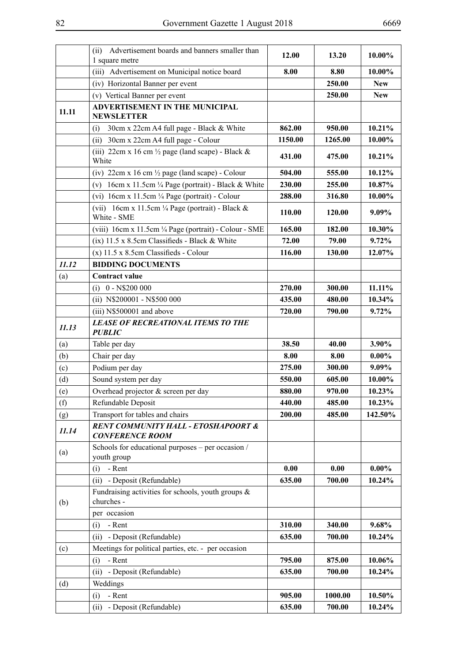|       | Advertisement boards and banners smaller than<br>(ii)<br>1 square metre                 | 12.00   | 13.20   | 10.00%     |
|-------|-----------------------------------------------------------------------------------------|---------|---------|------------|
|       | (iii) Advertisement on Municipal notice board                                           | 8.00    | 8.80    | 10.00%     |
|       | (iv) Horizontal Banner per event                                                        |         | 250.00  | <b>New</b> |
|       | (v) Vertical Banner per event                                                           |         | 250.00  | <b>New</b> |
| 11.11 | <b>ADVERTISEMENT IN THE MUNICIPAL</b><br><b>NEWSLETTER</b>                              |         |         |            |
|       | 30cm x 22cm A4 full page - Black & White<br>(i)                                         | 862.00  | 950.00  | 10.21%     |
|       | 30cm x 22cm A4 full page - Colour<br>(ii)                                               | 1150.00 | 1265.00 | 10.00%     |
|       | (iii) 22cm x 16 cm $\frac{1}{2}$ page (land scape) - Black &<br>White                   | 431.00  | 475.00  | 10.21%     |
|       | (iv) $22 \text{cm} \times 16 \text{cm}$ $\frac{1}{2} \text{page}$ (land scape) - Colour | 504.00  | 555.00  | 10.12%     |
|       | 16cm x 11.5cm ¼ Page (portrait) - Black & White<br>(v)                                  | 230.00  | 255.00  | 10.87%     |
|       | (vi) $16cm \times 11.5cm \frac{1}{4} Page (portrait) - Colour$                          | 288.00  | 316.80  | 10.00%     |
|       | (vii) $16cm \times 11.5cm \frac{1}{4} Page (portrait) - Black &$<br>White - SME         | 110.00  | 120.00  | 9.09%      |
|       | (viii) 16cm x 11.5cm ¼ Page (portrait) - Colour - SME                                   | 165.00  | 182.00  | 10.30%     |
|       | (ix) 11.5 x 8.5cm Classifieds - Black & White                                           | 72.00   | 79.00   | 9.72%      |
|       | $(x)$ 11.5 x 8.5cm Classifieds - Colour                                                 | 116.00  | 130.00  | 12.07%     |
| 11.12 | <b>BIDDING DOCUMENTS</b>                                                                |         |         |            |
| (a)   | <b>Contract value</b>                                                                   |         |         |            |
|       | $(i)$ 0 - N\$200 000                                                                    | 270.00  | 300.00  | 11.11%     |
|       | (ii) N\$200001 - N\$500 000                                                             | 435.00  | 480.00  | 10.34%     |
|       | (iii) N\$500001 and above                                                               | 720.00  | 790.00  | 9.72%      |
| 11.13 | <b>LEASE OF RECREATIONAL ITEMS TO THE</b><br><b>PUBLIC</b>                              |         |         |            |
| (a)   | Table per day                                                                           | 38.50   | 40.00   | 3.90%      |
| (b)   | Chair per day                                                                           | 8.00    | 8.00    | $0.00\%$   |
| (c)   | Podium per day                                                                          | 275.00  | 300.00  | 9.09%      |
| (d)   | Sound system per day                                                                    | 550.00  | 605.00  | 10.00%     |
| (e)   | Overhead projector & screen per day                                                     | 880.00  | 970.00  | 10.23%     |
| (f)   | Refundable Deposit                                                                      | 440.00  | 485.00  | 10.23%     |
| (g)   | Transport for tables and chairs                                                         | 200.00  | 485.00  | 142.50%    |
| 11.14 | <b>RENT COMMUNITY HALL - ETOSHAPOORT &amp;</b><br><b>CONFERENCE ROOM</b>                |         |         |            |
| (a)   | Schools for educational purposes – per occasion /<br>youth group                        |         |         |            |
|       | - Rent<br>(i)                                                                           | 0.00    | 0.00    | $0.00\%$   |
|       | - Deposit (Refundable)<br>(ii)                                                          | 635.00  | 700.00  | 10.24%     |
| (b)   | Fundraising activities for schools, youth groups $\&$<br>churches -                     |         |         |            |
|       | per occasion                                                                            |         |         |            |
|       | - Rent<br>(i)                                                                           | 310.00  | 340.00  | 9.68%      |
|       | - Deposit (Refundable)<br>(ii)                                                          | 635.00  | 700.00  | 10.24%     |
| (c)   | Meetings for political parties, etc. - per occasion                                     |         |         |            |
|       | - Rent<br>(i)                                                                           | 795.00  | 875.00  | 10.06%     |
|       | - Deposit (Refundable)<br>(ii)                                                          | 635.00  | 700.00  | 10.24%     |
| (d)   | Weddings                                                                                |         |         |            |
|       | - Rent<br>(i)                                                                           | 905.00  | 1000.00 | 10.50%     |
|       | - Deposit (Refundable)<br>(ii)                                                          | 635.00  | 700.00  | 10.24%     |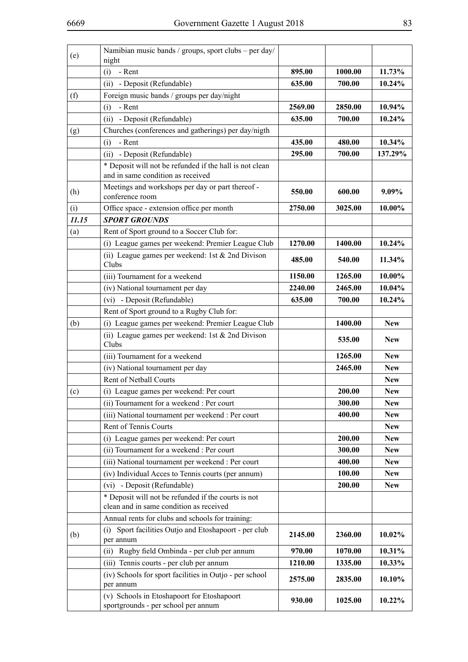| (e)   | Namibian music bands / groups, sport clubs - per day/<br>night                                 |         |         |            |
|-------|------------------------------------------------------------------------------------------------|---------|---------|------------|
|       | (i)<br>- Rent                                                                                  | 895.00  | 1000.00 | 11.73%     |
|       | (ii) - Deposit (Refundable)                                                                    | 635.00  | 700.00  | 10.24%     |
| (f)   | Foreign music bands / groups per day/night                                                     |         |         |            |
|       | - Rent<br>(i)                                                                                  | 2569.00 | 2850.00 | 10.94%     |
|       | (ii) - Deposit (Refundable)                                                                    | 635.00  | 700.00  | 10.24%     |
| (g)   | Churches (conferences and gatherings) per day/nigth                                            |         |         |            |
|       | - Rent<br>(i)                                                                                  | 435.00  | 480.00  | 10.34%     |
|       | (ii) - Deposit (Refundable)                                                                    | 295.00  | 700.00  | 137.29%    |
|       | * Deposit will not be refunded if the hall is not clean<br>and in same condition as received   |         |         |            |
| (h)   | Meetings and workshops per day or part thereof -<br>conference room                            | 550.00  | 600.00  | $9.09\%$   |
| (i)   | Office space - extension office per month                                                      | 2750.00 | 3025.00 | 10.00%     |
| 11.15 | <b>SPORT GROUNDS</b>                                                                           |         |         |            |
| (a)   | Rent of Sport ground to a Soccer Club for:                                                     |         |         |            |
|       | (i) League games per weekend: Premier League Club                                              | 1270.00 | 1400.00 | 10.24%     |
|       | (ii) League games per weekend: 1st $& 2nd$ Divison<br>Clubs                                    | 485.00  | 540.00  | 11.34%     |
|       | (iii) Tournament for a weekend                                                                 | 1150.00 | 1265.00 | 10.00%     |
|       | (iv) National tournament per day                                                               | 2240.00 | 2465.00 | 10.04%     |
|       | (vi) - Deposit (Refundable)                                                                    | 635.00  | 700.00  | 10.24%     |
|       | Rent of Sport ground to a Rugby Club for:                                                      |         |         |            |
| (b)   | (i) League games per weekend: Premier League Club                                              |         | 1400.00 | <b>New</b> |
|       | (ii) League games per weekend: 1st $& 2nd$ Divison<br>Clubs                                    |         | 535.00  | <b>New</b> |
|       | (iii) Tournament for a weekend                                                                 |         | 1265.00 | <b>New</b> |
|       | (iv) National tournament per day                                                               |         | 2465.00 | <b>New</b> |
|       | Rent of Netball Courts                                                                         |         |         | <b>New</b> |
| (c)   | (i) League games per weekend: Per court                                                        |         | 200.00  | <b>New</b> |
|       | (ii) Tournament for a weekend : Per court                                                      |         | 300.00  | <b>New</b> |
|       | (iii) National tournament per weekend : Per court                                              |         | 400.00  | <b>New</b> |
|       | Rent of Tennis Courts                                                                          |         |         | <b>New</b> |
|       | (i) League games per weekend: Per court                                                        |         | 200.00  | <b>New</b> |
|       | (ii) Tournament for a weekend : Per court                                                      |         | 300.00  | <b>New</b> |
|       | (iii) National tournament per weekend : Per court                                              |         | 400.00  | <b>New</b> |
|       | (iv) Individual Acces to Tennis courts (per annum)                                             |         | 100.00  | <b>New</b> |
|       | - Deposit (Refundable)<br>(vi)                                                                 |         | 200.00  | <b>New</b> |
|       | * Deposit will not be refunded if the courts is not<br>clean and in same condition as received |         |         |            |
|       | Annual rents for clubs and schools for training:                                               |         |         |            |
| (b)   | (i) Sport facilities Outjo and Etoshapoort - per club<br>per annum                             | 2145.00 | 2360.00 | 10.02%     |
|       | Rugby field Ombinda - per club per annum<br>(ii)                                               | 970.00  | 1070.00 | 10.31%     |
|       | (iii) Tennis courts - per club per annum                                                       | 1210.00 | 1335.00 | 10.33%     |
|       | (iv) Schools for sport facilities in Outjo - per school<br>per annum                           | 2575.00 | 2835.00 | 10.10%     |
|       | (v) Schools in Etoshapoort for Etoshapoort<br>sportgrounds - per school per annum              | 930.00  | 1025.00 | 10.22%     |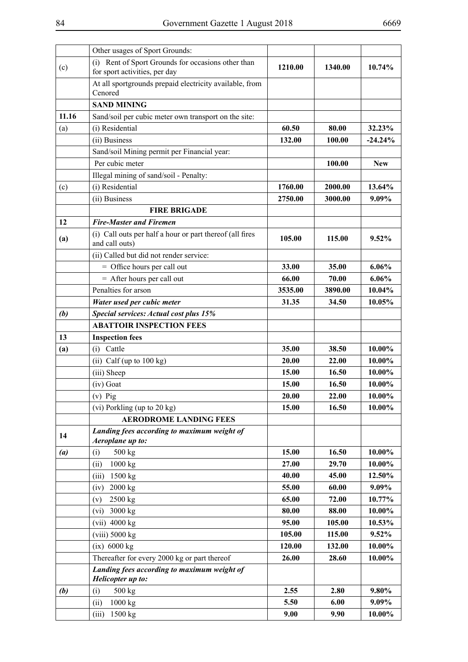|       | Other usages of Sport Grounds:                                                      |         |         |            |
|-------|-------------------------------------------------------------------------------------|---------|---------|------------|
| (c)   | (i) Rent of Sport Grounds for occasions other than<br>for sport activities, per day | 1210.00 | 1340.00 | 10.74%     |
|       | At all sportgrounds prepaid electricity available, from<br>Cenored                  |         |         |            |
|       | <b>SAND MINING</b>                                                                  |         |         |            |
| 11.16 | Sand/soil per cubic meter own transport on the site:                                |         |         |            |
| (a)   | (i) Residential                                                                     | 60.50   | 80.00   | 32.23%     |
|       | (ii) Business                                                                       | 132.00  | 100.00  | $-24.24%$  |
|       | Sand/soil Mining permit per Financial year:                                         |         |         |            |
|       | Per cubic meter                                                                     |         | 100.00  | <b>New</b> |
|       | Illegal mining of sand/soil - Penalty:                                              |         |         |            |
| (c)   | (i) Residential                                                                     | 1760.00 | 2000.00 | 13.64%     |
|       | (ii) Business                                                                       | 2750.00 | 3000.00 | 9.09%      |
|       | <b>FIRE BRIGADE</b>                                                                 |         |         |            |
| 12    | <b>Fire-Master and Firemen</b>                                                      |         |         |            |
| (a)   | (i) Call outs per half a hour or part thereof (all fires<br>and call outs)          | 105.00  | 115.00  | 9.52%      |
|       | (ii) Called but did not render service:                                             |         |         |            |
|       | = Office hours per call out                                                         | 33.00   | 35.00   | $6.06\%$   |
|       | $=$ After hours per call out                                                        | 66.00   | 70.00   | 6.06%      |
|       | Penalties for arson                                                                 | 3535.00 | 3890.00 | 10.04%     |
|       | Water used per cubic meter                                                          | 31.35   | 34.50   | 10.05%     |
| (b)   | Special services: Actual cost plus 15%                                              |         |         |            |
|       | <b>ABATTOIR INSPECTION FEES</b>                                                     |         |         |            |
| 13    | <b>Inspection fees</b>                                                              |         |         |            |
| (a)   | (i) Cattle                                                                          | 35.00   | 38.50   | 10.00%     |
|       | (ii) Calf (up to 100 kg)                                                            | 20.00   | 22.00   | 10.00%     |
|       | (iii) Sheep                                                                         | 15.00   | 16.50   | 10.00%     |
|       | (iv) Goat                                                                           | 15.00   | 16.50   | 10.00%     |
|       | $(v)$ Pig                                                                           | 20.00   | 22.00   | 10.00%     |
|       | (vi) Porkling (up to 20 kg)                                                         | 15.00   | 16.50   | $10.00\%$  |
|       | <b>AERODROME LANDING FEES</b>                                                       |         |         |            |
| 14    | Landing fees according to maximum weight of<br>Aeroplane up to:                     |         |         |            |
| (a)   | 500 kg<br>(i)                                                                       | 15.00   | 16.50   | 10.00%     |
|       | 1000 kg<br>(ii)                                                                     | 27.00   | 29.70   | 10.00%     |
|       | 1500 kg<br>(iii)                                                                    | 40.00   | 45.00   | 12.50%     |
|       | 2000 kg<br>(iv)                                                                     | 55.00   | 60.00   | 9.09%      |
|       | 2500 kg<br>(v)                                                                      | 65.00   | 72.00   | 10.77%     |
|       | 3000 kg<br>(vi)                                                                     | 80.00   | 88.00   | 10.00%     |
|       | $(vii)$ 4000 kg                                                                     | 95.00   | 105.00  | 10.53%     |
|       | $(viii)$ 5000 $kg$                                                                  | 105.00  | 115.00  | 9.52%      |
|       | $(ix)$ 6000 kg                                                                      | 120.00  | 132.00  | 10.00%     |
|       | Thereafter for every 2000 kg or part thereof                                        | 26.00   | 28.60   | 10.00%     |
|       | Landing fees according to maximum weight of                                         |         |         |            |
|       | Helicopter up to:                                                                   |         |         |            |
| (b)   | (i)<br>500 kg                                                                       | 2.55    | 2.80    | $9.80\%$   |
|       | 1000 kg<br>(ii)                                                                     | 5.50    | 6.00    | 9.09%      |
|       | 1500 kg<br>(iii)                                                                    | 9.00    | 9.90    | 10.00%     |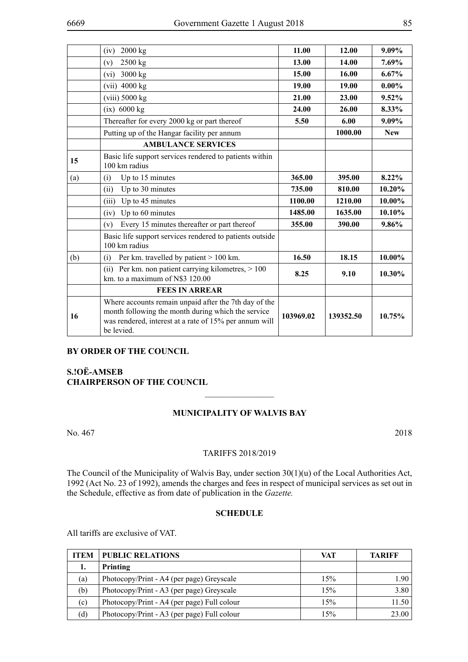|     | 2000 kg<br>(iv)                                                                                                                                                                     | 11.00     | 12.00     | 9.09%      |
|-----|-------------------------------------------------------------------------------------------------------------------------------------------------------------------------------------|-----------|-----------|------------|
|     | 2500 kg<br>(v)                                                                                                                                                                      | 13.00     | 14.00     | 7.69%      |
|     | 3000 kg<br>(vi)                                                                                                                                                                     | 15.00     | 16.00     | 6.67%      |
|     | $(vii)$ 4000 kg                                                                                                                                                                     | 19.00     | 19.00     | $0.00\%$   |
|     | $(viii)$ 5000 $kg$                                                                                                                                                                  | 21.00     | 23.00     | 9.52%      |
|     | $(ix)$ 6000 kg                                                                                                                                                                      | 24.00     | 26.00     | 8.33%      |
|     | Thereafter for every 2000 kg or part thereof                                                                                                                                        | 5.50      | 6.00      | 9.09%      |
|     | Putting up of the Hangar facility per annum                                                                                                                                         |           | 1000.00   | <b>New</b> |
|     | <b>AMBULANCE SERVICES</b>                                                                                                                                                           |           |           |            |
| 15  | Basic life support services rendered to patients within<br>100 km radius                                                                                                            |           |           |            |
| (a) | Up to 15 minutes<br>(i)                                                                                                                                                             | 365.00    | 395.00    | 8.22%      |
|     | Up to 30 minutes<br>(ii)                                                                                                                                                            | 735.00    | 810.00    | 10.20%     |
|     | Up to 45 minutes<br>(iii)                                                                                                                                                           | 1100.00   | 1210.00   | 10.00%     |
|     | Up to 60 minutes<br>(iv)                                                                                                                                                            | 1485.00   | 1635.00   | 10.10%     |
|     | Every 15 minutes thereafter or part thereof<br>(v)                                                                                                                                  | 355.00    | 390.00    | 9.86%      |
|     | Basic life support services rendered to patients outside<br>100 km radius                                                                                                           |           |           |            |
| (b) | Per km. travelled by patient $> 100$ km.<br>(i)                                                                                                                                     | 16.50     | 18.15     | 10.00%     |
|     | (ii) Per km. non patient carrying kilometres, > 100<br>km. to a maximum of N\$3 120.00                                                                                              | 8.25      | 9.10      | 10.30%     |
|     | <b>FEES IN ARREAR</b>                                                                                                                                                               |           |           |            |
| 16  | Where accounts remain unpaid after the 7th day of the<br>month following the month during which the service<br>was rendered, interest at a rate of 15% per annum will<br>be levied. | 103969.02 | 139352.50 | 10.75%     |

### **By order of the Council**

# **S.!OË-AMSEB CHAIRPERSON OF THE COUNCIL**

### **MUNICIPALITY OF WALVIS BAY**

 $\overline{\phantom{a}}$  , where  $\overline{\phantom{a}}$ 

No. 467 2018

### TARIFFS 2018/2019

The Council of the Municipality of Walvis Bay, under section 30(1)(u) of the Local Authorities Act, 1992 (Act No. 23 of 1992), amends the charges and fees in respect of municipal services as set out in the Schedule, effective as from date of publication in the *Gazette.*

### **SCHEDULE**

All tariffs are exclusive of VAT.

| <b>ITEM</b> | <b>PUBLIC RELATIONS</b>                     | VAT | <b>TARIFF</b> |
|-------------|---------------------------------------------|-----|---------------|
| ı.          | Printing                                    |     |               |
| (a)         | Photocopy/Print - A4 (per page) Greyscale   | 15% | 1.90          |
| (b)         | Photocopy/Print - A3 (per page) Greyscale   | 15% | 3.80          |
| (c)         | Photocopy/Print - A4 (per page) Full colour | 15% | 11.50         |
| (d)         | Photocopy/Print - A3 (per page) Full colour | 15% | 23.00         |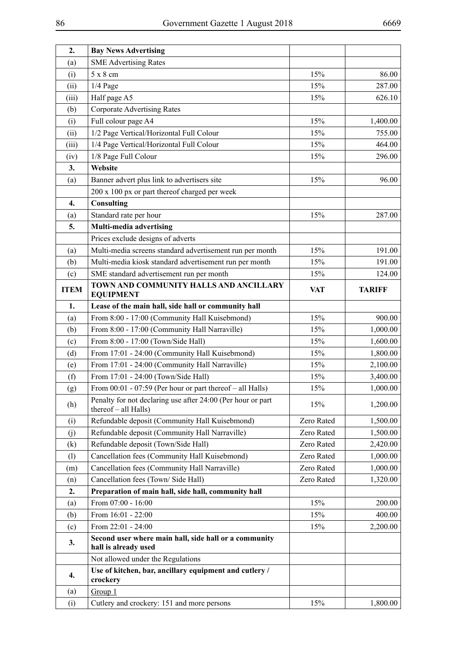| 2.          | <b>Bay News Advertising</b>                                                         |            |               |
|-------------|-------------------------------------------------------------------------------------|------------|---------------|
| (a)         | <b>SME Advertising Rates</b>                                                        |            |               |
| (i)         | $5 \times 8$ cm                                                                     | 15%        | 86.00         |
| (ii)        | $1/4$ Page                                                                          | 15%        | 287.00        |
| (iii)       | Half page A5                                                                        | 15%        | 626.10        |
| (b)         | <b>Corporate Advertising Rates</b>                                                  |            |               |
| (i)         | Full colour page A4                                                                 | 15%        | 1,400.00      |
| (ii)        | 1/2 Page Vertical/Horizontal Full Colour                                            | 15%        | 755.00        |
| (iii)       | 1/4 Page Vertical/Horizontal Full Colour                                            | 15%        | 464.00        |
| (iv)        | 1/8 Page Full Colour                                                                | 15%        | 296.00        |
| 3.          | Website                                                                             |            |               |
| (a)         | Banner advert plus link to advertisers site                                         | 15%        | 96.00         |
|             | 200 x 100 px or part thereof charged per week                                       |            |               |
| 4.          | <b>Consulting</b>                                                                   |            |               |
| (a)         | Standard rate per hour                                                              | 15%        | 287.00        |
| 5.          | Multi-media advertising                                                             |            |               |
|             | Prices exclude designs of adverts                                                   |            |               |
| (a)         | Multi-media screens standard advertisement run per month                            | 15%        | 191.00        |
| (b)         | Multi-media kiosk standard advertisement run per month                              | 15%        | 191.00        |
| (c)         | SME standard advertisement run per month                                            | 15%        | 124.00        |
| <b>ITEM</b> | TOWN AND COMMUNITY HALLS AND ANCILLARY<br><b>EQUIPMENT</b>                          | <b>VAT</b> | <b>TARIFF</b> |
| 1.          | Lease of the main hall, side hall or community hall                                 |            |               |
| (a)         | From 8:00 - 17:00 (Community Hall Kuisebmond)                                       | 15%        | 900.00        |
| (b)         | From 8:00 - 17:00 (Community Hall Narraville)                                       | 15%        | 1,000.00      |
| (c)         | From 8:00 - 17:00 (Town/Side Hall)                                                  | 15%        | 1,600.00      |
| (d)         | From 17:01 - 24:00 (Community Hall Kuisebmond)                                      | 15%        | 1,800.00      |
| (e)         | From 17:01 - 24:00 (Community Hall Narraville)                                      | 15%        | 2,100.00      |
| (f)         | From 17:01 - 24:00 (Town/Side Hall)                                                 | 15%        | 3,400.00      |
| (g)         | From $00:01 - 07:59$ (Per hour or part thereof - all Halls)                         | 15%        | 1,000.00      |
| (h)         | Penalty for not declaring use after 24:00 (Per hour or part<br>thereof - all Halls) | 15%        | 1,200.00      |
| (i)         | Refundable deposit (Community Hall Kuisebmond)                                      | Zero Rated | 1,500.00      |
| (j)         | Refundable deposit (Community Hall Narraville)                                      | Zero Rated | 1,500.00      |
| (k)         | Refundable deposit (Town/Side Hall)                                                 | Zero Rated | 2,420.00      |
| (1)         | Cancellation fees (Community Hall Kuisebmond)                                       | Zero Rated | 1,000.00      |
| (m)         | Cancellation fees (Community Hall Narraville)                                       | Zero Rated | 1,000.00      |
| (n)         | Cancellation fees (Town/Side Hall)                                                  | Zero Rated | 1,320.00      |
| 2.          | Preparation of main hall, side hall, community hall                                 |            |               |
| (a)         | From 07:00 - 16:00                                                                  | 15%        | 200.00        |
| (b)         | From 16:01 - 22:00                                                                  | 15%        | 400.00        |
| (c)         | From 22:01 - 24:00                                                                  | 15%        | 2,200.00      |
| 3.          | Second user where main hall, side hall or a community<br>hall is already used       |            |               |
|             | Not allowed under the Regulations                                                   |            |               |
| 4.          | Use of kitchen, bar, ancillary equipment and cutlery /<br>crockery                  |            |               |
| (a)         | Group 1                                                                             |            |               |
| (i)         | Cutlery and crockery: 151 and more persons                                          | 15%        | 1,800.00      |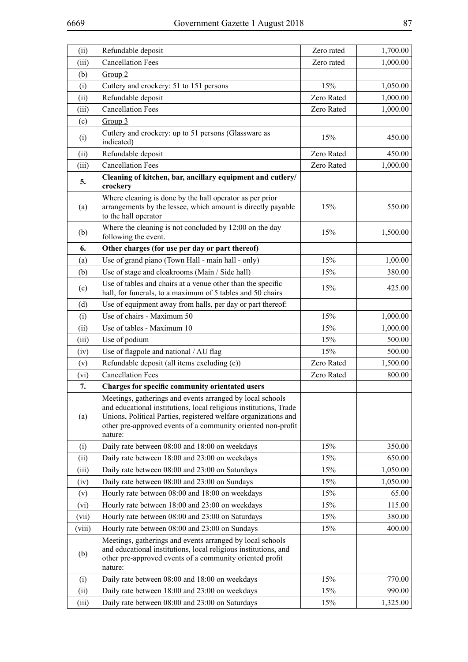| (ii)          | Refundable deposit                                                                                                                                                                                                                                                           | Zero rated | 1,700.00         |
|---------------|------------------------------------------------------------------------------------------------------------------------------------------------------------------------------------------------------------------------------------------------------------------------------|------------|------------------|
| (iii)         | <b>Cancellation Fees</b>                                                                                                                                                                                                                                                     | Zero rated | 1,000.00         |
| (b)           | Group <sub>2</sub>                                                                                                                                                                                                                                                           |            |                  |
| (i)           | Cutlery and crockery: 51 to 151 persons                                                                                                                                                                                                                                      | 15%        | 1,050.00         |
| (ii)          | Refundable deposit                                                                                                                                                                                                                                                           | Zero Rated | 1,000.00         |
| (iii)         | <b>Cancellation Fees</b>                                                                                                                                                                                                                                                     | Zero Rated | 1,000.00         |
| (c)           | Group 3                                                                                                                                                                                                                                                                      |            |                  |
| (i)           | Cutlery and crockery: up to 51 persons (Glassware as<br>indicated)                                                                                                                                                                                                           | 15%        | 450.00           |
| (ii)          | Refundable deposit                                                                                                                                                                                                                                                           | Zero Rated | 450.00           |
| (iii)         | <b>Cancellation Fees</b>                                                                                                                                                                                                                                                     | Zero Rated | 1,000.00         |
| 5.            | Cleaning of kitchen, bar, ancillary equipment and cutlery/<br>crockery                                                                                                                                                                                                       |            |                  |
| (a)           | Where cleaning is done by the hall operator as per prior<br>arrangements by the lessee, which amount is directly payable<br>to the hall operator                                                                                                                             | 15%        | 550.00           |
| (b)           | Where the cleaning is not concluded by 12:00 on the day<br>following the event.                                                                                                                                                                                              | 15%        | 1,500.00         |
| 6.            | Other charges (for use per day or part thereof)                                                                                                                                                                                                                              |            |                  |
| (a)           | Use of grand piano (Town Hall - main hall - only)                                                                                                                                                                                                                            | 15%        | 1,00.00          |
| (b)           | Use of stage and cloakrooms (Main / Side hall)                                                                                                                                                                                                                               | 15%        | 380.00           |
| (c)           | Use of tables and chairs at a venue other than the specific<br>hall, for funerals, to a maximum of 5 tables and 50 chairs                                                                                                                                                    | 15%        | 425.00           |
| (d)           | Use of equipment away from halls, per day or part thereof:                                                                                                                                                                                                                   |            |                  |
| (i)           | Use of chairs - Maximum 50                                                                                                                                                                                                                                                   | 15%        | 1,000.00         |
| (ii)          | Use of tables - Maximum 10                                                                                                                                                                                                                                                   | 15%        | 1,000.00         |
| (iii)         | Use of podium                                                                                                                                                                                                                                                                | 15%        | 500.00           |
| (iv)          | Use of flagpole and national / AU flag                                                                                                                                                                                                                                       | 15%        | 500.00           |
| (v)           | Refundable deposit (all items excluding (e))                                                                                                                                                                                                                                 | Zero Rated | 1,500.00         |
| (vi)          | <b>Cancellation Fees</b>                                                                                                                                                                                                                                                     | Zero Rated | 800.00           |
| 7.            | Charges for specific community orientated users                                                                                                                                                                                                                              |            |                  |
| (a)           | Meetings, gatherings and events arranged by local schools<br>and educational institutions, local religious institutions, Trade<br>Unions, Political Parties, registered welfare organizations and<br>other pre-approved events of a community oriented non-profit<br>nature: |            |                  |
| (i)           | Daily rate between 08:00 and 18:00 on weekdays                                                                                                                                                                                                                               | 15%        | 350.00           |
| (ii)          | Daily rate between 18:00 and 23:00 on weekdays                                                                                                                                                                                                                               | 15%        | 650.00           |
| (iii)         | Daily rate between 08:00 and 23:00 on Saturdays                                                                                                                                                                                                                              | 15%        | 1,050.00         |
| (iv)          | Daily rate between 08:00 and 23:00 on Sundays                                                                                                                                                                                                                                | 15%        | 1,050.00         |
| (v)           | Hourly rate between 08:00 and 18:00 on weekdays                                                                                                                                                                                                                              | 15%        | 65.00            |
| (vi)          | Hourly rate between 18:00 and 23:00 on weekdays                                                                                                                                                                                                                              | 15%        | 115.00           |
| (vii)         | Hourly rate between 08:00 and 23:00 on Saturdays                                                                                                                                                                                                                             | 15%        | 380.00           |
| (viii)        | Hourly rate between 08:00 and 23:00 on Sundays                                                                                                                                                                                                                               | 15%        | 400.00           |
| (b)           | Meetings, gatherings and events arranged by local schools<br>and educational institutions, local religious institutions, and<br>other pre-approved events of a community oriented profit                                                                                     |            |                  |
|               | nature:                                                                                                                                                                                                                                                                      |            |                  |
| (i)           | Daily rate between 08:00 and 18:00 on weekdays<br>Daily rate between 18:00 and 23:00 on weekdays                                                                                                                                                                             | 15%<br>15% | 770.00<br>990.00 |
| (ii)<br>(iii) | Daily rate between 08:00 and 23:00 on Saturdays                                                                                                                                                                                                                              | 15%        | 1,325.00         |
|               |                                                                                                                                                                                                                                                                              |            |                  |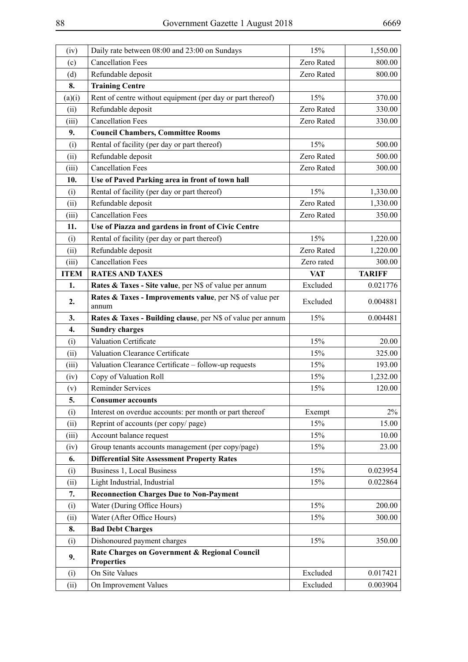| (iv)        | Daily rate between 08:00 and 23:00 on Sundays                      | 15%        | 1,550.00      |
|-------------|--------------------------------------------------------------------|------------|---------------|
| (c)         | <b>Cancellation Fees</b>                                           | Zero Rated | 800.00        |
| (d)         | Refundable deposit                                                 | Zero Rated | 800.00        |
| 8.          | <b>Training Centre</b>                                             |            |               |
| (a)(i)      | Rent of centre without equipment (per day or part thereof)         | 15%        | 370.00        |
| (ii)        | Refundable deposit                                                 | Zero Rated | 330.00        |
| (iii)       | <b>Cancellation Fees</b>                                           | Zero Rated | 330.00        |
| 9.          | <b>Council Chambers, Committee Rooms</b>                           |            |               |
| (i)         | Rental of facility (per day or part thereof)                       | 15%        | 500.00        |
| (ii)        | Refundable deposit                                                 | Zero Rated | 500.00        |
| (iii)       | <b>Cancellation Fees</b>                                           | Zero Rated | 300.00        |
| 10.         | Use of Paved Parking area in front of town hall                    |            |               |
| (i)         | Rental of facility (per day or part thereof)                       | 15%        | 1,330.00      |
| (ii)        | Refundable deposit                                                 | Zero Rated | 1,330.00      |
| (iii)       | <b>Cancellation Fees</b>                                           | Zero Rated | 350.00        |
| 11.         | Use of Piazza and gardens in front of Civic Centre                 |            |               |
| (i)         | Rental of facility (per day or part thereof)                       | 15%        | 1,220.00      |
| (ii)        | Refundable deposit                                                 | Zero Rated | 1,220.00      |
| (iii)       | <b>Cancellation Fees</b>                                           | Zero rated | 300.00        |
| <b>ITEM</b> | <b>RATES AND TAXES</b>                                             | <b>VAT</b> | <b>TARIFF</b> |
| 1.          | Rates & Taxes - Site value, per N\$ of value per annum             | Excluded   | 0.021776      |
| 2.          | Rates & Taxes - Improvements value, per N\$ of value per<br>annum  | Excluded   | 0.004881      |
| 3.          | Rates & Taxes - Building clause, per N\$ of value per annum        | 15%        | 0.004481      |
| 4.          | <b>Sundry charges</b>                                              |            |               |
| (i)         | Valuation Certificate                                              | 15%        | 20.00         |
| (ii)        | Valuation Clearance Certificate                                    | 15%        | 325.00        |
| (iii)       | Valuation Clearance Certificate - follow-up requests               | 15%        | 193.00        |
| (iv)        | Copy of Valuation Roll                                             | 15%        | 1,232.00      |
| (v)         | <b>Reminder Services</b>                                           | 15%        | 120.00        |
| 5.          | <b>Consumer accounts</b>                                           |            |               |
| (i)         | Interest on overdue accounts: per month or part thereof            | Exempt     | 2%            |
| (ii)        | Reprint of accounts (per copy/page)                                | 15%        | 15.00         |
| (iii)       | Account balance request                                            | 15%        | 10.00         |
| (iv)        | Group tenants accounts management (per copy/page)                  | 15%        | 23.00         |
| 6.          | <b>Differential Site Assessment Property Rates</b>                 |            |               |
| (i)         | Business 1, Local Business                                         | 15%        | 0.023954      |
| (ii)        | Light Industrial, Industrial                                       | 15%        | 0.022864      |
| 7.          | <b>Reconnection Charges Due to Non-Payment</b>                     |            |               |
| (i)         | Water (During Office Hours)                                        | 15%        | 200.00        |
| (ii)        | Water (After Office Hours)                                         | 15%        | 300.00        |
| 8.          | <b>Bad Debt Charges</b>                                            |            |               |
| (i)         | Dishonoured payment charges                                        | 15%        | 350.00        |
| 9.          | Rate Charges on Government & Regional Council<br><b>Properties</b> |            |               |
| (i)         | On Site Values                                                     | Excluded   | 0.017421      |
| (ii)        | On Improvement Values                                              | Excluded   | 0.003904      |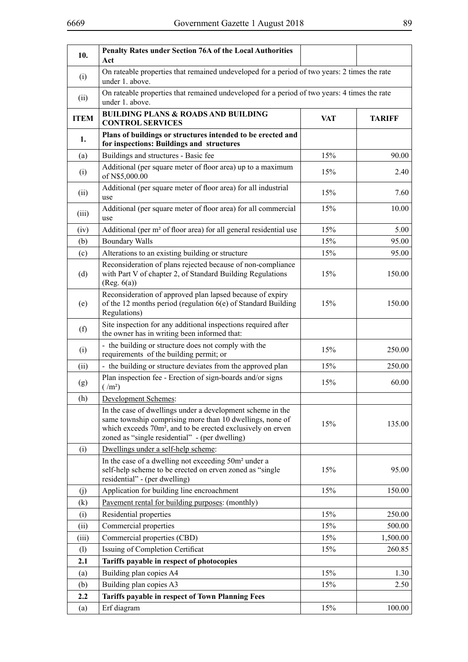| ۹                  |                                  |
|--------------------|----------------------------------|
| i<br>۰.<br>×<br>۰. | ×<br>I<br>I<br>I<br>I<br>۰.<br>v |

| 10.         | <b>Penalty Rates under Section 76A of the Local Authorities</b><br>Act                                                                                                                                                                              |            |               |
|-------------|-----------------------------------------------------------------------------------------------------------------------------------------------------------------------------------------------------------------------------------------------------|------------|---------------|
| (i)         | On rateable properties that remained undeveloped for a period of two years: 2 times the rate<br>under 1. above.                                                                                                                                     |            |               |
| (ii)        | On rateable properties that remained undeveloped for a period of two years: 4 times the rate<br>under 1. above.                                                                                                                                     |            |               |
| <b>ITEM</b> | <b>BUILDING PLANS &amp; ROADS AND BUILDING</b><br><b>CONTROL SERVICES</b>                                                                                                                                                                           | <b>VAT</b> | <b>TARIFF</b> |
| 1.          | Plans of buildings or structures intended to be erected and<br>for inspections: Buildings and structures                                                                                                                                            |            |               |
| (a)         | Buildings and structures - Basic fee                                                                                                                                                                                                                | 15%        | 90.00         |
| (i)         | Additional (per square meter of floor area) up to a maximum<br>of N\$5,000.00                                                                                                                                                                       | 15%        | 2.40          |
| (ii)        | Additional (per square meter of floor area) for all industrial<br>use                                                                                                                                                                               | 15%        | 7.60          |
| (iii)       | Additional (per square meter of floor area) for all commercial<br>use                                                                                                                                                                               | 15%        | 10.00         |
| (iv)        | Additional (per m <sup>2</sup> of floor area) for all general residential use                                                                                                                                                                       | 15%        | 5.00          |
| (b)         | <b>Boundary Walls</b>                                                                                                                                                                                                                               | 15%        | 95.00         |
| (c)         | Alterations to an existing building or structure                                                                                                                                                                                                    | 15%        | 95.00         |
| (d)         | Reconsideration of plans rejected because of non-compliance<br>with Part V of chapter 2, of Standard Building Regulations<br>(Reg. 6(a))                                                                                                            | 15%        | 150.00        |
| (e)         | Reconsideration of approved plan lapsed because of expiry<br>of the 12 months period (regulation $6(e)$ of Standard Building<br>Regulations)                                                                                                        | 15%        | 150.00        |
| (f)         | Site inspection for any additional inspections required after<br>the owner has in writing been informed that:                                                                                                                                       |            |               |
| (i)         | - the building or structure does not comply with the<br>requirements of the building permit; or                                                                                                                                                     | 15%        | 250.00        |
| (ii)        | - the building or structure deviates from the approved plan                                                                                                                                                                                         | 15%        | 250.00        |
| (g)         | Plan inspection fee - Erection of sign-boards and/or signs<br>$(\text{m}^2)$                                                                                                                                                                        | 15%        | 60.00         |
| (h)         | <b>Development Schemes:</b>                                                                                                                                                                                                                         |            |               |
|             | In the case of dwellings under a development scheme in the<br>same township comprising more than 10 dwellings, none of<br>which exceeds 70m <sup>2</sup> , and to be erected exclusively on erven<br>zoned as "single residential" - (per dwelling) | 15%        | 135.00        |
| (i)         | Dwellings under a self-help scheme:                                                                                                                                                                                                                 |            |               |
|             | In the case of a dwelling not exceeding 50m <sup>2</sup> under a<br>self-help scheme to be erected on erven zoned as "single<br>residential" - (per dwelling)                                                                                       | 15%        | 95.00         |
| (j)         | Application for building line encroachment                                                                                                                                                                                                          | 15%        | 150.00        |
| (k)         | Pavement rental for building purposes: (monthly)                                                                                                                                                                                                    |            |               |
| (i)         | Residential properties                                                                                                                                                                                                                              | 15%        | 250.00        |
| (ii)        | Commercial properties                                                                                                                                                                                                                               | 15%        | 500.00        |
| (iii)       | Commercial properties (CBD)                                                                                                                                                                                                                         | 15%        | 1,500.00      |
| (1)         | Issuing of Completion Certificat                                                                                                                                                                                                                    | 15%        | 260.85        |
| 2.1         | Tariffs payable in respect of photocopies                                                                                                                                                                                                           |            |               |
| (a)         | Building plan copies A4                                                                                                                                                                                                                             | 15%        | 1.30          |
| (b)         | Building plan copies A3                                                                                                                                                                                                                             | 15%        | 2.50          |
| 2.2         | Tariffs payable in respect of Town Planning Fees                                                                                                                                                                                                    |            |               |
| (a)         | Erf diagram                                                                                                                                                                                                                                         | 15%        | 100.00        |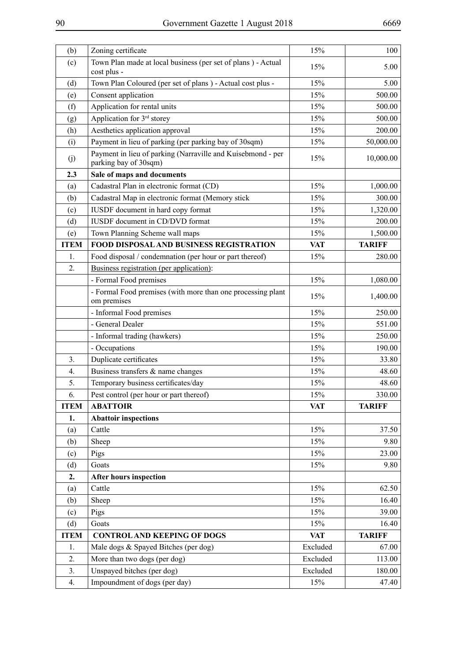| (b)         | Zoning certificate                                                                   | 15%        | 100           |
|-------------|--------------------------------------------------------------------------------------|------------|---------------|
| (c)         | Town Plan made at local business (per set of plans) - Actual                         | 15%        | 5.00          |
|             | cost plus -                                                                          |            |               |
| (d)         | Town Plan Coloured (per set of plans ) - Actual cost plus -                          | 15%        | 5.00          |
| (e)         | Consent application                                                                  | 15%        | 500.00        |
| (f)         | Application for rental units                                                         | 15%        | 500.00        |
| (g)         | Application for 3 <sup>rd</sup> storey                                               | 15%        | 500.00        |
| (h)         | Aesthetics application approval                                                      | 15%        | 200.00        |
| (i)         | Payment in lieu of parking (per parking bay of 30sqm)                                | 15%        | 50,000.00     |
| (j)         | Payment in lieu of parking (Narraville and Kuisebmond - per<br>parking bay of 30sqm) | 15%        | 10,000.00     |
| 2.3         | Sale of maps and documents                                                           |            |               |
| (a)         | Cadastral Plan in electronic format (CD)                                             | 15%        | 1,000.00      |
| (b)         | Cadastral Map in electronic format (Memory stick                                     | 15%        | 300.00        |
| (c)         | IUSDF document in hard copy format                                                   | 15%        | 1,320.00      |
| (d)         | IUSDF document in CD/DVD format                                                      | 15%        | 200.00        |
| (e)         | Town Planning Scheme wall maps                                                       | 15%        | 1,500.00      |
| <b>ITEM</b> | FOOD DISPOSAL AND BUSINESS REGISTRATION                                              | <b>VAT</b> | <b>TARIFF</b> |
| 1.          | Food disposal / condemnation (per hour or part thereof)                              | 15%        | 280.00        |
| 2.          | Business registration (per application):                                             |            |               |
|             | - Formal Food premises                                                               | 15%        | 1,080.00      |
|             | - Formal Food premises (with more than one processing plant                          |            |               |
|             | om premises                                                                          | 15%        | 1,400.00      |
|             | - Informal Food premises                                                             | 15%        | 250.00        |
|             | - General Dealer                                                                     | 15%        | 551.00        |
|             | - Informal trading (hawkers)                                                         | 15%        | 250.00        |
|             | - Occupations                                                                        | 15%        | 190.00        |
| 3.          | Duplicate certificates                                                               | 15%        | 33.80         |
| 4.          | Business transfers & name changes                                                    | 15%        | 48.60         |
| 5.          | Temporary business certificates/day                                                  | 15%        | 48.60         |
| 6.          | Pest control (per hour or part thereof)                                              | 15%        | 330.00        |
| <b>ITEM</b> | <b>ABATTOIR</b>                                                                      | VAT        | <b>TARIFF</b> |
| 1.          | <b>Abattoir inspections</b>                                                          |            |               |
| (a)         | Cattle                                                                               | 15%        | 37.50         |
| (b)         | Sheep                                                                                | 15%        | 9.80          |
| (c)         | Pigs                                                                                 | 15%        | 23.00         |
| (d)         | Goats                                                                                | 15%        | 9.80          |
| 2.          | <b>After hours inspection</b>                                                        |            |               |
| (a)         | Cattle                                                                               | 15%        | 62.50         |
| (b)         | Sheep                                                                                | 15%        | 16.40         |
| (c)         | Pigs                                                                                 | 15%        | 39.00         |
| (d)         | Goats                                                                                | 15%        | 16.40         |
| <b>ITEM</b> | <b>CONTROL AND KEEPING OF DOGS</b>                                                   | <b>VAT</b> | <b>TARIFF</b> |
| 1.          | Male dogs & Spayed Bitches (per dog)                                                 | Excluded   | 67.00         |
| 2.          | More than two dogs (per dog)                                                         | Excluded   | 113.00        |
| 3.          | Unspayed bitches (per dog)                                                           | Excluded   | 180.00        |
|             |                                                                                      |            |               |
| 4.          | Impoundment of dogs (per day)                                                        | 15%        | 47.40         |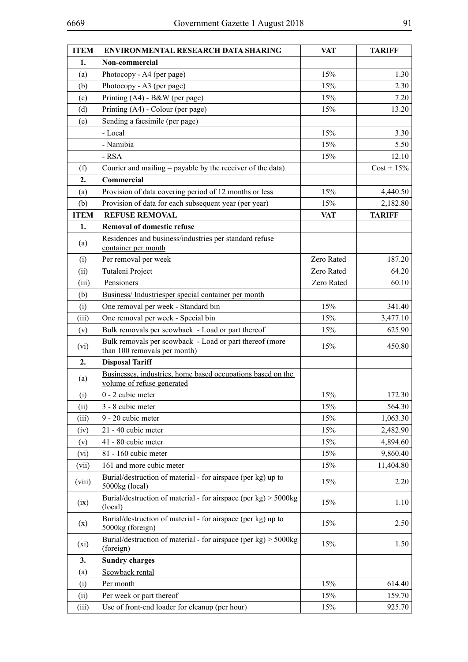| <b>ITEM</b> | <b>ENVIRONMENTAL RESEARCH DATA SHARING</b>                                                | <b>VAT</b> | <b>TARIFF</b> |
|-------------|-------------------------------------------------------------------------------------------|------------|---------------|
| 1.          | Non-commercial                                                                            |            |               |
| (a)         | Photocopy - A4 (per page)                                                                 | 15%        | 1.30          |
| (b)         | Photocopy - A3 (per page)                                                                 | 15%        | 2.30          |
| (c)         | Printing (A4) - B&W (per page)                                                            | 15%        | 7.20          |
| (d)         | Printing (A4) - Colour (per page)                                                         | 15%        | 13.20         |
| (e)         | Sending a facsimile (per page)                                                            |            |               |
|             | - Local                                                                                   | 15%        | 3.30          |
|             | - Namibia                                                                                 | 15%        | 5.50          |
|             | $-RSA$                                                                                    | 15%        | 12.10         |
| (f)         | Courier and mailing = payable by the receiver of the data)                                |            | $Cost + 15\%$ |
| 2.          | Commercial                                                                                |            |               |
| (a)         | Provision of data covering period of 12 months or less                                    | 15%        | 4,440.50      |
| (b)         | Provision of data for each subsequent year (per year)                                     | 15%        | 2,182.80      |
| <b>ITEM</b> | <b>REFUSE REMOVAL</b>                                                                     | <b>VAT</b> | <b>TARIFF</b> |
| 1.          | <b>Removal of domestic refuse</b>                                                         |            |               |
| (a)         | Residences and business/industries per standard refuse<br>container per month             |            |               |
| (i)         | Per removal per week                                                                      | Zero Rated | 187.20        |
| (ii)        | Tutaleni Project                                                                          | Zero Rated | 64.20         |
| (iii)       | Pensioners                                                                                | Zero Rated | 60.10         |
| (b)         | Business/Industriesper special container per month                                        |            |               |
| (i)         | One removal per week - Standard bin                                                       | 15%        | 341.40        |
| (iii)       | One removal per week - Special bin                                                        | 15%        | 3,477.10      |
| (v)         | Bulk removals per scowback - Load or part thereof                                         | 15%        | 625.90        |
| (vi)        | Bulk removals per scowback - Load or part thereof (more<br>than 100 removals per month)   | 15%        | 450.80        |
| 2.          | <b>Disposal Tariff</b>                                                                    |            |               |
| (a)         | Businesses, industries, home based occupations based on the<br>volume of refuse generated |            |               |
| (i)         | 0 - 2 cubic meter                                                                         | 15%        | 172.30        |
| (ii)        | 3 - 8 cubic meter                                                                         | 15%        | 564.30        |
| (iii)       | 9 - 20 cubic meter                                                                        | 15%        | 1,063.30      |
| (iv)        | 21 - 40 cubic meter                                                                       | 15%        | 2,482.90      |
| (v)         | 41 - 80 cubic meter                                                                       | 15%        | 4,894.60      |
| (vi)        | 81 - 160 cubic meter                                                                      | 15%        | 9,860.40      |
| (vii)       | 161 and more cubic meter                                                                  | 15%        | 11,404.80     |
| (viii)      | Burial/destruction of material - for airspace (per kg) up to<br>5000kg (local)            | 15%        | 2.20          |
| (ix)        | Burial/destruction of material - for airspace (per $kg$ ) > 5000 $kg$<br>(local)          | 15%        | 1.10          |
| (x)         | Burial/destruction of material - for airspace (per kg) up to<br>5000kg (foreign)          | 15%        | 2.50          |
| (xi)        | Burial/destruction of material - for airspace (per $kg$ ) > 5000 $kg$<br>(foreign)        | 15%        | 1.50          |
| 3.          | <b>Sundry charges</b>                                                                     |            |               |
| (a)         | Scowback rental                                                                           |            |               |
| (i)         | Per month                                                                                 | 15%        | 614.40        |
| (ii)        | Per week or part thereof                                                                  | 15%        | 159.70        |
| (iii)       | Use of front-end loader for cleanup (per hour)                                            | 15%        | 925.70        |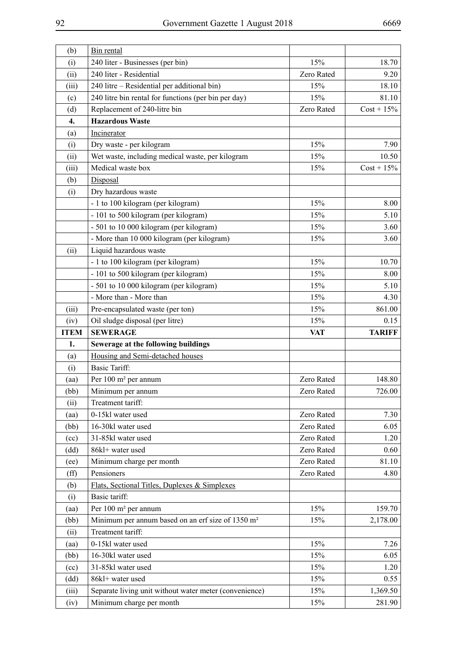| (b)           | Bin rental                                                                         |            |                    |
|---------------|------------------------------------------------------------------------------------|------------|--------------------|
| (i)           | 240 liter - Businesses (per bin)                                                   | 15%        | 18.70              |
| (ii)          | 240 liter - Residential                                                            | Zero Rated | 9.20               |
| (iii)         | 240 litre - Residential per additional bin)                                        | 15%        | 18.10              |
| (c)           | 240 litre bin rental for functions (per bin per day)                               | 15%        | 81.10              |
| (d)           | Replacement of 240-litre bin                                                       | Zero Rated | $Cost + 15\%$      |
| 4.            | <b>Hazardous Waste</b>                                                             |            |                    |
| (a)           | Incinerator                                                                        |            |                    |
| (i)           | Dry waste - per kilogram                                                           | 15%        | 7.90               |
| (ii)          | Wet waste, including medical waste, per kilogram                                   | 15%        | 10.50              |
| (iii)         | Medical waste box                                                                  | 15%        | $Cost + 15\%$      |
| (b)           | Disposal                                                                           |            |                    |
| (i)           | Dry hazardous waste                                                                |            |                    |
|               | - 1 to 100 kilogram (per kilogram)                                                 | 15%        | 8.00               |
|               | - 101 to 500 kilogram (per kilogram)                                               | 15%        | 5.10               |
|               | - 501 to 10 000 kilogram (per kilogram)                                            | 15%        | 3.60               |
|               | - More than 10 000 kilogram (per kilogram)                                         | 15%        | 3.60               |
| (ii)          | Liquid hazardous waste                                                             |            |                    |
|               | - 1 to 100 kilogram (per kilogram)                                                 | 15%        | 10.70              |
|               | - 101 to 500 kilogram (per kilogram)                                               | 15%        | 8.00               |
|               | - 501 to 10 000 kilogram (per kilogram)                                            | 15%        | 5.10               |
|               | - More than - More than                                                            | 15%        | 4.30               |
| (iii)         | Pre-encapsulated waste (per ton)                                                   | 15%        | 861.00             |
| (iv)          | Oil sludge disposal (per litre)                                                    | 15%        | 0.15               |
|               |                                                                                    |            |                    |
| <b>ITEM</b>   | <b>SEWERAGE</b>                                                                    | <b>VAT</b> | <b>TARIFF</b>      |
| 1.            | Sewerage at the following buildings                                                |            |                    |
| (a)           | Housing and Semi-detached houses                                                   |            |                    |
| (i)           | <b>Basic Tariff:</b>                                                               |            |                    |
| (aa)          | Per 100 m <sup>2</sup> per annum                                                   | Zero Rated | 148.80             |
| (bb)          | Minimum per annum                                                                  | Zero Rated | 726.00             |
| (ii)          | Treatment tariff:                                                                  |            |                    |
| (aa)          | 0-15kl water used                                                                  | Zero Rated | 7.30               |
| (bb)          | 16-30kl water used                                                                 | Zero Rated | 6.05               |
| (cc)          | 31-85kl water used                                                                 | Zero Rated | 1.20               |
| (dd)          | 86kl+ water used                                                                   | Zero Rated | 0.60               |
| (ee)          | Minimum charge per month                                                           | Zero Rated | 81.10              |
| $(f\hat{f})$  | Pensioners                                                                         | Zero Rated | 4.80               |
| (b)           | Flats, Sectional Titles, Duplexes & Simplexes                                      |            |                    |
| (i)           | Basic tariff:                                                                      |            |                    |
| (aa)          | Per 100 m <sup>2</sup> per annum                                                   | 15%        | 159.70             |
| (bb)          | Minimum per annum based on an erf size of 1350 m <sup>2</sup>                      | 15%        | 2,178.00           |
| (ii)          | Treatment tariff:                                                                  |            |                    |
| (aa)          | 0-15kl water used                                                                  | 15%        | 7.26               |
| (bb)          | 16-30kl water used                                                                 | 15%        | 6.05               |
| (cc)          | 31-85kl water used                                                                 | 15%        | 1.20               |
| (dd)          | 86kl+ water used                                                                   | 15%        | 0.55               |
| (iii)<br>(iv) | Separate living unit without water meter (convenience)<br>Minimum charge per month | 15%<br>15% | 1,369.50<br>281.90 |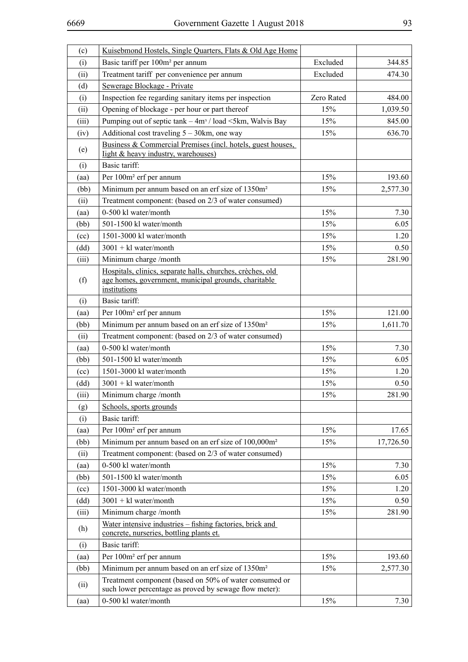| (c)   | Kuisebmond Hostels, Single Quarters, Flats & Old Age Home                                                                          |            |           |
|-------|------------------------------------------------------------------------------------------------------------------------------------|------------|-----------|
| (i)   | Basic tariff per 100m <sup>2</sup> per annum                                                                                       | Excluded   | 344.85    |
| (ii)  | Treatment tariff per convenience per annum                                                                                         | Excluded   | 474.30    |
| (d)   | Sewerage Blockage - Private                                                                                                        |            |           |
| (i)   | Inspection fee regarding sanitary items per inspection                                                                             | Zero Rated | 484.00    |
| (ii)  | Opening of blockage - per hour or part thereof                                                                                     | 15%        | 1,039.50  |
| (iii) | Pumping out of septic tank – 4m <sup>3</sup> / load <5km, Walvis Bay                                                               | 15%        | 845.00    |
| (iv)  | Additional cost traveling $5 - 30$ km, one way                                                                                     | 15%        | 636.70    |
| (e)   | Business & Commercial Premises (incl. hotels, guest houses,<br>light & heavy industry, warehouses)                                 |            |           |
| (i)   | Basic tariff:                                                                                                                      |            |           |
| (aa)  | Per 100m <sup>2</sup> erf per annum                                                                                                | 15%        | 193.60    |
| (bb)  | Minimum per annum based on an erf size of 1350m <sup>2</sup>                                                                       | 15%        | 2,577.30  |
| (ii)  | Treatment component: (based on 2/3 of water consumed)                                                                              |            |           |
| (aa)  | 0-500 kl water/month                                                                                                               | 15%        | 7.30      |
| (bb)  | 501-1500 kl water/month                                                                                                            | 15%        | 6.05      |
| (cc)  | 1501-3000 kl water/month                                                                                                           | 15%        | 1.20      |
| (dd)  | $3001 + k1$ water/month                                                                                                            | 15%        | 0.50      |
| (iii) | Minimum charge /month                                                                                                              | 15%        | 281.90    |
| (f)   | Hospitals, clinics, separate halls, churches, crèches, old<br>age homes, government, municipal grounds, charitable<br>institutions |            |           |
| (i)   | Basic tariff:                                                                                                                      |            |           |
| (aa)  | Per 100m <sup>2</sup> erf per annum                                                                                                | 15%        | 121.00    |
| (bb)  | Minimum per annum based on an erf size of 1350m <sup>2</sup>                                                                       | 15%        | 1,611.70  |
| (ii)  | Treatment component: (based on 2/3 of water consumed)                                                                              |            |           |
| (aa)  | 0-500 kl water/month                                                                                                               | 15%        | 7.30      |
| (bb)  | 501-1500 kl water/month                                                                                                            | 15%        | 6.05      |
| (cc)  | 1501-3000 kl water/month                                                                                                           | 15%        | 1.20      |
| (dd)  | $3001 + k1$ water/month                                                                                                            | 15%        | 0.50      |
| (iii) | Minimum charge /month                                                                                                              | 15%        | 281.90    |
| (g)   | Schools, sports grounds                                                                                                            |            |           |
| (i)   | Basic tariff:                                                                                                                      |            |           |
| (aa)  | Per 100m <sup>2</sup> erf per annum                                                                                                | 15%        | 17.65     |
| (bb)  | Minimum per annum based on an erf size of 100,000m <sup>2</sup>                                                                    | 15%        | 17,726.50 |
| (ii)  | Treatment component: (based on 2/3 of water consumed)                                                                              |            |           |
| (aa)  | 0-500 kl water/month                                                                                                               | 15%        | 7.30      |
| (bb)  | 501-1500 kl water/month                                                                                                            | 15%        | 6.05      |
| (cc)  | 1501-3000 kl water/month                                                                                                           | 15%        | 1.20      |
| (dd)  | $3001 + k1$ water/month                                                                                                            | 15%        | 0.50      |
| (iii) | Minimum charge /month                                                                                                              | 15%        | 281.90    |
| (h)   | Water intensive industries - fishing factories, brick and<br>concrete, nurseries, bottling plants et.                              |            |           |
| (i)   | Basic tariff:                                                                                                                      |            |           |
| (aa)  | Per 100m <sup>2</sup> erf per annum                                                                                                | 15%        | 193.60    |
| (bb)  | Minimum per annum based on an erf size of 1350m <sup>2</sup>                                                                       | 15%        | 2,577.30  |
| (ii)  | Treatment component (based on 50% of water consumed or<br>such lower percentage as proved by sewage flow meter):                   |            |           |
| (aa)  | 0-500 kl water/month                                                                                                               | 15%        | 7.30      |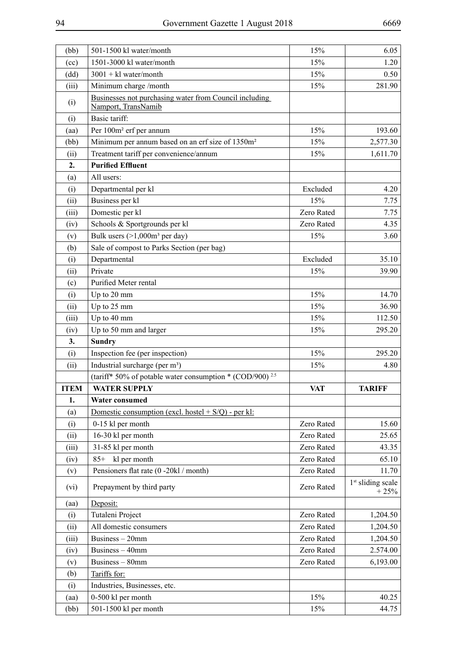| (bb)        | 501-1500 kl water/month                                                       | 15%        | 6.05                          |
|-------------|-------------------------------------------------------------------------------|------------|-------------------------------|
| (cc)        | 1501-3000 kl water/month                                                      | 15%        | 1.20                          |
| (dd)        | $3001 + k1$ water/month                                                       | 15%        | 0.50                          |
| (iii)       | Minimum charge /month                                                         | 15%        | 281.90                        |
| (i)         | Businesses not purchasing water from Council including<br>Namport, TransNamib |            |                               |
| (i)         | Basic tariff:                                                                 |            |                               |
| (aa)        | Per 100m <sup>2</sup> erf per annum                                           | 15%        | 193.60                        |
| (bb)        | Minimum per annum based on an erf size of 1350m <sup>2</sup>                  | 15%        | 2,577.30                      |
| (ii)        | Treatment tariff per convenience/annum                                        | 15%        | 1,611.70                      |
| 2.          | <b>Purified Effluent</b>                                                      |            |                               |
| (a)         | All users:                                                                    |            |                               |
| (i)         | Departmental per kl                                                           | Excluded   | 4.20                          |
| (ii)        | Business per kl                                                               | 15%        | 7.75                          |
| (iii)       | Domestic per kl                                                               | Zero Rated | 7.75                          |
| (iv)        | Schools & Sportgrounds per kl                                                 | Zero Rated | 4.35                          |
| (v)         | Bulk users $(>1,000m^3$ per day)                                              | 15%        | 3.60                          |
| (b)         | Sale of compost to Parks Section (per bag)                                    |            |                               |
| (i)         | Departmental                                                                  | Excluded   | 35.10                         |
| (ii)        | Private                                                                       | 15%        | 39.90                         |
| (c)         | Purified Meter rental                                                         |            |                               |
| (i)         | Up to 20 mm                                                                   | 15%        | 14.70                         |
| (ii)        | Up to 25 mm                                                                   | 15%        | 36.90                         |
| (iii)       | Up to 40 mm                                                                   | 15%        | 112.50                        |
| (iv)        | Up to 50 mm and larger                                                        | 15%        | 295.20                        |
| 3.          | <b>Sundry</b>                                                                 |            |                               |
| (i)         | Inspection fee (per inspection)                                               | 15%        | 295.20                        |
| (ii)        | Industrial surcharge (per m <sup>3</sup> )                                    | 15%        | 4.80                          |
|             | (tariff* 50% of potable water consumption * (COD/900) <sup>2.5</sup>          |            |                               |
| <b>ITEM</b> | <b>WATER SUPPLY</b>                                                           | <b>VAT</b> | <b>TARIFF</b>                 |
| 1.          | <b>Water consumed</b>                                                         |            |                               |
| (a)         | Domestic consumption (excl. hostel $+ S/Q$ ) - per kl:                        |            |                               |
| (i)         | 0-15 kl per month                                                             | Zero Rated | 15.60                         |
| (ii)        | 16-30 kl per month                                                            | Zero Rated | 25.65                         |
| (iii)       | 31-85 kl per month                                                            |            |                               |
|             |                                                                               | Zero Rated | 43.35                         |
|             | $85+$                                                                         | Zero Rated | 65.10                         |
| (iv)        | kl per month                                                                  | Zero Rated | 11.70                         |
| (v)<br>(vi) | Pensioners flat rate (0 -20kl / month)<br>Prepayment by third party           | Zero Rated | $1st$ sliding scale<br>$+25%$ |
| (aa)        | Deposit:                                                                      |            |                               |
| (i)         | Tutaleni Project                                                              | Zero Rated | 1,204.50                      |
| (ii)        | All domestic consumers                                                        | Zero Rated | 1,204.50                      |
| (iii)       | Business - 20mm                                                               | Zero Rated | 1,204.50                      |
| (iv)        | Business - 40mm                                                               | Zero Rated | 2.574.00                      |
| (v)         | Business - 80mm                                                               | Zero Rated | 6,193.00                      |
| (b)         | Tariffs for:                                                                  |            |                               |
| (i)         | Industries, Businesses, etc.                                                  |            |                               |
| (aa)        | 0-500 kl per month                                                            | 15%        | 40.25                         |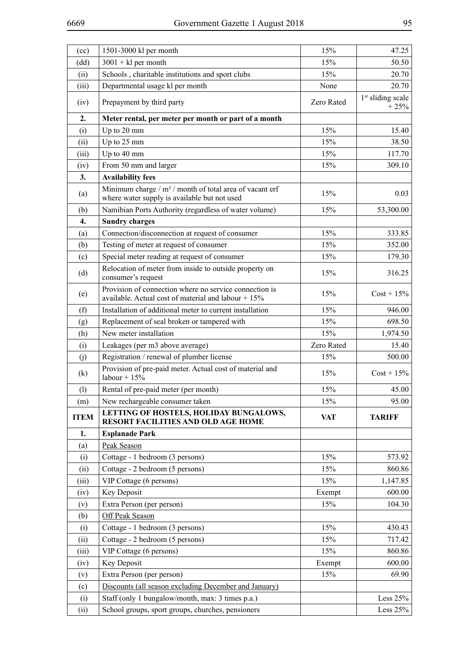| (cc)        | 1501-3000 kl per month                                                                                        | 15%        | 47.25                                   |  |
|-------------|---------------------------------------------------------------------------------------------------------------|------------|-----------------------------------------|--|
| (dd)        | $3001 + kl$ per month                                                                                         | 15%        | 50.50                                   |  |
| (ii)        | Schools, charitable institutions and sport clubs                                                              | 15%        | 20.70                                   |  |
| (iii)       | Departmental usage kl per month                                                                               | None       | 20.70                                   |  |
| (iv)        | Prepayment by third party                                                                                     | Zero Rated | 1 <sup>st</sup> sliding scale<br>$+25%$ |  |
| 2.          | Meter rental, per meter per month or part of a month                                                          |            |                                         |  |
| (i)         | Up to 20 mm                                                                                                   | 15%        | 15.40                                   |  |
| (ii)        | Up to 25 mm                                                                                                   | 15%        | 38.50                                   |  |
| (iii)       | Up to 40 mm                                                                                                   | 15%        | 117.70                                  |  |
| (iv)        | From 50 mm and larger                                                                                         | 15%        | 309.10                                  |  |
| 3.          | <b>Availability fees</b>                                                                                      |            |                                         |  |
| (a)         | Minimum charge / $m^2$ / month of total area of vacant erf<br>where water supply is available but not used    | 15%        | 0.03                                    |  |
| (b)         | Namibian Ports Authority (regardless of water volume)                                                         | 15%        | 53,300.00                               |  |
| 4.          | <b>Sundry charges</b>                                                                                         |            |                                         |  |
| (a)         | Connection/disconnection at request of consumer                                                               | 15%        | 333.85                                  |  |
| (b)         | Testing of meter at request of consumer                                                                       | 15%        | 352.00                                  |  |
| (c)         | Special meter reading at request of consumer                                                                  | 15%        | 179.30                                  |  |
| (d)         | Relocation of meter from inside to outside property on<br>consumer's request                                  | 15%        | 316.25                                  |  |
| (e)         | Provision of connection where no service connection is<br>available. Actual cost of material and labour + 15% | 15%        |                                         |  |
| (f)         | Installation of additional meter to current installation                                                      | 15%        | 946.00                                  |  |
| (g)         | Replacement of seal broken or tampered with                                                                   | 15%        | 698.50                                  |  |
| (h)         | New meter installation                                                                                        | 15%        | 1,974.50                                |  |
| (i)         | Leakages (per m3 above average)                                                                               | Zero Rated | 15.40                                   |  |
| (j)         | Registration / renewal of plumber license                                                                     | 15%        | 500.00                                  |  |
| (k)         | Provision of pre-paid meter. Actual cost of material and<br>labour + $15%$                                    | 15%        | $Cost + 15\%$                           |  |
| (1)         | Rental of pre-paid meter (per month)                                                                          | 15%        | 45.00                                   |  |
| (m)         | New rechargeable consumer taken                                                                               | 15%        | 95.00                                   |  |
| <b>ITEM</b> | LETTING OF HOSTELS, HOLIDAY BUNGALOWS,<br>RESORT FACILITIES AND OLD AGE HOME                                  | <b>VAT</b> | <b>TARIFF</b>                           |  |
| 1.          | <b>Esplanade Park</b>                                                                                         |            |                                         |  |
| (a)         | Peak Season                                                                                                   |            |                                         |  |
| (i)         | Cottage - 1 bedroom (3 persons)                                                                               | 15%        | 573.92                                  |  |
| (ii)        | Cottage - 2 bedroom (5 persons)                                                                               | 15%        | 860.86                                  |  |
| (iii)       | VIP Cottage (6 persons)                                                                                       | 15%        | 1,147.85                                |  |
| (iv)        | Key Deposit                                                                                                   | Exempt     | 600.00                                  |  |
| (v)         | Extra Person (per person)                                                                                     | 15%        | 104.30                                  |  |
| (b)         | Off Peak Season                                                                                               |            |                                         |  |
| (i)         | Cottage - 1 bedroom (3 persons)                                                                               | 15%        | 430.43                                  |  |
| (ii)        | Cottage - 2 bedroom (5 persons)                                                                               | 15%        | 717.42                                  |  |
| (iii)       | VIP Cottage (6 persons)                                                                                       | 15%        | 860.86                                  |  |
| (iv)        | Key Deposit                                                                                                   | Exempt     | 600.00                                  |  |
| (v)         | Extra Person (per person)                                                                                     | 15%        | 69.90                                   |  |
| (c)         | Discounts (all season excluding December and January)                                                         |            |                                         |  |
| (i)         | Staff (only 1 bungalow/month, max: 3 times p.a.)                                                              |            | Less $25%$                              |  |
| (ii)        | School groups, sport groups, churches, pensioners                                                             |            | Less $25%$                              |  |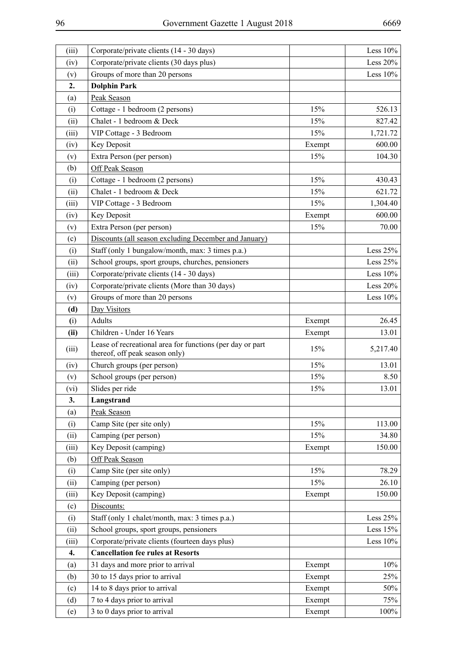| (iii) | Corporate/private clients (14 - 30 days)                                                    |        | Less $10%$  |
|-------|---------------------------------------------------------------------------------------------|--------|-------------|
| (iv)  | Corporate/private clients (30 days plus)                                                    |        | Less $20%$  |
| (v)   | Groups of more than 20 persons                                                              |        | Less $10\%$ |
| 2.    | <b>Dolphin Park</b>                                                                         |        |             |
| (a)   | Peak Season                                                                                 |        |             |
| (i)   | Cottage - 1 bedroom (2 persons)                                                             | 15%    | 526.13      |
| (ii)  | Chalet - 1 bedroom & Deck                                                                   | 15%    | 827.42      |
| (iii) | VIP Cottage - 3 Bedroom                                                                     | 15%    | 1,721.72    |
| (iv)  | Key Deposit                                                                                 | Exempt | 600.00      |
| (v)   | Extra Person (per person)                                                                   | 15%    | 104.30      |
| (b)   | Off Peak Season                                                                             |        |             |
| (i)   | Cottage - 1 bedroom (2 persons)                                                             | 15%    | 430.43      |
| (ii)  | Chalet - 1 bedroom & Deck                                                                   | 15%    | 621.72      |
| (iii) | VIP Cottage - 3 Bedroom                                                                     | 15%    | 1,304.40    |
| (iv)  | Key Deposit                                                                                 | Exempt | 600.00      |
| (v)   | Extra Person (per person)                                                                   | 15%    | 70.00       |
| (c)   | Discounts (all season excluding December and January)                                       |        |             |
| (i)   | Staff (only 1 bungalow/month, max: 3 times p.a.)                                            |        | Less $25%$  |
| (ii)  | School groups, sport groups, churches, pensioners                                           |        | Less $25%$  |
| (iii) | Corporate/private clients (14 - 30 days)                                                    |        | Less $10%$  |
| (iv)  | Corporate/private clients (More than 30 days)                                               |        | Less $20%$  |
| (v)   | Groups of more than 20 persons                                                              |        | Less $10%$  |
| (d)   | Day Visitors                                                                                |        |             |
| (i)   | Adults                                                                                      | Exempt | 26.45       |
| (ii)  | Children - Under 16 Years                                                                   | Exempt | 13.01       |
| (iii) | Lease of recreational area for functions (per day or part<br>thereof, off peak season only) | 15%    | 5,217.40    |
| (iv)  | Church groups (per person)                                                                  | 15%    | 13.01       |
| (v)   | School groups (per person)                                                                  | 15%    | 8.50        |
| (vi)  | Slides per ride                                                                             | 15%    | 13.01       |
| 3.    | Langstrand                                                                                  |        |             |
| (a)   | Peak Season                                                                                 |        |             |
| (i)   | Camp Site (per site only)                                                                   | 15%    | 113.00      |
| (ii)  | Camping (per person)                                                                        | 15%    | 34.80       |
| (iii) | Key Deposit (camping)                                                                       | Exempt | 150.00      |
| (b)   | <b>Off Peak Season</b>                                                                      |        |             |
| (i)   | Camp Site (per site only)                                                                   | 15%    | 78.29       |
| (ii)  | Camping (per person)                                                                        | 15%    | 26.10       |
| (iii) | Key Deposit (camping)                                                                       | Exempt | 150.00      |
| (c)   | Discounts:                                                                                  |        |             |
| (i)   | Staff (only 1 chalet/month, max: 3 times p.a.)                                              |        | Less $25%$  |
| (ii)  | School groups, sport groups, pensioners                                                     |        | Less $15%$  |
| (iii) | Corporate/private clients (fourteen days plus)                                              |        | Less $10%$  |
| 4.    | <b>Cancellation fee rules at Resorts</b>                                                    |        |             |
| (a)   | 31 days and more prior to arrival                                                           | Exempt | 10%         |
| (b)   | 30 to 15 days prior to arrival                                                              | Exempt | 25%         |
| (c)   | 14 to 8 days prior to arrival                                                               | Exempt | 50%         |
| (d)   | 7 to 4 days prior to arrival                                                                | Exempt | 75%         |
| (e)   | 3 to 0 days prior to arrival                                                                | Exempt | 100%        |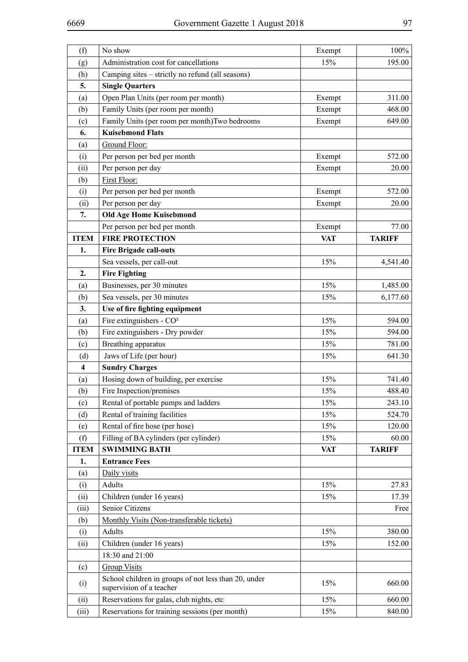| (f)                     | No show                                                                          | Exempt     | 100%            |
|-------------------------|----------------------------------------------------------------------------------|------------|-----------------|
| (g)                     | Administration cost for cancellations                                            | 15%        | 195.00          |
| (h)                     | Camping sites – strictly no refund (all seasons)                                 |            |                 |
| 5.                      | <b>Single Quarters</b>                                                           |            |                 |
| (a)                     | Open Plan Units (per room per month)                                             | Exempt     | 311.00          |
| (b)                     | Family Units (per room per month)                                                | Exempt     | 468.00          |
| (c)                     | Family Units (per room per month) Two bedrooms                                   | Exempt     | 649.00          |
| 6.                      | <b>Kuisebmond Flats</b>                                                          |            |                 |
| (a)                     | Ground Floor:                                                                    |            |                 |
| (i)                     | Per person per bed per month                                                     | Exempt     | 572.00          |
| (ii)                    | Per person per day                                                               | Exempt     | 20.00           |
| (b)                     | First Floor:                                                                     |            |                 |
| (i)                     | Per person per bed per month                                                     | Exempt     | 572.00          |
| (ii)                    | Per person per day                                                               | Exempt     | 20.00           |
| 7.                      | <b>Old Age Home Kuisebmond</b>                                                   |            |                 |
|                         | Per person per bed per month                                                     | Exempt     | 77.00           |
| <b>ITEM</b>             | <b>FIRE PROTECTION</b>                                                           | <b>VAT</b> | <b>TARIFF</b>   |
| 1.                      | <b>Fire Brigade call-outs</b>                                                    |            |                 |
|                         | Sea vessels, per call-out                                                        | 15%        | 4,541.40        |
| 2.                      | <b>Fire Fighting</b>                                                             |            |                 |
| (a)                     | Businesses, per 30 minutes                                                       | 15%        | 1,485.00        |
| (b)                     | Sea vessels, per 30 minutes                                                      | 15%        | 6,177.60        |
| 3.                      | Use of fire fighting equipment                                                   |            |                 |
| (a)                     | Fire extinguishers - CO <sup>2</sup>                                             | 15%        | 594.00          |
| (b)                     | Fire extinguishers - Dry powder                                                  | 15%        | 594.00          |
| (c)                     | Breathing apparatus                                                              | 15%        | 781.00          |
| (d)                     | Jaws of Life (per hour)                                                          | 15%        | 641.30          |
| $\overline{\mathbf{4}}$ | <b>Sundry Charges</b>                                                            |            |                 |
| (a)                     | Hosing down of building, per exercise                                            | 15%        | 741.40          |
| (b)                     | Fire Inspection/premises                                                         | 15%        | 488.40          |
| (c)                     | Rental of portable pumps and ladders                                             | 15%        | 243.10          |
| (d)                     | Rental of training facilities                                                    | 15%        | 524.70          |
| (e)                     | Rental of fire hose (per hose)<br>Filling of BA cylinders (per cylinder)         | 15%<br>15% | 120.00<br>60.00 |
| (f)<br><b>ITEM</b>      | <b>SWIMMING BATH</b>                                                             | <b>VAT</b> | <b>TARIFF</b>   |
| 1.                      | <b>Entrance Fees</b>                                                             |            |                 |
| (a)                     | Daily visits                                                                     |            |                 |
| (i)                     | Adults                                                                           | 15%        | 27.83           |
| (ii)                    | Children (under 16 years)                                                        | 15%        | 17.39           |
| (iii)                   | Senior Citizens                                                                  |            | Free            |
| (b)                     | Monthly Visits (Non-transferable tickets)                                        |            |                 |
| (i)                     | Adults                                                                           | 15%        | 380.00          |
| (ii)                    | Children (under 16 years)                                                        | 15%        | 152.00          |
|                         | 18:30 and 21:00                                                                  |            |                 |
| (c)                     | <b>Group Visits</b>                                                              |            |                 |
| (i)                     | School children in groups of not less than 20, under<br>supervision of a teacher | 15%        | 660.00          |
| (ii)                    | Reservations for galas, club nights, etc                                         | 15%        | 660.00          |
| (iii)                   | Reservations for training sessions (per month)                                   | 15%        | 840.00          |
|                         |                                                                                  |            |                 |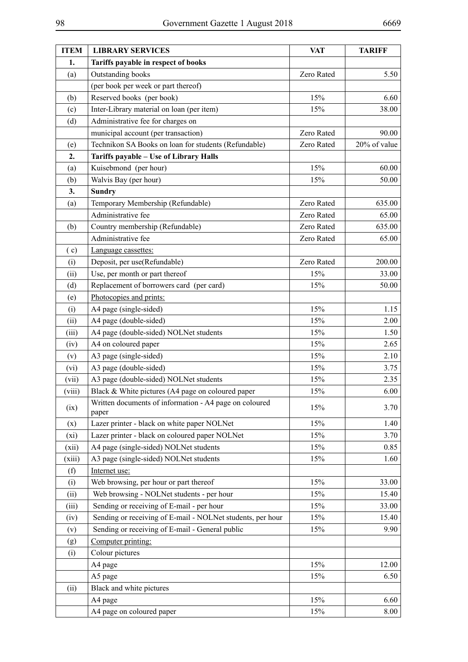| <b>ITEM</b> | <b>LIBRARY SERVICES</b>                                         | <b>VAT</b> | <b>TARIFF</b> |
|-------------|-----------------------------------------------------------------|------------|---------------|
| 1.          | Tariffs payable in respect of books                             |            |               |
| (a)         | Outstanding books                                               | Zero Rated | 5.50          |
|             | (per book per week or part thereof)                             |            |               |
| (b)         | Reserved books (per book)                                       | 15%        | 6.60          |
| (c)         | Inter-Library material on loan (per item)                       | 15%        | 38.00         |
| (d)         | Administrative fee for charges on                               |            |               |
|             | municipal account (per transaction)                             | Zero Rated | 90.00         |
| (e)         | Technikon SA Books on loan for students (Refundable)            | Zero Rated | 20% of value  |
| 2.          | Tariffs payable - Use of Library Halls                          |            |               |
| (a)         | Kuisebmond (per hour)                                           | 15%        | 60.00         |
| (b)         | Walvis Bay (per hour)                                           | 15%        | 50.00         |
| 3.          | <b>Sundry</b>                                                   |            |               |
| (a)         | Temporary Membership (Refundable)                               | Zero Rated | 635.00        |
|             | Administrative fee                                              | Zero Rated | 65.00         |
| (b)         | Country membership (Refundable)                                 | Zero Rated | 635.00        |
|             | Administrative fee                                              | Zero Rated | 65.00         |
| (c)         | Language cassettes:                                             |            |               |
| (i)         | Deposit, per use(Refundable)                                    | Zero Rated | 200.00        |
| (ii)        | Use, per month or part thereof                                  | 15%        | 33.00         |
| (d)         | Replacement of borrowers card (per card)                        | 15%        | 50.00         |
| (e)         | Photocopies and prints:                                         |            |               |
| (i)         | A4 page (single-sided)                                          | 15%        | 1.15          |
| (ii)        | A4 page (double-sided)                                          | 15%        | 2.00          |
| (iii)       | A4 page (double-sided) NOLNet students                          | 15%        | 1.50          |
| (iv)        | A4 on coloured paper                                            | 15%        | 2.65          |
| (v)         | A3 page (single-sided)                                          | 15%        | 2.10          |
| (vi)        | A3 page (double-sided)                                          | 15%        | 3.75          |
| (vii)       | A3 page (double-sided) NOLNet students                          | 15%        | 2.35          |
| (viii)      | Black & White pictures (A4 page on coloured paper               | 15%        | 6.00          |
| (ix)        | Written documents of information - A4 page on coloured<br>paper | 15%        | 3.70          |
| (x)         | Lazer printer - black on white paper NOLNet                     | 15%        | 1.40          |
| (xi)        | Lazer printer - black on coloured paper NOLNet                  | 15%        | 3.70          |
| (xii)       | A4 page (single-sided) NOLNet students                          | 15%        | 0.85          |
| (xiii)      | A3 page (single-sided) NOLNet students                          | 15%        | 1.60          |
| (f)         | Internet use:                                                   |            |               |
| (i)         | Web browsing, per hour or part thereof                          | 15%        | 33.00         |
| (ii)        | Web browsing - NOLNet students - per hour                       | 15%        | 15.40         |
| (iii)       | Sending or receiving of E-mail - per hour                       | 15%        | 33.00         |
| (iv)        | Sending or receiving of E-mail - NOLNet students, per hour      | 15%        | 15.40         |
| (v)         | Sending or receiving of E-mail - General public                 | 15%        | 9.90          |
| (g)         | Computer printing:                                              |            |               |
| (i)         | Colour pictures                                                 |            |               |
|             | A4 page                                                         | 15%        | 12.00         |
|             | A5 page                                                         | 15%        | 6.50          |
| (ii)        | Black and white pictures                                        |            |               |
|             | A4 page                                                         | 15%        | 6.60          |
|             | A4 page on coloured paper                                       | 15%        | 8.00          |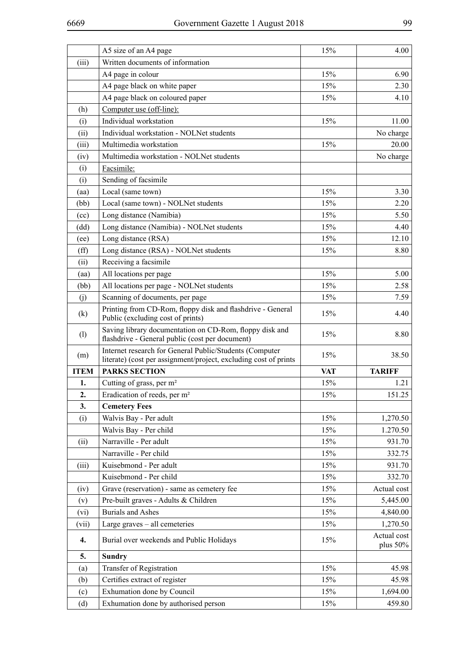|              | A5 size of an A4 page                                                                                                       | 15%        | 4.00                       |
|--------------|-----------------------------------------------------------------------------------------------------------------------------|------------|----------------------------|
| (iii)        | Written documents of information                                                                                            |            |                            |
|              | A4 page in colour                                                                                                           | 15%        | 6.90                       |
|              | A4 page black on white paper                                                                                                | 15%        | 2.30                       |
|              | A4 page black on coloured paper                                                                                             | 15%        | 4.10                       |
| (h)          | Computer use (off-line):                                                                                                    |            |                            |
| (i)          | Individual workstation                                                                                                      | 15%        | 11.00                      |
| (ii)         | Individual workstation - NOLNet students                                                                                    |            | No charge                  |
| (iii)        | Multimedia workstation                                                                                                      | 15%        | 20.00                      |
| (iv)         | Multimedia workstation - NOLNet students                                                                                    |            | No charge                  |
| (i)          | Facsimile:                                                                                                                  |            |                            |
| (i)          | Sending of facsimile                                                                                                        |            |                            |
| (aa)         | Local (same town)                                                                                                           | 15%        | 3.30                       |
| (bb)         | Local (same town) - NOLNet students                                                                                         | 15%        | 2.20                       |
| (cc)         | Long distance (Namibia)                                                                                                     | 15%        | 5.50                       |
| (dd)         | Long distance (Namibia) - NOLNet students                                                                                   | 15%        | 4.40                       |
| (ee)         | Long distance (RSA)                                                                                                         | 15%        | 12.10                      |
| $(f\hat{f})$ | Long distance (RSA) - NOLNet students                                                                                       | 15%        | 8.80                       |
| (ii)         | Receiving a facsimile                                                                                                       |            |                            |
| (aa)         | All locations per page                                                                                                      | 15%        | 5.00                       |
| (bb)         | All locations per page - NOLNet students                                                                                    | 15%        | 2.58                       |
| (i)          | Scanning of documents, per page                                                                                             | 15%        | 7.59                       |
| (k)          | Printing from CD-Rom, floppy disk and flashdrive - General<br>Public (excluding cost of prints)                             | 15%        | 4.40                       |
| (1)          | Saving library documentation on CD-Rom, floppy disk and<br>flashdrive - General public (cost per document)                  | 15%        | 8.80                       |
| (m)          | Internet research for General Public/Students (Computer<br>literate) (cost per assignment/project, excluding cost of prints | 15%        | 38.50                      |
| <b>ITEM</b>  | <b>PARKS SECTION</b>                                                                                                        | <b>VAT</b> | <b>TARIFF</b>              |
| 1.           | Cutting of grass, per m <sup>2</sup>                                                                                        | 15%        | 1.21                       |
| 2.           | Eradication of reeds, per m <sup>2</sup>                                                                                    | 15%        | 151.25                     |
| 3.           | <b>Cemetery Fees</b>                                                                                                        |            |                            |
| (i)          | Walvis Bay - Per adult                                                                                                      | 15%        | 1,270.50                   |
|              | Walvis Bay - Per child                                                                                                      | 15%        | 1.270.50                   |
| (ii)         | Narraville - Per adult                                                                                                      | 15%        | 931.70                     |
|              | Narraville - Per child                                                                                                      | 15%        | 332.75                     |
| (iii)        | Kuisebmond - Per adult                                                                                                      | 15%        | 931.70                     |
|              | Kuisebmond - Per child                                                                                                      | 15%        | 332.70                     |
| (iv)         | Grave (reservation) - same as cemetery fee                                                                                  | 15%        | Actual cost                |
| (v)          | Pre-built graves - Adults & Children                                                                                        | 15%        | 5,445.00                   |
| (vi)         | <b>Burials and Ashes</b>                                                                                                    | 15%        | 4,840.00                   |
| (vii)        | Large graves - all cemeteries                                                                                               | 15%        | 1,270.50                   |
| 4.           | Burial over weekends and Public Holidays                                                                                    | 15%        | Actual cost<br>plus $50\%$ |
| 5.           | <b>Sundry</b>                                                                                                               |            |                            |
| (a)          | Transfer of Registration                                                                                                    | 15%        | 45.98                      |
| (b)          | Certifies extract of register                                                                                               | 15%        | 45.98                      |
| (c)          | Exhumation done by Council                                                                                                  | 15%        | 1,694.00                   |
| (d)          | Exhumation done by authorised person                                                                                        | 15%        | 459.80                     |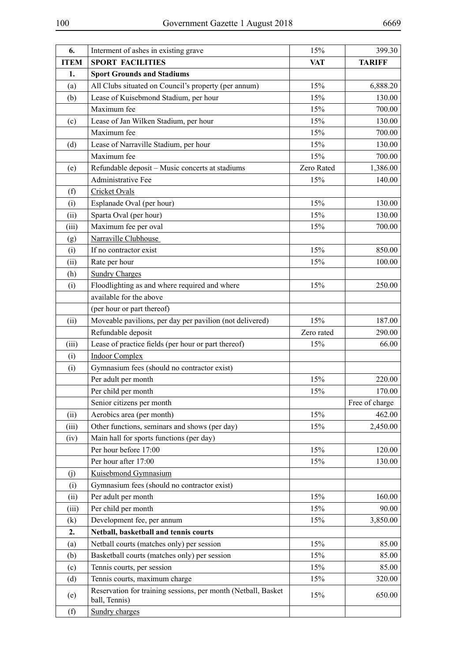| 6.          | Interment of ashes in existing grave                                           | 15%        | 399.30         |
|-------------|--------------------------------------------------------------------------------|------------|----------------|
| <b>ITEM</b> | <b>SPORT FACILITIES</b>                                                        | <b>VAT</b> | <b>TARIFF</b>  |
| 1.          | <b>Sport Grounds and Stadiums</b>                                              |            |                |
| (a)         | All Clubs situated on Council's property (per annum)                           | 15%        | 6,888.20       |
| (b)         | Lease of Kuisebmond Stadium, per hour                                          | 15%        | 130.00         |
|             | Maximum fee                                                                    | 15%        | 700.00         |
| (c)         | Lease of Jan Wilken Stadium, per hour                                          | 15%        | 130.00         |
|             | Maximum fee                                                                    | 15%        | 700.00         |
| (d)         | Lease of Narraville Stadium, per hour                                          | 15%        | 130.00         |
|             | Maximum fee                                                                    | 15%        | 700.00         |
| (e)         | Refundable deposit - Music concerts at stadiums                                | Zero Rated | 1,386.00       |
|             | Administrative Fee                                                             | 15%        | 140.00         |
| (f)         | <b>Cricket Ovals</b>                                                           |            |                |
| (i)         | Esplanade Oval (per hour)                                                      | 15%        | 130.00         |
| (ii)        | Sparta Oval (per hour)                                                         | 15%        | 130.00         |
| (iii)       | Maximum fee per oval                                                           | 15%        | 700.00         |
| (g)         | Narraville Clubhouse                                                           |            |                |
| (i)         | If no contractor exist                                                         | 15%        | 850.00         |
| (ii)        | Rate per hour                                                                  | 15%        | 100.00         |
| (h)         | <b>Sundry Charges</b>                                                          |            |                |
| (i)         | Floodlighting as and where required and where                                  | 15%        | 250.00         |
|             | available for the above                                                        |            |                |
|             | (per hour or part thereof)                                                     |            |                |
| (ii)        | Moveable pavilions, per day per pavilion (not delivered)                       | 15%        | 187.00         |
|             | Refundable deposit                                                             | Zero rated | 290.00         |
| (iii)       | Lease of practice fields (per hour or part thereof)                            | 15%        | 66.00          |
| (i)         | <b>Indoor Complex</b>                                                          |            |                |
| (i)         | Gymnasium fees (should no contractor exist)                                    |            |                |
|             | Per adult per month                                                            | 15%        | 220.00         |
|             | Per child per month                                                            | 15%        | 170.00         |
|             | Senior citizens per month                                                      |            | Free of charge |
| (ii)        | Aerobics area (per month)                                                      | 15%        | 462.00         |
| (iii)       | Other functions, seminars and shows (per day)                                  | 15%        | 2,450.00       |
| (iv)        | Main hall for sports functions (per day)                                       |            |                |
|             | Per hour before 17:00                                                          | 15%        | 120.00         |
|             | Per hour after 17:00                                                           | 15%        | 130.00         |
| (j)         | Kuisebmond Gymnasium                                                           |            |                |
| (i)         | Gymnasium fees (should no contractor exist)                                    |            |                |
| (ii)        | Per adult per month                                                            | 15%        | 160.00         |
| (iii)       | Per child per month                                                            | 15%        | 90.00          |
| (k)         | Development fee, per annum                                                     | 15%        | 3,850.00       |
| 2.          | Netball, basketball and tennis courts                                          |            |                |
| (a)         | Netball courts (matches only) per session                                      | 15%        | 85.00          |
| (b)         | Basketball courts (matches only) per session                                   | 15%        | 85.00          |
| (c)         | Tennis courts, per session                                                     | 15%        | 85.00          |
| (d)         | Tennis courts, maximum charge                                                  | 15%        | 320.00         |
| (e)         | Reservation for training sessions, per month (Netball, Basket<br>ball, Tennis) | 15%        | 650.00         |
| (f)         | <b>Sundry charges</b>                                                          |            |                |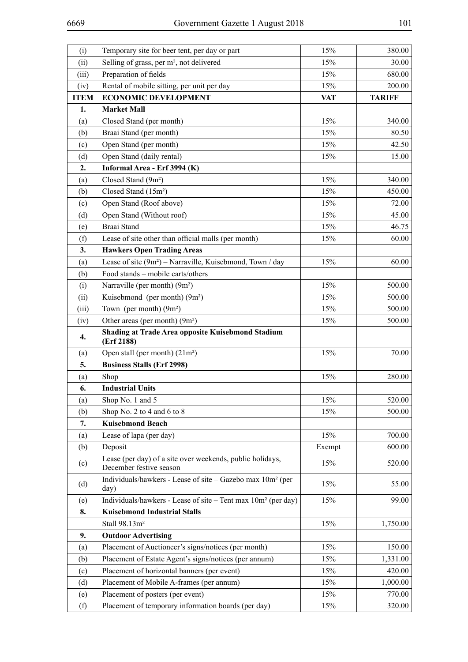| (i)         | Temporary site for beer tent, per day or part                                        | 15%        | 380.00        |
|-------------|--------------------------------------------------------------------------------------|------------|---------------|
| (ii)        | Selling of grass, per m <sup>2</sup> , not delivered                                 | 15%        | 30.00         |
| (iii)       | Preparation of fields                                                                | 15%        | 680.00        |
| (iv)        | Rental of mobile sitting, per unit per day                                           | 15%        | 200.00        |
| <b>ITEM</b> | <b>ECONOMIC DEVELOPMENT</b>                                                          | <b>VAT</b> | <b>TARIFF</b> |
| 1.          | <b>Market Mall</b>                                                                   |            |               |
| (a)         | Closed Stand (per month)                                                             | 15%        | 340.00        |
| (b)         | Braai Stand (per month)                                                              | 15%        | 80.50         |
| (c)         | Open Stand (per month)                                                               | 15%        | 42.50         |
| (d)         | Open Stand (daily rental)                                                            | 15%        | 15.00         |
| 2.          | Informal Area - Erf 3994 (K)                                                         |            |               |
| (a)         | Closed Stand (9m <sup>2</sup> )                                                      | 15%        | 340.00        |
| (b)         | Closed Stand (15m <sup>2</sup> )                                                     | 15%        | 450.00        |
| (c)         | Open Stand (Roof above)                                                              | 15%        | 72.00         |
| (d)         | Open Stand (Without roof)                                                            | 15%        | 45.00         |
| (e)         | Braai Stand                                                                          | 15%        | 46.75         |
| (f)         | Lease of site other than official malls (per month)                                  | 15%        | 60.00         |
| 3.          | <b>Hawkers Open Trading Areas</b>                                                    |            |               |
| (a)         | Lease of site (9m <sup>2</sup> ) - Narraville, Kuisebmond, Town / day                | 15%        | 60.00         |
| (b)         | Food stands - mobile carts/others                                                    |            |               |
| (i)         | Narraville (per month) (9m <sup>2</sup> )                                            | 15%        | 500.00        |
| (ii)        | Kuisebmond (per month) $(9m^2)$                                                      | 15%        | 500.00        |
| (iii)       | Town (per month) $(9m^2)$                                                            | 15%        | 500.00        |
| (iv)        | Other areas (per month) $(9m^2)$                                                     | 15%        | 500.00        |
| 4.          | <b>Shading at Trade Area opposite Kuisebmond Stadium</b>                             |            |               |
|             | (Erf 2188)                                                                           |            |               |
| (a)         | Open stall (per month) $(21m^2)$                                                     | 15%        | 70.00         |
| 5.          | <b>Business Stalls (Erf 2998)</b>                                                    |            |               |
| (a)         | Shop                                                                                 | 15%        | 280.00        |
| 6.          | <b>Industrial Units</b>                                                              |            |               |
| (a)         | Shop No. 1 and 5                                                                     | 15%        | 520.00        |
| (b)         | Shop No. 2 to 4 and 6 to 8                                                           | 15%        | 500.00        |
| 7.          | <b>Kuisebmond Beach</b>                                                              |            |               |
| (a)         | Lease of lapa (per day)                                                              | 15%        | 700.00        |
| (b)         | Deposit                                                                              | Exempt     | 600.00        |
| (c)         | Lease (per day) of a site over weekends, public holidays,<br>December festive season | 15%        | 520.00        |
| (d)         | Individuals/hawkers - Lease of site - Gazebo max 10m <sup>2</sup> (per<br>day)       | 15%        | 55.00         |
| (e)         | Individuals/hawkers - Lease of site - Tent max 10m <sup>2</sup> (per day)            | 15%        | 99.00         |
| 8.          | <b>Kuisebmond Industrial Stalls</b>                                                  |            |               |
|             | Stall 98.13m <sup>2</sup>                                                            | 15%        | 1,750.00      |
| 9.          | <b>Outdoor Advertising</b>                                                           |            |               |
| (a)         | Placement of Auctioneer's signs/notices (per month)                                  | 15%        | 150.00        |
| (b)         | Placement of Estate Agent's signs/notices (per annum)                                | 15%        | 1,331.00      |
| (c)         | Placement of horizontal banners (per event)                                          | 15%        | 420.00        |
| (d)         | Placement of Mobile A-frames (per annum)                                             | 15%        | 1,000.00      |
| (e)         | Placement of posters (per event)                                                     | 15%        | 770.00        |
| (f)         | Placement of temporary information boards (per day)                                  | 15%        | 320.00        |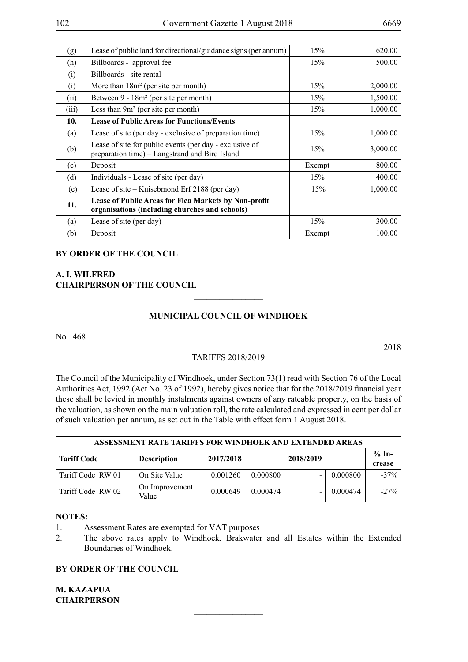| (g)   | Lease of public land for directional/guidance signs (per annum)                                           | 15%    | 620.00   |
|-------|-----------------------------------------------------------------------------------------------------------|--------|----------|
| (h)   | Billboards - approval fee                                                                                 | 15%    | 500.00   |
| (i)   | Billboards - site rental                                                                                  |        |          |
| (i)   | More than $18m^2$ (per site per month)                                                                    | 15%    | 2,000.00 |
| (ii)  | Between 9 - 18m <sup>2</sup> (per site per month)                                                         | 15%    | 1,500.00 |
| (iii) | Less than $9m^2$ (per site per month)                                                                     | 15%    | 1,000.00 |
| 10.   | <b>Lease of Public Areas for Functions/Events</b>                                                         |        |          |
| (a)   | Lease of site (per day - exclusive of preparation time)                                                   | 15%    | 1,000.00 |
| (b)   | Lease of site for public events (per day - exclusive of<br>preparation time) - Langstrand and Bird Island | 15%    | 3,000.00 |
| (c)   | Deposit                                                                                                   | Exempt | 800.00   |
| (d)   | Individuals - Lease of site (per day)                                                                     | 15%    | 400.00   |
| (e)   | Lease of site – Kuisebmond Erf 2188 (per day)                                                             | 15%    | 1,000.00 |
| 11.   | Lease of Public Areas for Flea Markets by Non-profit<br>organisations (including churches and schools)    |        |          |
| (a)   | Lease of site (per day)                                                                                   | 15%    | 300.00   |
| (b)   | Deposit                                                                                                   | Exempt | 100.00   |
|       |                                                                                                           |        |          |

#### **BY ORDER OF THE COUNCIL**

### **A. I. WILFRED CHAIRPERSON OF THE COUNCIL**

### **MUNICIPAL COUNCIL OF WINDHOEK**

 $\frac{1}{2}$ 

No. 468

### TARIFFS 2018/2019

The Council of the Municipality of Windhoek, under Section 73(1) read with Section 76 of the Local Authorities Act, 1992 (Act No. 23 of 1992), hereby gives notice that for the 2018/2019 financial year these shall be levied in monthly instalments against owners of any rateable property, on the basis of the valuation, as shown on the main valuation roll, the rate calculated and expressed in cent per dollar of such valuation per annum, as set out in the Table with effect form 1 August 2018.

| ASSESSMENT RATE TARIFFS FOR WINDHOEK AND EXTENDED AREAS |                         |           |           |   |                   |         |  |
|---------------------------------------------------------|-------------------------|-----------|-----------|---|-------------------|---------|--|
| <b>Tariff Code</b>                                      | <b>Description</b>      | 2017/2018 | 2018/2019 |   | $% In-$<br>crease |         |  |
| Tariff Code RW 01                                       | On Site Value           | 0.001260  | 0.000800  | - | 0.000800          | $-37\%$ |  |
| Tariff Code RW 02                                       | On Improvement<br>Value | 0.000649  | 0.000474  | - | 0.000474          | $-27\%$ |  |

#### **NOTES:**

- 1. Assessment Rates are exempted for VAT purposes
- 2. The above rates apply to Windhoek, Brakwater and all Estates within the Extended Boundaries of Windhoek.

 $\frac{1}{2}$ 

#### **BY ORDER OF THE COUNCIL**

**M. KAZAPUA CHAIRPERSON** 2018